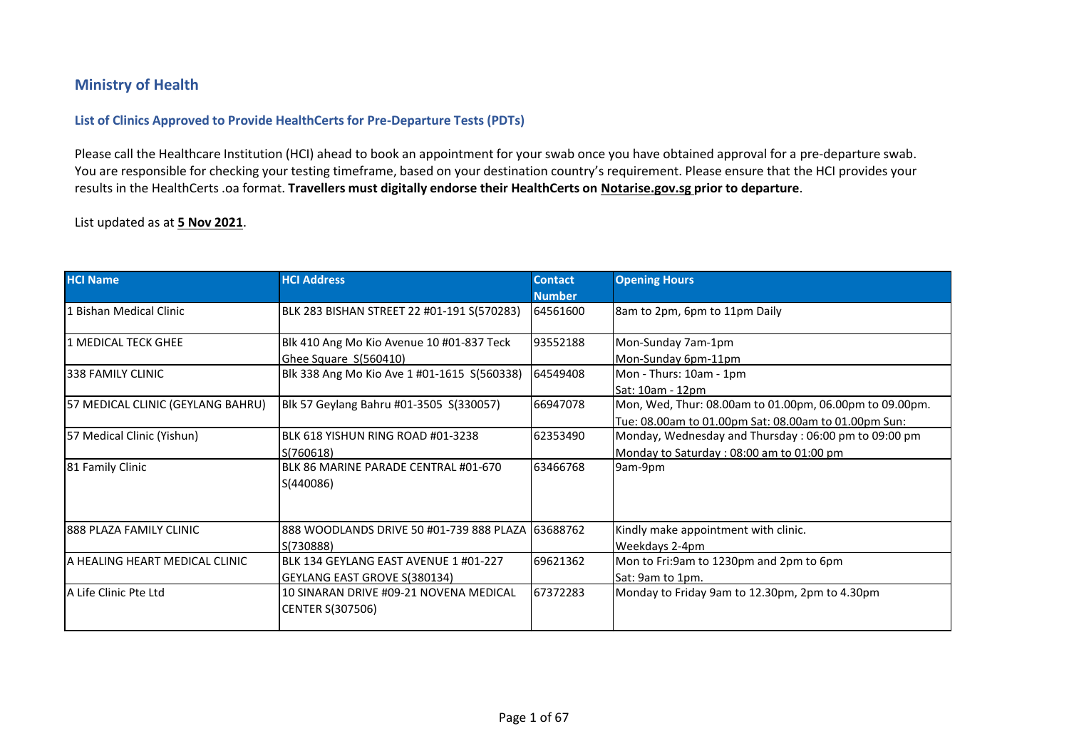## **Ministry of Health**

## **List of Clinics Approved to Provide HealthCerts for Pre-Departure Tests (PDTs)**

Please call the Healthcare Institution (HCI) ahead to book an appointment for your swab once you have obtained approval for a pre-departure swab. You are responsible for checking your testing timeframe, based on your destination country's requirement. Please ensure that the HCI provides your results in the HealthCerts .oa format. **Travellers must digitally endorse their HealthCerts on Notarise.gov.sg prior to departure**.

## List updated as at **5 Nov 2021**.

| <b>HCI Name</b>                   | <b>HCI Address</b>                                                    | <b>Contact</b><br><b>Number</b> | <b>Opening Hours</b>                                                                                            |
|-----------------------------------|-----------------------------------------------------------------------|---------------------------------|-----------------------------------------------------------------------------------------------------------------|
| 1 Bishan Medical Clinic           | BLK 283 BISHAN STREET 22 #01-191 S(570283)                            | 64561600                        | 8am to 2pm, 6pm to 11pm Daily                                                                                   |
| 1 MEDICAL TECK GHEE               | Blk 410 Ang Mo Kio Avenue 10 #01-837 Teck<br>Ghee Square S(560410)    | 93552188                        | Mon-Sunday 7am-1pm<br>Mon-Sunday 6pm-11pm                                                                       |
| 338 FAMILY CLINIC                 | Blk 338 Ang Mo Kio Ave 1 #01-1615 S(560338)                           | 64549408                        | Mon - Thurs: 10am - 1pm<br>Sat: 10am - 12pm                                                                     |
| 57 MEDICAL CLINIC (GEYLANG BAHRU) | Blk 57 Geylang Bahru #01-3505 S(330057)                               | 66947078                        | Mon, Wed, Thur: 08.00am to 01.00pm, 06.00pm to 09.00pm.<br>Tue: 08.00am to 01.00pm Sat: 08.00am to 01.00pm Sun: |
| 57 Medical Clinic (Yishun)        | BLK 618 YISHUN RING ROAD #01-3238<br>S(760618)                        | 62353490                        | Monday, Wednesday and Thursday: 06:00 pm to 09:00 pm<br>Monday to Saturday: 08:00 am to 01:00 pm                |
| 81 Family Clinic                  | BLK 86 MARINE PARADE CENTRAL #01-670<br>S(440086)                     | 63466768                        | 9am-9pm                                                                                                         |
| <b>888 PLAZA FAMILY CLINIC</b>    | 888 WOODLANDS DRIVE 50 #01-739 888 PLAZA 163688762<br>S(730888)       |                                 | Kindly make appointment with clinic.<br>Weekdays 2-4pm                                                          |
| IA HEALING HEART MEDICAL CLINIC   | BLK 134 GEYLANG EAST AVENUE 1 #01-227<br>GEYLANG EAST GROVE S(380134) | 69621362                        | Mon to Fri:9am to 1230pm and 2pm to 6pm<br>Sat: 9am to 1pm.                                                     |
| A Life Clinic Pte Ltd             | 10 SINARAN DRIVE #09-21 NOVENA MEDICAL<br><b>CENTER S(307506)</b>     | 67372283                        | Monday to Friday 9am to 12.30pm, 2pm to 4.30pm                                                                  |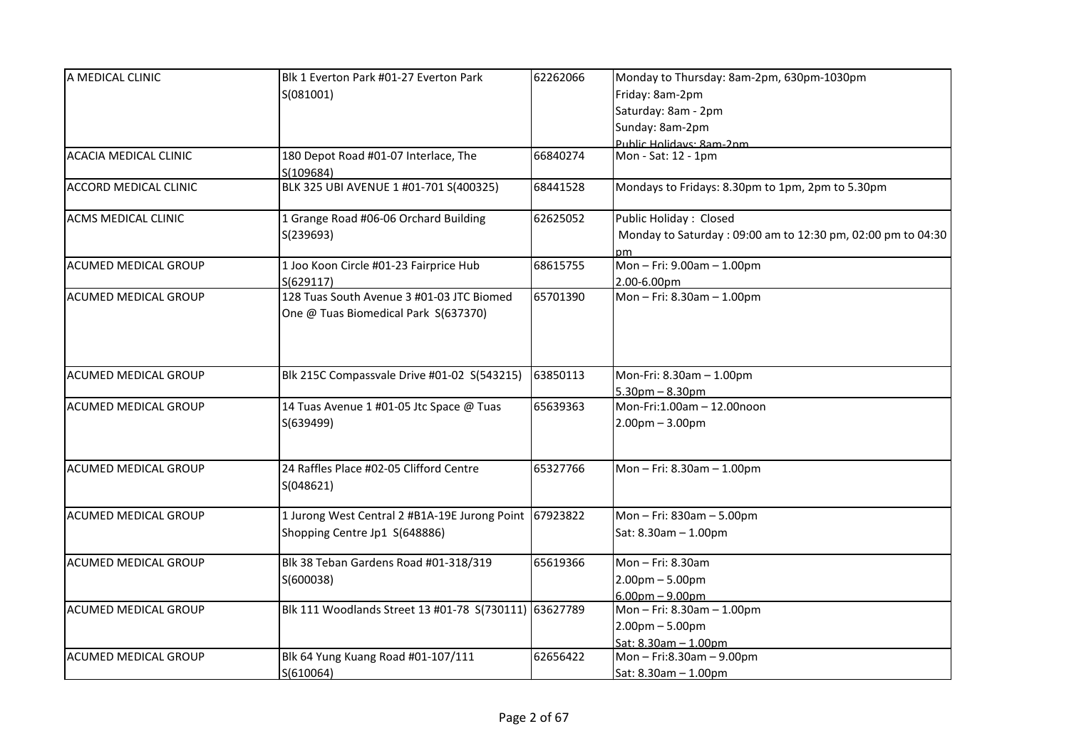| A MEDICAL CLINIC             | Blk 1 Everton Park #01-27 Everton Park                 | 62262066 | Monday to Thursday: 8am-2pm, 630pm-1030pm                   |
|------------------------------|--------------------------------------------------------|----------|-------------------------------------------------------------|
|                              | S(081001)                                              |          | Friday: 8am-2pm                                             |
|                              |                                                        |          | Saturday: 8am - 2pm                                         |
|                              |                                                        |          | Sunday: 8am-2pm                                             |
|                              |                                                        |          | Public Holidays: 8am-2nm                                    |
| <b>ACACIA MEDICAL CLINIC</b> | 180 Depot Road #01-07 Interlace, The                   | 66840274 | Mon - Sat: 12 - 1pm                                         |
|                              | S(109684)                                              |          |                                                             |
| <b>ACCORD MEDICAL CLINIC</b> | BLK 325 UBI AVENUE 1 #01-701 S(400325)                 | 68441528 | Mondays to Fridays: 8.30pm to 1pm, 2pm to 5.30pm            |
| <b>ACMS MEDICAL CLINIC</b>   | 1 Grange Road #06-06 Orchard Building                  | 62625052 | Public Holiday: Closed                                      |
|                              | S(239693)                                              |          | Monday to Saturday: 09:00 am to 12:30 pm, 02:00 pm to 04:30 |
| ACUMED MEDICAL GROUP         | 1 Joo Koon Circle #01-23 Fairprice Hub                 | 68615755 | pm.<br>Mon-Fri: 9.00am-1.00pm                               |
|                              | S(629117)                                              |          | 2.00-6.00pm                                                 |
| ACUMED MEDICAL GROUP         | 128 Tuas South Avenue 3 #01-03 JTC Biomed              | 65701390 | Mon-Fri: 8.30am-1.00pm                                      |
|                              | One @ Tuas Biomedical Park S(637370)                   |          |                                                             |
|                              |                                                        |          |                                                             |
|                              |                                                        |          |                                                             |
| <b>ACUMED MEDICAL GROUP</b>  | Blk 215C Compassvale Drive #01-02 S(543215)            | 63850113 | Mon-Fri: 8.30am - 1.00pm                                    |
|                              |                                                        |          | $5.30pm - 8.30pm$                                           |
| ACUMED MEDICAL GROUP         | 14 Tuas Avenue 1 #01-05 Jtc Space @ Tuas               | 65639363 | Mon-Fri:1.00am - 12.00noon                                  |
|                              | S(639499)                                              |          | $2.00$ pm $- 3.00$ pm                                       |
|                              |                                                        |          |                                                             |
|                              |                                                        |          |                                                             |
| ACUMED MEDICAL GROUP         | 24 Raffles Place #02-05 Clifford Centre                | 65327766 | Mon-Fri: 8.30am-1.00pm                                      |
|                              | S(048621)                                              |          |                                                             |
| ACUMED MEDICAL GROUP         | 1 Jurong West Central 2 #B1A-19E Jurong Point 67923822 |          | Mon-Fri: 830am-5.00pm                                       |
|                              | Shopping Centre Jp1 S(648886)                          |          | Sat: 8.30am - 1.00pm                                        |
|                              |                                                        |          |                                                             |
| <b>ACUMED MEDICAL GROUP</b>  | Blk 38 Teban Gardens Road #01-318/319                  | 65619366 | Mon $-$ Fri: 8.30am                                         |
|                              | S(600038)                                              |          | $2.00$ pm $- 5.00$ pm                                       |
|                              |                                                        |          | $6.00pm - 9.00pm$                                           |
| <b>ACUMED MEDICAL GROUP</b>  | Blk 111 Woodlands Street 13 #01-78 S(730111) 63627789  |          | Mon-Fri: 8.30am-1.00pm                                      |
|                              |                                                        |          | $2.00$ pm $- 5.00$ pm                                       |
|                              |                                                        |          | Sat: 8.30am - 1.00pm                                        |
| <b>ACUMED MEDICAL GROUP</b>  | Blk 64 Yung Kuang Road #01-107/111                     | 62656422 | Mon-Fri:8.30am-9.00pm                                       |
|                              | S(610064)                                              |          | Sat: 8.30am - 1.00pm                                        |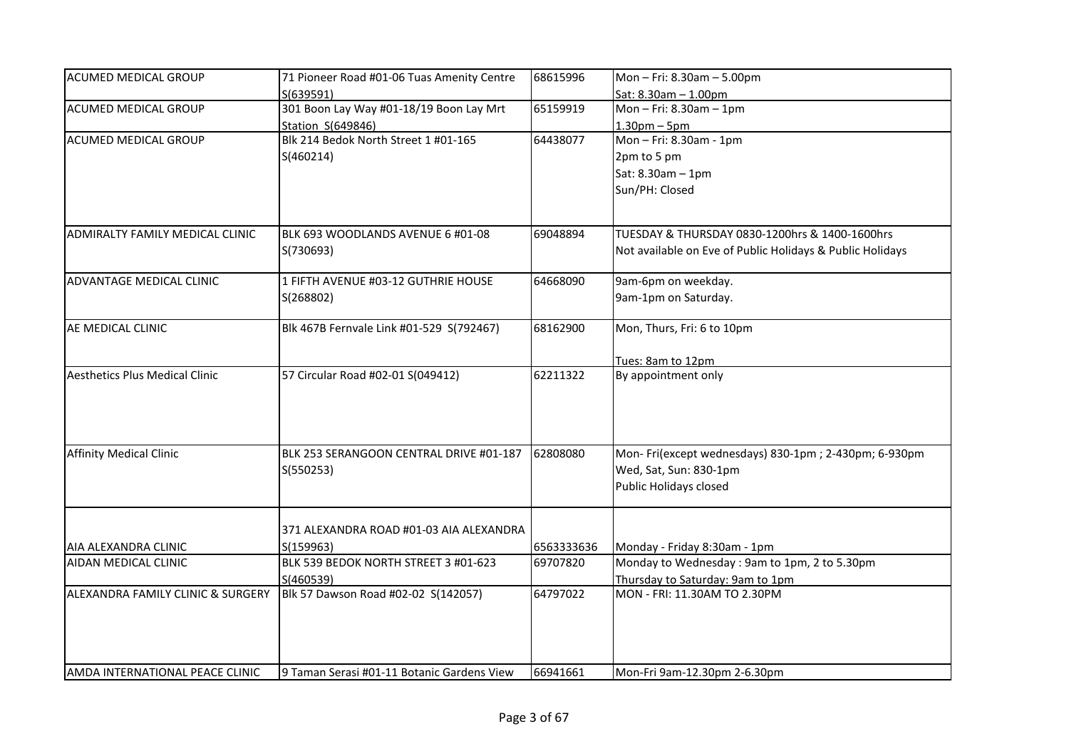| ACUMED MEDICAL GROUP                   | 71 Pioneer Road #01-06 Tuas Amenity Centre           | 68615996   | Mon-Fri: 8.30am-5.00pm                                    |
|----------------------------------------|------------------------------------------------------|------------|-----------------------------------------------------------|
|                                        | S(639591)                                            |            | Sat: 8.30am - 1.00pm                                      |
| ACUMED MEDICAL GROUP                   | 301 Boon Lay Way #01-18/19 Boon Lay Mrt              | 65159919   | Mon $-$ Fri: 8.30am $-1$ pm                               |
|                                        | Station S(649846)                                    |            | $1.30pm - 5pm$                                            |
| <b>ACUMED MEDICAL GROUP</b>            | Blk 214 Bedok North Street 1 #01-165                 | 64438077   | Mon-Fri: 8.30am - 1pm                                     |
|                                        | S(460214)                                            |            | 2pm to 5 pm                                               |
|                                        |                                                      |            | Sat: 8.30am - 1pm                                         |
|                                        |                                                      |            | Sun/PH: Closed                                            |
|                                        |                                                      |            |                                                           |
| <b>ADMIRALTY FAMILY MEDICAL CLINIC</b> | BLK 693 WOODLANDS AVENUE 6 #01-08                    | 69048894   | TUESDAY & THURSDAY 0830-1200hrs & 1400-1600hrs            |
|                                        | S(730693)                                            |            | Not available on Eve of Public Holidays & Public Holidays |
| ADVANTAGE MEDICAL CLINIC               | 1 FIFTH AVENUE #03-12 GUTHRIE HOUSE                  | 64668090   | 9am-6pm on weekday.                                       |
|                                        | S(268802)                                            |            | 9am-1pm on Saturday.                                      |
| AE MEDICAL CLINIC                      | Blk 467B Fernvale Link #01-529 S(792467)             | 68162900   | Mon, Thurs, Fri: 6 to 10pm                                |
|                                        |                                                      |            | Tues: 8am to 12pm                                         |
| <b>Aesthetics Plus Medical Clinic</b>  | 57 Circular Road #02-01 S(049412)                    | 62211322   | By appointment only                                       |
|                                        |                                                      |            |                                                           |
| <b>Affinity Medical Clinic</b>         | BLK 253 SERANGOON CENTRAL DRIVE #01-187              | 62808080   | Mon-Fri(except wednesdays) 830-1pm; 2-430pm; 6-930pm      |
|                                        | S(550253)                                            |            | Wed, Sat, Sun: 830-1pm                                    |
|                                        |                                                      |            | Public Holidays closed                                    |
|                                        |                                                      |            |                                                           |
| AIA ALEXANDRA CLINIC                   | 371 ALEXANDRA ROAD #01-03 AIA ALEXANDRA<br>S(159963) | 6563333636 | Monday - Friday 8:30am - 1pm                              |
| AIDAN MEDICAL CLINIC                   | BLK 539 BEDOK NORTH STREET 3 #01-623                 | 69707820   | Monday to Wednesday: 9am to 1pm, 2 to 5.30pm              |
|                                        | S(460539)                                            |            | Thursday to Saturday: 9am to 1pm                          |
| ALEXANDRA FAMILY CLINIC & SURGERY      | Blk 57 Dawson Road #02-02 S(142057)                  | 64797022   | MON - FRI: 11.30AM TO 2.30PM                              |
|                                        |                                                      |            |                                                           |
|                                        |                                                      |            |                                                           |
| AMDA INTERNATIONAL PEACE CLINIC        | 9 Taman Serasi #01-11 Botanic Gardens View           | 66941661   | Mon-Fri 9am-12.30pm 2-6.30pm                              |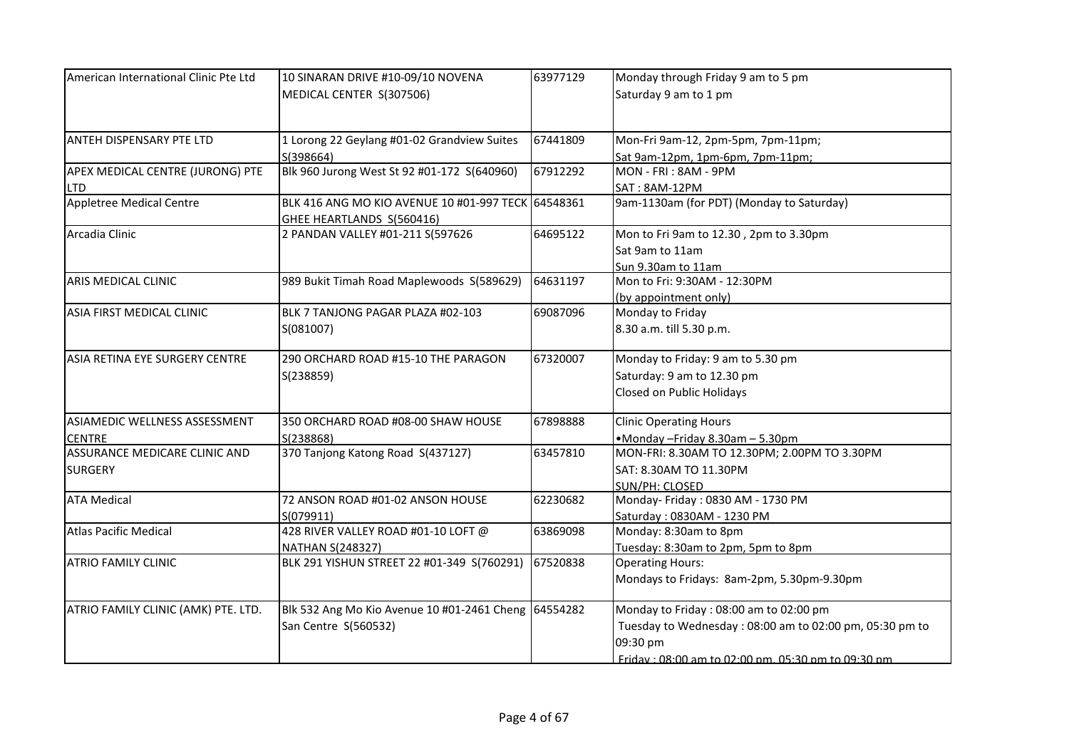| American International Clinic Pte Ltd | 10 SINARAN DRIVE #10-09/10 NOVENA                                               | 63977129 | Monday through Friday 9 am to 5 pm                      |
|---------------------------------------|---------------------------------------------------------------------------------|----------|---------------------------------------------------------|
|                                       | MEDICAL CENTER S(307506)                                                        |          | Saturday 9 am to 1 pm                                   |
| ANTEH DISPENSARY PTE LTD              | 1 Lorong 22 Geylang #01-02 Grandview Suites                                     | 67441809 | Mon-Fri 9am-12, 2pm-5pm, 7pm-11pm;                      |
|                                       | S(398664)                                                                       |          | Sat 9am-12pm, 1pm-6pm, 7pm-11pm;                        |
| APEX MEDICAL CENTRE (JURONG) PTE      | Blk 960 Jurong West St 92 #01-172 S(640960)                                     | 67912292 | MON - FRI : 8AM - 9PM                                   |
| <b>LTD</b>                            |                                                                                 |          | SAT: 8AM-12PM                                           |
| <b>Appletree Medical Centre</b>       | BLK 416 ANG MO KIO AVENUE 10 #01-997 TECK 64548361<br>GHEE HEARTLANDS S(560416) |          | 9am-1130am (for PDT) (Monday to Saturday)               |
| Arcadia Clinic                        | 2 PANDAN VALLEY #01-211 S(597626                                                | 64695122 | Mon to Fri 9am to 12.30, 2pm to 3.30pm                  |
|                                       |                                                                                 |          | Sat 9am to 11am                                         |
|                                       |                                                                                 |          | Sun 9.30am to 11am                                      |
| ARIS MEDICAL CLINIC                   | 989 Bukit Timah Road Maplewoods S(589629)                                       | 64631197 | Mon to Fri: 9:30AM - 12:30PM                            |
|                                       |                                                                                 |          | (by appointment only)                                   |
| ASIA FIRST MEDICAL CLINIC             | BLK 7 TANJONG PAGAR PLAZA #02-103                                               | 69087096 | Monday to Friday                                        |
|                                       | S(081007)                                                                       |          | 8.30 a.m. till 5.30 p.m.                                |
| ASIA RETINA EYE SURGERY CENTRE        | 290 ORCHARD ROAD #15-10 THE PARAGON                                             | 67320007 | Monday to Friday: 9 am to 5.30 pm                       |
|                                       | S(238859)                                                                       |          | Saturday: 9 am to 12.30 pm                              |
|                                       |                                                                                 |          | Closed on Public Holidays                               |
| ASIAMEDIC WELLNESS ASSESSMENT         | 350 ORCHARD ROAD #08-00 SHAW HOUSE                                              | 67898888 | <b>Clinic Operating Hours</b>                           |
| <b>CENTRE</b>                         | S(238868)                                                                       |          | •Monday-Friday 8.30am-5.30pm                            |
| ASSURANCE MEDICARE CLINIC AND         | 370 Tanjong Katong Road S(437127)                                               | 63457810 | MON-FRI: 8.30AM TO 12.30PM; 2.00PM TO 3.30PM            |
| <b>SURGERY</b>                        |                                                                                 |          | SAT: 8.30AM TO 11.30PM                                  |
|                                       |                                                                                 |          | SUN/PH: CLOSED                                          |
| <b>ATA Medical</b>                    | 72 ANSON ROAD #01-02 ANSON HOUSE                                                | 62230682 | Monday- Friday: 0830 AM - 1730 PM                       |
|                                       | S(079911)                                                                       |          | Saturday: 0830AM - 1230 PM                              |
| <b>Atlas Pacific Medical</b>          | 428 RIVER VALLEY ROAD #01-10 LOFT @                                             | 63869098 | Monday: 8:30am to 8pm                                   |
|                                       | <b>NATHAN S(248327)</b>                                                         |          | Tuesday: 8:30am to 2pm, 5pm to 8pm                      |
| <b>ATRIO FAMILY CLINIC</b>            | BLK 291 YISHUN STREET 22 #01-349 S(760291)                                      | 67520838 | <b>Operating Hours:</b>                                 |
|                                       |                                                                                 |          | Mondays to Fridays: 8am-2pm, 5.30pm-9.30pm              |
| ATRIO FAMILY CLINIC (AMK) PTE. LTD.   | Blk 532 Ang Mo Kio Avenue 10 #01-2461 Cheng 64554282                            |          | Monday to Friday: 08:00 am to 02:00 pm                  |
|                                       | San Centre S(560532)                                                            |          | Tuesday to Wednesday: 08:00 am to 02:00 pm, 05:30 pm to |
|                                       |                                                                                 |          | 09:30 pm                                                |
|                                       |                                                                                 |          | Friday: 08:00 am to 02:00 pm. 05:30 pm to 09:30 pm      |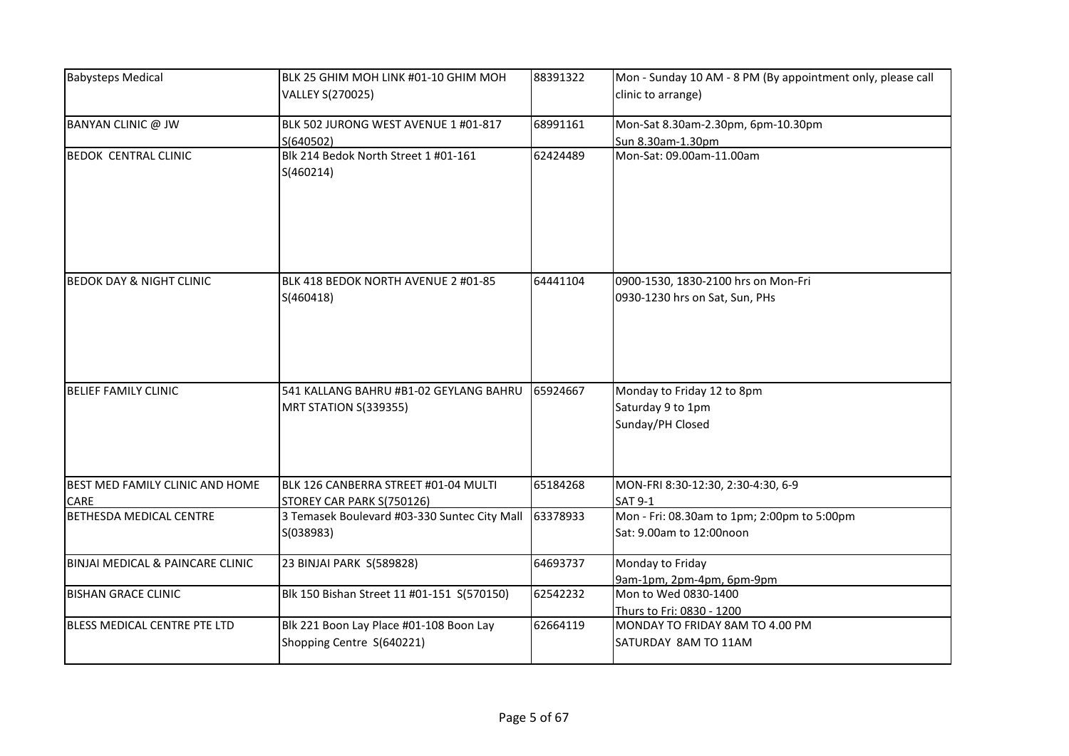| <b>Babysteps Medical</b>            | BLK 25 GHIM MOH LINK #01-10 GHIM MOH<br>VALLEY S(270025)                               | 88391322 | Mon - Sunday 10 AM - 8 PM (By appointment only, please call<br>clinic to arrange)  |
|-------------------------------------|----------------------------------------------------------------------------------------|----------|------------------------------------------------------------------------------------|
| BANYAN CLINIC @ JW                  | BLK 502 JURONG WEST AVENUE 1 #01-817<br>S(640502)                                      | 68991161 | Mon-Sat 8.30am-2.30pm, 6pm-10.30pm<br>Sun 8.30am-1.30pm                            |
| <b>BEDOK CENTRAL CLINIC</b>         | Blk 214 Bedok North Street 1 #01-161<br>S(460214)                                      | 62424489 | Mon-Sat: 09.00am-11.00am                                                           |
| <b>BEDOK DAY &amp; NIGHT CLINIC</b> | BLK 418 BEDOK NORTH AVENUE 2 #01-85<br>S(460418)                                       | 64441104 | 0900-1530, 1830-2100 hrs on Mon-Fri<br>0930-1230 hrs on Sat, Sun, PHs              |
| <b>BELIEF FAMILY CLINIC</b>         | 541 KALLANG BAHRU #B1-02 GEYLANG BAHRU<br>MRT STATION S(339355)                        | 65924667 | Monday to Friday 12 to 8pm<br>Saturday 9 to 1pm<br>Sunday/PH Closed                |
| BEST MED FAMILY CLINIC AND HOME     | BLK 126 CANBERRA STREET #01-04 MULTI                                                   | 65184268 | MON-FRI 8:30-12:30, 2:30-4:30, 6-9                                                 |
| CARE<br>BETHESDA MEDICAL CENTRE     | STOREY CAR PARK S(750126)<br>3 Temasek Boulevard #03-330 Suntec City Mall<br>S(038983) | 63378933 | SAT 9-1<br>Mon - Fri: 08.30am to 1pm; 2:00pm to 5:00pm<br>Sat: 9.00am to 12:00noon |
| BINJAI MEDICAL & PAINCARE CLINIC    | 23 BINJAI PARK S(589828)                                                               | 64693737 | Monday to Friday<br>9am-1pm, 2pm-4pm, 6pm-9pm                                      |
| <b>BISHAN GRACE CLINIC</b>          | Blk 150 Bishan Street 11 #01-151 S(570150)                                             | 62542232 | Mon to Wed 0830-1400<br>Thurs to Fri: 0830 - 1200                                  |
| BLESS MEDICAL CENTRE PTE LTD        | Blk 221 Boon Lay Place #01-108 Boon Lay<br>Shopping Centre S(640221)                   | 62664119 | MONDAY TO FRIDAY 8AM TO 4.00 PM<br>SATURDAY 8AM TO 11AM                            |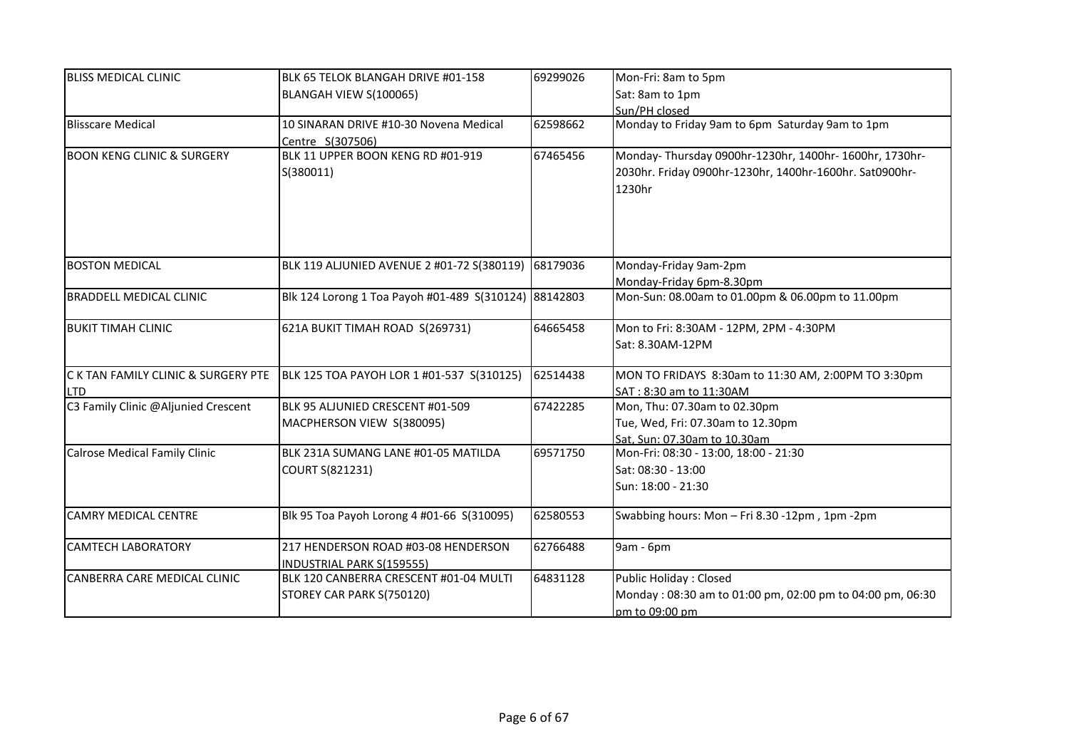| <b>BLISS MEDICAL CLINIC</b>           | BLK 65 TELOK BLANGAH DRIVE #01-158                    | 69299026 | Mon-Fri: 8am to 5pm                                       |
|---------------------------------------|-------------------------------------------------------|----------|-----------------------------------------------------------|
|                                       | BLANGAH VIEW S(100065)                                |          | Sat: 8am to 1pm                                           |
|                                       |                                                       |          | Sun/PH closed                                             |
| <b>Blisscare Medical</b>              | 10 SINARAN DRIVE #10-30 Novena Medical                | 62598662 | Monday to Friday 9am to 6pm Saturday 9am to 1pm           |
|                                       | Centre S(307506)                                      |          |                                                           |
| <b>BOON KENG CLINIC &amp; SURGERY</b> | BLK 11 UPPER BOON KENG RD #01-919                     | 67465456 | Monday-Thursday 0900hr-1230hr, 1400hr-1600hr, 1730hr-     |
|                                       | S(380011)                                             |          | 2030hr. Friday 0900hr-1230hr, 1400hr-1600hr. Sat0900hr-   |
|                                       |                                                       |          | 1230hr                                                    |
|                                       |                                                       |          |                                                           |
|                                       |                                                       |          |                                                           |
|                                       |                                                       |          |                                                           |
|                                       |                                                       |          |                                                           |
| <b>BOSTON MEDICAL</b>                 | BLK 119 ALJUNIED AVENUE 2 #01-72 S(380119)            | 68179036 | Monday-Friday 9am-2pm                                     |
|                                       |                                                       |          | Monday-Friday 6pm-8.30pm                                  |
| <b>BRADDELL MEDICAL CLINIC</b>        | Blk 124 Lorong 1 Toa Payoh #01-489 S(310124) 88142803 |          | Mon-Sun: 08.00am to 01.00pm & 06.00pm to 11.00pm          |
| BUKIT TIMAH CLINIC                    | 621A BUKIT TIMAH ROAD S(269731)                       | 64665458 | Mon to Fri: 8:30AM - 12PM, 2PM - 4:30PM                   |
|                                       |                                                       |          | Sat: 8.30AM-12PM                                          |
| C K TAN FAMILY CLINIC & SURGERY PTE   | BLK 125 TOA PAYOH LOR 1 #01-537 S(310125)             | 62514438 | MON TO FRIDAYS 8:30am to 11:30 AM, 2:00PM TO 3:30pm       |
| <b>LTD</b>                            |                                                       |          | SAT: 8:30 am to 11:30AM                                   |
| C3 Family Clinic @Aljunied Crescent   | BLK 95 ALJUNIED CRESCENT #01-509                      | 67422285 | Mon, Thu: 07.30am to 02.30pm                              |
|                                       | MACPHERSON VIEW S(380095)                             |          | Tue, Wed, Fri: 07.30am to 12.30pm                         |
|                                       |                                                       |          | Sat, Sun: 07.30am to 10.30am                              |
| <b>Calrose Medical Family Clinic</b>  | BLK 231A SUMANG LANE #01-05 MATILDA                   | 69571750 | Mon-Fri: 08:30 - 13:00, 18:00 - 21:30                     |
|                                       | COURT S(821231)                                       |          | Sat: 08:30 - 13:00                                        |
|                                       |                                                       |          | Sun: 18:00 - 21:30                                        |
|                                       |                                                       |          |                                                           |
| <b>CAMRY MEDICAL CENTRE</b>           | Blk 95 Toa Payoh Lorong 4 #01-66 S(310095)            | 62580553 | Swabbing hours: Mon - Fri 8.30 -12pm, 1pm -2pm            |
| <b>CAMTECH LABORATORY</b>             | 217 HENDERSON ROAD #03-08 HENDERSON                   | 62766488 | 9am - 6pm                                                 |
|                                       | <b>INDUSTRIAL PARK S(159555)</b>                      |          |                                                           |
| CANBERRA CARE MEDICAL CLINIC          | BLK 120 CANBERRA CRESCENT #01-04 MULTI                | 64831128 | Public Holiday: Closed                                    |
|                                       | STOREY CAR PARK S(750120)                             |          | Monday: 08:30 am to 01:00 pm, 02:00 pm to 04:00 pm, 06:30 |
|                                       |                                                       |          | pm to 09:00 pm                                            |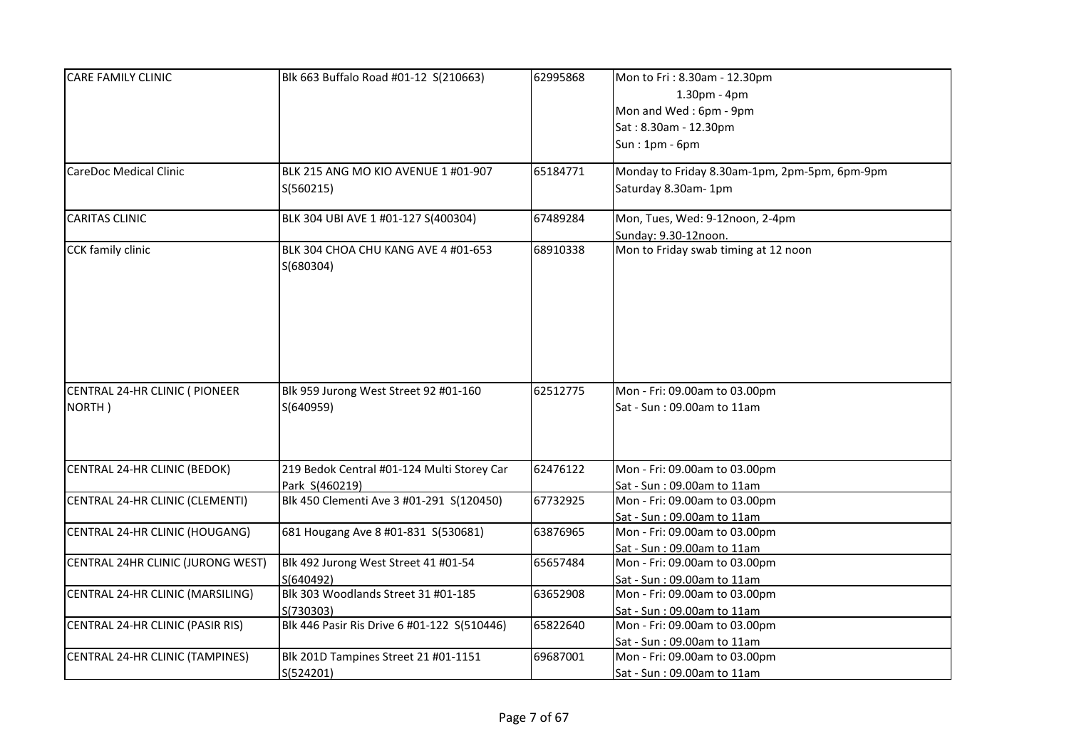| <b>CARE FAMILY CLINIC</b>         | Blk 663 Buffalo Road #01-12 S(210663)       | 62995868 | Mon to Fri: 8.30am - 12.30pm                  |
|-----------------------------------|---------------------------------------------|----------|-----------------------------------------------|
|                                   |                                             |          | $1.30pm - 4pm$                                |
|                                   |                                             |          | Mon and Wed: 6pm - 9pm                        |
|                                   |                                             |          | Sat: 8.30am - 12.30pm                         |
|                                   |                                             |          | $Sun: 1pm - 6pm$                              |
|                                   |                                             |          |                                               |
| <b>CareDoc Medical Clinic</b>     | BLK 215 ANG MO KIO AVENUE 1 #01-907         | 65184771 | Monday to Friday 8.30am-1pm, 2pm-5pm, 6pm-9pm |
|                                   | S(560215)                                   |          | Saturday 8.30am-1pm                           |
|                                   |                                             |          |                                               |
| <b>CARITAS CLINIC</b>             | BLK 304 UBI AVE 1 #01-127 S(400304)         | 67489284 | Mon, Tues, Wed: 9-12noon, 2-4pm               |
|                                   |                                             |          | Sunday: 9.30-12noon.                          |
| CCK family clinic                 | BLK 304 CHOA CHU KANG AVE 4 #01-653         | 68910338 | Mon to Friday swab timing at 12 noon          |
|                                   | S(680304)                                   |          |                                               |
|                                   |                                             |          |                                               |
|                                   |                                             |          |                                               |
|                                   |                                             |          |                                               |
|                                   |                                             |          |                                               |
|                                   |                                             |          |                                               |
|                                   |                                             |          |                                               |
| CENTRAL 24-HR CLINIC ( PIONEER    | Blk 959 Jurong West Street 92 #01-160       | 62512775 | Mon - Fri: 09.00am to 03.00pm                 |
| NORTH)                            | S(640959)                                   |          | Sat - Sun: 09.00am to 11am                    |
|                                   |                                             |          |                                               |
|                                   |                                             |          |                                               |
|                                   |                                             |          |                                               |
| CENTRAL 24-HR CLINIC (BEDOK)      | 219 Bedok Central #01-124 Multi Storey Car  | 62476122 | Mon - Fri: 09.00am to 03.00pm                 |
|                                   | Park S(460219)                              |          | Sat - Sun : 09.00am to 11am                   |
| CENTRAL 24-HR CLINIC (CLEMENTI)   | Blk 450 Clementi Ave 3 #01-291 S(120450)    | 67732925 | Mon - Fri: 09.00am to 03.00pm                 |
|                                   |                                             |          | Sat - Sun : 09.00am to 11am                   |
| CENTRAL 24-HR CLINIC (HOUGANG)    | 681 Hougang Ave 8 #01-831 S(530681)         | 63876965 | Mon - Fri: 09.00am to 03.00pm                 |
|                                   |                                             |          | Sat - Sun : 09.00am to 11am                   |
| CENTRAL 24HR CLINIC (JURONG WEST) | Blk 492 Jurong West Street 41 #01-54        | 65657484 | Mon - Fri: 09.00am to 03.00pm                 |
|                                   | S(640492)                                   |          | Sat - Sun: 09.00am to 11am                    |
| CENTRAL 24-HR CLINIC (MARSILING)  | Blk 303 Woodlands Street 31 #01-185         | 63652908 | Mon - Fri: 09.00am to 03.00pm                 |
|                                   | S(730303)                                   |          | Sat - Sun : 09.00am to 11am                   |
| CENTRAL 24-HR CLINIC (PASIR RIS)  | Blk 446 Pasir Ris Drive 6 #01-122 S(510446) | 65822640 | Mon - Fri: 09.00am to 03.00pm                 |
|                                   |                                             |          | Sat - Sun : 09.00am to 11am                   |
| CENTRAL 24-HR CLINIC (TAMPINES)   | Blk 201D Tampines Street 21 #01-1151        | 69687001 | Mon - Fri: 09.00am to 03.00pm                 |
|                                   | S(524201)                                   |          | Sat - Sun: 09.00am to 11am                    |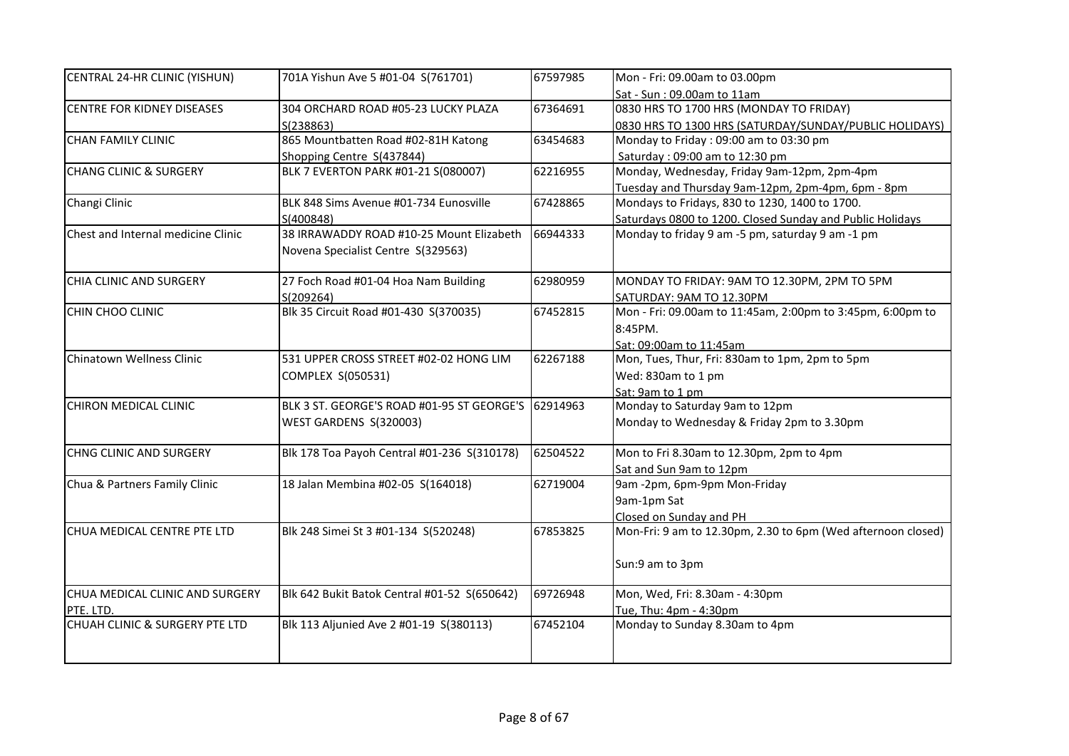| CENTRAL 24-HR CLINIC (YISHUN)      | 701A Yishun Ave 5 #01-04 S(761701)           | 67597985 | Mon - Fri: 09.00am to 03.00pm                                |
|------------------------------------|----------------------------------------------|----------|--------------------------------------------------------------|
|                                    |                                              |          | Sat - Sun: 09.00am to 11am                                   |
| <b>CENTRE FOR KIDNEY DISEASES</b>  | 304 ORCHARD ROAD #05-23 LUCKY PLAZA          | 67364691 | 0830 HRS TO 1700 HRS (MONDAY TO FRIDAY)                      |
|                                    | S(238863)                                    |          | 0830 HRS TO 1300 HRS (SATURDAY/SUNDAY/PUBLIC HOLIDAYS)       |
| <b>CHAN FAMILY CLINIC</b>          | 865 Mountbatten Road #02-81H Katong          | 63454683 | Monday to Friday: 09:00 am to 03:30 pm                       |
|                                    | Shopping Centre S(437844)                    |          | Saturday: 09:00 am to 12:30 pm                               |
| <b>CHANG CLINIC &amp; SURGERY</b>  | BLK 7 EVERTON PARK #01-21 S(080007)          | 62216955 | Monday, Wednesday, Friday 9am-12pm, 2pm-4pm                  |
|                                    |                                              |          | Tuesday and Thursday 9am-12pm, 2pm-4pm, 6pm - 8pm            |
| Changi Clinic                      | BLK 848 Sims Avenue #01-734 Eunosville       | 67428865 | Mondays to Fridays, 830 to 1230, 1400 to 1700.               |
|                                    | S(400848)                                    |          | Saturdays 0800 to 1200. Closed Sunday and Public Holidays    |
| Chest and Internal medicine Clinic | 38 IRRAWADDY ROAD #10-25 Mount Elizabeth     | 66944333 | Monday to friday 9 am -5 pm, saturday 9 am -1 pm             |
|                                    | Novena Specialist Centre S(329563)           |          |                                                              |
| CHIA CLINIC AND SURGERY            | 27 Foch Road #01-04 Hoa Nam Building         | 62980959 | MONDAY TO FRIDAY: 9AM TO 12.30PM, 2PM TO 5PM                 |
|                                    | S(209264)                                    |          | SATURDAY: 9AM TO 12.30PM                                     |
| CHIN CHOO CLINIC                   | Blk 35 Circuit Road #01-430 S(370035)        | 67452815 | Mon - Fri: 09.00am to 11:45am, 2:00pm to 3:45pm, 6:00pm to   |
|                                    |                                              |          | 8:45PM.                                                      |
|                                    |                                              |          | Sat: 09:00am to 11:45am                                      |
| Chinatown Wellness Clinic          | 531 UPPER CROSS STREET #02-02 HONG LIM       | 62267188 | Mon, Tues, Thur, Fri: 830am to 1pm, 2pm to 5pm               |
|                                    | COMPLEX S(050531)                            |          | Wed: 830am to 1 pm                                           |
|                                    |                                              |          | Sat: 9am to 1 pm                                             |
| CHIRON MEDICAL CLINIC              | BLK 3 ST. GEORGE'S ROAD #01-95 ST GEORGE'S   | 62914963 | Monday to Saturday 9am to 12pm                               |
|                                    | WEST GARDENS S(320003)                       |          | Monday to Wednesday & Friday 2pm to 3.30pm                   |
|                                    |                                              |          |                                                              |
| <b>CHNG CLINIC AND SURGERY</b>     | Blk 178 Toa Payoh Central #01-236 S(310178)  | 62504522 | Mon to Fri 8.30am to 12.30pm, 2pm to 4pm                     |
|                                    |                                              |          | Sat and Sun 9am to 12pm                                      |
| Chua & Partners Family Clinic      | 18 Jalan Membina #02-05 S(164018)            | 62719004 | 9am -2pm, 6pm-9pm Mon-Friday                                 |
|                                    |                                              |          | 9am-1pm Sat                                                  |
|                                    |                                              |          | Closed on Sunday and PH                                      |
| CHUA MEDICAL CENTRE PTE LTD        | Blk 248 Simei St 3 #01-134 S(520248)         | 67853825 | Mon-Fri: 9 am to 12.30pm, 2.30 to 6pm (Wed afternoon closed) |
|                                    |                                              |          | Sun:9 am to 3pm                                              |
|                                    |                                              |          |                                                              |
| CHUA MEDICAL CLINIC AND SURGERY    | Blk 642 Bukit Batok Central #01-52 S(650642) | 69726948 | Mon, Wed, Fri: 8.30am - 4:30pm                               |
| PTE. LTD.                          |                                              |          | Tue, Thu: 4pm - 4:30pm                                       |
| CHUAH CLINIC & SURGERY PTE LTD     | Blk 113 Aljunied Ave 2 #01-19 S(380113)      | 67452104 | Monday to Sunday 8.30am to 4pm                               |
|                                    |                                              |          |                                                              |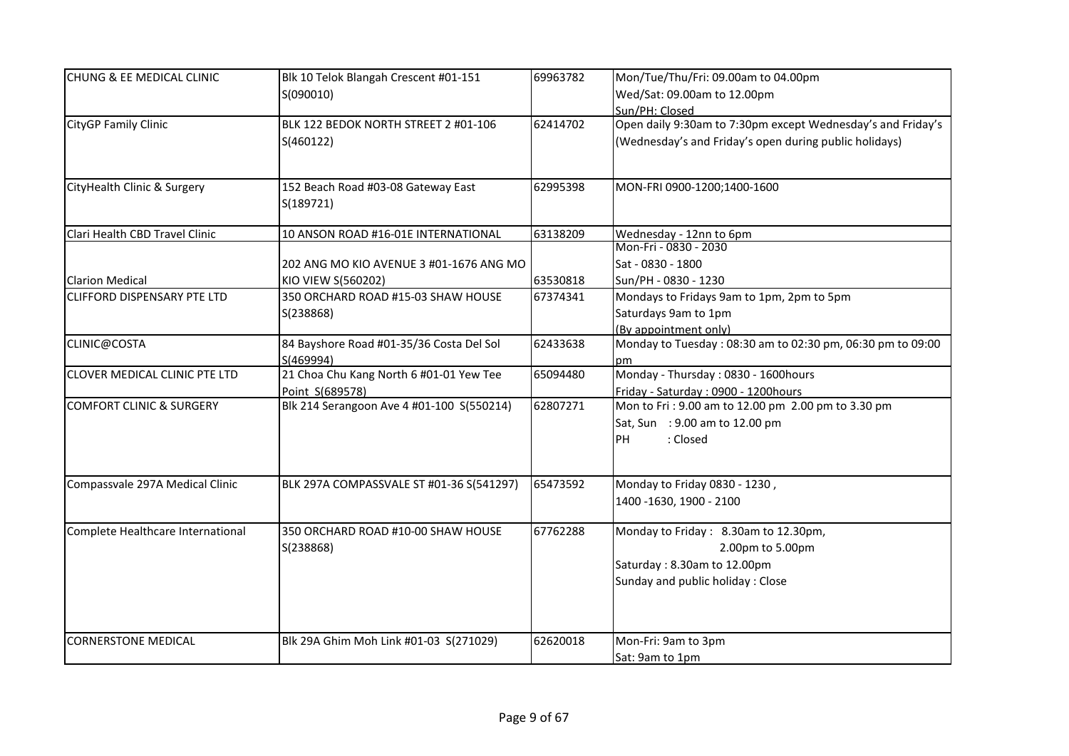| <b>CHUNG &amp; EE MEDICAL CLINIC</b> | Blk 10 Telok Blangah Crescent #01-151     | 69963782 | Mon/Tue/Thu/Fri: 09.00am to 04.00pm                         |
|--------------------------------------|-------------------------------------------|----------|-------------------------------------------------------------|
|                                      | S(090010)                                 |          | Wed/Sat: 09.00am to 12.00pm                                 |
|                                      |                                           |          | Sun/PH: Closed                                              |
| CityGP Family Clinic                 | BLK 122 BEDOK NORTH STREET 2 #01-106      | 62414702 | Open daily 9:30am to 7:30pm except Wednesday's and Friday's |
|                                      | S(460122)                                 |          | (Wednesday's and Friday's open during public holidays)      |
| CityHealth Clinic & Surgery          | 152 Beach Road #03-08 Gateway East        | 62995398 | MON-FRI 0900-1200;1400-1600                                 |
|                                      | S(189721)                                 |          |                                                             |
| Clari Health CBD Travel Clinic       | 10 ANSON ROAD #16-01E INTERNATIONAL       | 63138209 | Wednesday - 12nn to 6pm                                     |
|                                      |                                           |          | Mon-Fri - 0830 - 2030                                       |
|                                      | 202 ANG MO KIO AVENUE 3 #01-1676 ANG MO   |          | Sat - 0830 - 1800                                           |
| <b>Clarion Medical</b>               | KIO VIEW S(560202)                        | 63530818 | Sun/PH - 0830 - 1230                                        |
| <b>CLIFFORD DISPENSARY PTE LTD</b>   | 350 ORCHARD ROAD #15-03 SHAW HOUSE        | 67374341 | Mondays to Fridays 9am to 1pm, 2pm to 5pm                   |
|                                      | S(238868)                                 |          | Saturdays 9am to 1pm                                        |
|                                      |                                           |          | (By appointment only)                                       |
| CLINIC@COSTA                         | 84 Bayshore Road #01-35/36 Costa Del Sol  | 62433638 | Monday to Tuesday: 08:30 am to 02:30 pm, 06:30 pm to 09:00  |
|                                      | S(469994)                                 |          | pm                                                          |
| <b>CLOVER MEDICAL CLINIC PTE LTD</b> | 21 Choa Chu Kang North 6 #01-01 Yew Tee   | 65094480 | Monday - Thursday: 0830 - 1600hours                         |
|                                      | Point S(689578)                           |          | Friday - Saturday: 0900 - 1200hours                         |
| <b>COMFORT CLINIC &amp; SURGERY</b>  | Blk 214 Serangoon Ave 4 #01-100 S(550214) | 62807271 | Mon to Fri: 9.00 am to 12.00 pm 2.00 pm to 3.30 pm          |
|                                      |                                           |          | Sat, Sun : 9.00 am to 12.00 pm                              |
|                                      |                                           |          | PH<br>: Closed                                              |
| Compassvale 297A Medical Clinic      | BLK 297A COMPASSVALE ST #01-36 S(541297)  | 65473592 | Monday to Friday 0830 - 1230,                               |
|                                      |                                           |          | 1400 -1630, 1900 - 2100                                     |
| Complete Healthcare International    | 350 ORCHARD ROAD #10-00 SHAW HOUSE        | 67762288 | Monday to Friday: 8.30am to 12.30pm,                        |
|                                      | S(238868)                                 |          | 2.00pm to 5.00pm                                            |
|                                      |                                           |          | Saturday: 8.30am to 12.00pm                                 |
|                                      |                                           |          | Sunday and public holiday: Close                            |
|                                      |                                           |          |                                                             |
| <b>CORNERSTONE MEDICAL</b>           | Blk 29A Ghim Moh Link #01-03 S(271029)    | 62620018 | Mon-Fri: 9am to 3pm                                         |
|                                      |                                           |          | Sat: 9am to 1pm                                             |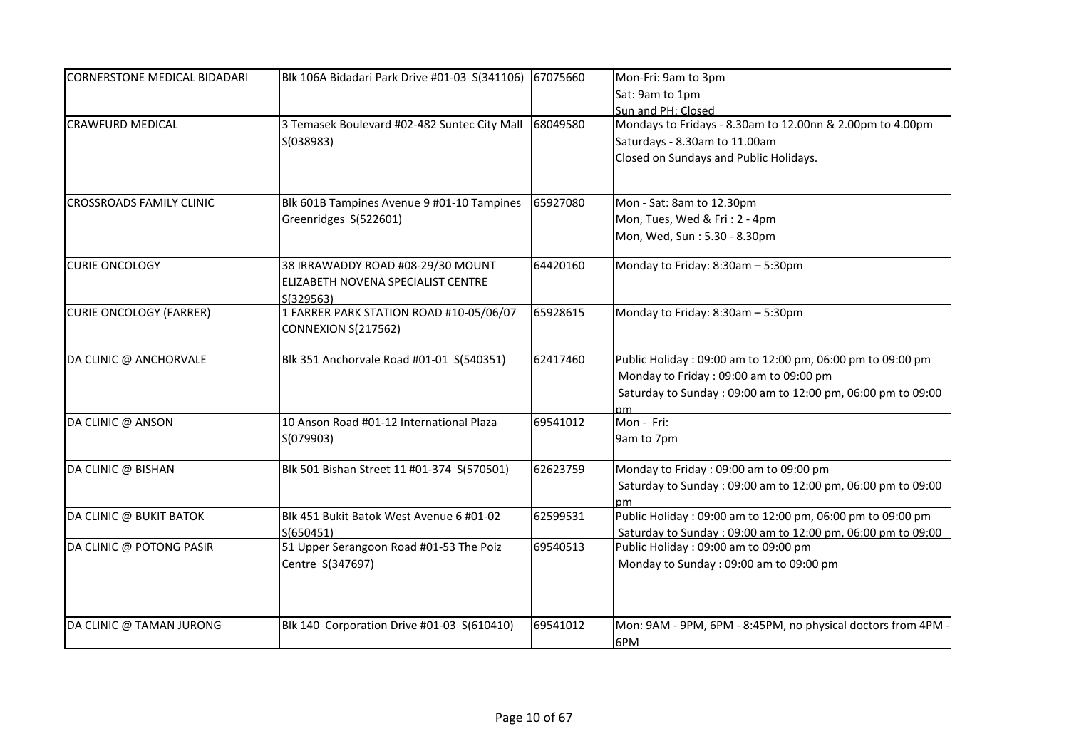| <b>CORNERSTONE MEDICAL BIDADARI</b> | Blk 106A Bidadari Park Drive #01-03 S(341106)                           | 67075660 | Mon-Fri: 9am to 3pm                                          |
|-------------------------------------|-------------------------------------------------------------------------|----------|--------------------------------------------------------------|
|                                     |                                                                         |          | Sat: 9am to 1pm                                              |
|                                     |                                                                         |          | Sun and PH: Closed                                           |
| <b>CRAWFURD MEDICAL</b>             | 3 Temasek Boulevard #02-482 Suntec City Mall                            | 68049580 | Mondays to Fridays - 8.30am to 12.00nn & 2.00pm to 4.00pm    |
|                                     | S(038983)                                                               |          | Saturdays - 8.30am to 11.00am                                |
|                                     |                                                                         |          | Closed on Sundays and Public Holidays.                       |
|                                     |                                                                         |          |                                                              |
| <b>CROSSROADS FAMILY CLINIC</b>     | Blk 601B Tampines Avenue 9 #01-10 Tampines                              | 65927080 | Mon - Sat: 8am to 12.30pm                                    |
|                                     | Greenridges S(522601)                                                   |          | Mon, Tues, Wed & Fri: 2 - 4pm                                |
|                                     |                                                                         |          | Mon, Wed, Sun: 5.30 - 8.30pm                                 |
| <b>CURIE ONCOLOGY</b>               | 38 IRRAWADDY ROAD #08-29/30 MOUNT<br>ELIZABETH NOVENA SPECIALIST CENTRE | 64420160 | Monday to Friday: 8:30am - 5:30pm                            |
| <b>CURIE ONCOLOGY (FARRER)</b>      | S(329563)<br>1 FARRER PARK STATION ROAD #10-05/06/07                    | 65928615 | Monday to Friday: 8:30am - 5:30pm                            |
|                                     | <b>CONNEXION S(217562)</b>                                              |          |                                                              |
| DA CLINIC @ ANCHORVALE              | Blk 351 Anchorvale Road #01-01 S(540351)                                | 62417460 | Public Holiday: 09:00 am to 12:00 pm, 06:00 pm to 09:00 pm   |
|                                     |                                                                         |          | Monday to Friday: 09:00 am to 09:00 pm                       |
|                                     |                                                                         |          | Saturday to Sunday: 09:00 am to 12:00 pm, 06:00 pm to 09:00  |
| DA CLINIC @ ANSON                   | 10 Anson Road #01-12 International Plaza                                | 69541012 | nm<br>Mon - Fri:                                             |
|                                     | S(079903)                                                               |          | 9am to 7pm                                                   |
| DA CLINIC @ BISHAN                  | Blk 501 Bishan Street 11 #01-374 S(570501)                              | 62623759 | Monday to Friday: 09:00 am to 09:00 pm                       |
|                                     |                                                                         |          | Saturday to Sunday: 09:00 am to 12:00 pm, 06:00 pm to 09:00  |
|                                     |                                                                         |          | рm                                                           |
| DA CLINIC @ BUKIT BATOK             | Blk 451 Bukit Batok West Avenue 6 #01-02                                | 62599531 | Public Holiday: 09:00 am to 12:00 pm, 06:00 pm to 09:00 pm   |
|                                     | S(650451)                                                               |          | Saturday to Sunday: 09:00 am to 12:00 pm, 06:00 pm to 09:00  |
| DA CLINIC @ POTONG PASIR            | 51 Upper Serangoon Road #01-53 The Poiz                                 | 69540513 | Public Holiday: 09:00 am to 09:00 pm                         |
|                                     | Centre S(347697)                                                        |          | Monday to Sunday: 09:00 am to 09:00 pm                       |
|                                     |                                                                         |          |                                                              |
| DA CLINIC @ TAMAN JURONG            | Blk 140 Corporation Drive #01-03 S(610410)                              | 69541012 | Mon: 9AM - 9PM, 6PM - 8:45PM, no physical doctors from 4PM · |
|                                     |                                                                         |          | 6PM                                                          |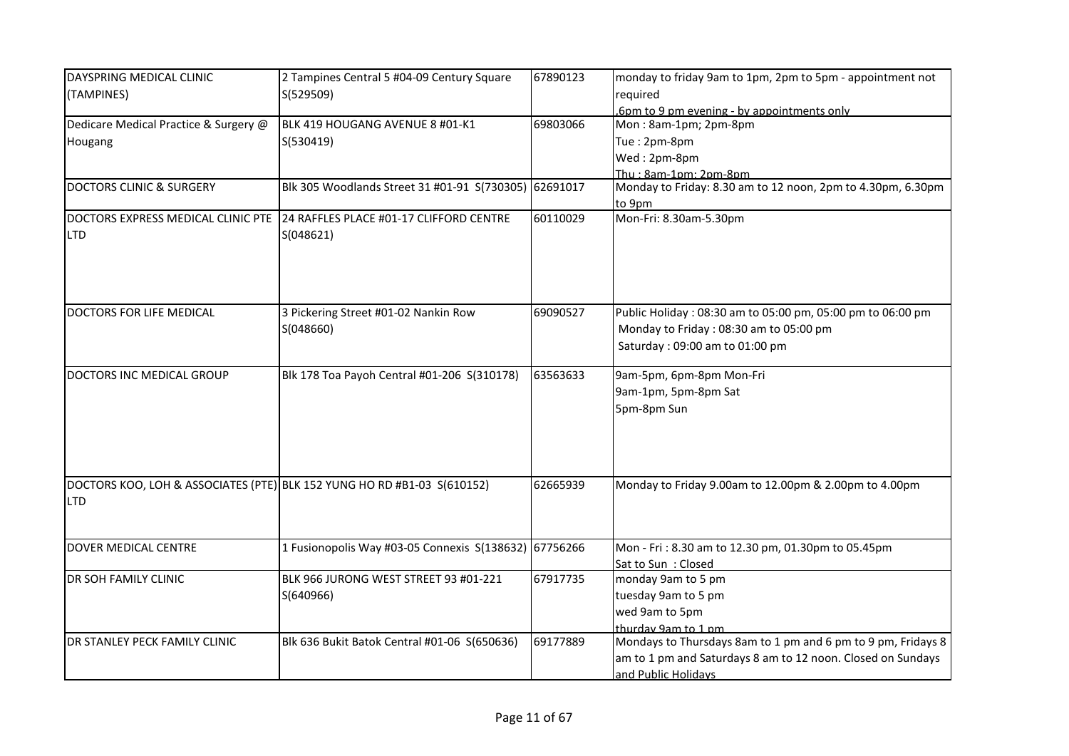| DAYSPRING MEDICAL CLINIC              | 2 Tampines Central 5 #04-09 Century Square                              | 67890123 | monday to friday 9am to 1pm, 2pm to 5pm - appointment not    |
|---------------------------------------|-------------------------------------------------------------------------|----------|--------------------------------------------------------------|
| (TAMPINES)                            | S(529509)                                                               |          | required                                                     |
|                                       |                                                                         |          | .6pm to 9 pm evening - by appointments only                  |
| Dedicare Medical Practice & Surgery @ | BLK 419 HOUGANG AVENUE 8 #01-K1                                         | 69803066 | Mon: 8am-1pm; 2pm-8pm                                        |
| Hougang                               | S(530419)                                                               |          | Tue: 2pm-8pm                                                 |
|                                       |                                                                         |          | Wed: 2pm-8pm                                                 |
|                                       |                                                                         |          | Thu: 8am-1pm: 2pm-8pm                                        |
| <b>DOCTORS CLINIC &amp; SURGERY</b>   | Blk 305 Woodlands Street 31 #01-91 S(730305) 62691017                   |          | Monday to Friday: 8.30 am to 12 noon, 2pm to 4.30pm, 6.30pm  |
|                                       |                                                                         |          | to 9pm                                                       |
| DOCTORS EXPRESS MEDICAL CLINIC PTE    | 24 RAFFLES PLACE #01-17 CLIFFORD CENTRE                                 | 60110029 | Mon-Fri: 8.30am-5.30pm                                       |
| <b>LTD</b>                            | S(048621)                                                               |          |                                                              |
|                                       |                                                                         |          |                                                              |
|                                       |                                                                         |          |                                                              |
|                                       |                                                                         |          |                                                              |
|                                       |                                                                         |          |                                                              |
| DOCTORS FOR LIFE MEDICAL              | 3 Pickering Street #01-02 Nankin Row                                    | 69090527 | Public Holiday: 08:30 am to 05:00 pm, 05:00 pm to 06:00 pm   |
|                                       | S(048660)                                                               |          | Monday to Friday: 08:30 am to 05:00 pm                       |
|                                       |                                                                         |          | Saturday: 09:00 am to 01:00 pm                               |
|                                       |                                                                         |          |                                                              |
| DOCTORS INC MEDICAL GROUP             | Blk 178 Toa Payoh Central #01-206 S(310178)                             | 63563633 | 9am-5pm, 6pm-8pm Mon-Fri                                     |
|                                       |                                                                         |          | 9am-1pm, 5pm-8pm Sat                                         |
|                                       |                                                                         |          | 5pm-8pm Sun                                                  |
|                                       |                                                                         |          |                                                              |
|                                       |                                                                         |          |                                                              |
|                                       |                                                                         |          |                                                              |
|                                       |                                                                         |          |                                                              |
|                                       | DOCTORS KOO, LOH & ASSOCIATES (PTE) BLK 152 YUNG HO RD #B1-03 S(610152) | 62665939 | Monday to Friday 9.00am to 12.00pm & 2.00pm to 4.00pm        |
| <b>LTD</b>                            |                                                                         |          |                                                              |
|                                       |                                                                         |          |                                                              |
|                                       |                                                                         |          |                                                              |
| <b>DOVER MEDICAL CENTRE</b>           | 1 Fusionopolis Way #03-05 Connexis S(138632) 67756266                   |          | Mon - Fri: 8.30 am to 12.30 pm, 01.30pm to 05.45pm           |
|                                       |                                                                         |          | Sat to Sun: Closed                                           |
| DR SOH FAMILY CLINIC                  | BLK 966 JURONG WEST STREET 93 #01-221                                   | 67917735 | monday 9am to 5 pm                                           |
|                                       | S(640966)                                                               |          | tuesday 9am to 5 pm                                          |
|                                       |                                                                         |          | wed 9am to 5pm                                               |
|                                       |                                                                         |          | thurday 9am to 1 pm                                          |
| DR STANLEY PECK FAMILY CLINIC         | Blk 636 Bukit Batok Central #01-06 S(650636)                            | 69177889 | Mondays to Thursdays 8am to 1 pm and 6 pm to 9 pm, Fridays 8 |
|                                       |                                                                         |          | am to 1 pm and Saturdays 8 am to 12 noon. Closed on Sundays  |
|                                       |                                                                         |          | and Public Holidays                                          |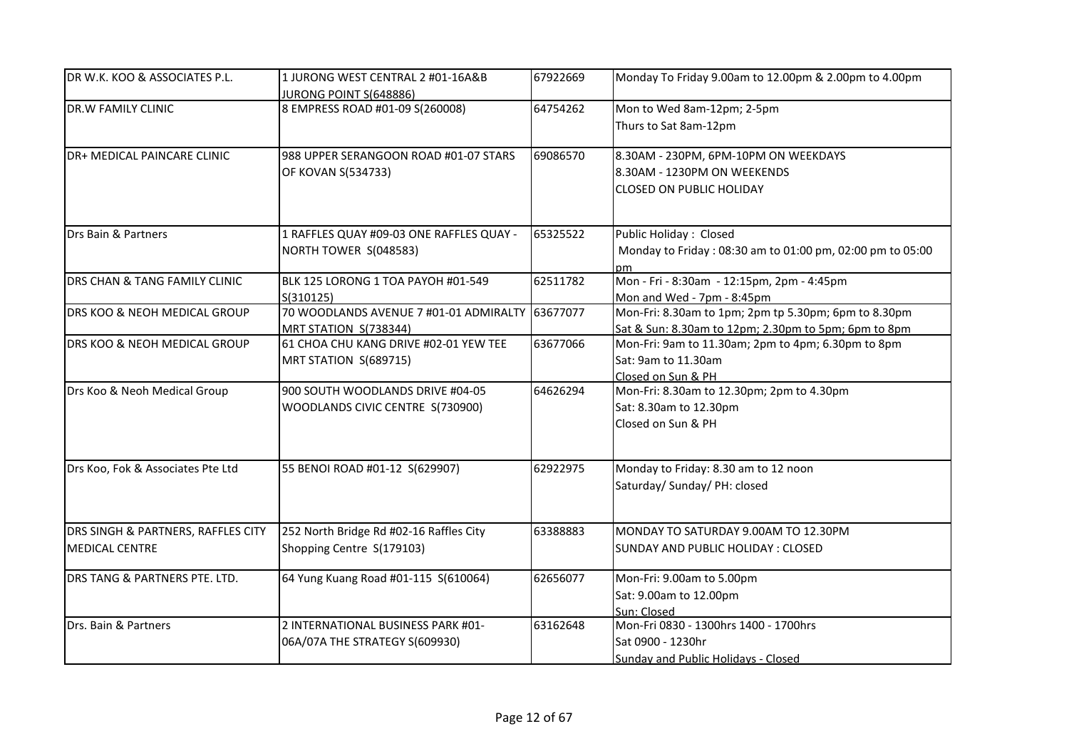| DR W.K. KOO & ASSOCIATES P.L.                               | 1 JURONG WEST CENTRAL 2 #01-16A&B<br>JURONG POINT S(648886)          | 67922669 | Monday To Friday 9.00am to 12.00pm & 2.00pm to 4.00pm                                                        |
|-------------------------------------------------------------|----------------------------------------------------------------------|----------|--------------------------------------------------------------------------------------------------------------|
| DR.W FAMILY CLINIC                                          | 8 EMPRESS ROAD #01-09 S(260008)                                      | 64754262 | Mon to Wed 8am-12pm; 2-5pm<br>Thurs to Sat 8am-12pm                                                          |
| DR+ MEDICAL PAINCARE CLINIC                                 | 988 UPPER SERANGOON ROAD #01-07 STARS<br>OF KOVAN S(534733)          | 69086570 | 8.30AM - 230PM, 6PM-10PM ON WEEKDAYS<br>8.30AM - 1230PM ON WEEKENDS<br><b>CLOSED ON PUBLIC HOLIDAY</b>       |
| Drs Bain & Partners                                         | 1 RAFFLES QUAY #09-03 ONE RAFFLES QUAY -<br>NORTH TOWER S(048583)    | 65325522 | Public Holiday: Closed<br>Monday to Friday: 08:30 am to 01:00 pm, 02:00 pm to 05:00<br>рm                    |
| DRS CHAN & TANG FAMILY CLINIC                               | BLK 125 LORONG 1 TOA PAYOH #01-549<br>S(310125)                      | 62511782 | Mon - Fri - 8:30am - 12:15pm, 2pm - 4:45pm<br>Mon and Wed - 7pm - 8:45pm                                     |
| DRS KOO & NEOH MEDICAL GROUP                                | 70 WOODLANDS AVENUE 7 #01-01 ADMIRALTY<br>MRT STATION S(738344)      | 63677077 | Mon-Fri: 8.30am to 1pm; 2pm tp 5.30pm; 6pm to 8.30pm<br>Sat & Sun: 8.30am to 12pm; 2.30pm to 5pm; 6pm to 8pm |
| DRS KOO & NEOH MEDICAL GROUP                                | 61 CHOA CHU KANG DRIVE #02-01 YEW TEE<br>MRT STATION S(689715)       | 63677066 | Mon-Fri: 9am to 11.30am; 2pm to 4pm; 6.30pm to 8pm<br>Sat: 9am to 11.30am<br>Closed on Sun & PH              |
| Drs Koo & Neoh Medical Group                                | 900 SOUTH WOODLANDS DRIVE #04-05<br>WOODLANDS CIVIC CENTRE S(730900) | 64626294 | Mon-Fri: 8.30am to 12.30pm; 2pm to 4.30pm<br>Sat: 8.30am to 12.30pm<br>Closed on Sun & PH                    |
| Drs Koo, Fok & Associates Pte Ltd                           | 55 BENOI ROAD #01-12 S(629907)                                       | 62922975 | Monday to Friday: 8.30 am to 12 noon<br>Saturday/ Sunday/ PH: closed                                         |
| DRS SINGH & PARTNERS, RAFFLES CITY<br><b>MEDICAL CENTRE</b> | 252 North Bridge Rd #02-16 Raffles City<br>Shopping Centre S(179103) | 63388883 | MONDAY TO SATURDAY 9.00AM TO 12.30PM<br>SUNDAY AND PUBLIC HOLIDAY : CLOSED                                   |
| DRS TANG & PARTNERS PTE. LTD.                               | 64 Yung Kuang Road #01-115 S(610064)                                 | 62656077 | Mon-Fri: 9.00am to 5.00pm<br>Sat: 9.00am to 12.00pm<br>Sun: Closed                                           |
| Drs. Bain & Partners                                        | 2 INTERNATIONAL BUSINESS PARK #01-<br>06A/07A THE STRATEGY S(609930) | 63162648 | Mon-Fri 0830 - 1300hrs 1400 - 1700hrs<br>Sat 0900 - 1230hr<br>Sunday and Public Holidays - Closed            |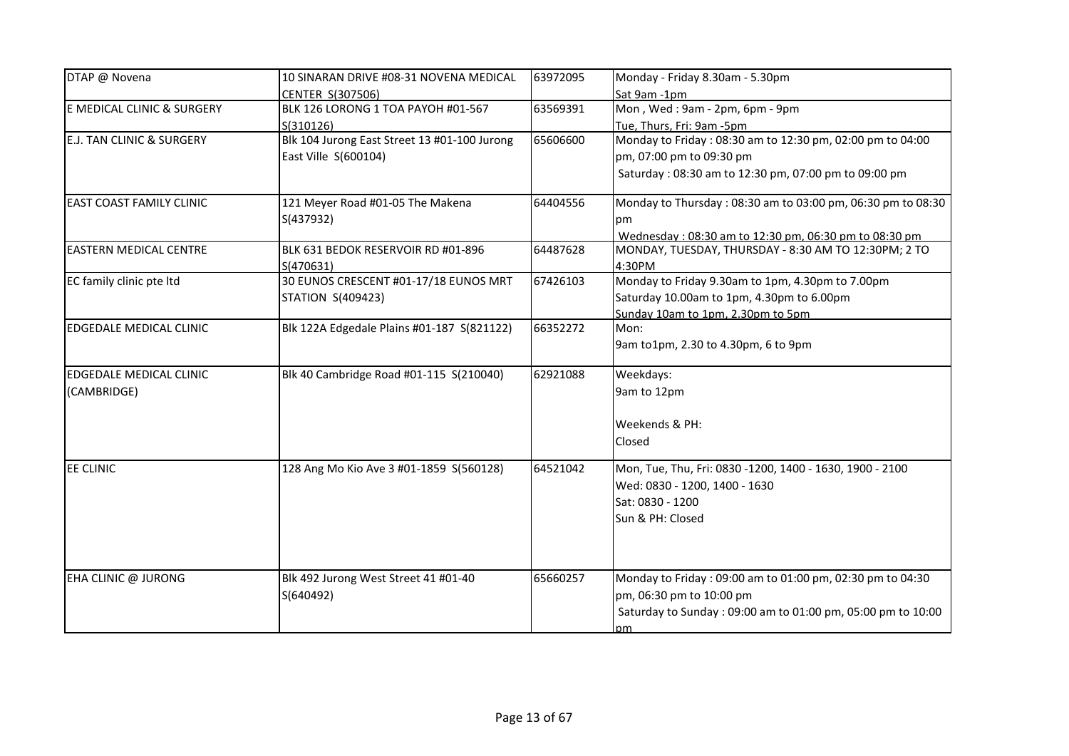| DTAP @ Novena                        | 10 SINARAN DRIVE #08-31 NOVENA MEDICAL       | 63972095 | Monday - Friday 8.30am - 5.30pm                             |
|--------------------------------------|----------------------------------------------|----------|-------------------------------------------------------------|
|                                      | CENTER S(307506)                             |          | Sat 9am -1pm                                                |
| E MEDICAL CLINIC & SURGERY           | BLK 126 LORONG 1 TOA PAYOH #01-567           | 63569391 | Mon, Wed: 9am - 2pm, 6pm - 9pm                              |
|                                      | S(310126)                                    |          | Tue, Thurs, Fri: 9am -5pm                                   |
| <b>E.J. TAN CLINIC &amp; SURGERY</b> | Blk 104 Jurong East Street 13 #01-100 Jurong | 65606600 | Monday to Friday: 08:30 am to 12:30 pm, 02:00 pm to 04:00   |
|                                      | East Ville S(600104)                         |          | pm, 07:00 pm to 09:30 pm                                    |
|                                      |                                              |          | Saturday: 08:30 am to 12:30 pm, 07:00 pm to 09:00 pm        |
| <b>EAST COAST FAMILY CLINIC</b>      | 121 Meyer Road #01-05 The Makena             | 64404556 | Monday to Thursday: 08:30 am to 03:00 pm, 06:30 pm to 08:30 |
|                                      | S(437932)                                    |          | pm                                                          |
|                                      |                                              |          | Wednesday: 08:30 am to 12:30 pm. 06:30 pm to 08:30 pm       |
| <b>EASTERN MEDICAL CENTRE</b>        | BLK 631 BEDOK RESERVOIR RD #01-896           | 64487628 | MONDAY, TUESDAY, THURSDAY - 8:30 AM TO 12:30PM; 2 TO        |
|                                      | S(470631)                                    |          | 4:30PM                                                      |
| EC family clinic pte ltd             | 30 EUNOS CRESCENT #01-17/18 EUNOS MRT        | 67426103 | Monday to Friday 9.30am to 1pm, 4.30pm to 7.00pm            |
|                                      | <b>STATION S(409423)</b>                     |          | Saturday 10.00am to 1pm, 4.30pm to 6.00pm                   |
|                                      |                                              |          | Sunday 10am to 1pm, 2.30pm to 5pm                           |
| EDGEDALE MEDICAL CLINIC              | Blk 122A Edgedale Plains #01-187 S(821122)   | 66352272 | Mon:                                                        |
|                                      |                                              |          | 9am to1pm, 2.30 to 4.30pm, 6 to 9pm                         |
| <b>EDGEDALE MEDICAL CLINIC</b>       | Blk 40 Cambridge Road #01-115 S(210040)      | 62921088 | Weekdays:                                                   |
| (CAMBRIDGE)                          |                                              |          | 9am to 12pm                                                 |
|                                      |                                              |          | Weekends & PH:                                              |
|                                      |                                              |          | Closed                                                      |
|                                      |                                              |          |                                                             |
| <b>EE CLINIC</b>                     | 128 Ang Mo Kio Ave 3 #01-1859 S(560128)      | 64521042 | Mon, Tue, Thu, Fri: 0830 -1200, 1400 - 1630, 1900 - 2100    |
|                                      |                                              |          | Wed: 0830 - 1200, 1400 - 1630                               |
|                                      |                                              |          | Sat: 0830 - 1200                                            |
|                                      |                                              |          | Sun & PH: Closed                                            |
|                                      |                                              |          |                                                             |
|                                      |                                              |          |                                                             |
| EHA CLINIC @ JURONG                  | Blk 492 Jurong West Street 41 #01-40         | 65660257 | Monday to Friday: 09:00 am to 01:00 pm, 02:30 pm to 04:30   |
|                                      | S(640492)                                    |          | pm, 06:30 pm to 10:00 pm                                    |
|                                      |                                              |          | Saturday to Sunday: 09:00 am to 01:00 pm, 05:00 pm to 10:00 |
|                                      |                                              |          | рm                                                          |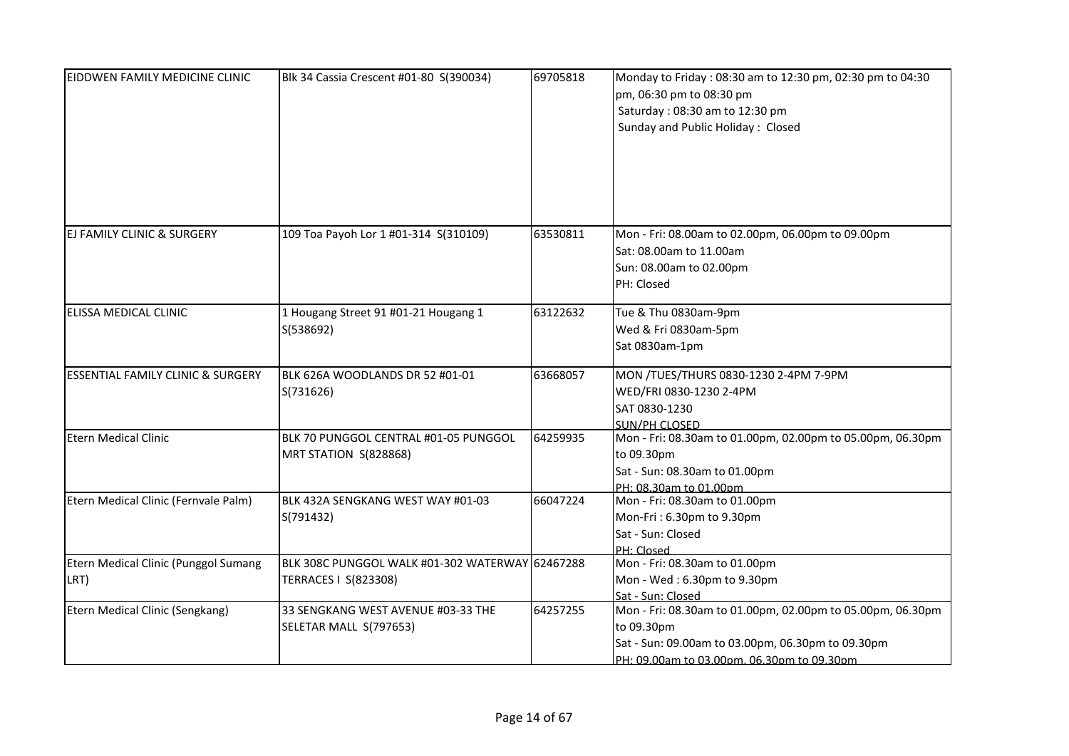| <b>EIDDWEN FAMILY MEDICINE CLINIC</b>        | Blk 34 Cassia Crescent #01-80 S(390034)                                 | 69705818 | Monday to Friday: 08:30 am to 12:30 pm, 02:30 pm to 04:30<br>pm, 06:30 pm to 08:30 pm<br>Saturday: 08:30 am to 12:30 pm<br>Sunday and Public Holiday: Closed                |
|----------------------------------------------|-------------------------------------------------------------------------|----------|-----------------------------------------------------------------------------------------------------------------------------------------------------------------------------|
| <b>EJ FAMILY CLINIC &amp; SURGERY</b>        | 109 Toa Payoh Lor 1 #01-314 S(310109)                                   | 63530811 | Mon - Fri: 08.00am to 02.00pm, 06.00pm to 09.00pm<br>Sat: 08.00am to 11.00am<br>Sun: 08.00am to 02.00pm<br>PH: Closed                                                       |
| ELISSA MEDICAL CLINIC                        | 1 Hougang Street 91 #01-21 Hougang 1<br>S(538692)                       | 63122632 | Tue & Thu 0830am-9pm<br>Wed & Fri 0830am-5pm<br>Sat 0830am-1pm                                                                                                              |
| <b>ESSENTIAL FAMILY CLINIC &amp; SURGERY</b> | BLK 626A WOODLANDS DR 52 #01-01<br>S(731626)                            | 63668057 | MON /TUES/THURS 0830-1230 2-4PM 7-9PM<br>WED/FRI 0830-1230 2-4PM<br>SAT 0830-1230<br><b>SUN/PH CLOSED</b>                                                                   |
| <b>Etern Medical Clinic</b>                  | BLK 70 PUNGGOL CENTRAL #01-05 PUNGGOL<br>MRT STATION S(828868)          | 64259935 | Mon - Fri: 08.30am to 01.00pm, 02.00pm to 05.00pm, 06.30pm<br>to 09.30pm<br>Sat - Sun: 08.30am to 01.00pm<br>PH: 08.30am to 01.00pm                                         |
| Etern Medical Clinic (Fernvale Palm)         | BLK 432A SENGKANG WEST WAY #01-03<br>S(791432)                          | 66047224 | Mon - Fri: 08.30am to 01.00pm<br>Mon-Fri: 6.30pm to 9.30pm<br>Sat - Sun: Closed<br>PH: Closed                                                                               |
| Etern Medical Clinic (Punggol Sumang<br>LRT) | BLK 308C PUNGGOL WALK #01-302 WATERWAY 62467288<br>TERRACES   S(823308) |          | Mon - Fri: 08.30am to 01.00pm<br>Mon - Wed: 6.30pm to 9.30pm<br>Sat - Sun: Closed                                                                                           |
| Etern Medical Clinic (Sengkang)              | 33 SENGKANG WEST AVENUE #03-33 THE<br>SELETAR MALL S(797653)            | 64257255 | Mon - Fri: 08.30am to 01.00pm, 02.00pm to 05.00pm, 06.30pm<br>to 09.30pm<br>Sat - Sun: 09.00am to 03.00pm, 06.30pm to 09.30pm<br>PH: 09.00am to 03.00pm, 06.30pm to 09.30pm |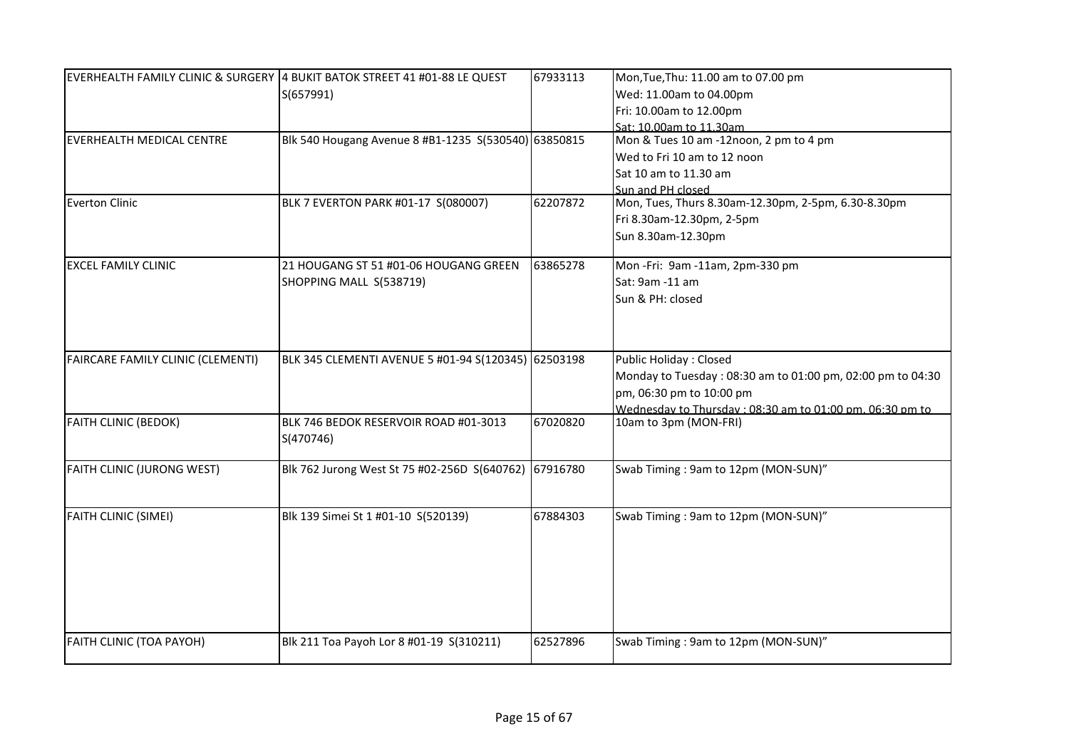|                                   | EVERHEALTH FAMILY CLINIC & SURGERY 4 BUKIT BATOK STREET 41 #01-88 LE QUEST | 67933113 | Mon, Tue, Thu: 11.00 am to 07.00 pm                        |
|-----------------------------------|----------------------------------------------------------------------------|----------|------------------------------------------------------------|
|                                   | S(657991)                                                                  |          | Wed: 11.00am to 04.00pm                                    |
|                                   |                                                                            |          | Fri: 10.00am to 12.00pm                                    |
|                                   |                                                                            |          | Sat: 10,00am to 11,30am                                    |
| <b>EVERHEALTH MEDICAL CENTRE</b>  | Blk 540 Hougang Avenue 8 #B1-1235 S(530540) 63850815                       |          | Mon & Tues 10 am -12noon, 2 pm to 4 pm                     |
|                                   |                                                                            |          | Wed to Fri 10 am to 12 noon                                |
|                                   |                                                                            |          | Sat 10 am to 11.30 am                                      |
|                                   |                                                                            |          | Sun and PH closed                                          |
| Everton Clinic                    | BLK 7 EVERTON PARK #01-17 S(080007)                                        | 62207872 | Mon, Tues, Thurs 8.30am-12.30pm, 2-5pm, 6.30-8.30pm        |
|                                   |                                                                            |          | Fri 8.30am-12.30pm, 2-5pm                                  |
|                                   |                                                                            |          | Sun 8.30am-12.30pm                                         |
|                                   |                                                                            |          |                                                            |
| <b>EXCEL FAMILY CLINIC</b>        | 21 HOUGANG ST 51 #01-06 HOUGANG GREEN                                      | 63865278 | Mon-Fri: 9am-11am, 2pm-330 pm                              |
|                                   | SHOPPING MALL S(538719)                                                    |          | Sat: 9am -11 am                                            |
|                                   |                                                                            |          | Sun & PH: closed                                           |
|                                   |                                                                            |          |                                                            |
|                                   |                                                                            |          |                                                            |
|                                   |                                                                            |          |                                                            |
| FAIRCARE FAMILY CLINIC (CLEMENTI) | BLK 345 CLEMENTI AVENUE 5 #01-94 S(120345) 62503198                        |          | <b>Public Holiday: Closed</b>                              |
|                                   |                                                                            |          | Monday to Tuesday: 08:30 am to 01:00 pm, 02:00 pm to 04:30 |
|                                   |                                                                            |          | pm, 06:30 pm to 10:00 pm                                   |
|                                   |                                                                            |          | Wednesday to Thursday: 08:30 am to 01:00 pm. 06:30 pm to   |
| <b>FAITH CLINIC (BEDOK)</b>       | BLK 746 BEDOK RESERVOIR ROAD #01-3013                                      | 67020820 | 10am to 3pm (MON-FRI)                                      |
|                                   | S(470746)                                                                  |          |                                                            |
|                                   |                                                                            |          |                                                            |
| FAITH CLINIC (JURONG WEST)        | Blk 762 Jurong West St 75 #02-256D S(640762)                               | 67916780 | Swab Timing: 9am to 12pm (MON-SUN)"                        |
|                                   |                                                                            |          |                                                            |
|                                   |                                                                            |          |                                                            |
| <b>FAITH CLINIC (SIMEI)</b>       | Blk 139 Simei St 1 #01-10 S(520139)                                        | 67884303 | Swab Timing: 9am to 12pm (MON-SUN)"                        |
|                                   |                                                                            |          |                                                            |
|                                   |                                                                            |          |                                                            |
|                                   |                                                                            |          |                                                            |
|                                   |                                                                            |          |                                                            |
|                                   |                                                                            |          |                                                            |
|                                   |                                                                            |          |                                                            |
| <b>FAITH CLINIC (TOA PAYOH)</b>   | Blk 211 Toa Payoh Lor 8 #01-19 S(310211)                                   | 62527896 | Swab Timing: 9am to 12pm (MON-SUN)"                        |
|                                   |                                                                            |          |                                                            |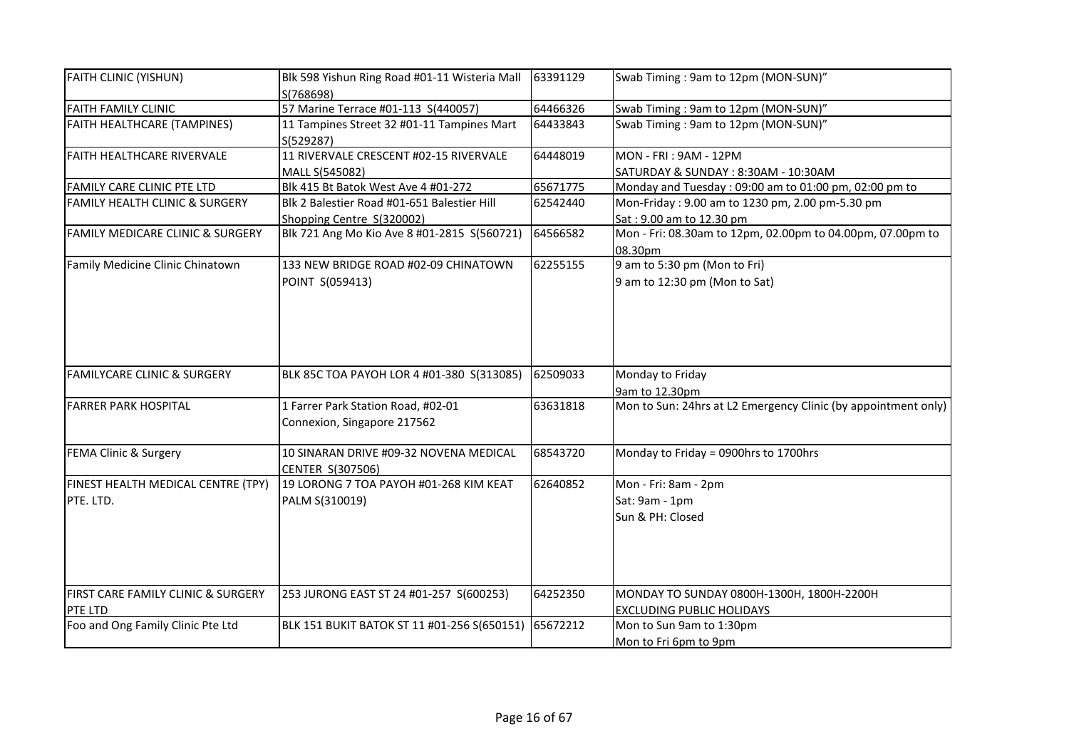| <b>FAITH CLINIC (YISHUN)</b>                    | Blk 598 Yishun Ring Road #01-11 Wisteria Mall<br>S(768698)               | 63391129 | Swab Timing: 9am to 12pm (MON-SUN)"                                           |
|-------------------------------------------------|--------------------------------------------------------------------------|----------|-------------------------------------------------------------------------------|
| <b>FAITH FAMILY CLINIC</b>                      | 57 Marine Terrace #01-113 S(440057)                                      | 64466326 | Swab Timing: 9am to 12pm (MON-SUN)"                                           |
| <b>FAITH HEALTHCARE (TAMPINES)</b>              | 11 Tampines Street 32 #01-11 Tampines Mart<br>S(529287)                  | 64433843 | Swab Timing: 9am to 12pm (MON-SUN)"                                           |
| <b>FAITH HEALTHCARE RIVERVALE</b>               | 11 RIVERVALE CRESCENT #02-15 RIVERVALE<br>MALL S(545082)                 | 64448019 | <b>MON - FRI: 9AM - 12PM</b><br>SATURDAY & SUNDAY : 8:30AM - 10:30AM          |
| FAMILY CARE CLINIC PTE LTD                      | Blk 415 Bt Batok West Ave 4 #01-272                                      | 65671775 | Monday and Tuesday: 09:00 am to 01:00 pm, 02:00 pm to                         |
| <b>FAMILY HEALTH CLINIC &amp; SURGERY</b>       | Blk 2 Balestier Road #01-651 Balestier Hill<br>Shopping Centre S(320002) | 62542440 | Mon-Friday: 9.00 am to 1230 pm, 2.00 pm-5.30 pm<br>Sat: 9.00 am to 12.30 pm   |
| <b>FAMILY MEDICARE CLINIC &amp; SURGERY</b>     | Blk 721 Ang Mo Kio Ave 8 #01-2815 S(560721)                              | 64566582 | Mon - Fri: 08.30am to 12pm, 02.00pm to 04.00pm, 07.00pm to<br>08.30pm         |
| Family Medicine Clinic Chinatown                | 133 NEW BRIDGE ROAD #02-09 CHINATOWN<br>POINT S(059413)                  | 62255155 | 9 am to 5:30 pm (Mon to Fri)<br>9 am to 12:30 pm (Mon to Sat)                 |
| <b>FAMILYCARE CLINIC &amp; SURGERY</b>          | BLK 85C TOA PAYOH LOR 4 #01-380 S(313085)                                | 62509033 | Monday to Friday<br>9am to 12.30pm                                            |
| <b>FARRER PARK HOSPITAL</b>                     | 1 Farrer Park Station Road, #02-01<br>Connexion, Singapore 217562        | 63631818 | Mon to Sun: 24hrs at L2 Emergency Clinic (by appointment only)                |
| FEMA Clinic & Surgery                           | 10 SINARAN DRIVE #09-32 NOVENA MEDICAL<br><b>CENTER S(307506)</b>        | 68543720 | Monday to Friday = 0900hrs to 1700hrs                                         |
| FINEST HEALTH MEDICAL CENTRE (TPY)<br>PTE. LTD. | 19 LORONG 7 TOA PAYOH #01-268 KIM KEAT<br>PALM S(310019)                 | 62640852 | Mon - Fri: 8am - 2pm<br>Sat: 9am - 1pm<br>Sun & PH: Closed                    |
| FIRST CARE FAMILY CLINIC & SURGERY<br>PTE LTD   | 253 JURONG EAST ST 24 #01-257 S(600253)                                  | 64252350 | MONDAY TO SUNDAY 0800H-1300H, 1800H-2200H<br><b>EXCLUDING PUBLIC HOLIDAYS</b> |
| Foo and Ong Family Clinic Pte Ltd               | BLK 151 BUKIT BATOK ST 11 #01-256 S(650151)                              | 65672212 | Mon to Sun 9am to 1:30pm<br>Mon to Fri 6pm to 9pm                             |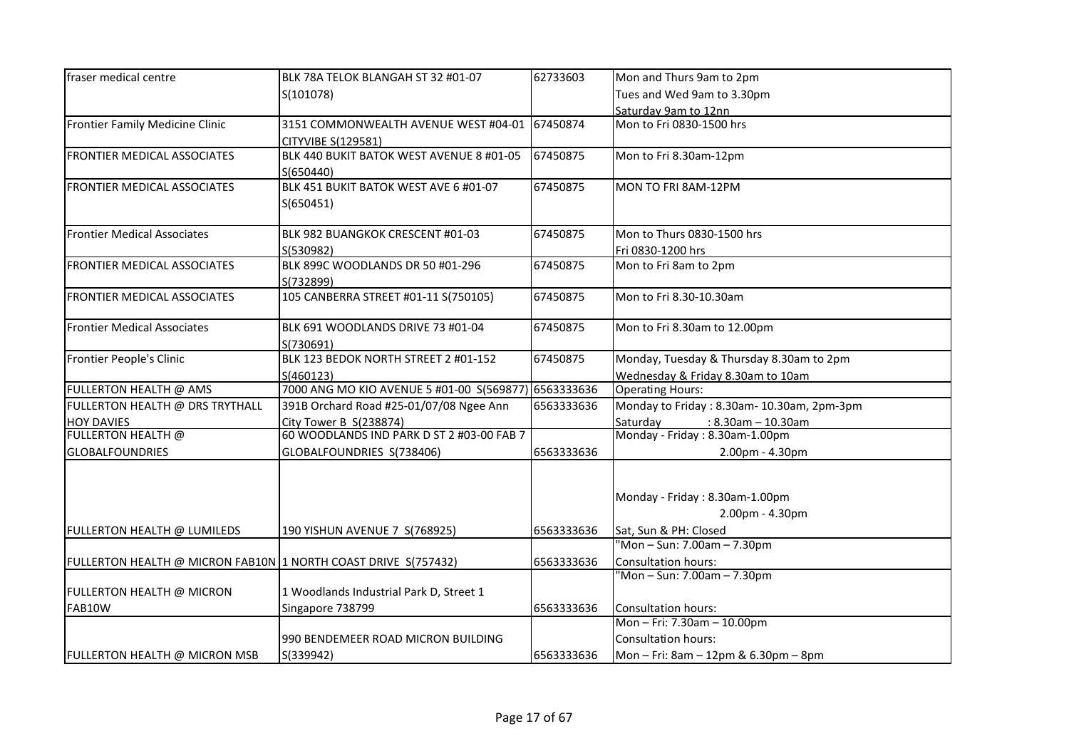| fraser medical centre                                          | BLK 78A TELOK BLANGAH ST 32 #01-07                   | 62733603   | Mon and Thurs 9am to 2pm                  |
|----------------------------------------------------------------|------------------------------------------------------|------------|-------------------------------------------|
|                                                                | S(101078)                                            |            | Tues and Wed 9am to 3.30pm                |
|                                                                |                                                      |            | Saturday 9am to 12nn                      |
| Frontier Family Medicine Clinic                                | 3151 COMMONWEALTH AVENUE WEST #04-01                 | 67450874   | Mon to Fri 0830-1500 hrs                  |
|                                                                | CITYVIBE S(129581)                                   |            |                                           |
| FRONTIER MEDICAL ASSOCIATES                                    | BLK 440 BUKIT BATOK WEST AVENUE 8 #01-05             | 67450875   | Mon to Fri 8.30am-12pm                    |
|                                                                | S(650440)                                            |            |                                           |
| <b>FRONTIER MEDICAL ASSOCIATES</b>                             | BLK 451 BUKIT BATOK WEST AVE 6 #01-07                | 67450875   | MON TO FRI 8AM-12PM                       |
|                                                                | S(650451)                                            |            |                                           |
|                                                                |                                                      |            |                                           |
| <b>Frontier Medical Associates</b>                             | BLK 982 BUANGKOK CRESCENT #01-03                     | 67450875   | Mon to Thurs 0830-1500 hrs                |
|                                                                | S(530982)                                            |            | Fri 0830-1200 hrs                         |
| <b>FRONTIER MEDICAL ASSOCIATES</b>                             | BLK 899C WOODLANDS DR 50 #01-296                     | 67450875   | Mon to Fri 8am to 2pm                     |
|                                                                | S(732899)                                            |            |                                           |
| <b>FRONTIER MEDICAL ASSOCIATES</b>                             | 105 CANBERRA STREET #01-11 S(750105)                 | 67450875   | Mon to Fri 8.30-10.30am                   |
|                                                                |                                                      |            |                                           |
| <b>Frontier Medical Associates</b>                             | BLK 691 WOODLANDS DRIVE 73 #01-04                    | 67450875   | Mon to Fri 8.30am to 12.00pm              |
|                                                                | S(730691)                                            |            |                                           |
| Frontier People's Clinic                                       | BLK 123 BEDOK NORTH STREET 2 #01-152                 | 67450875   | Monday, Tuesday & Thursday 8.30am to 2pm  |
|                                                                | S(460123)                                            |            | Wednesday & Friday 8.30am to 10am         |
| FULLERTON HEALTH @ AMS                                         | 7000 ANG MO KIO AVENUE 5 #01-00 S(569877) 6563333636 |            | <b>Operating Hours:</b>                   |
| FULLERTON HEALTH @ DRS TRYTHALL                                | 391B Orchard Road #25-01/07/08 Ngee Ann              | 6563333636 | Monday to Friday: 8.30am-10.30am, 2pm-3pm |
| <b>HOY DAVIES</b>                                              | City Tower B S(238874)                               |            | Saturday<br>$: 8.30$ am - 10.30am         |
| <b>FULLERTON HEALTH @</b>                                      | 60 WOODLANDS IND PARK D ST 2 #03-00 FAB 7            |            | Monday - Friday: 8.30am-1.00pm            |
| <b>GLOBALFOUNDRIES</b>                                         | GLOBALFOUNDRIES S(738406)                            | 6563333636 | 2.00pm - 4.30pm                           |
|                                                                |                                                      |            |                                           |
|                                                                |                                                      |            |                                           |
|                                                                |                                                      |            | Monday - Friday: 8.30am-1.00pm            |
|                                                                |                                                      |            | 2.00pm - 4.30pm                           |
| FULLERTON HEALTH @ LUMILEDS                                    | 190 YISHUN AVENUE 7 S(768925)                        | 6563333636 | Sat, Sun & PH: Closed                     |
|                                                                |                                                      |            | "Mon-Sun: 7.00am-7.30pm                   |
| FULLERTON HEALTH @ MICRON FAB10N 1 NORTH COAST DRIVE S(757432) |                                                      | 6563333636 | <b>Consultation hours:</b>                |
|                                                                |                                                      |            | "Mon - Sun: 7.00am - 7.30pm               |
| FULLERTON HEALTH @ MICRON                                      | 1 Woodlands Industrial Park D, Street 1              |            |                                           |
| FAB10W                                                         | Singapore 738799                                     | 6563333636 | <b>Consultation hours:</b>                |
|                                                                |                                                      |            | Mon-Fri: 7.30am-10.00pm                   |
|                                                                | 990 BENDEMEER ROAD MICRON BUILDING                   |            | Consultation hours:                       |
| FULLERTON HEALTH @ MICRON MSB                                  | S(339942)                                            | 6563333636 | Mon - Fri: 8am - 12pm & 6.30pm - 8pm      |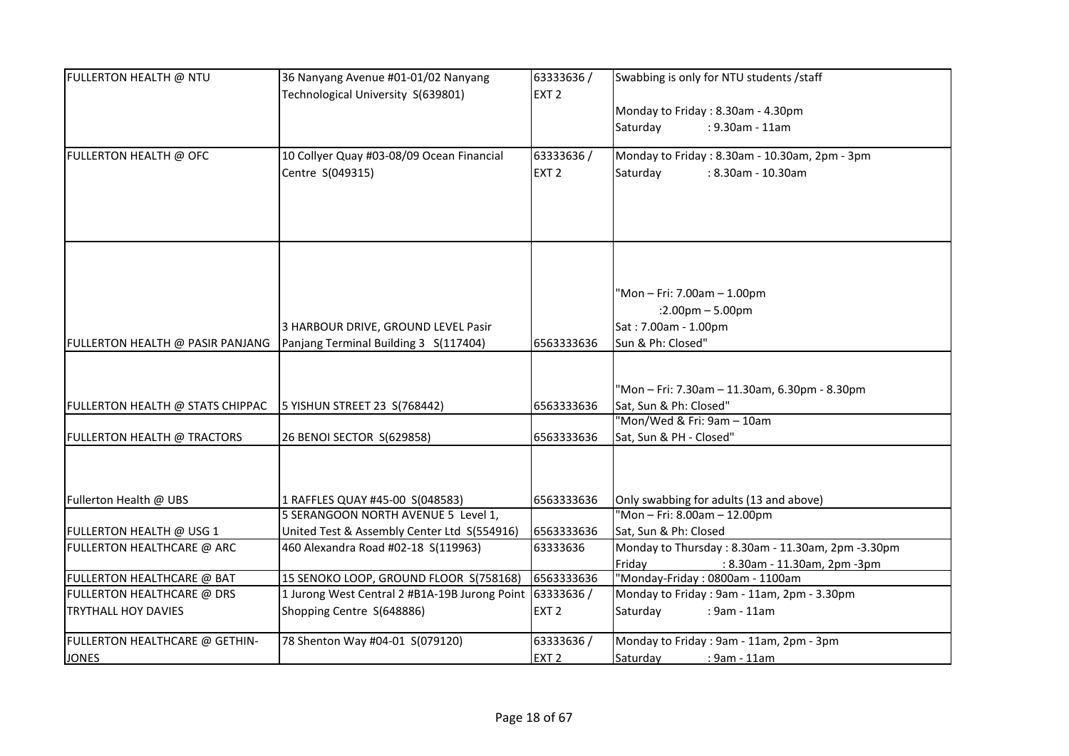| FULLERTON HEALTH @ NTU           | 36 Nanyang Avenue #01-01/02 Nanyang<br>Technological University S(639801) | 63333636/<br>EXT <sub>2</sub> | Swabbing is only for NTU students / staff         |
|----------------------------------|---------------------------------------------------------------------------|-------------------------------|---------------------------------------------------|
|                                  |                                                                           |                               | Monday to Friday: 8.30am - 4.30pm                 |
|                                  |                                                                           |                               | Saturday<br>: 9.30am - 11am                       |
|                                  |                                                                           |                               |                                                   |
| FULLERTON HEALTH @ OFC           | 10 Collyer Quay #03-08/09 Ocean Financial                                 | 63333636/                     | Monday to Friday: 8.30am - 10.30am, 2pm - 3pm     |
|                                  | Centre S(049315)                                                          | EXT <sub>2</sub>              | Saturday<br>: 8.30am - 10.30am                    |
|                                  |                                                                           |                               |                                                   |
|                                  |                                                                           |                               |                                                   |
|                                  |                                                                           |                               |                                                   |
|                                  |                                                                           |                               |                                                   |
|                                  |                                                                           |                               |                                                   |
|                                  |                                                                           |                               | 'Mon - Fri: 7.00am - 1.00pm                       |
|                                  |                                                                           |                               | $:2.00$ pm $-5.00$ pm                             |
|                                  | 3 HARBOUR DRIVE, GROUND LEVEL Pasir                                       |                               | Sat: 7.00am - 1.00pm                              |
| FULLERTON HEALTH @ PASIR PANJANG | Panjang Terminal Building 3 S(117404)                                     | 6563333636                    | Sun & Ph: Closed"                                 |
|                                  |                                                                           |                               |                                                   |
|                                  |                                                                           |                               | 'Mon - Fri: 7.30am - 11.30am, 6.30pm - 8.30pm     |
| FULLERTON HEALTH @ STATS CHIPPAC | 5 YISHUN STREET 23 S(768442)                                              | 6563333636                    | Sat, Sun & Ph: Closed"                            |
|                                  |                                                                           |                               | "Mon/Wed & Fri: 9am - 10am                        |
| FULLERTON HEALTH @ TRACTORS      | 26 BENOI SECTOR S(629858)                                                 | 6563333636                    | Sat, Sun & PH - Closed"                           |
|                                  |                                                                           |                               |                                                   |
|                                  |                                                                           |                               |                                                   |
|                                  |                                                                           |                               |                                                   |
| Fullerton Health @ UBS           | 1 RAFFLES QUAY #45-00 S(048583)                                           | 6563333636                    | Only swabbing for adults (13 and above)           |
|                                  | 5 SERANGOON NORTH AVENUE 5 Level 1,                                       |                               | "Mon-Fri: 8.00am-12.00pm                          |
| FULLERTON HEALTH @ USG 1         | United Test & Assembly Center Ltd S(554916)                               | 6563333636                    | Sat, Sun & Ph: Closed                             |
| FULLERTON HEALTHCARE @ ARC       | 460 Alexandra Road #02-18 S(119963)                                       | 63333636                      | Monday to Thursday: 8.30am - 11.30am, 2pm -3.30pm |
|                                  |                                                                           |                               | Friday<br>: 8.30am - 11.30am, 2pm -3pm            |
| FULLERTON HEALTHCARE @ BAT       | 15 SENOKO LOOP, GROUND FLOOR S(758168)                                    | 6563333636                    | "Monday-Friday: 0800am - 1100am                   |
| FULLERTON HEALTHCARE @ DRS       | 1 Jurong West Central 2 #B1A-19B Jurong Point 63333636 /                  |                               | Monday to Friday: 9am - 11am, 2pm - 3.30pm        |
| <b>TRYTHALL HOY DAVIES</b>       | Shopping Centre S(648886)                                                 | EXT <sub>2</sub>              | Saturday<br>: 9am - 11am                          |
| FULLERTON HEALTHCARE @ GETHIN-   | 78 Shenton Way #04-01 S(079120)                                           | 63333636/                     | Monday to Friday: 9am - 11am, 2pm - 3pm           |
| <b>JONES</b>                     |                                                                           | EXT <sub>2</sub>              | Saturday<br>: 9am - 11am                          |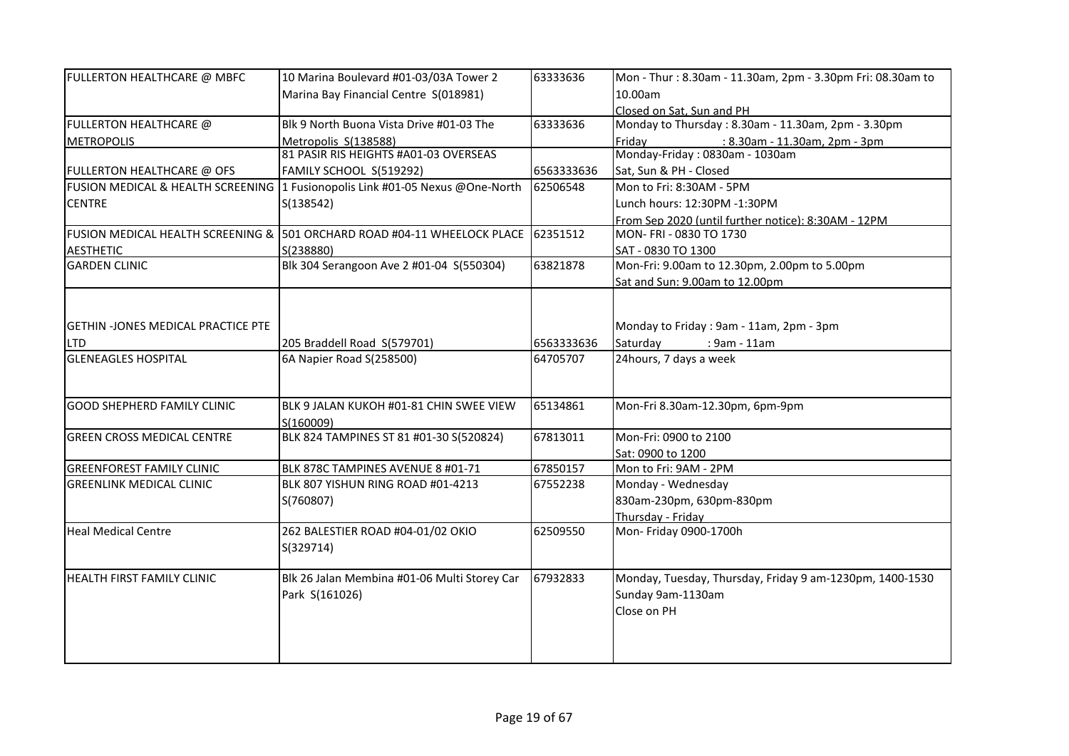| FULLERTON HEALTHCARE @ MBFC               | 10 Marina Boulevard #01-03/03A Tower 2                                        | 63333636   | Mon - Thur: 8.30am - 11.30am, 2pm - 3.30pm Fri: 08.30am to |
|-------------------------------------------|-------------------------------------------------------------------------------|------------|------------------------------------------------------------|
|                                           | Marina Bay Financial Centre S(018981)                                         |            | 10.00am                                                    |
|                                           |                                                                               |            | Closed on Sat. Sun and PH                                  |
| FULLERTON HEALTHCARE @                    | Blk 9 North Buona Vista Drive #01-03 The                                      | 63333636   | Monday to Thursday: 8.30am - 11.30am, 2pm - 3.30pm         |
| <b>METROPOLIS</b>                         | Metropolis S(138588)                                                          |            | Friday<br>: 8.30am - 11.30am, 2pm - 3pm                    |
|                                           | 81 PASIR RIS HEIGHTS #A01-03 OVERSEAS                                         |            | Monday-Friday : 0830am - 1030am                            |
| FULLERTON HEALTHCARE @ OFS                | FAMILY SCHOOL S(519292)                                                       | 6563333636 | Sat, Sun & PH - Closed                                     |
|                                           | FUSION MEDICAL & HEALTH SCREENING 1 Fusionopolis Link #01-05 Nexus @One-North | 62506548   | Mon to Fri: 8:30AM - 5PM                                   |
| <b>CENTRE</b>                             | S(138542)                                                                     |            | Lunch hours: 12:30PM -1:30PM                               |
|                                           |                                                                               |            | From Sep 2020 (until further notice): 8:30AM - 12PM        |
|                                           | FUSION MEDICAL HEALTH SCREENING & 501 ORCHARD ROAD #04-11 WHEELOCK PLACE      | 62351512   | MON-FRI-0830 TO 1730                                       |
| <b>AESTHETIC</b>                          | S(238880)                                                                     |            | SAT - 0830 TO 1300                                         |
| <b>GARDEN CLINIC</b>                      | Blk 304 Serangoon Ave 2 #01-04 S(550304)                                      | 63821878   | Mon-Fri: 9.00am to 12.30pm, 2.00pm to 5.00pm               |
|                                           |                                                                               |            | Sat and Sun: 9.00am to 12.00pm                             |
|                                           |                                                                               |            |                                                            |
|                                           |                                                                               |            |                                                            |
| <b>GETHIN -JONES MEDICAL PRACTICE PTE</b> |                                                                               |            | Monday to Friday: 9am - 11am, 2pm - 3pm                    |
| <b>LTD</b>                                | 205 Braddell Road S(579701)                                                   | 6563333636 | Saturday<br>: 9am - 11am                                   |
| <b>GLENEAGLES HOSPITAL</b>                | 6A Napier Road S(258500)                                                      | 64705707   | 24hours, 7 days a week                                     |
|                                           |                                                                               |            |                                                            |
|                                           |                                                                               |            |                                                            |
| <b>GOOD SHEPHERD FAMILY CLINIC</b>        | BLK 9 JALAN KUKOH #01-81 CHIN SWEE VIEW                                       | 65134861   | Mon-Fri 8.30am-12.30pm, 6pm-9pm                            |
|                                           | S(160009)                                                                     |            |                                                            |
| <b>GREEN CROSS MEDICAL CENTRE</b>         | BLK 824 TAMPINES ST 81 #01-30 S(520824)                                       | 67813011   | Mon-Fri: 0900 to 2100                                      |
|                                           |                                                                               |            | Sat: 0900 to 1200                                          |
| <b>GREENFOREST FAMILY CLINIC</b>          | BLK 878C TAMPINES AVENUE 8 #01-71                                             | 67850157   | Mon to Fri: 9AM - 2PM                                      |
| <b>GREENLINK MEDICAL CLINIC</b>           | BLK 807 YISHUN RING ROAD #01-4213                                             | 67552238   | Monday - Wednesday                                         |
|                                           | S(760807)                                                                     |            | 830am-230pm, 630pm-830pm                                   |
|                                           |                                                                               |            | Thursday - Friday                                          |
| <b>Heal Medical Centre</b>                | 262 BALESTIER ROAD #04-01/02 OKIO                                             | 62509550   | Mon- Friday 0900-1700h                                     |
|                                           | S(329714)                                                                     |            |                                                            |
|                                           |                                                                               |            |                                                            |
| HEALTH FIRST FAMILY CLINIC                | Blk 26 Jalan Membina #01-06 Multi Storey Car                                  | 67932833   | Monday, Tuesday, Thursday, Friday 9 am-1230pm, 1400-1530   |
|                                           | Park S(161026)                                                                |            | Sunday 9am-1130am                                          |
|                                           |                                                                               |            | Close on PH                                                |
|                                           |                                                                               |            |                                                            |
|                                           |                                                                               |            |                                                            |
|                                           |                                                                               |            |                                                            |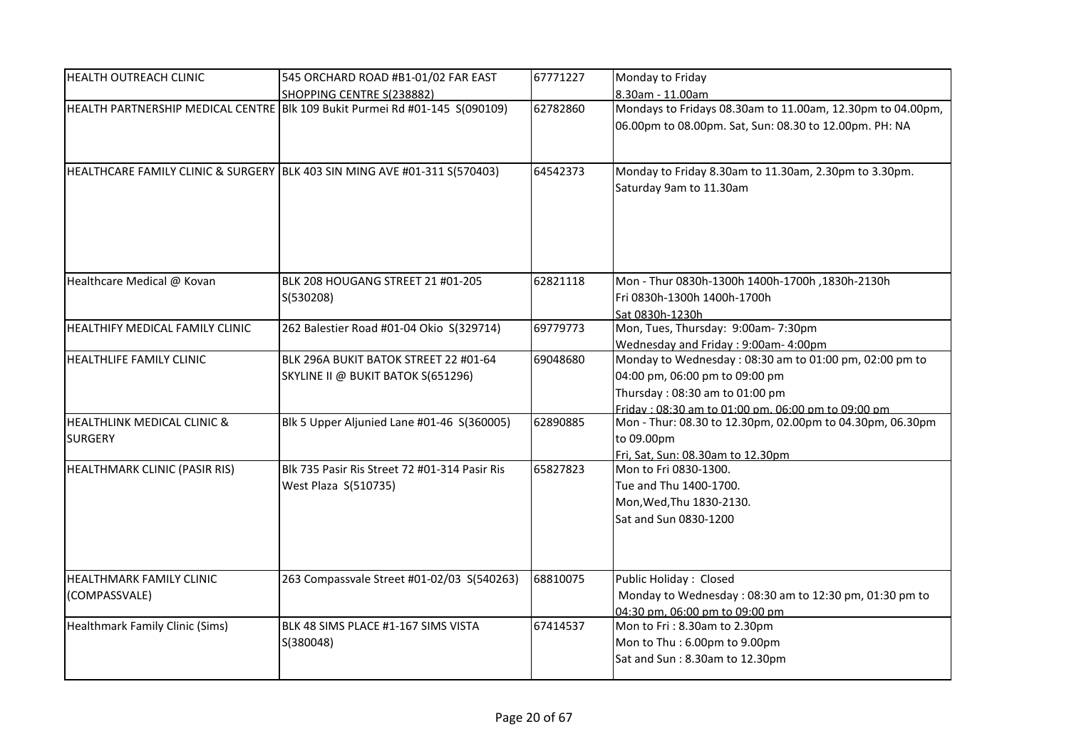| HEALTH OUTREACH CLINIC                                   | 545 ORCHARD ROAD #B1-01/02 FAR EAST                                         | 67771227 | Monday to Friday                                                                                                                                                                  |
|----------------------------------------------------------|-----------------------------------------------------------------------------|----------|-----------------------------------------------------------------------------------------------------------------------------------------------------------------------------------|
|                                                          | SHOPPING CENTRE S(238882)                                                   |          | 8.30am - 11.00am                                                                                                                                                                  |
|                                                          | HEALTH PARTNERSHIP MEDICAL CENTRE Blk 109 Bukit Purmei Rd #01-145 S(090109) | 62782860 | Mondays to Fridays 08.30am to 11.00am, 12.30pm to 04.00pm,<br>06.00pm to 08.00pm. Sat, Sun: 08.30 to 12.00pm. PH: NA                                                              |
|                                                          | HEALTHCARE FAMILY CLINIC & SURGERY BLK 403 SIN MING AVE #01-311 S(570403)   | 64542373 | Monday to Friday 8.30am to 11.30am, 2.30pm to 3.30pm.<br>Saturday 9am to 11.30am                                                                                                  |
| Healthcare Medical @ Kovan                               | BLK 208 HOUGANG STREET 21 #01-205<br>S(530208)                              | 62821118 | Mon - Thur 0830h-1300h 1400h-1700h, 1830h-2130h<br>Fri 0830h-1300h 1400h-1700h<br>Sat 0830h-1230h                                                                                 |
| HEALTHIFY MEDICAL FAMILY CLINIC                          | 262 Balestier Road #01-04 Okio S(329714)                                    | 69779773 | Mon, Tues, Thursday: 9:00am-7:30pm<br>Wednesday and Friday: 9:00am- 4:00pm                                                                                                        |
| HEALTHLIFE FAMILY CLINIC                                 | BLK 296A BUKIT BATOK STREET 22 #01-64<br>SKYLINE II @ BUKIT BATOK S(651296) | 69048680 | Monday to Wednesday: 08:30 am to 01:00 pm, 02:00 pm to<br>04:00 pm, 06:00 pm to 09:00 pm<br>Thursday: 08:30 am to 01:00 pm<br>Friday: 08:30 am to 01:00 pm. 06:00 pm to 09:00 pm. |
| <b>HEALTHLINK MEDICAL CLINIC &amp;</b><br><b>SURGERY</b> | Blk 5 Upper Aljunied Lane #01-46 S(360005)                                  | 62890885 | Mon - Thur: 08.30 to 12.30pm, 02.00pm to 04.30pm, 06.30pm<br>to 09.00pm<br>Fri, Sat, Sun: 08.30am to 12.30pm                                                                      |
| HEALTHMARK CLINIC (PASIR RIS)                            | Blk 735 Pasir Ris Street 72 #01-314 Pasir Ris<br>West Plaza S(510735)       | 65827823 | Mon to Fri 0830-1300.<br>Tue and Thu 1400-1700.<br>Mon, Wed, Thu 1830-2130.<br>Sat and Sun 0830-1200                                                                              |
| HEALTHMARK FAMILY CLINIC<br>(COMPASSVALE)                | 263 Compassvale Street #01-02/03 S(540263)                                  | 68810075 | Public Holiday: Closed<br>Monday to Wednesday: 08:30 am to 12:30 pm, 01:30 pm to<br>04:30 pm. 06:00 pm to 09:00 pm                                                                |
| Healthmark Family Clinic (Sims)                          | BLK 48 SIMS PLACE #1-167 SIMS VISTA<br>S(380048)                            | 67414537 | Mon to Fri: 8.30am to 2.30pm<br>Mon to Thu: 6.00pm to 9.00pm<br>Sat and Sun: 8.30am to 12.30pm                                                                                    |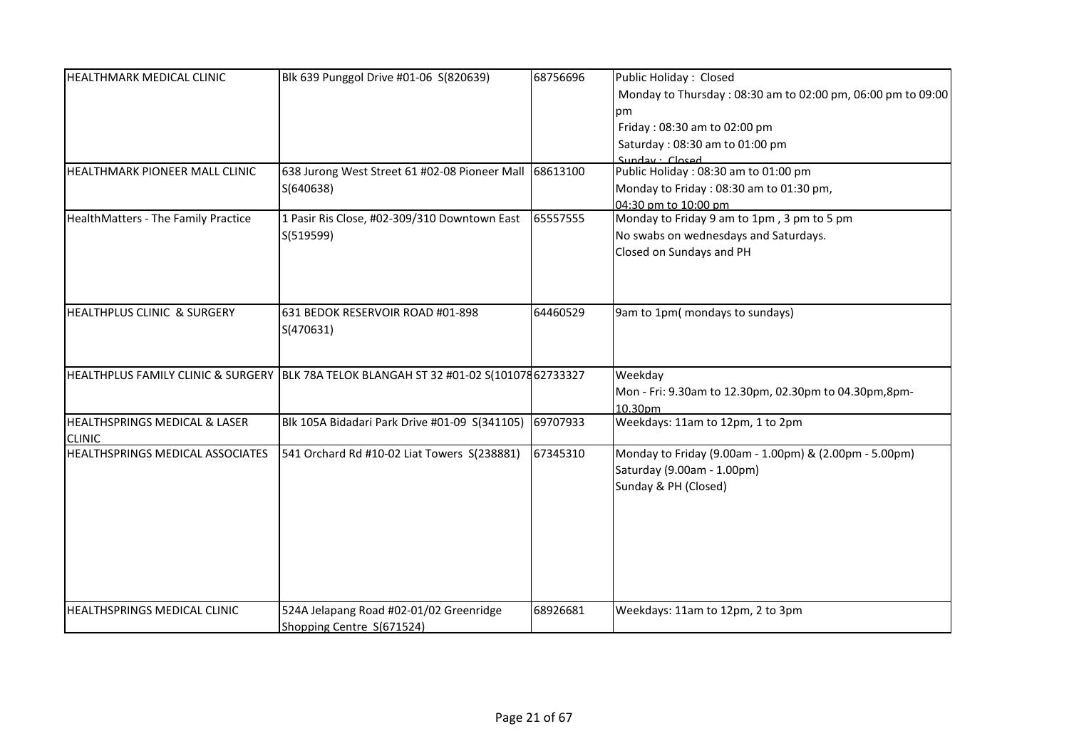| HEALTHMARK MEDICAL CLINIC              | Blk 639 Punggol Drive #01-06 S(820639)                                                  | 68756696 | Public Holiday: Closed                                      |
|----------------------------------------|-----------------------------------------------------------------------------------------|----------|-------------------------------------------------------------|
|                                        |                                                                                         |          | Monday to Thursday: 08:30 am to 02:00 pm, 06:00 pm to 09:00 |
|                                        |                                                                                         |          | рm                                                          |
|                                        |                                                                                         |          | Friday: 08:30 am to 02:00 pm                                |
|                                        |                                                                                         |          | Saturday: 08:30 am to 01:00 pm                              |
|                                        |                                                                                         |          | Sunday · Closed                                             |
| HEALTHMARK PIONEER MALL CLINIC         | 638 Jurong West Street 61 #02-08 Pioneer Mall 68613100                                  |          | Public Holiday: 08:30 am to 01:00 pm                        |
|                                        | S(640638)                                                                               |          | Monday to Friday: 08:30 am to 01:30 pm,                     |
|                                        |                                                                                         |          | 04:30 pm to 10:00 pm                                        |
| HealthMatters - The Family Practice    | 1 Pasir Ris Close, #02-309/310 Downtown East                                            | 65557555 | Monday to Friday 9 am to 1pm, 3 pm to 5 pm                  |
|                                        | S(519599)                                                                               |          | No swabs on wednesdays and Saturdays.                       |
|                                        |                                                                                         |          | Closed on Sundays and PH                                    |
|                                        |                                                                                         |          |                                                             |
|                                        |                                                                                         |          |                                                             |
|                                        |                                                                                         |          |                                                             |
| <b>HEALTHPLUS CLINIC &amp; SURGERY</b> | 631 BEDOK RESERVOIR ROAD #01-898                                                        | 64460529 | 9am to 1pm( mondays to sundays)                             |
|                                        | S(470631)                                                                               |          |                                                             |
|                                        |                                                                                         |          |                                                             |
|                                        | HEALTHPLUS FAMILY CLINIC & SURGERY BLK 78A TELOK BLANGAH ST 32 #01-02 S(101078 62733327 |          | Weekday                                                     |
|                                        |                                                                                         |          | Mon - Fri: 9.30am to 12.30pm, 02.30pm to 04.30pm,8pm-       |
|                                        |                                                                                         |          | 10.30pm                                                     |
| HEALTHSPRINGS MEDICAL & LASER          | Blk 105A Bidadari Park Drive #01-09 S(341105)                                           | 69707933 | Weekdays: 11am to 12pm, 1 to 2pm                            |
| <b>CLINIC</b>                          |                                                                                         |          |                                                             |
| HEALTHSPRINGS MEDICAL ASSOCIATES       | 541 Orchard Rd #10-02 Liat Towers S(238881)                                             | 67345310 | Monday to Friday (9.00am - 1.00pm) & (2.00pm - 5.00pm)      |
|                                        |                                                                                         |          | Saturday (9.00am - 1.00pm)                                  |
|                                        |                                                                                         |          | Sunday & PH (Closed)                                        |
|                                        |                                                                                         |          |                                                             |
|                                        |                                                                                         |          |                                                             |
|                                        |                                                                                         |          |                                                             |
|                                        |                                                                                         |          |                                                             |
|                                        |                                                                                         |          |                                                             |
|                                        |                                                                                         |          |                                                             |
|                                        |                                                                                         |          |                                                             |
| HEALTHSPRINGS MEDICAL CLINIC           | 524A Jelapang Road #02-01/02 Greenridge                                                 | 68926681 | Weekdays: 11am to 12pm, 2 to 3pm                            |
|                                        | Shopping Centre S(671524)                                                               |          |                                                             |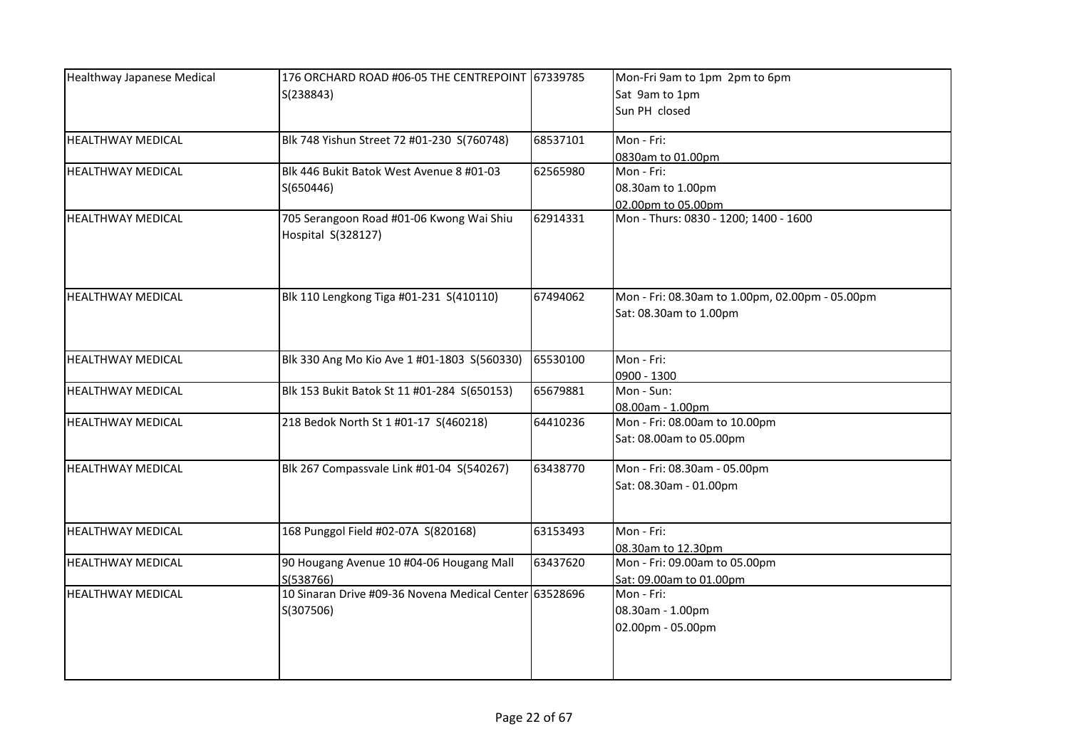| Healthway Japanese Medical | 176 ORCHARD ROAD #06-05 THE CENTREPOINT 67339785                    |          | Mon-Fri 9am to 1pm 2pm to 6pm                   |
|----------------------------|---------------------------------------------------------------------|----------|-------------------------------------------------|
|                            | S(238843)                                                           |          | Sat 9am to 1pm                                  |
|                            |                                                                     |          | Sun PH closed                                   |
|                            |                                                                     |          |                                                 |
| <b>HEALTHWAY MEDICAL</b>   | Blk 748 Yishun Street 72 #01-230 S(760748)                          | 68537101 | Mon - Fri:                                      |
|                            |                                                                     |          | 0830am to 01.00pm                               |
| <b>HEALTHWAY MEDICAL</b>   | Blk 446 Bukit Batok West Avenue 8 #01-03                            | 62565980 | Mon - Fri:                                      |
|                            | S(650446)                                                           |          | 08.30am to 1.00pm                               |
|                            |                                                                     |          | 02.00pm to 05.00pm                              |
| <b>HEALTHWAY MEDICAL</b>   | 705 Serangoon Road #01-06 Kwong Wai Shiu                            | 62914331 | Mon - Thurs: 0830 - 1200; 1400 - 1600           |
|                            | Hospital S(328127)                                                  |          |                                                 |
|                            |                                                                     |          |                                                 |
|                            |                                                                     |          |                                                 |
|                            |                                                                     |          |                                                 |
| <b>HEALTHWAY MEDICAL</b>   | Blk 110 Lengkong Tiga #01-231 S(410110)                             | 67494062 | Mon - Fri: 08.30am to 1.00pm, 02.00pm - 05.00pm |
|                            |                                                                     |          | Sat: 08.30am to 1.00pm                          |
|                            |                                                                     |          |                                                 |
| <b>HEALTHWAY MEDICAL</b>   | Blk 330 Ang Mo Kio Ave 1 #01-1803 S(560330)                         | 65530100 | Mon - Fri:                                      |
|                            |                                                                     |          | 0900 - 1300                                     |
| <b>HEALTHWAY MEDICAL</b>   | Blk 153 Bukit Batok St 11 #01-284 S(650153)                         | 65679881 | Mon - Sun:                                      |
|                            |                                                                     |          | 08.00am - 1.00pm                                |
| <b>HEALTHWAY MEDICAL</b>   | 218 Bedok North St 1 #01-17 S(460218)                               | 64410236 | Mon - Fri: 08.00am to 10.00pm                   |
|                            |                                                                     |          | Sat: 08.00am to 05.00pm                         |
|                            |                                                                     |          |                                                 |
| <b>HEALTHWAY MEDICAL</b>   | Blk 267 Compassvale Link #01-04 S(540267)                           | 63438770 | Mon - Fri: 08.30am - 05.00pm                    |
|                            |                                                                     |          | Sat: 08.30am - 01.00pm                          |
|                            |                                                                     |          |                                                 |
|                            |                                                                     |          |                                                 |
| <b>HEALTHWAY MEDICAL</b>   | 168 Punggol Field #02-07A S(820168)                                 | 63153493 | Mon - Fri:                                      |
|                            |                                                                     |          | 08.30am to 12.30pm                              |
| <b>HEALTHWAY MEDICAL</b>   | 90 Hougang Avenue 10 #04-06 Hougang Mall                            | 63437620 | Mon - Fri: 09.00am to 05.00pm                   |
| <b>HEALTHWAY MEDICAL</b>   | S(538766)<br>10 Sinaran Drive #09-36 Novena Medical Center 63528696 |          | Sat: 09.00am to 01.00pm<br>Mon - Fri:           |
|                            |                                                                     |          |                                                 |
|                            | S(307506)                                                           |          | 08.30am - 1.00pm                                |
|                            |                                                                     |          | 02.00pm - 05.00pm                               |
|                            |                                                                     |          |                                                 |
|                            |                                                                     |          |                                                 |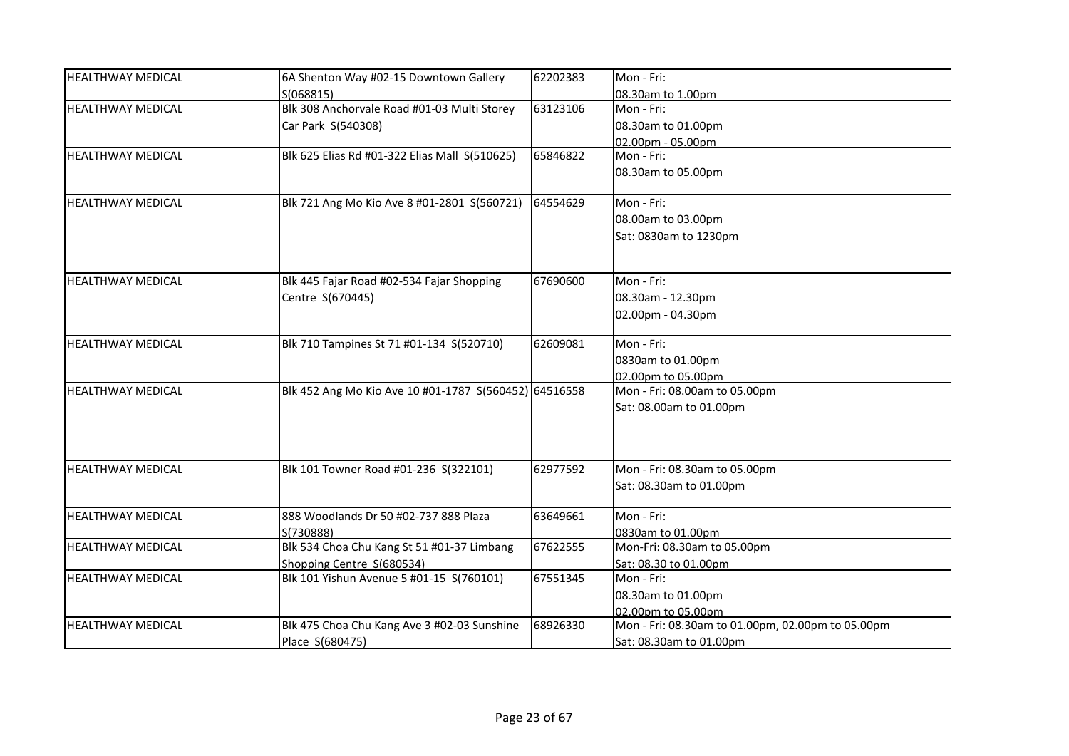| <b>HEALTHWAY MEDICAL</b> | 6A Shenton Way #02-15 Downtown Gallery                | 62202383 | Mon - Fri:                                        |
|--------------------------|-------------------------------------------------------|----------|---------------------------------------------------|
|                          | S(068815)                                             |          | 08.30am to 1.00pm                                 |
| <b>HEALTHWAY MEDICAL</b> | Blk 308 Anchorvale Road #01-03 Multi Storey           | 63123106 | Mon - Fri:                                        |
|                          | Car Park S(540308)                                    |          | 08.30am to 01.00pm                                |
|                          |                                                       |          | 02.00pm - 05.00pm                                 |
| <b>HEALTHWAY MEDICAL</b> | Blk 625 Elias Rd #01-322 Elias Mall S(510625)         | 65846822 | Mon - Fri:                                        |
|                          |                                                       |          | 08.30am to 05.00pm                                |
| <b>HEALTHWAY MEDICAL</b> |                                                       | 64554629 | Mon - Fri:                                        |
|                          | Blk 721 Ang Mo Kio Ave 8 #01-2801 S(560721)           |          |                                                   |
|                          |                                                       |          | 08.00am to 03.00pm                                |
|                          |                                                       |          | Sat: 0830am to 1230pm                             |
|                          |                                                       |          |                                                   |
| <b>HEALTHWAY MEDICAL</b> | Blk 445 Fajar Road #02-534 Fajar Shopping             | 67690600 | Mon - Fri:                                        |
|                          | Centre S(670445)                                      |          | 08.30am - 12.30pm                                 |
|                          |                                                       |          | 02.00pm - 04.30pm                                 |
| <b>HEALTHWAY MEDICAL</b> | Blk 710 Tampines St 71 #01-134 S(520710)              | 62609081 | Mon - Fri:                                        |
|                          |                                                       |          | 0830am to 01.00pm                                 |
|                          |                                                       |          | 02.00pm to 05.00pm                                |
| <b>HEALTHWAY MEDICAL</b> | Blk 452 Ang Mo Kio Ave 10 #01-1787 S(560452) 64516558 |          | Mon - Fri: 08.00am to 05.00pm                     |
|                          |                                                       |          | Sat: 08.00am to 01.00pm                           |
|                          |                                                       |          |                                                   |
|                          |                                                       |          |                                                   |
| <b>HEALTHWAY MEDICAL</b> | Blk 101 Towner Road #01-236 S(322101)                 | 62977592 | Mon - Fri: 08.30am to 05.00pm                     |
|                          |                                                       |          | Sat: 08.30am to 01.00pm                           |
| <b>HEALTHWAY MEDICAL</b> | 888 Woodlands Dr 50 #02-737 888 Plaza                 | 63649661 | Mon - Fri:                                        |
|                          | S(730888)                                             |          | 0830am to 01.00pm                                 |
| <b>HEALTHWAY MEDICAL</b> | Blk 534 Choa Chu Kang St 51 #01-37 Limbang            | 67622555 | Mon-Fri: 08.30am to 05.00pm                       |
|                          | Shopping Centre S(680534)                             |          | Sat: 08.30 to 01.00pm                             |
| <b>HEALTHWAY MEDICAL</b> | Blk 101 Yishun Avenue 5 #01-15 S(760101)              | 67551345 | Mon - Fri:                                        |
|                          |                                                       |          | 08.30am to 01.00pm                                |
|                          |                                                       |          | 02.00pm to 05.00pm                                |
| <b>HEALTHWAY MEDICAL</b> | Blk 475 Choa Chu Kang Ave 3 #02-03 Sunshine           | 68926330 | Mon - Fri: 08.30am to 01.00pm, 02.00pm to 05.00pm |
|                          | Place S(680475)                                       |          | Sat: 08.30am to 01.00pm                           |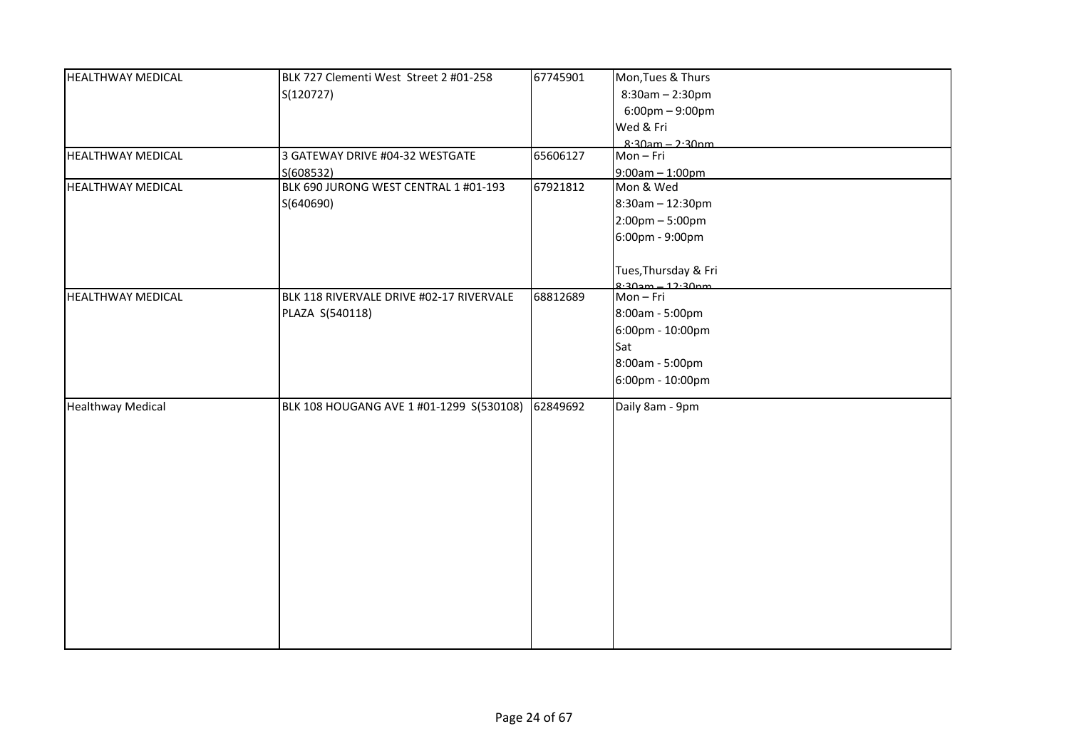| <b>HEALTHWAY MEDICAL</b> | BLK 727 Clementi West Street 2 #01-258   | 67745901 | Mon, Tues & Thurs                 |
|--------------------------|------------------------------------------|----------|-----------------------------------|
|                          | S(120727)                                |          | $8:30am - 2:30pm$                 |
|                          |                                          |          | $6:00 \text{pm} - 9:00 \text{pm}$ |
|                          |                                          |          | Wed & Fri                         |
|                          |                                          |          | $8.30$ am - 2.30nm                |
| <b>HEALTHWAY MEDICAL</b> | 3 GATEWAY DRIVE #04-32 WESTGATE          | 65606127 | Mon-Fri                           |
|                          | S(608532)                                |          | $9:00am - 1:00pm$                 |
| <b>HEALTHWAY MEDICAL</b> | BLK 690 JURONG WEST CENTRAL 1 #01-193    | 67921812 | Mon & Wed                         |
|                          | S(640690)                                |          | 8:30am - 12:30pm                  |
|                          |                                          |          | $2:00$ pm – 5:00pm                |
|                          |                                          |          | 6:00pm - 9:00pm                   |
|                          |                                          |          |                                   |
|                          |                                          |          | Tues, Thursday & Fri              |
|                          |                                          |          | $9.20$ m $-12.20$ nm              |
| <b>HEALTHWAY MEDICAL</b> | BLK 118 RIVERVALE DRIVE #02-17 RIVERVALE | 68812689 | Mon-Fri                           |
|                          | PLAZA S(540118)                          |          | 8:00am - 5:00pm                   |
|                          |                                          |          | 6:00pm - 10:00pm                  |
|                          |                                          |          | Sat                               |
|                          |                                          |          | 8:00am - 5:00pm                   |
|                          |                                          |          | 6:00pm - 10:00pm                  |
|                          |                                          |          |                                   |
| <b>Healthway Medical</b> | BLK 108 HOUGANG AVE 1 #01-1299 S(530108) | 62849692 | Daily 8am - 9pm                   |
|                          |                                          |          |                                   |
|                          |                                          |          |                                   |
|                          |                                          |          |                                   |
|                          |                                          |          |                                   |
|                          |                                          |          |                                   |
|                          |                                          |          |                                   |
|                          |                                          |          |                                   |
|                          |                                          |          |                                   |
|                          |                                          |          |                                   |
|                          |                                          |          |                                   |
|                          |                                          |          |                                   |
|                          |                                          |          |                                   |
|                          |                                          |          |                                   |
|                          |                                          |          |                                   |
|                          |                                          |          |                                   |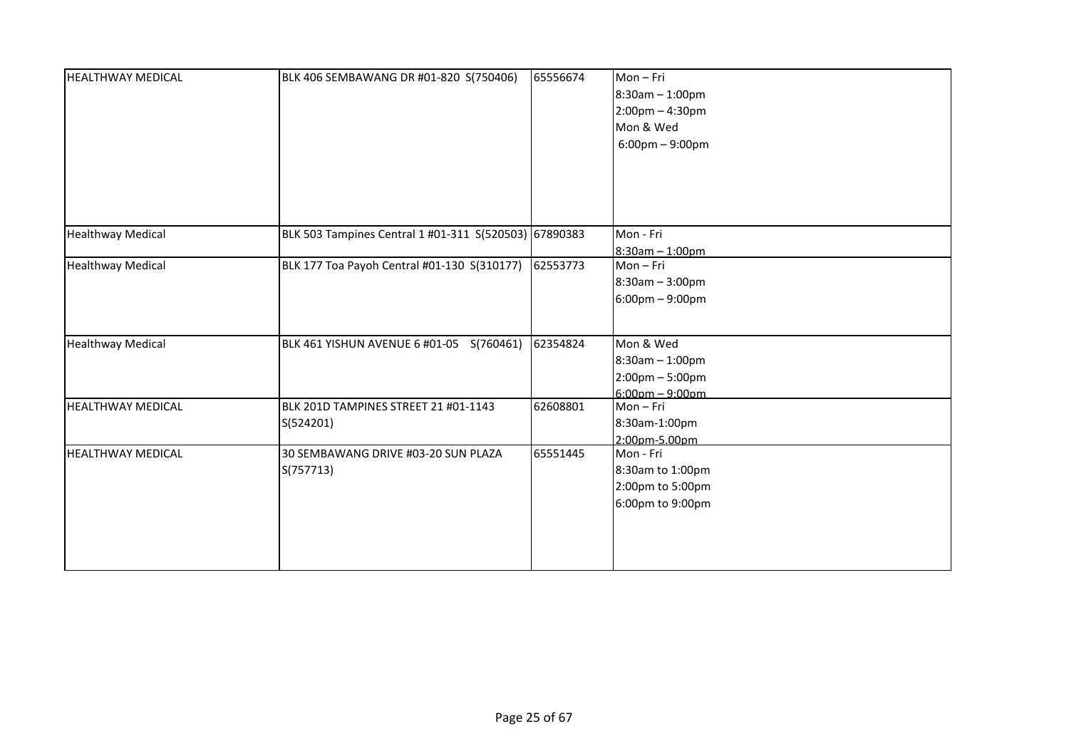| <b>HEALTHWAY MEDICAL</b> | BLK 406 SEMBAWANG DR #01-820 S(750406)                | 65556674 | Mon-Fri<br>$8:30$ am $-1:00$ pm<br>$2:00$ pm - 4:30pm<br>Mon & Wed<br>$6:00 \text{pm} - 9:00 \text{pm}$ |
|--------------------------|-------------------------------------------------------|----------|---------------------------------------------------------------------------------------------------------|
| <b>Healthway Medical</b> | BLK 503 Tampines Central 1 #01-311 S(520503) 67890383 |          | Mon - Fri<br>$8:30am - 1:00pm$                                                                          |
| <b>Healthway Medical</b> | BLK 177 Toa Payoh Central #01-130 S(310177)           | 62553773 | Mon-Fri<br>8:30am - 3:00pm<br>6:00pm - 9:00pm                                                           |
| <b>Healthway Medical</b> | BLK 461 YISHUN AVENUE 6 #01-05 S(760461)              | 62354824 | Mon & Wed<br>8:30am - 1:00pm<br>$2:00 \text{pm} - 5:00 \text{pm}$<br>$6:00$ pm $-9:00$ pm               |
| <b>HEALTHWAY MEDICAL</b> | BLK 201D TAMPINES STREET 21 #01-1143<br>S(524201)     | 62608801 | Mon-Fri<br>8:30am-1:00pm<br>2:00pm-5.00pm                                                               |
| <b>HEALTHWAY MEDICAL</b> | 30 SEMBAWANG DRIVE #03-20 SUN PLAZA<br>S(757713)      | 65551445 | Mon - Fri<br>8:30am to 1:00pm<br>2:00pm to 5:00pm<br>6:00pm to 9:00pm                                   |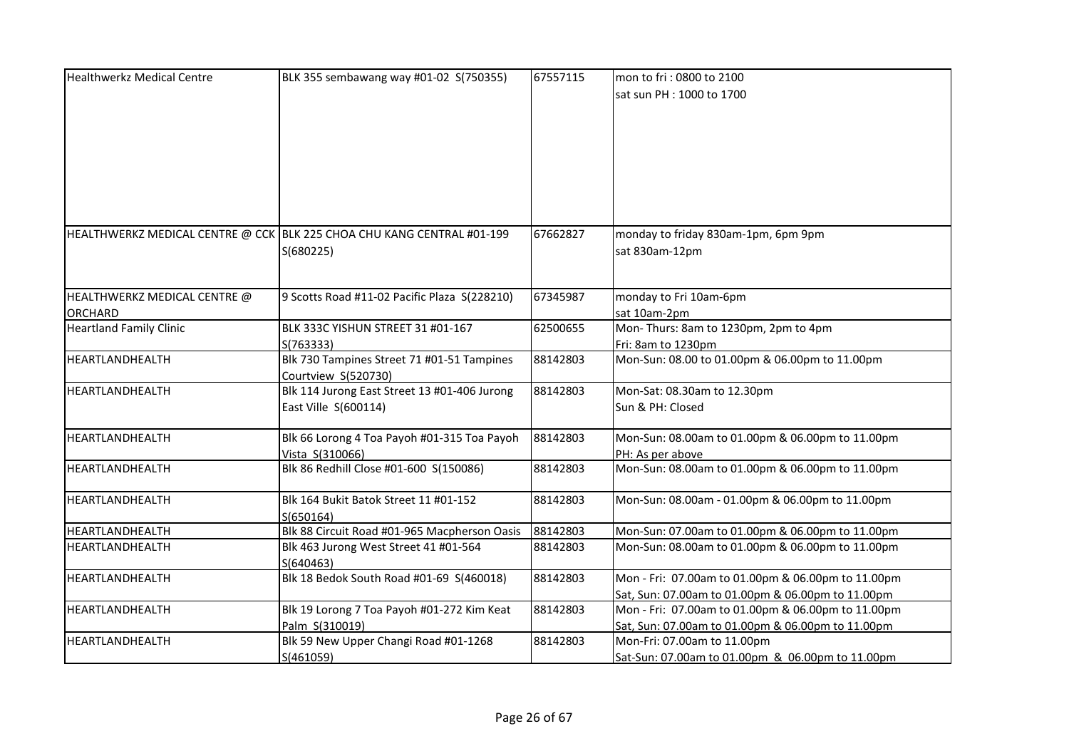| <b>Healthwerkz Medical Centre</b> | BLK 355 sembawang way #01-02 S(750355)                                 | 67557115 | mon to fri: 0800 to 2100                           |
|-----------------------------------|------------------------------------------------------------------------|----------|----------------------------------------------------|
|                                   |                                                                        |          | sat sun PH : 1000 to 1700                          |
|                                   |                                                                        |          |                                                    |
|                                   |                                                                        |          |                                                    |
|                                   |                                                                        |          |                                                    |
|                                   |                                                                        |          |                                                    |
|                                   |                                                                        |          |                                                    |
|                                   |                                                                        |          |                                                    |
|                                   |                                                                        |          |                                                    |
|                                   |                                                                        |          |                                                    |
|                                   | HEALTHWERKZ MEDICAL CENTRE @ CCK BLK 225 CHOA CHU KANG CENTRAL #01-199 | 67662827 | monday to friday 830am-1pm, 6pm 9pm                |
|                                   | S(680225)                                                              |          | sat 830am-12pm                                     |
|                                   |                                                                        |          |                                                    |
|                                   |                                                                        |          |                                                    |
| HEALTHWERKZ MEDICAL CENTRE @      | 9 Scotts Road #11-02 Pacific Plaza S(228210)                           | 67345987 | monday to Fri 10am-6pm                             |
| <b>ORCHARD</b>                    |                                                                        |          | sat 10am-2pm                                       |
| <b>Heartland Family Clinic</b>    | BLK 333C YISHUN STREET 31 #01-167                                      | 62500655 | Mon-Thurs: 8am to 1230pm, 2pm to 4pm               |
|                                   | S(763333)                                                              |          | Fri: 8am to 1230pm                                 |
| HEARTLANDHEALTH                   | Blk 730 Tampines Street 71 #01-51 Tampines                             | 88142803 | Mon-Sun: 08.00 to 01.00pm & 06.00pm to 11.00pm     |
|                                   | Courtview S(520730)                                                    |          |                                                    |
| HEARTLANDHEALTH                   | Blk 114 Jurong East Street 13 #01-406 Jurong                           | 88142803 | Mon-Sat: 08.30am to 12.30pm                        |
|                                   | East Ville S(600114)                                                   |          | Sun & PH: Closed                                   |
|                                   |                                                                        |          |                                                    |
| HEARTLANDHEALTH                   | Blk 66 Lorong 4 Toa Payoh #01-315 Toa Payoh                            | 88142803 | Mon-Sun: 08.00am to 01.00pm & 06.00pm to 11.00pm   |
|                                   | Vista S(310066)                                                        |          | PH: As per above                                   |
| HEARTLANDHEALTH                   | Blk 86 Redhill Close #01-600 S(150086)                                 | 88142803 | Mon-Sun: 08.00am to 01.00pm & 06.00pm to 11.00pm   |
|                                   |                                                                        |          |                                                    |
| HEARTLANDHEALTH                   | Blk 164 Bukit Batok Street 11 #01-152                                  | 88142803 | Mon-Sun: 08.00am - 01.00pm & 06.00pm to 11.00pm    |
|                                   | S(650164)                                                              |          |                                                    |
| HEARTLANDHEALTH                   | Blk 88 Circuit Road #01-965 Macpherson Oasis                           | 88142803 | Mon-Sun: 07.00am to 01.00pm & 06.00pm to 11.00pm   |
| HEARTLANDHEALTH                   | Blk 463 Jurong West Street 41 #01-564                                  | 88142803 | Mon-Sun: 08.00am to 01.00pm & 06.00pm to 11.00pm   |
|                                   | S(640463)                                                              |          |                                                    |
| HEARTLANDHEALTH                   | Blk 18 Bedok South Road #01-69 S(460018)                               | 88142803 | Mon - Fri: 07.00am to 01.00pm & 06.00pm to 11.00pm |
|                                   |                                                                        |          | Sat, Sun: 07.00am to 01.00pm & 06.00pm to 11.00pm  |
| HEARTLANDHEALTH                   | Blk 19 Lorong 7 Toa Payoh #01-272 Kim Keat                             | 88142803 | Mon - Fri: 07.00am to 01.00pm & 06.00pm to 11.00pm |
|                                   | Palm S(310019)                                                         |          | Sat, Sun: 07.00am to 01.00pm & 06.00pm to 11.00pm  |
| HEARTLANDHEALTH                   | Blk 59 New Upper Changi Road #01-1268                                  | 88142803 | Mon-Fri: 07.00am to 11.00pm                        |
|                                   | S(461059)                                                              |          | Sat-Sun: 07.00am to 01.00pm & 06.00pm to 11.00pm   |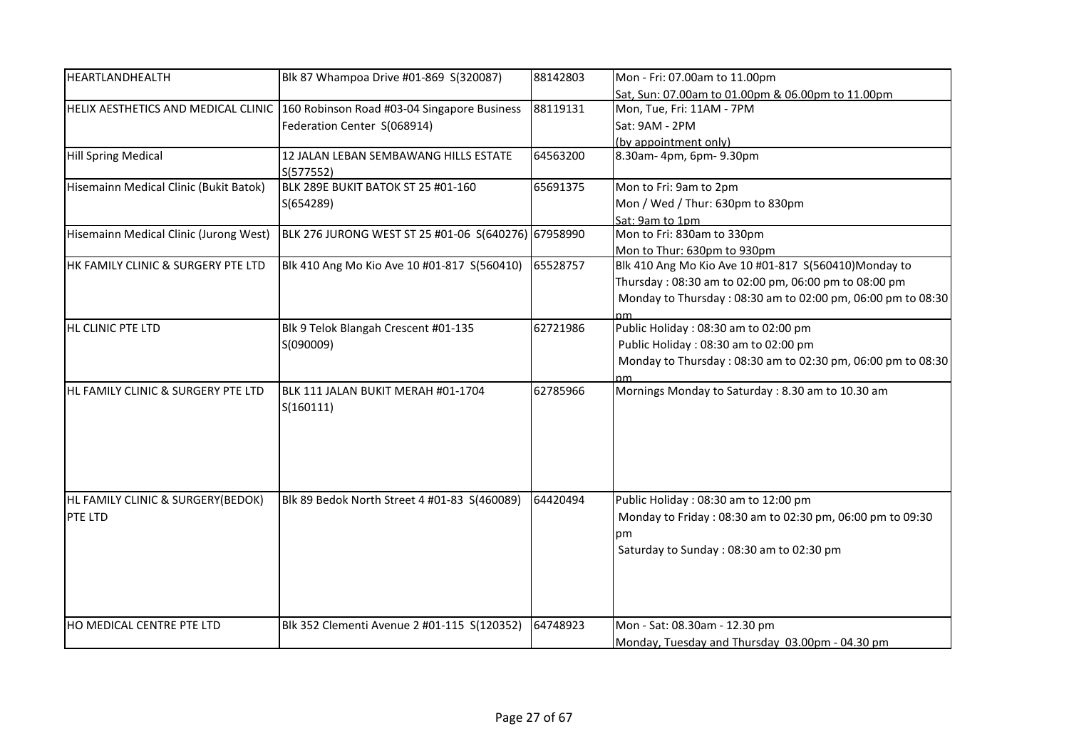| HEARTLANDHEALTH                        | Blk 87 Whampoa Drive #01-869 S(320087)              | 88142803 | Mon - Fri: 07.00am to 11.00pm                               |
|----------------------------------------|-----------------------------------------------------|----------|-------------------------------------------------------------|
|                                        |                                                     |          | Sat, Sun: 07.00am to 01.00pm & 06.00pm to 11.00pm           |
| HELIX AESTHETICS AND MEDICAL CLINIC    | 160 Robinson Road #03-04 Singapore Business         | 88119131 | Mon, Tue, Fri: 11AM - 7PM                                   |
|                                        | Federation Center S(068914)                         |          | Sat: 9AM - 2PM                                              |
|                                        |                                                     |          | (by appointment only)                                       |
| <b>Hill Spring Medical</b>             | 12 JALAN LEBAN SEMBAWANG HILLS ESTATE               | 64563200 | 8.30am-4pm, 6pm-9.30pm                                      |
|                                        | S(577552)                                           |          |                                                             |
| Hisemainn Medical Clinic (Bukit Batok) | BLK 289E BUKIT BATOK ST 25 #01-160                  | 65691375 | Mon to Fri: 9am to 2pm                                      |
|                                        | S(654289)                                           |          | Mon / Wed / Thur: 630pm to 830pm                            |
|                                        |                                                     |          | Sat: 9am to 1pm                                             |
| Hisemainn Medical Clinic (Jurong West) | BLK 276 JURONG WEST ST 25 #01-06 S(640276) 67958990 |          | Mon to Fri: 830am to 330pm                                  |
|                                        |                                                     |          | Mon to Thur: 630pm to 930pm                                 |
| HK FAMILY CLINIC & SURGERY PTE LTD     | Blk 410 Ang Mo Kio Ave 10 #01-817 S(560410)         | 65528757 | Blk 410 Ang Mo Kio Ave 10 #01-817 S(560410)Monday to        |
|                                        |                                                     |          | Thursday: 08:30 am to 02:00 pm, 06:00 pm to 08:00 pm        |
|                                        |                                                     |          | Monday to Thursday: 08:30 am to 02:00 pm, 06:00 pm to 08:30 |
|                                        |                                                     |          |                                                             |
| HL CLINIC PTE LTD                      | Blk 9 Telok Blangah Crescent #01-135                | 62721986 | Public Holiday: 08:30 am to 02:00 pm                        |
|                                        | S(090009)                                           |          | Public Holiday: 08:30 am to 02:00 pm                        |
|                                        |                                                     |          | Monday to Thursday: 08:30 am to 02:30 pm, 06:00 pm to 08:30 |
|                                        |                                                     |          |                                                             |
| HL FAMILY CLINIC & SURGERY PTE LTD     | BLK 111 JALAN BUKIT MERAH #01-1704<br>S(160111)     | 62785966 | Mornings Monday to Saturday: 8.30 am to 10.30 am            |
|                                        |                                                     |          |                                                             |
|                                        |                                                     |          |                                                             |
|                                        |                                                     |          |                                                             |
| HL FAMILY CLINIC & SURGERY(BEDOK)      | Blk 89 Bedok North Street 4 #01-83 S(460089)        | 64420494 | Public Holiday: 08:30 am to 12:00 pm                        |
| PTE LTD                                |                                                     |          | Monday to Friday: 08:30 am to 02:30 pm, 06:00 pm to 09:30   |
|                                        |                                                     |          | рm                                                          |
|                                        |                                                     |          | Saturday to Sunday: 08:30 am to 02:30 pm                    |
|                                        |                                                     |          |                                                             |
|                                        |                                                     |          |                                                             |
|                                        |                                                     |          |                                                             |
| HO MEDICAL CENTRE PTE LTD              | Blk 352 Clementi Avenue 2 #01-115 S(120352)         | 64748923 | Mon - Sat: 08.30am - 12.30 pm                               |
|                                        |                                                     |          | Monday, Tuesday and Thursday 03.00pm - 04.30 pm             |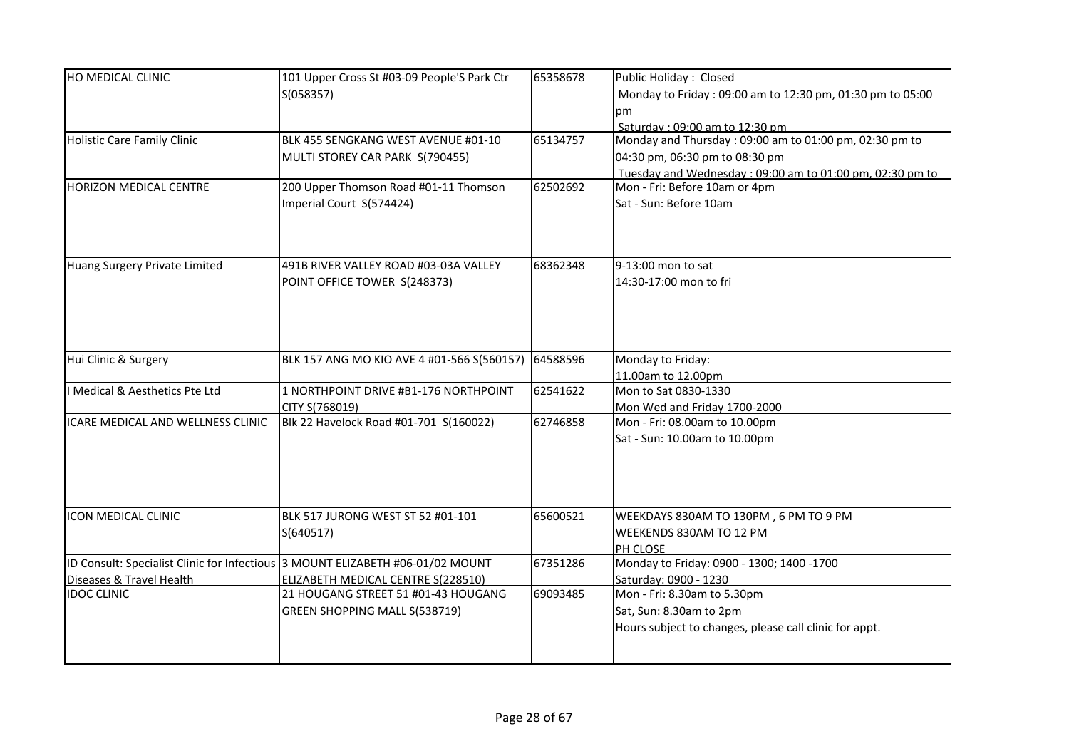| HO MEDICAL CLINIC                                                        | 101 Upper Cross St #03-09 People'S Park Ctr<br>S(058357)                | 65358678 | Public Holiday: Closed<br>Monday to Friday: 09:00 am to 12:30 pm, 01:30 pm to 05:00<br>pm.<br>Saturday: 09:00 am to 12:30 pm                         |
|--------------------------------------------------------------------------|-------------------------------------------------------------------------|----------|------------------------------------------------------------------------------------------------------------------------------------------------------|
| <b>Holistic Care Family Clinic</b>                                       | BLK 455 SENGKANG WEST AVENUE #01-10<br>MULTI STOREY CAR PARK S(790455)  | 65134757 | Monday and Thursday: 09:00 am to 01:00 pm, 02:30 pm to<br>04:30 pm, 06:30 pm to 08:30 pm<br>Tuesday and Wednesday: 09:00 am to 01:00 pm, 02:30 pm to |
| HORIZON MEDICAL CENTRE                                                   | 200 Upper Thomson Road #01-11 Thomson<br>Imperial Court S(574424)       | 62502692 | Mon - Fri: Before 10am or 4pm<br>Sat - Sun: Before 10am                                                                                              |
| Huang Surgery Private Limited                                            | 491B RIVER VALLEY ROAD #03-03A VALLEY<br>POINT OFFICE TOWER S(248373)   | 68362348 | 9-13:00 mon to sat<br>14:30-17:00 mon to fri                                                                                                         |
| Hui Clinic & Surgery                                                     | BLK 157 ANG MO KIO AVE 4 #01-566 S(560157)                              | 64588596 | Monday to Friday:<br>11.00am to 12.00pm                                                                                                              |
| I Medical & Aesthetics Pte Ltd                                           | 1 NORTHPOINT DRIVE #B1-176 NORTHPOINT<br>CITY S(768019)                 | 62541622 | Mon to Sat 0830-1330<br>Mon Wed and Friday 1700-2000                                                                                                 |
| ICARE MEDICAL AND WELLNESS CLINIC                                        | Blk 22 Havelock Road #01-701 S(160022)                                  | 62746858 | Mon - Fri: 08.00am to 10.00pm<br>Sat - Sun: 10.00am to 10.00pm                                                                                       |
| ICON MEDICAL CLINIC                                                      | BLK 517 JURONG WEST ST 52 #01-101<br>S(640517)                          | 65600521 | WEEKDAYS 830AM TO 130PM, 6 PM TO 9 PM<br>WEEKENDS 830AM TO 12 PM<br>PH CLOSE                                                                         |
| ID Consult: Specialist Clinic for Infectious<br>Diseases & Travel Health | 3 MOUNT ELIZABETH #06-01/02 MOUNT<br>ELIZABETH MEDICAL CENTRE S(228510) | 67351286 | Monday to Friday: 0900 - 1300; 1400 -1700<br>Saturday: 0900 - 1230                                                                                   |
| <b>IDOC CLINIC</b>                                                       | 21 HOUGANG STREET 51 #01-43 HOUGANG<br>GREEN SHOPPING MALL S(538719)    | 69093485 | Mon - Fri: 8.30am to 5.30pm<br>Sat, Sun: 8.30am to 2pm<br>Hours subject to changes, please call clinic for appt.                                     |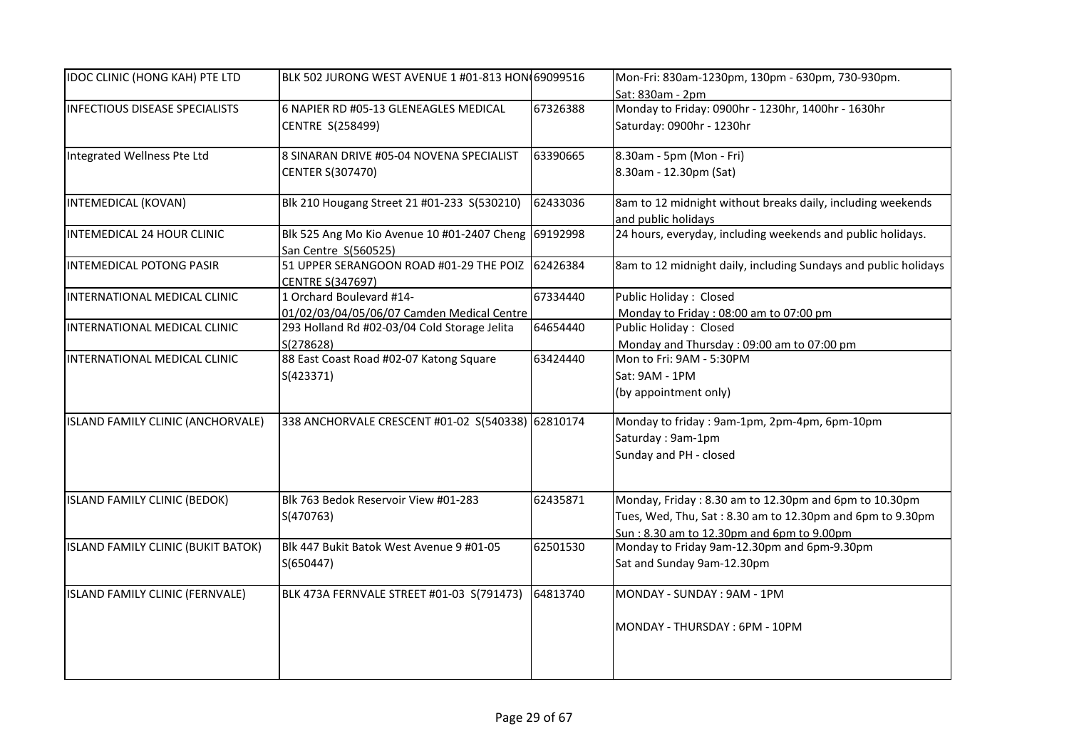| <b>IDOC CLINIC (HONG KAH) PTE LTD</b> | BLK 502 JURONG WEST AVENUE 1 #01-813 HON 69099516                      |          | Mon-Fri: 830am-1230pm, 130pm - 630pm, 730-930pm.<br>Sat: 830am - 2pm                                                                                            |
|---------------------------------------|------------------------------------------------------------------------|----------|-----------------------------------------------------------------------------------------------------------------------------------------------------------------|
| <b>INFECTIOUS DISEASE SPECIALISTS</b> | 6 NAPIER RD #05-13 GLENEAGLES MEDICAL<br>CENTRE S(258499)              | 67326388 | Monday to Friday: 0900hr - 1230hr, 1400hr - 1630hr<br>Saturday: 0900hr - 1230hr                                                                                 |
| Integrated Wellness Pte Ltd           | 8 SINARAN DRIVE #05-04 NOVENA SPECIALIST<br><b>CENTER S(307470)</b>    | 63390665 | 8.30am - 5pm (Mon - Fri)<br>8.30am - 12.30pm (Sat)                                                                                                              |
| INTEMEDICAL (KOVAN)                   | Blk 210 Hougang Street 21 #01-233 S(530210)                            | 62433036 | 8am to 12 midnight without breaks daily, including weekends<br>and public holidays                                                                              |
| INTEMEDICAL 24 HOUR CLINIC            | Blk 525 Ang Mo Kio Avenue 10 #01-2407 Cheng<br>San Centre S(560525)    | 69192998 | 24 hours, everyday, including weekends and public holidays.                                                                                                     |
| INTEMEDICAL POTONG PASIR              | 51 UPPER SERANGOON ROAD #01-29 THE POIZ<br>CENTRE S(347697)            | 62426384 | 8am to 12 midnight daily, including Sundays and public holidays                                                                                                 |
| INTERNATIONAL MEDICAL CLINIC          | 1 Orchard Boulevard #14-<br>01/02/03/04/05/06/07 Camden Medical Centre | 67334440 | Public Holiday: Closed<br>Monday to Friday: 08:00 am to 07:00 pm                                                                                                |
| INTERNATIONAL MEDICAL CLINIC          | 293 Holland Rd #02-03/04 Cold Storage Jelita<br>S(278628)              | 64654440 | Public Holiday: Closed<br>Monday and Thursday: 09:00 am to 07:00 pm                                                                                             |
| INTERNATIONAL MEDICAL CLINIC          | 88 East Coast Road #02-07 Katong Square<br>S(423371)                   | 63424440 | Mon to Fri: 9AM - 5:30PM<br>Sat: 9AM - 1PM<br>(by appointment only)                                                                                             |
| ISLAND FAMILY CLINIC (ANCHORVALE)     | 338 ANCHORVALE CRESCENT #01-02 S(540338) 62810174                      |          | Monday to friday: 9am-1pm, 2pm-4pm, 6pm-10pm<br>Saturday: 9am-1pm<br>Sunday and PH - closed                                                                     |
| ISLAND FAMILY CLINIC (BEDOK)          | Blk 763 Bedok Reservoir View #01-283<br>S(470763)                      | 62435871 | Monday, Friday: 8.30 am to 12.30pm and 6pm to 10.30pm<br>Tues, Wed, Thu, Sat: 8.30 am to 12.30pm and 6pm to 9.30pm<br>Sun: 8.30 am to 12.30pm and 6pm to 9.00pm |
| ISLAND FAMILY CLINIC (BUKIT BATOK)    | Blk 447 Bukit Batok West Avenue 9 #01-05<br>S(650447)                  | 62501530 | Monday to Friday 9am-12.30pm and 6pm-9.30pm<br>Sat and Sunday 9am-12.30pm                                                                                       |
| ISLAND FAMILY CLINIC (FERNVALE)       | BLK 473A FERNVALE STREET #01-03 S(791473)                              | 64813740 | MONDAY - SUNDAY : 9AM - 1PM<br>MONDAY - THURSDAY: 6PM - 10PM                                                                                                    |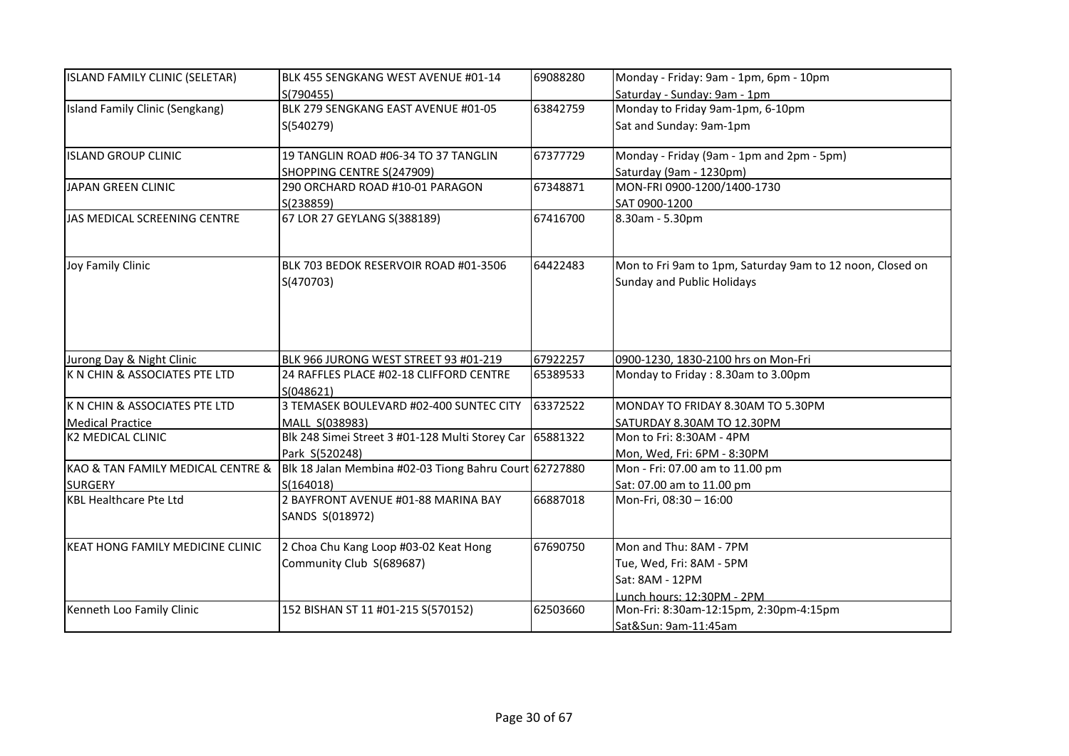| ISLAND FAMILY CLINIC (SELETAR)    | BLK 455 SENGKANG WEST AVENUE #01-14                      | 69088280 | Monday - Friday: 9am - 1pm, 6pm - 10pm                    |
|-----------------------------------|----------------------------------------------------------|----------|-----------------------------------------------------------|
|                                   | S(790455)                                                |          | Saturday - Sunday: 9am - 1pm                              |
| Island Family Clinic (Sengkang)   | BLK 279 SENGKANG EAST AVENUE #01-05                      | 63842759 | Monday to Friday 9am-1pm, 6-10pm                          |
|                                   | S(540279)                                                |          | Sat and Sunday: 9am-1pm                                   |
| <b>ISLAND GROUP CLINIC</b>        | 19 TANGLIN ROAD #06-34 TO 37 TANGLIN                     | 67377729 | Monday - Friday (9am - 1pm and 2pm - 5pm)                 |
|                                   | SHOPPING CENTRE S(247909)                                |          | Saturday (9am - 1230pm)                                   |
| JAPAN GREEN CLINIC                | 290 ORCHARD ROAD #10-01 PARAGON                          | 67348871 | MON-FRI 0900-1200/1400-1730                               |
|                                   | S(238859)                                                |          | SAT 0900-1200                                             |
| JAS MEDICAL SCREENING CENTRE      | 67 LOR 27 GEYLANG S(388189)                              | 67416700 | 8.30am - 5.30pm                                           |
| Joy Family Clinic                 | BLK 703 BEDOK RESERVOIR ROAD #01-3506                    | 64422483 | Mon to Fri 9am to 1pm, Saturday 9am to 12 noon, Closed on |
|                                   | S(470703)                                                |          | <b>Sunday and Public Holidays</b>                         |
|                                   |                                                          |          |                                                           |
| Jurong Day & Night Clinic         | BLK 966 JURONG WEST STREET 93 #01-219                    | 67922257 | 0900-1230, 1830-2100 hrs on Mon-Fri                       |
| K N CHIN & ASSOCIATES PTE LTD     | 24 RAFFLES PLACE #02-18 CLIFFORD CENTRE                  | 65389533 | Monday to Friday: 8.30am to 3.00pm                        |
|                                   | S(048621)                                                |          |                                                           |
| K N CHIN & ASSOCIATES PTE LTD     | 3 TEMASEK BOULEVARD #02-400 SUNTEC CITY                  | 63372522 | MONDAY TO FRIDAY 8.30AM TO 5.30PM                         |
| <b>Medical Practice</b>           | MALL S(038983)                                           |          | SATURDAY 8.30AM TO 12.30PM                                |
| <b>K2 MEDICAL CLINIC</b>          | Blk 248 Simei Street 3 #01-128 Multi Storey Car 65881322 |          | Mon to Fri: 8:30AM - 4PM                                  |
|                                   | Park S(520248)                                           |          | Mon, Wed, Fri: 6PM - 8:30PM                               |
| KAO & TAN FAMILY MEDICAL CENTRE & | Blk 18 Jalan Membina #02-03 Tiong Bahru Court 62727880   |          | Mon - Fri: 07.00 am to 11.00 pm                           |
| <b>SURGERY</b>                    | S(164018)                                                |          | Sat: 07.00 am to 11.00 pm                                 |
| <b>KBL Healthcare Pte Ltd</b>     | 2 BAYFRONT AVENUE #01-88 MARINA BAY                      | 66887018 | Mon-Fri, 08:30 - 16:00                                    |
|                                   | SANDS S(018972)                                          |          |                                                           |
| KEAT HONG FAMILY MEDICINE CLINIC  | 2 Choa Chu Kang Loop #03-02 Keat Hong                    | 67690750 | Mon and Thu: 8AM - 7PM                                    |
|                                   | Community Club S(689687)                                 |          | Tue, Wed, Fri: 8AM - 5PM                                  |
|                                   |                                                          |          | Sat: 8AM - 12PM                                           |
|                                   |                                                          |          | Lunch hours: 12:30PM - 2PM                                |
| Kenneth Loo Family Clinic         | 152 BISHAN ST 11 #01-215 S(570152)                       | 62503660 | Mon-Fri: 8:30am-12:15pm, 2:30pm-4:15pm                    |
|                                   |                                                          |          | Sat&Sun: 9am-11:45am                                      |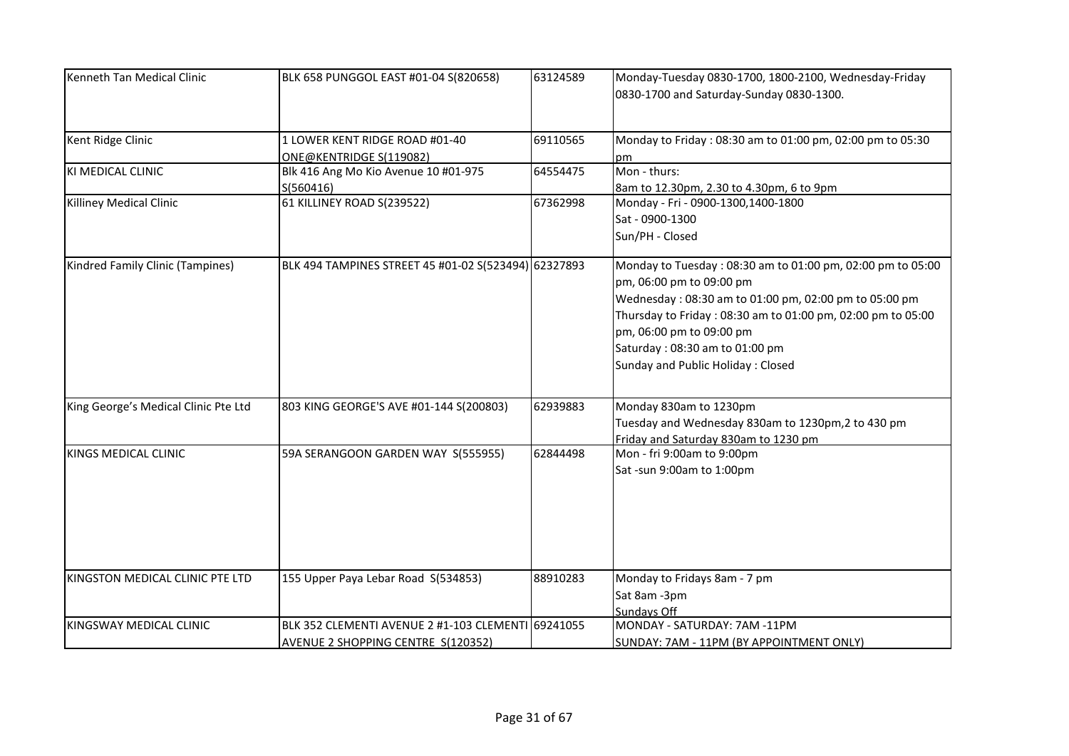| Kenneth Tan Medical Clinic           | BLK 658 PUNGGOL EAST #01-04 S(820658)                                                    | 63124589 | Monday-Tuesday 0830-1700, 1800-2100, Wednesday-Friday<br>0830-1700 and Saturday-Sunday 0830-1300.                                                                                                                                                                                                                 |
|--------------------------------------|------------------------------------------------------------------------------------------|----------|-------------------------------------------------------------------------------------------------------------------------------------------------------------------------------------------------------------------------------------------------------------------------------------------------------------------|
| Kent Ridge Clinic                    | 1 LOWER KENT RIDGE ROAD #01-40<br>ONE@KENTRIDGE S(119082)                                | 69110565 | Monday to Friday: 08:30 am to 01:00 pm, 02:00 pm to 05:30<br>pm.                                                                                                                                                                                                                                                  |
| KI MEDICAL CLINIC                    | Blk 416 Ang Mo Kio Avenue 10 #01-975<br>S(560416)                                        | 64554475 | Mon - thurs:<br>8am to 12.30pm, 2.30 to 4.30pm, 6 to 9pm                                                                                                                                                                                                                                                          |
| Killiney Medical Clinic              | 61 KILLINEY ROAD S(239522)                                                               | 67362998 | Monday - Fri - 0900-1300,1400-1800<br>Sat - 0900-1300<br>Sun/PH - Closed                                                                                                                                                                                                                                          |
| Kindred Family Clinic (Tampines)     | BLK 494 TAMPINES STREET 45 #01-02 S(523494) 62327893                                     |          | Monday to Tuesday: 08:30 am to 01:00 pm, 02:00 pm to 05:00<br>pm, 06:00 pm to 09:00 pm<br>Wednesday: 08:30 am to 01:00 pm, 02:00 pm to 05:00 pm<br>Thursday to Friday: 08:30 am to 01:00 pm, 02:00 pm to 05:00<br>pm, 06:00 pm to 09:00 pm<br>Saturday: 08:30 am to 01:00 pm<br>Sunday and Public Holiday: Closed |
| King George's Medical Clinic Pte Ltd | 803 KING GEORGE'S AVE #01-144 S(200803)                                                  | 62939883 | Monday 830am to 1230pm<br>Tuesday and Wednesday 830am to 1230pm,2 to 430 pm<br>Friday and Saturday 830am to 1230 pm                                                                                                                                                                                               |
| <b>KINGS MEDICAL CLINIC</b>          | 59A SERANGOON GARDEN WAY S(555955)                                                       | 62844498 | Mon - fri 9:00am to 9:00pm<br>Sat-sun 9:00am to 1:00pm                                                                                                                                                                                                                                                            |
| KINGSTON MEDICAL CLINIC PTE LTD      | 155 Upper Paya Lebar Road S(534853)                                                      | 88910283 | Monday to Fridays 8am - 7 pm<br>Sat 8am -3pm<br>Sundays Off                                                                                                                                                                                                                                                       |
| KINGSWAY MEDICAL CLINIC              | BLK 352 CLEMENTI AVENUE 2 #1-103 CLEMENTI 69241055<br>AVENUE 2 SHOPPING CENTRE S(120352) |          | MONDAY - SATURDAY: 7AM -11PM<br>SUNDAY: 7AM - 11PM (BY APPOINTMENT ONLY)                                                                                                                                                                                                                                          |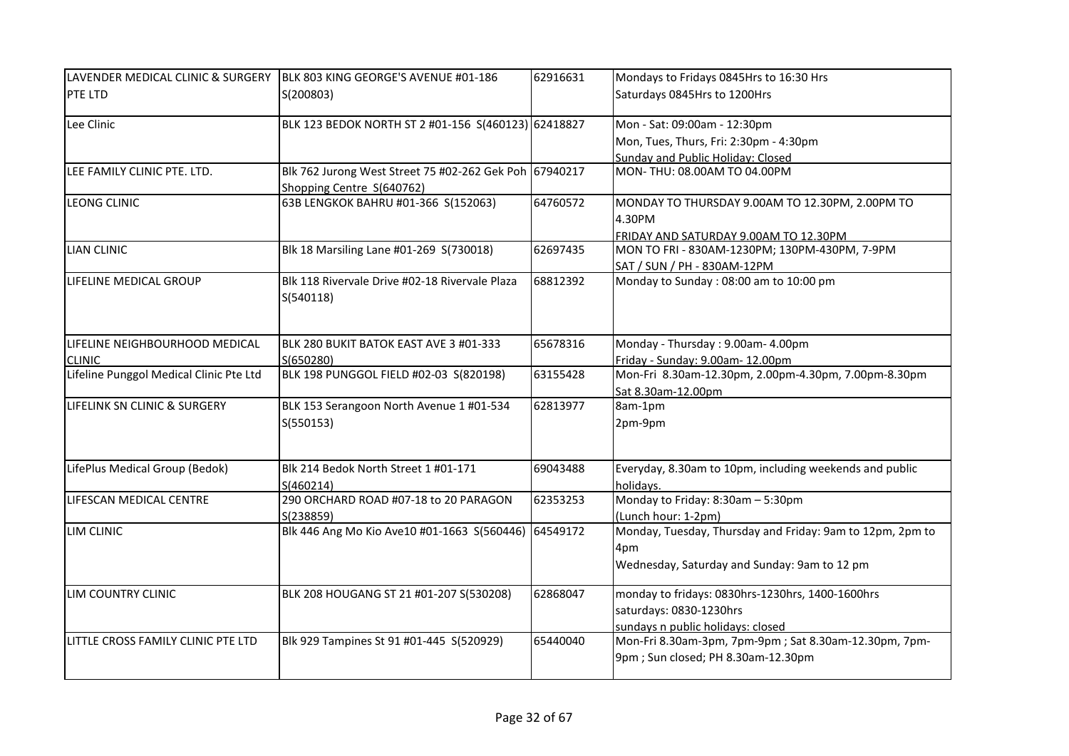| LAVENDER MEDICAL CLINIC & SURGERY       | BLK 803 KING GEORGE'S AVENUE #01-186                        | 62916631 | Mondays to Fridays 0845Hrs to 16:30 Hrs                   |
|-----------------------------------------|-------------------------------------------------------------|----------|-----------------------------------------------------------|
| PTE LTD                                 | S(200803)                                                   |          | Saturdays 0845Hrs to 1200Hrs                              |
| Lee Clinic                              | BLK 123 BEDOK NORTH ST 2 #01-156 S(460123) 62418827         |          | Mon - Sat: 09:00am - 12:30pm                              |
|                                         |                                                             |          | Mon, Tues, Thurs, Fri: 2:30pm - 4:30pm                    |
|                                         |                                                             |          | Sunday and Public Holiday: Closed                         |
| LEE FAMILY CLINIC PTE. LTD.             | Blk 762 Jurong West Street 75 #02-262 Gek Poh 67940217      |          | MON-THU: 08.00AM TO 04.00PM                               |
|                                         | Shopping Centre S(640762)                                   |          |                                                           |
| <b>LEONG CLINIC</b>                     | 63B LENGKOK BAHRU #01-366 S(152063)                         | 64760572 | MONDAY TO THURSDAY 9.00AM TO 12.30PM, 2.00PM TO           |
|                                         |                                                             |          | 4.30PM                                                    |
|                                         |                                                             |          | FRIDAY AND SATURDAY 9.00AM TO 12.30PM                     |
| <b>LIAN CLINIC</b>                      | Blk 18 Marsiling Lane #01-269 S(730018)                     | 62697435 | MON TO FRI - 830AM-1230PM; 130PM-430PM, 7-9PM             |
|                                         |                                                             |          | SAT / SUN / PH - 830AM-12PM                               |
| LIFELINE MEDICAL GROUP                  | Blk 118 Rivervale Drive #02-18 Rivervale Plaza<br>S(540118) | 68812392 | Monday to Sunday: 08:00 am to 10:00 pm                    |
| LIFELINE NEIGHBOURHOOD MEDICAL          | BLK 280 BUKIT BATOK EAST AVE 3 #01-333                      | 65678316 | Monday - Thursday: 9.00am- 4.00pm                         |
| <b>CLINIC</b>                           | S(650280)                                                   |          | Friday - Sunday: 9.00am- 12.00pm                          |
| Lifeline Punggol Medical Clinic Pte Ltd | BLK 198 PUNGGOL FIELD #02-03 S(820198)                      | 63155428 | Mon-Fri 8.30am-12.30pm, 2.00pm-4.30pm, 7.00pm-8.30pm      |
|                                         |                                                             |          | Sat 8.30am-12.00pm                                        |
| LIFELINK SN CLINIC & SURGERY            | BLK 153 Serangoon North Avenue 1 #01-534                    | 62813977 | 8am-1pm                                                   |
|                                         | S(550153)                                                   |          | 2pm-9pm                                                   |
| LifePlus Medical Group (Bedok)          | Blk 214 Bedok North Street 1 #01-171                        | 69043488 | Everyday, 8.30am to 10pm, including weekends and public   |
|                                         | S(460214)                                                   |          | holidays.                                                 |
| LIFESCAN MEDICAL CENTRE                 | 290 ORCHARD ROAD #07-18 to 20 PARAGON                       | 62353253 | Monday to Friday: 8:30am - 5:30pm                         |
|                                         | S(238859)                                                   |          | (Lunch hour: 1-2pm)                                       |
| LIM CLINIC                              | Blk 446 Ang Mo Kio Ave10 #01-1663 S(560446)                 | 64549172 | Monday, Tuesday, Thursday and Friday: 9am to 12pm, 2pm to |
|                                         |                                                             |          | 4pm                                                       |
|                                         |                                                             |          | Wednesday, Saturday and Sunday: 9am to 12 pm              |
| LIM COUNTRY CLINIC                      | BLK 208 HOUGANG ST 21 #01-207 S(530208)                     | 62868047 | monday to fridays: 0830hrs-1230hrs, 1400-1600hrs          |
|                                         |                                                             |          | saturdays: 0830-1230hrs                                   |
|                                         |                                                             |          | sundays n public holidays: closed                         |
| LITTLE CROSS FAMILY CLINIC PTE LTD      | Blk 929 Tampines St 91 #01-445 S(520929)                    | 65440040 | Mon-Fri 8.30am-3pm, 7pm-9pm; Sat 8.30am-12.30pm, 7pm-     |
|                                         |                                                             |          | 9pm; Sun closed; PH 8.30am-12.30pm                        |
|                                         |                                                             |          |                                                           |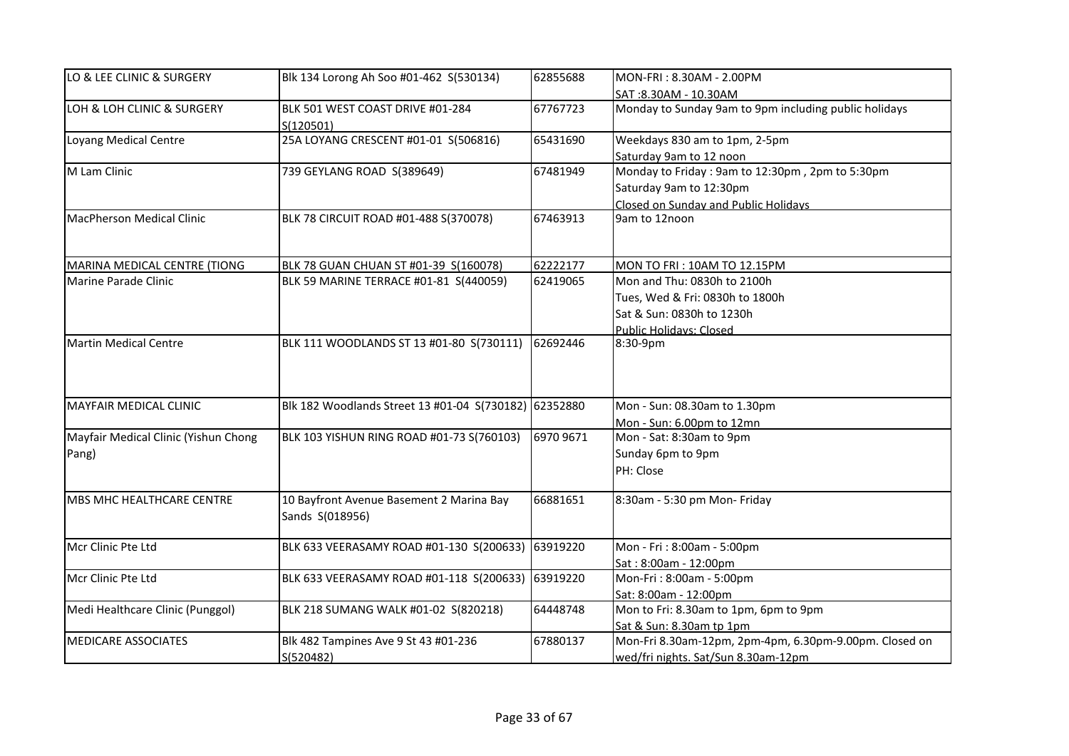| LO & LEE CLINIC & SURGERY            | Blk 134 Lorong Ah Soo #01-462 S(530134)                     | 62855688  | MON-FRI: 8.30AM - 2.00PM                               |
|--------------------------------------|-------------------------------------------------------------|-----------|--------------------------------------------------------|
|                                      |                                                             |           | SAT: 8.30AM - 10.30AM                                  |
| LOH & LOH CLINIC & SURGERY           | BLK 501 WEST COAST DRIVE #01-284<br>S(120501)               | 67767723  | Monday to Sunday 9am to 9pm including public holidays  |
| Loyang Medical Centre                | 25A LOYANG CRESCENT #01-01 S(506816)                        | 65431690  | Weekdays 830 am to 1pm, 2-5pm                          |
|                                      |                                                             |           | Saturday 9am to 12 noon                                |
| M Lam Clinic                         | 739 GEYLANG ROAD S(389649)                                  | 67481949  | Monday to Friday: 9am to 12:30pm, 2pm to 5:30pm        |
|                                      |                                                             |           | Saturday 9am to 12:30pm                                |
|                                      |                                                             |           | Closed on Sunday and Public Holidays                   |
| MacPherson Medical Clinic            | BLK 78 CIRCUIT ROAD #01-488 S(370078)                       | 67463913  | 9am to 12noon                                          |
| MARINA MEDICAL CENTRE (TIONG         | BLK 78 GUAN CHUAN ST #01-39 S(160078)                       | 62222177  | MON TO FRI: 10AM TO 12.15PM                            |
| Marine Parade Clinic                 | BLK 59 MARINE TERRACE #01-81 S(440059)                      | 62419065  | Mon and Thu: 0830h to 2100h                            |
|                                      |                                                             |           | Tues, Wed & Fri: 0830h to 1800h                        |
|                                      |                                                             |           | Sat & Sun: 0830h to 1230h                              |
|                                      |                                                             |           | Public Holidays: Closed                                |
| Martin Medical Centre                | BLK 111 WOODLANDS ST 13 #01-80 S(730111)                    | 62692446  | 8:30-9pm                                               |
| MAYFAIR MEDICAL CLINIC               | Blk 182 Woodlands Street 13 #01-04 S(730182) 62352880       |           | Mon - Sun: 08.30am to 1.30pm                           |
|                                      |                                                             |           | Mon - Sun: 6.00pm to 12mn                              |
| Mayfair Medical Clinic (Yishun Chong | BLK 103 YISHUN RING ROAD #01-73 S(760103)                   | 6970 9671 | Mon - Sat: 8:30am to 9pm                               |
| Pang)                                |                                                             |           | Sunday 6pm to 9pm                                      |
|                                      |                                                             |           | PH: Close                                              |
| MBS MHC HEALTHCARE CENTRE            | 10 Bayfront Avenue Basement 2 Marina Bay<br>Sands S(018956) | 66881651  | 8:30am - 5:30 pm Mon- Friday                           |
| Mcr Clinic Pte Ltd                   | BLK 633 VEERASAMY ROAD #01-130 S(200633)                    | 63919220  | Mon - Fri: 8:00am - 5:00pm                             |
|                                      |                                                             |           | Sat: 8:00am - 12:00pm                                  |
| Mcr Clinic Pte Ltd                   | BLK 633 VEERASAMY ROAD #01-118 S(200633)                    | 63919220  | Mon-Fri: 8:00am - 5:00pm                               |
|                                      |                                                             |           | Sat: 8:00am - 12:00pm                                  |
| Medi Healthcare Clinic (Punggol)     | BLK 218 SUMANG WALK #01-02 S(820218)                        | 64448748  | Mon to Fri: 8.30am to 1pm, 6pm to 9pm                  |
|                                      |                                                             |           | Sat & Sun: 8.30am tp 1pm                               |
| <b>MEDICARE ASSOCIATES</b>           | Blk 482 Tampines Ave 9 St 43 #01-236                        | 67880137  | Mon-Fri 8.30am-12pm, 2pm-4pm, 6.30pm-9.00pm. Closed on |
|                                      | S(520482)                                                   |           | wed/fri nights. Sat/Sun 8.30am-12pm                    |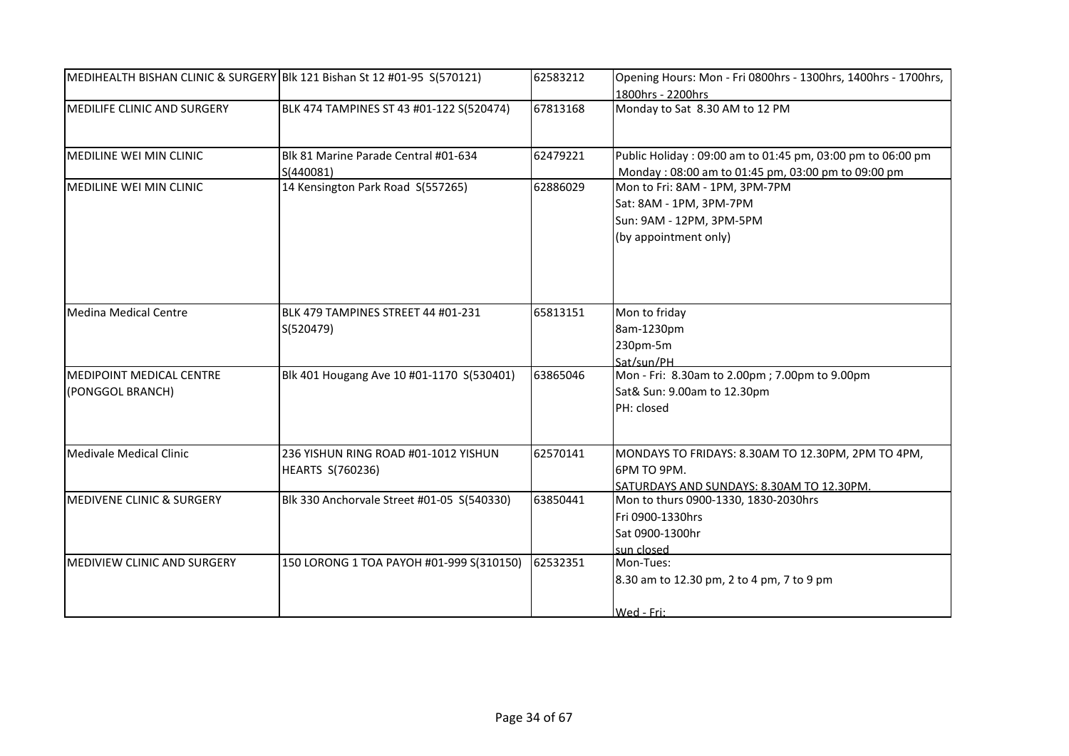| MEDIHEALTH BISHAN CLINIC & SURGERY Blk 121 Bishan St 12 #01-95 S(570121) |                                                                 | 62583212 | Opening Hours: Mon - Fri 0800hrs - 1300hrs, 1400hrs - 1700hrs,<br>1800hrs - 2200hrs                              |
|--------------------------------------------------------------------------|-----------------------------------------------------------------|----------|------------------------------------------------------------------------------------------------------------------|
| MEDILIFE CLINIC AND SURGERY                                              | BLK 474 TAMPINES ST 43 #01-122 S(520474)                        | 67813168 | Monday to Sat 8.30 AM to 12 PM                                                                                   |
| <b>MEDILINE WEI MIN CLINIC</b>                                           | Blk 81 Marine Parade Central #01-634<br>S(440081)               | 62479221 | Public Holiday: 09:00 am to 01:45 pm, 03:00 pm to 06:00 pm<br>Monday: 08:00 am to 01:45 pm, 03:00 pm to 09:00 pm |
| MEDILINE WEI MIN CLINIC                                                  | 14 Kensington Park Road S(557265)                               | 62886029 | Mon to Fri: 8AM - 1PM, 3PM-7PM<br>Sat: 8AM - 1PM, 3PM-7PM<br>Sun: 9AM - 12PM, 3PM-5PM<br>(by appointment only)   |
| <b>Medina Medical Centre</b>                                             | BLK 479 TAMPINES STREET 44 #01-231<br>S(520479)                 | 65813151 | Mon to friday<br>8am-1230pm<br>230pm-5m<br>Sat/sun/PH                                                            |
| <b>MEDIPOINT MEDICAL CENTRE</b><br>(PONGGOL BRANCH)                      | Blk 401 Hougang Ave 10 #01-1170 S(530401)                       | 63865046 | Mon - Fri: 8.30am to 2.00pm; 7.00pm to 9.00pm<br>Sat& Sun: 9.00am to 12.30pm<br>PH: closed                       |
| <b>Medivale Medical Clinic</b>                                           | 236 YISHUN RING ROAD #01-1012 YISHUN<br><b>HEARTS S(760236)</b> | 62570141 | MONDAYS TO FRIDAYS: 8.30AM TO 12.30PM, 2PM TO 4PM,<br>6PM TO 9PM.<br>SATURDAYS AND SUNDAYS: 8.30AM TO 12.30PM.   |
| MEDIVENE CLINIC & SURGERY                                                | Blk 330 Anchorvale Street #01-05 S(540330)                      | 63850441 | Mon to thurs 0900-1330, 1830-2030hrs<br>Fri 0900-1330hrs<br>Sat 0900-1300hr<br>sun closed                        |
| MEDIVIEW CLINIC AND SURGERY                                              | 150 LORONG 1 TOA PAYOH #01-999 S(310150)                        | 62532351 | Mon-Tues:<br>8.30 am to 12.30 pm, 2 to 4 pm, 7 to 9 pm<br>Wed - Fri:                                             |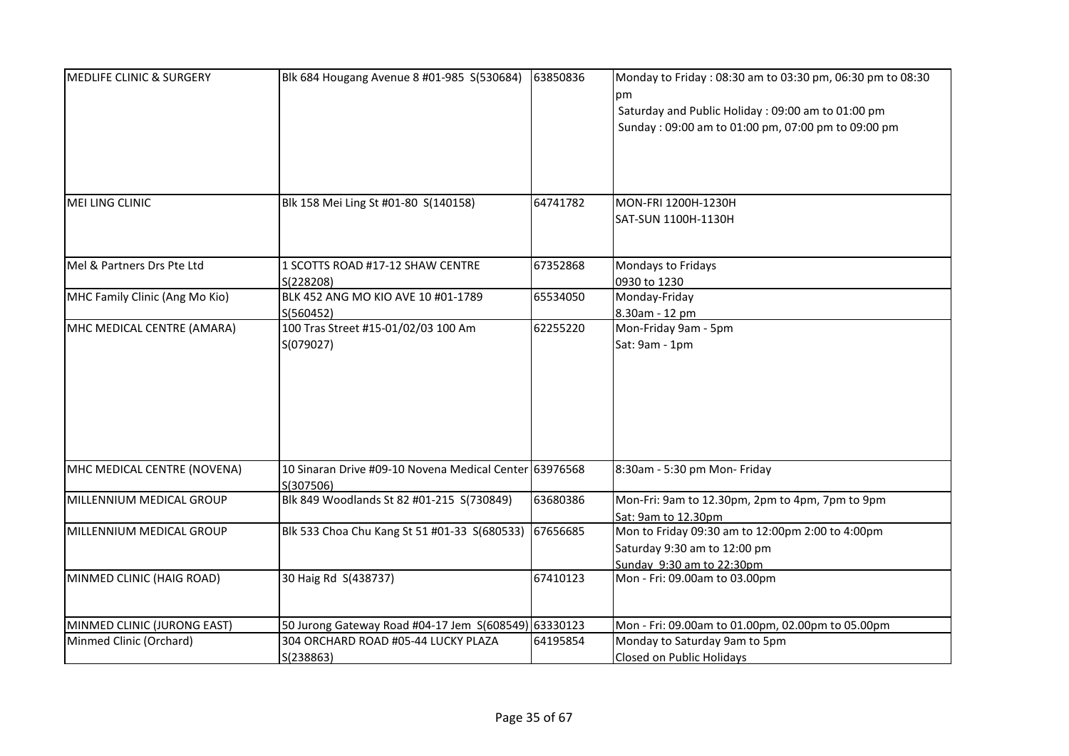| <b>MEDLIFE CLINIC &amp; SURGERY</b> | Blk 684 Hougang Avenue 8 #01-985 S(530684)             | 63850836 | Monday to Friday: 08:30 am to 03:30 pm, 06:30 pm to 08:30 |
|-------------------------------------|--------------------------------------------------------|----------|-----------------------------------------------------------|
|                                     |                                                        |          | рm                                                        |
|                                     |                                                        |          | Saturday and Public Holiday : 09:00 am to 01:00 pm        |
|                                     |                                                        |          | Sunday: 09:00 am to 01:00 pm, 07:00 pm to 09:00 pm        |
|                                     |                                                        |          |                                                           |
|                                     |                                                        |          |                                                           |
| MEI LING CLINIC                     | Blk 158 Mei Ling St #01-80 S(140158)                   | 64741782 | MON-FRI 1200H-1230H                                       |
|                                     |                                                        |          | SAT-SUN 1100H-1130H                                       |
| Mel & Partners Drs Pte Ltd          | 1 SCOTTS ROAD #17-12 SHAW CENTRE                       | 67352868 | Mondays to Fridays                                        |
|                                     | S(228208)                                              |          | 0930 to 1230                                              |
| MHC Family Clinic (Ang Mo Kio)      | BLK 452 ANG MO KIO AVE 10 #01-1789                     | 65534050 | Monday-Friday                                             |
|                                     | S(560452)                                              |          | 8.30am - 12 pm                                            |
| MHC MEDICAL CENTRE (AMARA)          | 100 Tras Street #15-01/02/03 100 Am                    | 62255220 | Mon-Friday 9am - 5pm                                      |
|                                     | S(079027)                                              |          | Sat: 9am - 1pm                                            |
|                                     |                                                        |          |                                                           |
|                                     |                                                        |          |                                                           |
|                                     |                                                        |          |                                                           |
|                                     |                                                        |          |                                                           |
|                                     |                                                        |          |                                                           |
|                                     |                                                        |          |                                                           |
|                                     |                                                        |          |                                                           |
| MHC MEDICAL CENTRE (NOVENA)         | 10 Sinaran Drive #09-10 Novena Medical Center 63976568 |          | 8:30am - 5:30 pm Mon- Friday                              |
|                                     | S(307506)                                              |          |                                                           |
| MILLENNIUM MEDICAL GROUP            | Blk 849 Woodlands St 82 #01-215 S(730849)              | 63680386 | Mon-Fri: 9am to 12.30pm, 2pm to 4pm, 7pm to 9pm           |
|                                     |                                                        |          | Sat: 9am to 12.30pm                                       |
| MILLENNIUM MEDICAL GROUP            | Blk 533 Choa Chu Kang St 51 #01-33 S(680533)           | 67656685 | Mon to Friday 09:30 am to 12:00pm 2:00 to 4:00pm          |
|                                     |                                                        |          | Saturday 9:30 am to 12:00 pm                              |
|                                     |                                                        |          | Sunday 9:30 am to 22:30pm                                 |
| MINMED CLINIC (HAIG ROAD)           | 30 Haig Rd S(438737)                                   | 67410123 | Mon - Fri: 09.00am to 03.00pm                             |
|                                     |                                                        |          |                                                           |
| MINMED CLINIC (JURONG EAST)         | 50 Jurong Gateway Road #04-17 Jem S(608549) 63330123   |          | Mon - Fri: 09.00am to 01.00pm, 02.00pm to 05.00pm         |
| Minmed Clinic (Orchard)             | 304 ORCHARD ROAD #05-44 LUCKY PLAZA                    | 64195854 | Monday to Saturday 9am to 5pm                             |
|                                     | S(238863)                                              |          | Closed on Public Holidays                                 |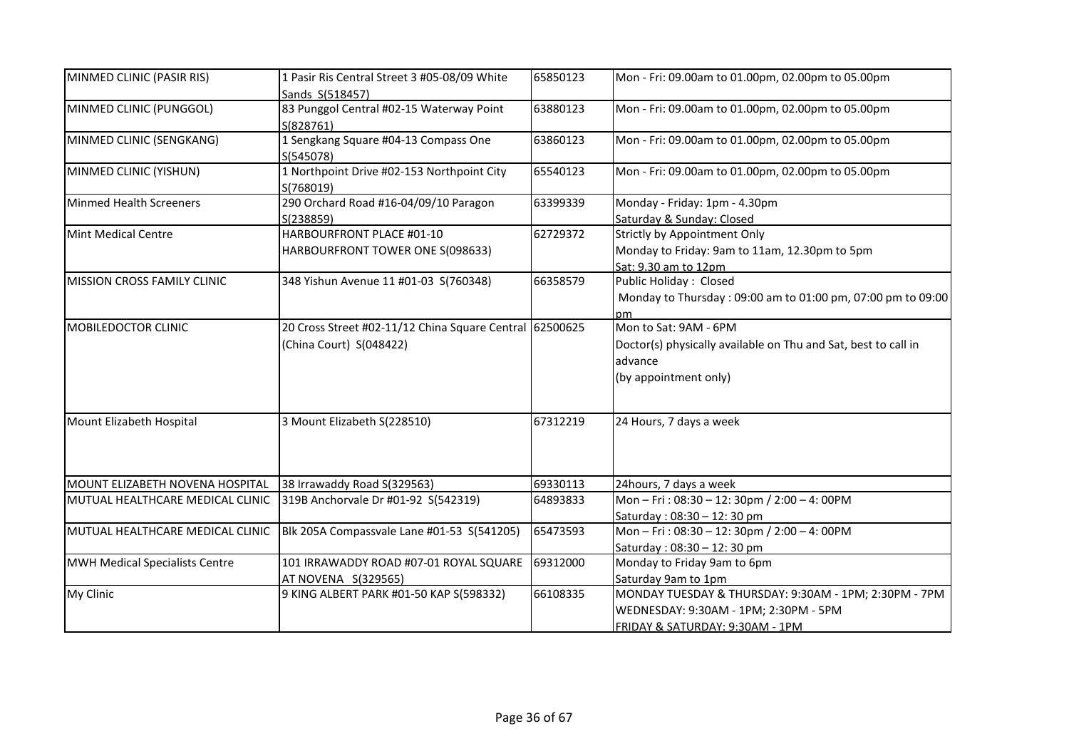| MINMED CLINIC (PASIR RIS)             | 1 Pasir Ris Central Street 3 #05-08/09 White<br>Sands S(518457)                    | 65850123 | Mon - Fri: 09.00am to 01.00pm, 02.00pm to 05.00pm                                                                                 |
|---------------------------------------|------------------------------------------------------------------------------------|----------|-----------------------------------------------------------------------------------------------------------------------------------|
| MINMED CLINIC (PUNGGOL)               | 83 Punggol Central #02-15 Waterway Point<br>S(828761)                              | 63880123 | Mon - Fri: 09.00am to 01.00pm, 02.00pm to 05.00pm                                                                                 |
| MINMED CLINIC (SENGKANG)              | 1 Sengkang Square #04-13 Compass One<br>S(545078)                                  | 63860123 | Mon - Fri: 09.00am to 01.00pm, 02.00pm to 05.00pm                                                                                 |
| MINMED CLINIC (YISHUN)                | 1 Northpoint Drive #02-153 Northpoint City<br>S(768019)                            | 65540123 | Mon - Fri: 09.00am to 01.00pm, 02.00pm to 05.00pm                                                                                 |
| <b>Minmed Health Screeners</b>        | 290 Orchard Road #16-04/09/10 Paragon<br>S(238859)                                 | 63399339 | Monday - Friday: 1pm - 4.30pm<br>Saturday & Sunday: Closed                                                                        |
| <b>Mint Medical Centre</b>            | HARBOURFRONT PLACE #01-10<br>HARBOURFRONT TOWER ONE S(098633)                      | 62729372 | Strictly by Appointment Only<br>Monday to Friday: 9am to 11am, 12.30pm to 5pm<br>Sat: 9.30 am to 12pm                             |
| MISSION CROSS FAMILY CLINIC           | 348 Yishun Avenue 11 #01-03 S(760348)                                              | 66358579 | Public Holiday: Closed<br>Monday to Thursday: 09:00 am to 01:00 pm, 07:00 pm to 09:00<br>nm                                       |
| MOBILEDOCTOR CLINIC                   | 20 Cross Street #02-11/12 China Square Central 62500625<br>(China Court) S(048422) |          | Mon to Sat: 9AM - 6PM<br>Doctor(s) physically available on Thu and Sat, best to call in<br>advance<br>(by appointment only)       |
| Mount Elizabeth Hospital              | 3 Mount Elizabeth S(228510)                                                        | 67312219 | 24 Hours, 7 days a week                                                                                                           |
| MOUNT ELIZABETH NOVENA HOSPITAL       | 38 Irrawaddy Road S(329563)                                                        | 69330113 | 24hours, 7 days a week                                                                                                            |
| MUTUAL HEALTHCARE MEDICAL CLINIC      | 319B Anchorvale Dr #01-92 S(542319)                                                | 64893833 | Mon-Fri: 08:30-12: 30pm / 2:00-4: 00PM<br>Saturday: 08:30 - 12:30 pm                                                              |
| MUTUAL HEALTHCARE MEDICAL CLINIC      | Blk 205A Compassvale Lane #01-53 S(541205)                                         | 65473593 | Mon-Fri: 08:30-12: 30pm / 2:00-4: 00PM<br>Saturday: 08:30 - 12:30 pm                                                              |
| <b>MWH Medical Specialists Centre</b> | 101 IRRAWADDY ROAD #07-01 ROYAL SQUARE<br>AT NOVENA S(329565)                      | 69312000 | Monday to Friday 9am to 6pm<br>Saturday 9am to 1pm                                                                                |
| My Clinic                             | 9 KING ALBERT PARK #01-50 KAP S(598332)                                            | 66108335 | MONDAY TUESDAY & THURSDAY: 9:30AM - 1PM; 2:30PM - 7PM<br>WEDNESDAY: 9:30AM - 1PM; 2:30PM - 5PM<br>FRIDAY & SATURDAY: 9:30AM - 1PM |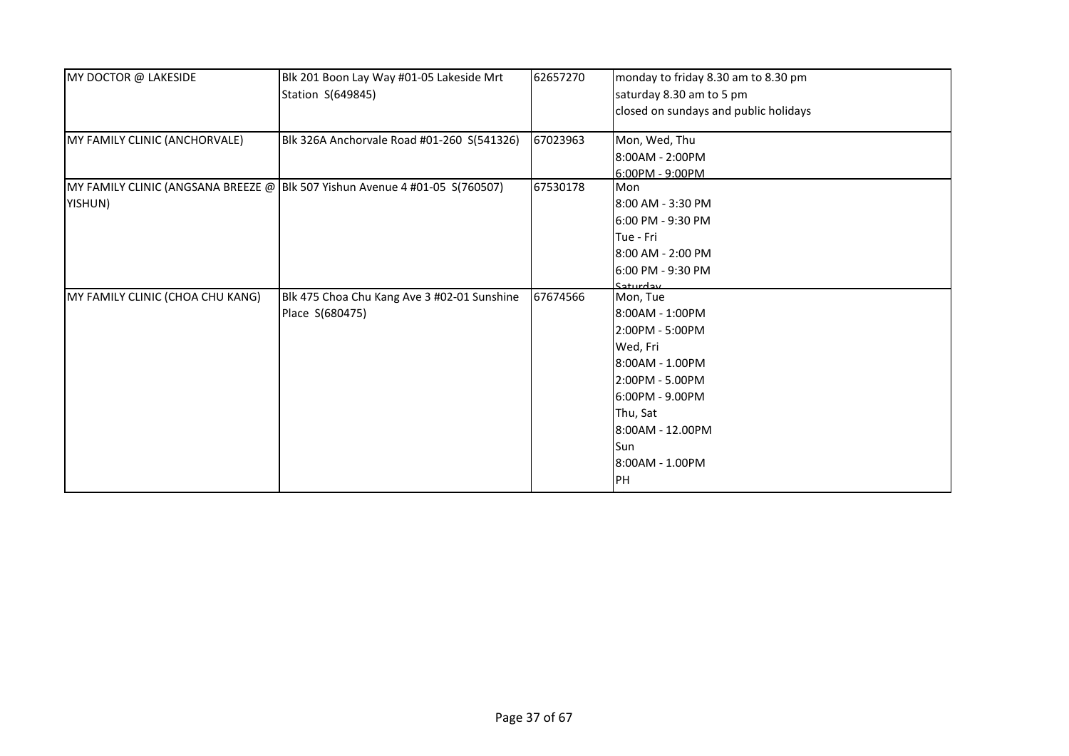| MY DOCTOR @ LAKESIDE             | Blk 201 Boon Lay Way #01-05 Lakeside Mrt<br>Station S(649845)               | 62657270 | monday to friday 8.30 am to 8.30 pm<br>saturday 8.30 am to 5 pm<br>closed on sundays and public holidays                                                                            |
|----------------------------------|-----------------------------------------------------------------------------|----------|-------------------------------------------------------------------------------------------------------------------------------------------------------------------------------------|
| MY FAMILY CLINIC (ANCHORVALE)    | Blk 326A Anchorvale Road #01-260 S(541326)                                  | 67023963 | Mon, Wed, Thu<br>8:00AM - 2:00PM<br>6:00PM - 9:00PM                                                                                                                                 |
| YISHUN)                          | MY FAMILY CLINIC (ANGSANA BREEZE @ Blk 507 Yishun Avenue 4 #01-05 S(760507) | 67530178 | <b>Mon</b><br>8:00 AM - 3:30 PM<br>6:00 PM - 9:30 PM<br>Tue - Fri<br>8:00 AM - 2:00 PM<br>6:00 PM - 9:30 PM<br>C <sub>1</sub>                                                       |
| MY FAMILY CLINIC (CHOA CHU KANG) | Blk 475 Choa Chu Kang Ave 3 #02-01 Sunshine<br>Place S(680475)              | 67674566 | Mon, Tue<br>8:00AM - 1:00PM<br>2:00PM - 5:00PM<br>Wed, Fri<br>8:00AM - 1.00PM<br>2:00PM - 5.00PM<br>6:00PM - 9.00PM<br>Thu, Sat<br>8:00AM - 12.00PM<br>Sun<br>8:00AM - 1.00PM<br>PH |

Closed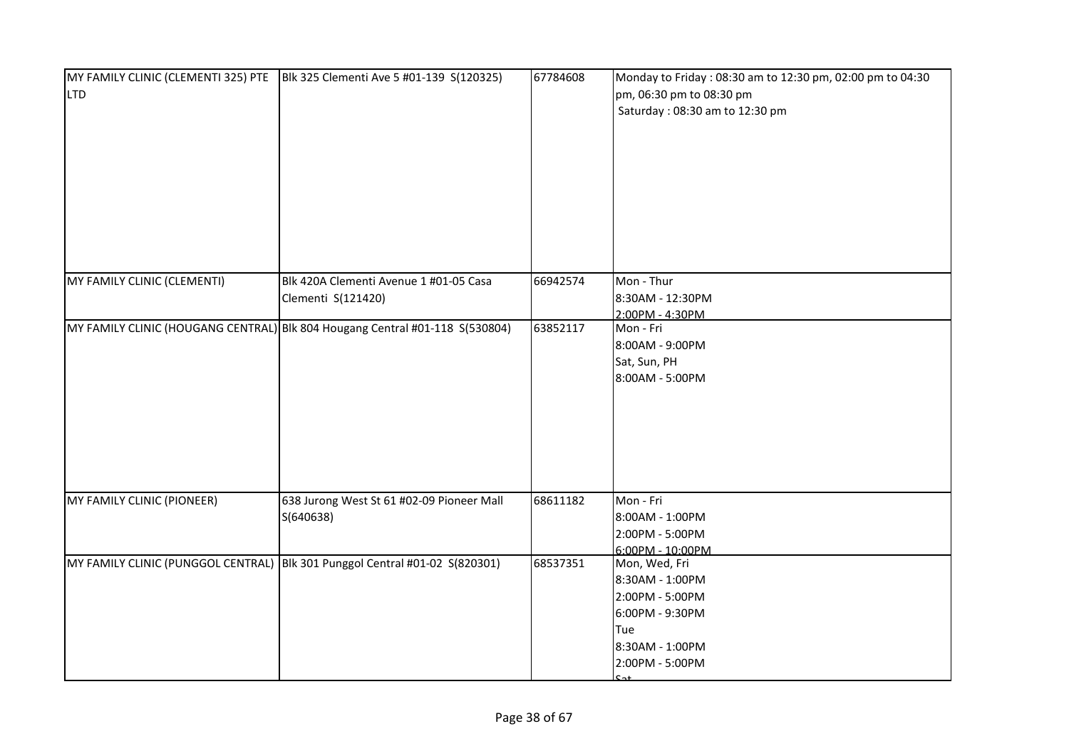| <b>LTD</b>                  | MY FAMILY CLINIC (CLEMENTI 325) PTE BIk 325 Clementi Ave 5 #01-139 S(120325) | 67784608 | Monday to Friday: 08:30 am to 12:30 pm, 02:00 pm to 04:30<br>pm, 06:30 pm to 08:30 pm<br>Saturday: 08:30 am to 12:30 pm |
|-----------------------------|------------------------------------------------------------------------------|----------|-------------------------------------------------------------------------------------------------------------------------|
| MY FAMILY CLINIC (CLEMENTI) | Blk 420A Clementi Avenue 1 #01-05 Casa<br>Clementi S(121420)                 | 66942574 | Mon - Thur<br>8:30AM - 12:30PM<br>2:00PM - 4:30PM                                                                       |
|                             | MY FAMILY CLINIC (HOUGANG CENTRAL) Blk 804 Hougang Central #01-118 S(530804) | 63852117 | Mon - Fri<br>8:00AM - 9:00PM<br>Sat, Sun, PH<br>8:00AM - 5:00PM                                                         |
| MY FAMILY CLINIC (PIONEER)  | 638 Jurong West St 61 #02-09 Pioneer Mall<br>S(640638)                       | 68611182 | Mon - Fri<br>8:00AM - 1:00PM<br>2:00PM - 5:00PM<br>6:00PM - 10:00PM                                                     |
|                             | MY FAMILY CLINIC (PUNGGOL CENTRAL) Blk 301 Punggol Central #01-02 S(820301)  | 68537351 | Mon, Wed, Fri<br>8:30AM - 1:00PM<br>2:00PM - 5:00PM<br>6:00PM - 9:30PM<br>Tue<br>8:30AM - 1:00PM<br>2:00PM - 5:00PM     |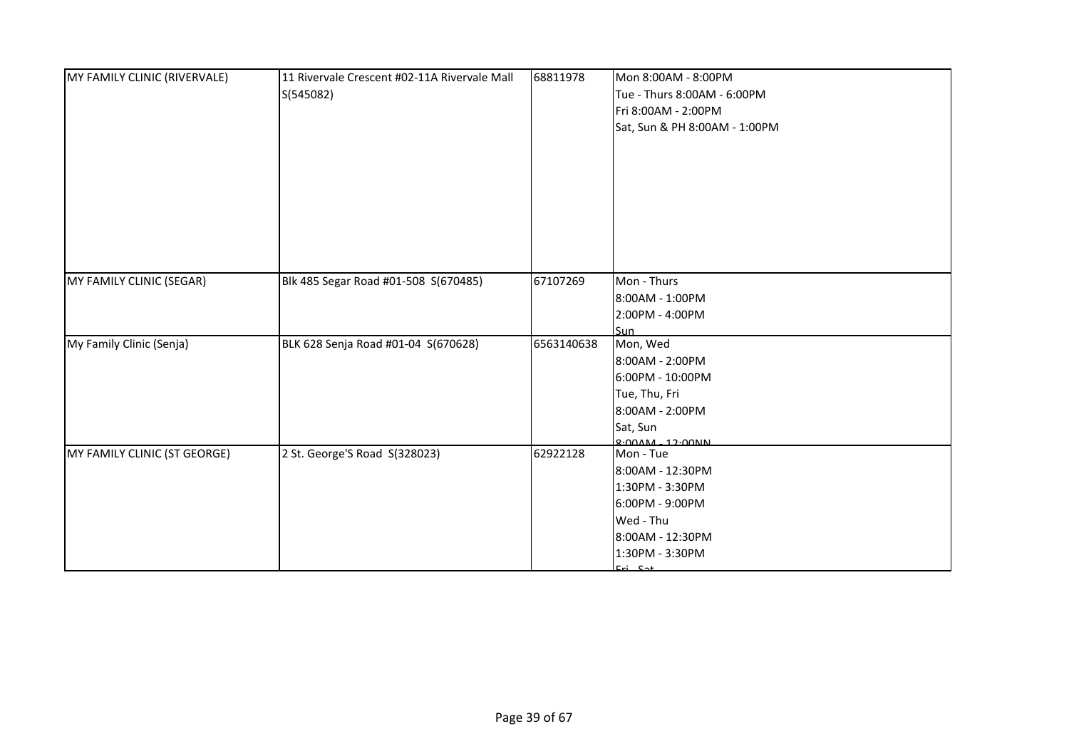| MY FAMILY CLINIC (RIVERVALE) | 11 Rivervale Crescent #02-11A Rivervale Mall<br>S(545082) | 68811978   | Mon 8:00AM - 8:00PM<br>Tue - Thurs 8:00AM - 6:00PM<br>Fri 8:00AM - 2:00PM<br>Sat, Sun & PH 8:00AM - 1:00PM               |
|------------------------------|-----------------------------------------------------------|------------|--------------------------------------------------------------------------------------------------------------------------|
| MY FAMILY CLINIC (SEGAR)     | Blk 485 Segar Road #01-508 S(670485)                      | 67107269   | Mon - Thurs<br>8:00AM - 1:00PM<br>2:00PM - 4:00PM<br><b>Sun</b>                                                          |
| My Family Clinic (Senja)     | BLK 628 Senja Road #01-04 S(670628)                       | 6563140638 | Mon, Wed<br>8:00AM - 2:00PM<br>6:00PM - 10:00PM<br>Tue, Thu, Fri<br>8:00AM - 2:00PM<br>Sat, Sun<br>$9.00$ AM $-12.00$ AM |
| MY FAMILY CLINIC (ST GEORGE) | 2 St. George'S Road S(328023)                             | 62922128   | Mon - Tue<br>8:00AM - 12:30PM<br>1:30PM - 3:30PM<br>6:00PM - 9:00PM<br>Wed - Thu<br>8:00AM - 12:30PM<br>1:30PM - 3:30PM  |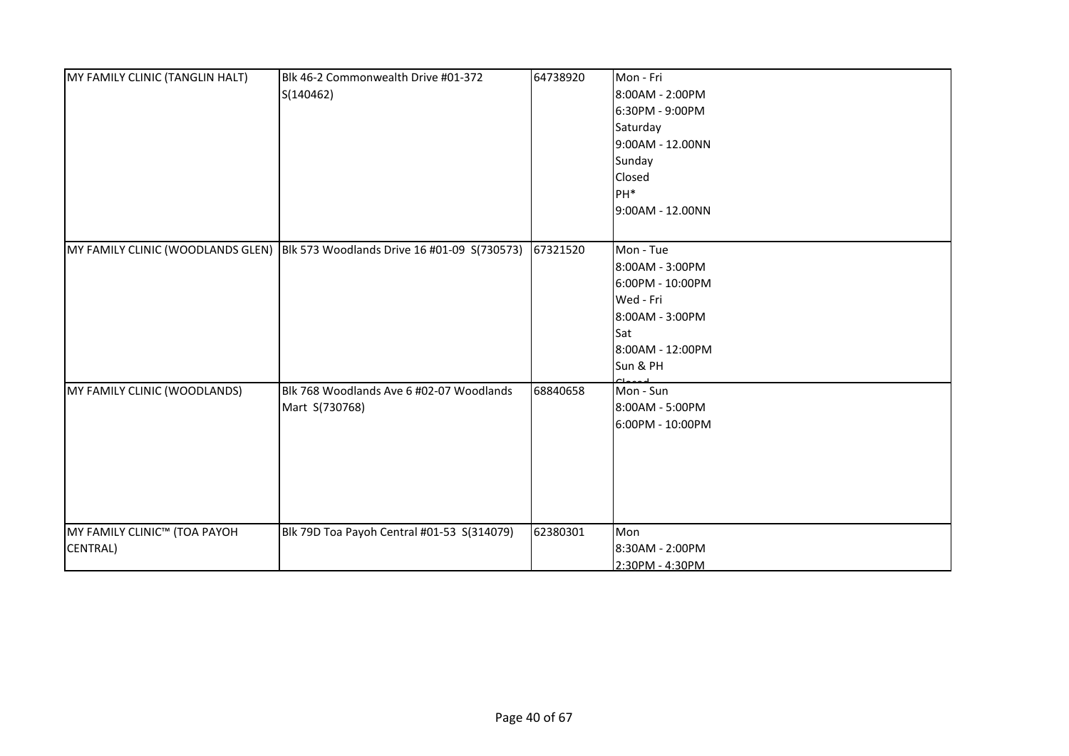| MY FAMILY CLINIC (TANGLIN HALT)          | Blk 46-2 Commonwealth Drive #01-372<br>S(140462)                                       | 64738920 | Mon - Fri<br>8:00AM - 2:00PM<br>6:30PM - 9:00PM<br>Saturday<br>9:00AM - 12.00NN<br>Sunday<br>Closed                     |
|------------------------------------------|----------------------------------------------------------------------------------------|----------|-------------------------------------------------------------------------------------------------------------------------|
|                                          |                                                                                        |          | PH <sup>*</sup><br>9:00AM - 12.00NN                                                                                     |
|                                          | MY FAMILY CLINIC (WOODLANDS GLEN) Blk 573 Woodlands Drive 16 #01-09 S(730573) 67321520 |          | Mon - Tue<br>8:00AM - 3:00PM<br>6:00PM - 10:00PM<br>Wed - Fri<br>8:00AM - 3:00PM<br>Sat<br>8:00AM - 12:00PM<br>Sun & PH |
| MY FAMILY CLINIC (WOODLANDS)             | Blk 768 Woodlands Ave 6 #02-07 Woodlands<br>Mart S(730768)                             | 68840658 | Mon - Sun<br>8:00AM - 5:00PM<br>6:00PM - 10:00PM                                                                        |
| MY FAMILY CLINIC™ (TOA PAYOH<br>CENTRAL) | Blk 79D Toa Payoh Central #01-53 S(314079)                                             | 62380301 | Mon<br>8:30AM - 2:00PM<br>2:30PM - 4:30PM                                                                               |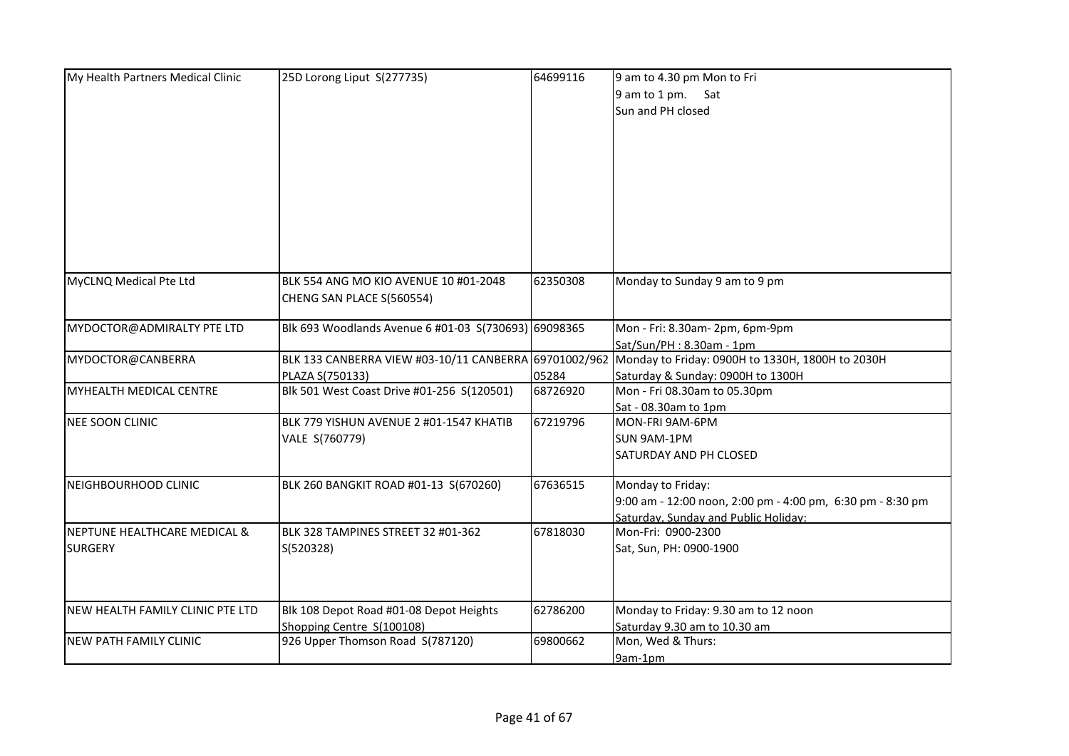| My Health Partners Medical Clinic | 25D Lorong Liput S(277735)                           | 64699116 | 9 am to 4.30 pm Mon to Fri                                                                             |
|-----------------------------------|------------------------------------------------------|----------|--------------------------------------------------------------------------------------------------------|
|                                   |                                                      |          | 9 am to 1 pm. Sat                                                                                      |
|                                   |                                                      |          | Sun and PH closed                                                                                      |
|                                   |                                                      |          |                                                                                                        |
|                                   |                                                      |          |                                                                                                        |
|                                   |                                                      |          |                                                                                                        |
|                                   |                                                      |          |                                                                                                        |
|                                   |                                                      |          |                                                                                                        |
|                                   |                                                      |          |                                                                                                        |
|                                   |                                                      |          |                                                                                                        |
|                                   |                                                      |          |                                                                                                        |
|                                   |                                                      |          |                                                                                                        |
|                                   |                                                      |          |                                                                                                        |
|                                   |                                                      |          |                                                                                                        |
| MyCLNQ Medical Pte Ltd            | BLK 554 ANG MO KIO AVENUE 10 #01-2048                | 62350308 | Monday to Sunday 9 am to 9 pm                                                                          |
|                                   | CHENG SAN PLACE S(560554)                            |          |                                                                                                        |
|                                   |                                                      |          |                                                                                                        |
| MYDOCTOR@ADMIRALTY PTE LTD        | Blk 693 Woodlands Avenue 6 #01-03 S(730693) 69098365 |          | Mon - Fri: 8.30am- 2pm, 6pm-9pm                                                                        |
|                                   |                                                      |          | Sat/Sun/PH: 8.30am - 1pm                                                                               |
| MYDOCTOR@CANBERRA                 |                                                      |          | BLK 133 CANBERRA VIEW #03-10/11 CANBERRA 69701002/962 Monday to Friday: 0900H to 1330H, 1800H to 2030H |
|                                   | PLAZA S(750133)                                      | 05284    | Saturday & Sunday: 0900H to 1300H                                                                      |
| MYHEALTH MEDICAL CENTRE           | Blk 501 West Coast Drive #01-256 S(120501)           | 68726920 | Mon - Fri 08.30am to 05.30pm                                                                           |
|                                   |                                                      |          | Sat - 08.30am to 1pm                                                                                   |
| <b>NEE SOON CLINIC</b>            | BLK 779 YISHUN AVENUE 2 #01-1547 KHATIB              | 67219796 | MON-FRI 9AM-6PM                                                                                        |
|                                   | VALE S(760779)                                       |          | SUN 9AM-1PM                                                                                            |
|                                   |                                                      |          | SATURDAY AND PH CLOSED                                                                                 |
|                                   |                                                      |          |                                                                                                        |
| NEIGHBOURHOOD CLINIC              | BLK 260 BANGKIT ROAD #01-13 S(670260)                | 67636515 | Monday to Friday:                                                                                      |
|                                   |                                                      |          | 9:00 am - 12:00 noon, 2:00 pm - 4:00 pm, 6:30 pm - 8:30 pm                                             |
|                                   |                                                      |          | Saturday, Sunday and Public Holiday:                                                                   |
| NEPTUNE HEALTHCARE MEDICAL &      | BLK 328 TAMPINES STREET 32 #01-362                   | 67818030 | Mon-Fri: 0900-2300                                                                                     |
| <b>SURGERY</b>                    | S(520328)                                            |          | Sat, Sun, PH: 0900-1900                                                                                |
|                                   |                                                      |          |                                                                                                        |
|                                   |                                                      |          |                                                                                                        |
|                                   |                                                      |          |                                                                                                        |
| NEW HEALTH FAMILY CLINIC PTE LTD  | Blk 108 Depot Road #01-08 Depot Heights              | 62786200 | Monday to Friday: 9.30 am to 12 noon                                                                   |
|                                   | Shopping Centre S(100108)                            |          | Saturday 9.30 am to 10.30 am                                                                           |
| <b>NEW PATH FAMILY CLINIC</b>     | 926 Upper Thomson Road S(787120)                     | 69800662 | Mon, Wed & Thurs:                                                                                      |
|                                   |                                                      |          | 9am-1pm                                                                                                |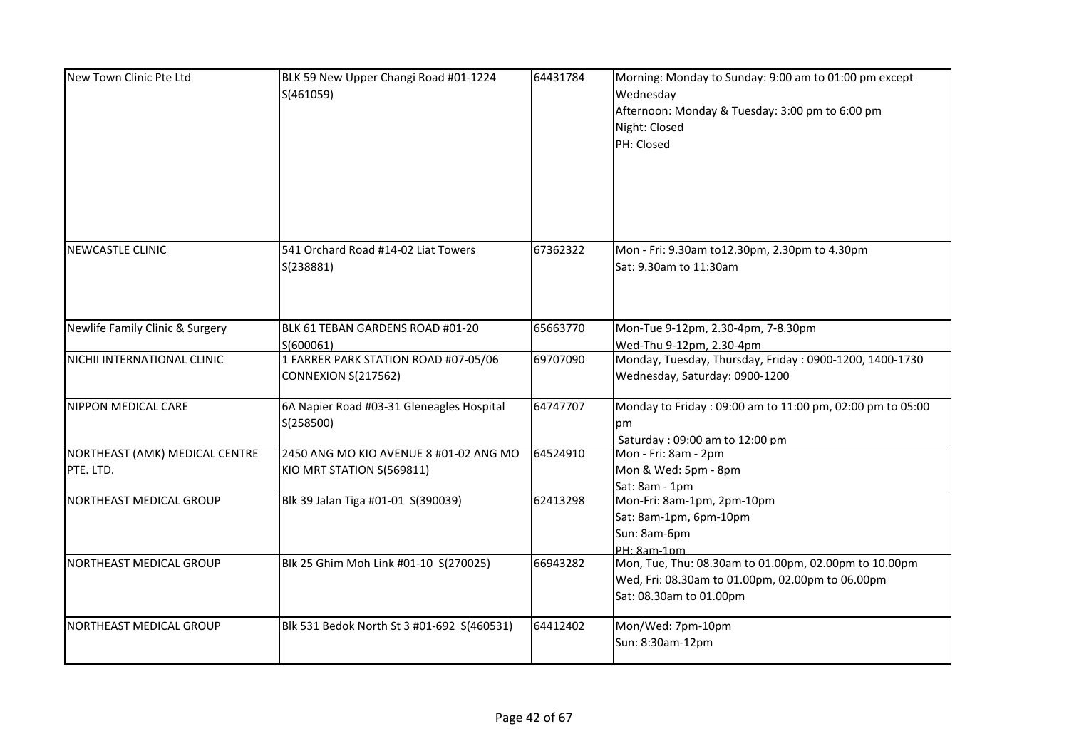| New Town Clinic Pte Ltd                     | BLK 59 New Upper Changi Road #01-1224<br>S(461059)                  | 64431784 | Morning: Monday to Sunday: 9:00 am to 01:00 pm except<br>Wednesday<br>Afternoon: Monday & Tuesday: 3:00 pm to 6:00 pm<br>Night: Closed<br>PH: Closed |
|---------------------------------------------|---------------------------------------------------------------------|----------|------------------------------------------------------------------------------------------------------------------------------------------------------|
| <b>NEWCASTLE CLINIC</b>                     | 541 Orchard Road #14-02 Liat Towers<br>S(238881)                    | 67362322 | Mon - Fri: 9.30am to12.30pm, 2.30pm to 4.30pm<br>Sat: 9.30am to 11:30am                                                                              |
| Newlife Family Clinic & Surgery             | BLK 61 TEBAN GARDENS ROAD #01-20<br>S(600061)                       | 65663770 | Mon-Tue 9-12pm, 2.30-4pm, 7-8.30pm<br>Wed-Thu 9-12pm, 2.30-4pm                                                                                       |
| NICHII INTERNATIONAL CLINIC                 | 1 FARRER PARK STATION ROAD #07-05/06<br>CONNEXION S(217562)         | 69707090 | Monday, Tuesday, Thursday, Friday: 0900-1200, 1400-1730<br>Wednesday, Saturday: 0900-1200                                                            |
| <b>NIPPON MEDICAL CARE</b>                  | 6A Napier Road #03-31 Gleneagles Hospital<br>S(258500)              | 64747707 | Monday to Friday: 09:00 am to 11:00 pm, 02:00 pm to 05:00<br>pm<br>Saturday: 09:00 am to 12:00 pm                                                    |
| NORTHEAST (AMK) MEDICAL CENTRE<br>PTE. LTD. | 2450 ANG MO KIO AVENUE 8 #01-02 ANG MO<br>KIO MRT STATION S(569811) | 64524910 | Mon - Fri: 8am - 2pm<br>Mon & Wed: 5pm - 8pm<br>Sat: 8am - 1pm                                                                                       |
| NORTHEAST MEDICAL GROUP                     | Blk 39 Jalan Tiga #01-01 S(390039)                                  | 62413298 | Mon-Fri: 8am-1pm, 2pm-10pm<br>Sat: 8am-1pm, 6pm-10pm<br>Sun: 8am-6pm<br>PH: 8am-1pm                                                                  |
| NORTHEAST MEDICAL GROUP                     | Blk 25 Ghim Moh Link #01-10 S(270025)                               | 66943282 | Mon, Tue, Thu: 08.30am to 01.00pm, 02.00pm to 10.00pm<br>Wed, Fri: 08.30am to 01.00pm, 02.00pm to 06.00pm<br>Sat: 08.30am to 01.00pm                 |
| NORTHEAST MEDICAL GROUP                     | Blk 531 Bedok North St 3 #01-692 S(460531)                          | 64412402 | Mon/Wed: 7pm-10pm<br>Sun: 8:30am-12pm                                                                                                                |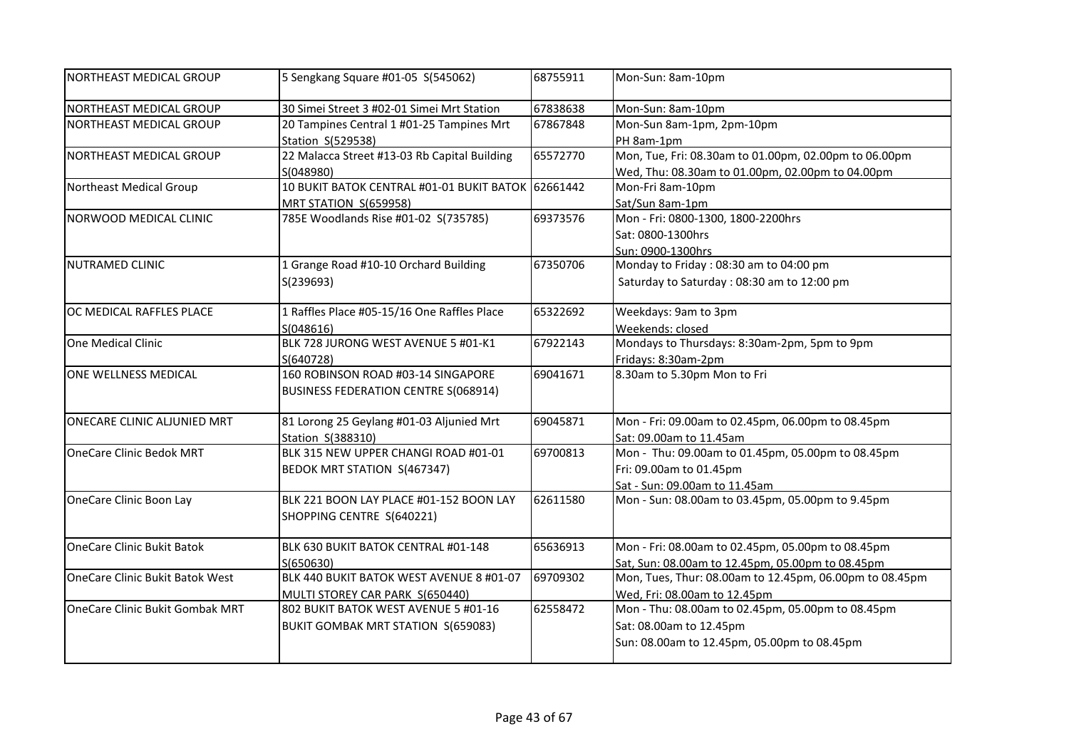| NORTHEAST MEDICAL GROUP                | 5 Sengkang Square #01-05 S(545062)                 | 68755911 | Mon-Sun: 8am-10pm                                       |
|----------------------------------------|----------------------------------------------------|----------|---------------------------------------------------------|
| NORTHEAST MEDICAL GROUP                | 30 Simei Street 3 #02-01 Simei Mrt Station         | 67838638 | Mon-Sun: 8am-10pm                                       |
| NORTHEAST MEDICAL GROUP                | 20 Tampines Central 1 #01-25 Tampines Mrt          | 67867848 | Mon-Sun 8am-1pm, 2pm-10pm                               |
|                                        | Station S(529538)                                  |          | PH 8am-1pm                                              |
| NORTHEAST MEDICAL GROUP                | 22 Malacca Street #13-03 Rb Capital Building       | 65572770 | Mon, Tue, Fri: 08.30am to 01.00pm, 02.00pm to 06.00pm   |
|                                        | S(048980)                                          |          | Wed, Thu: 08.30am to 01.00pm, 02.00pm to 04.00pm        |
| Northeast Medical Group                | 10 BUKIT BATOK CENTRAL #01-01 BUKIT BATOK 62661442 |          | Mon-Fri 8am-10pm                                        |
|                                        | MRT STATION S(659958)                              |          | Sat/Sun 8am-1pm                                         |
| NORWOOD MEDICAL CLINIC                 | 785E Woodlands Rise #01-02 S(735785)               | 69373576 | Mon - Fri: 0800-1300, 1800-2200hrs                      |
|                                        |                                                    |          | Sat: 0800-1300hrs                                       |
|                                        |                                                    |          | Sun: 0900-1300hrs                                       |
| NUTRAMED CLINIC                        | 1 Grange Road #10-10 Orchard Building              | 67350706 | Monday to Friday: 08:30 am to 04:00 pm                  |
|                                        | S(239693)                                          |          | Saturday to Saturday: 08:30 am to 12:00 pm              |
| OC MEDICAL RAFFLES PLACE               | 1 Raffles Place #05-15/16 One Raffles Place        | 65322692 | Weekdays: 9am to 3pm                                    |
|                                        | S(048616)                                          |          | Weekends: closed                                        |
| One Medical Clinic                     | BLK 728 JURONG WEST AVENUE 5 #01-K1                | 67922143 | Mondays to Thursdays: 8:30am-2pm, 5pm to 9pm            |
|                                        | S(640728)                                          |          | Fridays: 8:30am-2pm                                     |
| ONE WELLNESS MEDICAL                   | 160 ROBINSON ROAD #03-14 SINGAPORE                 | 69041671 | 8.30am to 5.30pm Mon to Fri                             |
|                                        | <b>BUSINESS FEDERATION CENTRE S(068914)</b>        |          |                                                         |
| ONECARE CLINIC ALJUNIED MRT            | 81 Lorong 25 Geylang #01-03 Aljunied Mrt           | 69045871 | Mon - Fri: 09.00am to 02.45pm, 06.00pm to 08.45pm       |
|                                        | Station S(388310)                                  |          | Sat: 09.00am to 11.45am                                 |
| <b>OneCare Clinic Bedok MRT</b>        | BLK 315 NEW UPPER CHANGI ROAD #01-01               | 69700813 | Mon - Thu: 09.00am to 01.45pm, 05.00pm to 08.45pm       |
|                                        | BEDOK MRT STATION S(467347)                        |          | Fri: 09.00am to 01.45pm                                 |
|                                        |                                                    |          | Sat - Sun: 09.00am to 11.45am                           |
| OneCare Clinic Boon Lay                | BLK 221 BOON LAY PLACE #01-152 BOON LAY            | 62611580 | Mon - Sun: 08.00am to 03.45pm, 05.00pm to 9.45pm        |
|                                        | SHOPPING CENTRE S(640221)                          |          |                                                         |
| <b>OneCare Clinic Bukit Batok</b>      | BLK 630 BUKIT BATOK CENTRAL #01-148                | 65636913 | Mon - Fri: 08.00am to 02.45pm, 05.00pm to 08.45pm       |
|                                        | S(650630)                                          |          | Sat, Sun: 08.00am to 12.45pm, 05.00pm to 08.45pm        |
| <b>OneCare Clinic Bukit Batok West</b> | BLK 440 BUKIT BATOK WEST AVENUE 8 #01-07           | 69709302 | Mon, Tues, Thur: 08.00am to 12.45pm, 06.00pm to 08.45pm |
|                                        | MULTI STOREY CAR PARK S(650440)                    |          | Wed, Fri: 08.00am to 12.45pm                            |
| OneCare Clinic Bukit Gombak MRT        | 802 BUKIT BATOK WEST AVENUE 5 #01-16               | 62558472 | Mon - Thu: 08.00am to 02.45pm, 05.00pm to 08.45pm       |
|                                        | BUKIT GOMBAK MRT STATION S(659083)                 |          | Sat: 08.00am to 12.45pm                                 |
|                                        |                                                    |          | Sun: 08.00am to 12.45pm, 05.00pm to 08.45pm             |
|                                        |                                                    |          |                                                         |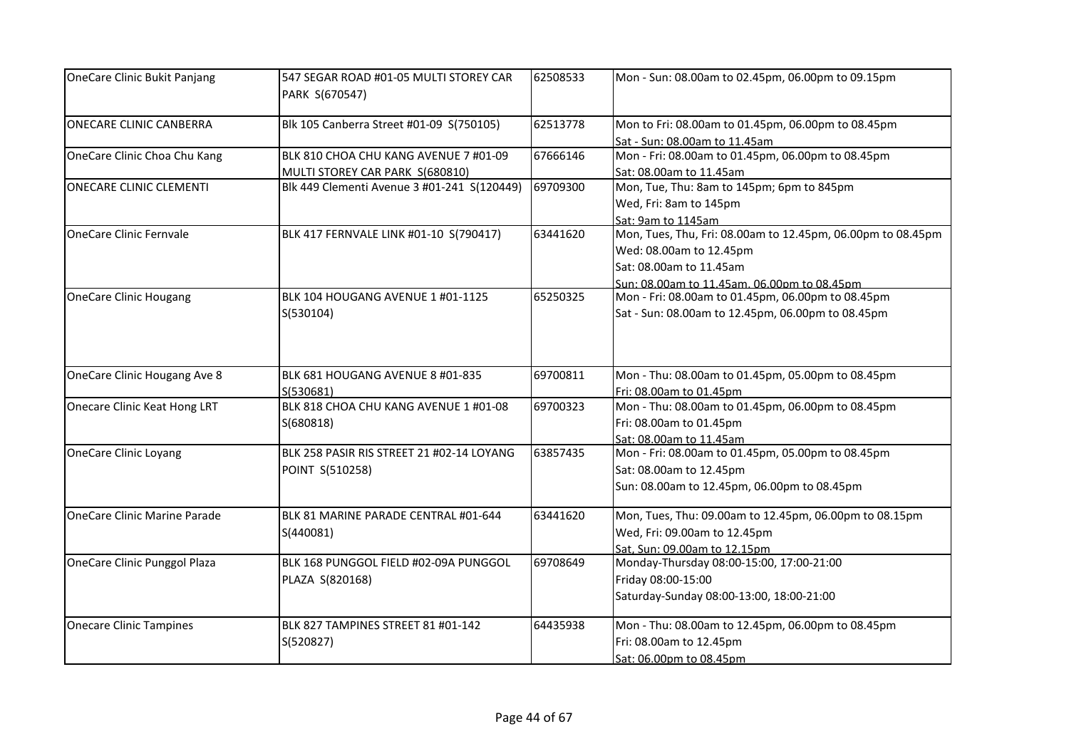| OneCare Clinic Bukit Panjang        | 547 SEGAR ROAD #01-05 MULTI STOREY CAR<br>PARK S(670547)                 | 62508533 | Mon - Sun: 08.00am to 02.45pm, 06.00pm to 09.15pm                                                                                                                |
|-------------------------------------|--------------------------------------------------------------------------|----------|------------------------------------------------------------------------------------------------------------------------------------------------------------------|
| ONECARE CLINIC CANBERRA             | Blk 105 Canberra Street #01-09 S(750105)                                 | 62513778 | Mon to Fri: 08.00am to 01.45pm, 06.00pm to 08.45pm<br>Sat - Sun: 08.00am to 11.45am                                                                              |
| OneCare Clinic Choa Chu Kang        | BLK 810 CHOA CHU KANG AVENUE 7 #01-09<br>MULTI STOREY CAR PARK S(680810) | 67666146 | Mon - Fri: 08.00am to 01.45pm, 06.00pm to 08.45pm<br>Sat: 08.00am to 11.45am                                                                                     |
| ONECARE CLINIC CLEMENTI             | Blk 449 Clementi Avenue 3 #01-241 S(120449)                              | 69709300 | Mon, Tue, Thu: 8am to 145pm; 6pm to 845pm<br>Wed, Fri: 8am to 145pm<br>Sat: 9am to 1145am                                                                        |
| OneCare Clinic Fernvale             | BLK 417 FERNVALE LINK #01-10 S(790417)                                   | 63441620 | Mon, Tues, Thu, Fri: 08.00am to 12.45pm, 06.00pm to 08.45pm<br>Wed: 08.00am to 12.45pm<br>Sat: 08.00am to 11.45am<br>Sun: 08.00am to 11.45am. 06.00pm to 08.45pm |
| <b>OneCare Clinic Hougang</b>       | BLK 104 HOUGANG AVENUE 1 #01-1125<br>S(530104)                           | 65250325 | Mon - Fri: 08.00am to 01.45pm, 06.00pm to 08.45pm<br>Sat - Sun: 08.00am to 12.45pm, 06.00pm to 08.45pm                                                           |
| OneCare Clinic Hougang Ave 8        | BLK 681 HOUGANG AVENUE 8 #01-835<br>S(530681)                            | 69700811 | Mon - Thu: 08.00am to 01.45pm, 05.00pm to 08.45pm<br>Fri: 08.00am to 01.45pm                                                                                     |
| <b>Onecare Clinic Keat Hong LRT</b> | BLK 818 CHOA CHU KANG AVENUE 1 #01-08<br>S(680818)                       | 69700323 | Mon - Thu: 08.00am to 01.45pm, 06.00pm to 08.45pm<br>Fri: 08.00am to 01.45pm<br>Sat: 08.00am to 11.45am                                                          |
| <b>OneCare Clinic Loyang</b>        | BLK 258 PASIR RIS STREET 21 #02-14 LOYANG<br>POINT S(510258)             | 63857435 | Mon - Fri: 08.00am to 01.45pm, 05.00pm to 08.45pm<br>Sat: 08.00am to 12.45pm<br>Sun: 08.00am to 12.45pm, 06.00pm to 08.45pm                                      |
| <b>OneCare Clinic Marine Parade</b> | BLK 81 MARINE PARADE CENTRAL #01-644<br>S(440081)                        | 63441620 | Mon, Tues, Thu: 09.00am to 12.45pm, 06.00pm to 08.15pm<br>Wed, Fri: 09.00am to 12.45pm<br>Sat, Sun: 09.00am to 12.15pm                                           |
| OneCare Clinic Punggol Plaza        | BLK 168 PUNGGOL FIELD #02-09A PUNGGOL<br>PLAZA S(820168)                 | 69708649 | Monday-Thursday 08:00-15:00, 17:00-21:00<br>Friday 08:00-15:00<br>Saturday-Sunday 08:00-13:00, 18:00-21:00                                                       |
| <b>Onecare Clinic Tampines</b>      | BLK 827 TAMPINES STREET 81 #01-142<br>S(520827)                          | 64435938 | Mon - Thu: 08.00am to 12.45pm, 06.00pm to 08.45pm<br>Fri: 08.00am to 12.45pm<br>Sat: 06.00pm to 08.45pm                                                          |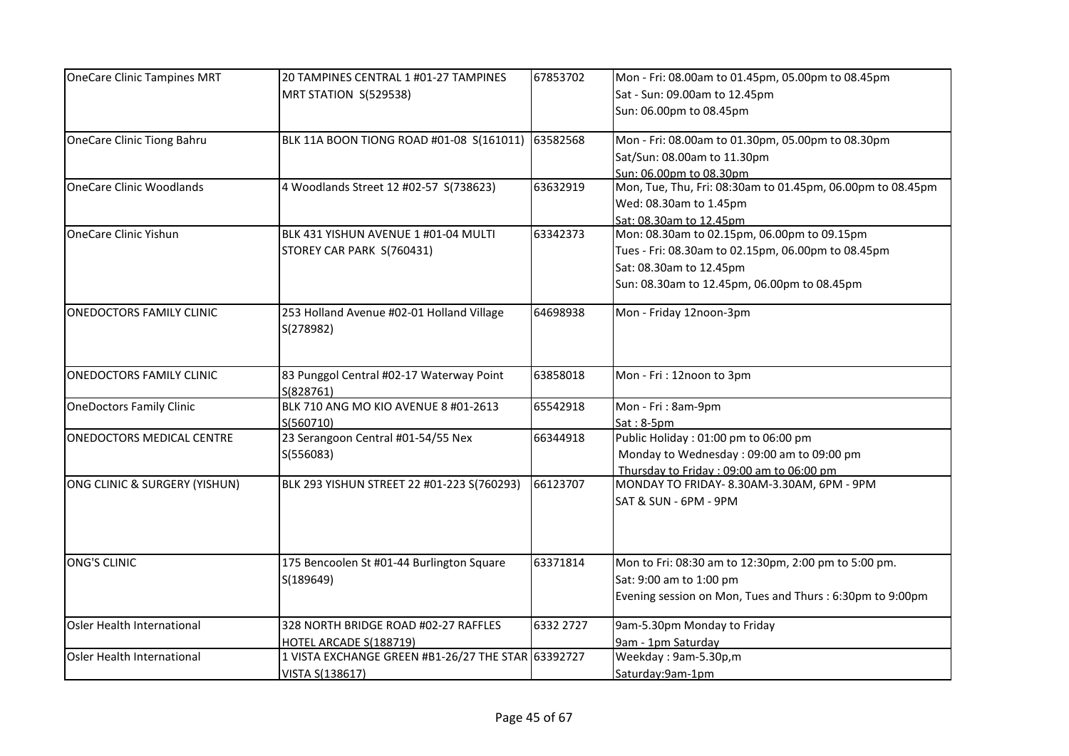| <b>OneCare Clinic Tampines MRT</b> | 20 TAMPINES CENTRAL 1 #01-27 TAMPINES              | 67853702  | Mon - Fri: 08.00am to 01.45pm, 05.00pm to 08.45pm          |
|------------------------------------|----------------------------------------------------|-----------|------------------------------------------------------------|
|                                    | MRT STATION S(529538)                              |           | Sat - Sun: 09.00am to 12.45pm                              |
|                                    |                                                    |           | Sun: 06.00pm to 08.45pm                                    |
| <b>OneCare Clinic Tiong Bahru</b>  | BLK 11A BOON TIONG ROAD #01-08 S(161011)           | 63582568  | Mon - Fri: 08.00am to 01.30pm, 05.00pm to 08.30pm          |
|                                    |                                                    |           | Sat/Sun: 08.00am to 11.30pm                                |
|                                    |                                                    |           | Sun: 06.00pm to 08.30pm                                    |
| <b>OneCare Clinic Woodlands</b>    | 4 Woodlands Street 12 #02-57 S(738623)             | 63632919  | Mon, Tue, Thu, Fri: 08:30am to 01.45pm, 06.00pm to 08.45pm |
|                                    |                                                    |           | Wed: 08.30am to 1.45pm                                     |
|                                    |                                                    |           | Sat: 08.30am to 12.45pm                                    |
| <b>OneCare Clinic Yishun</b>       | BLK 431 YISHUN AVENUE 1 #01-04 MULTI               | 63342373  | Mon: 08.30am to 02.15pm, 06.00pm to 09.15pm                |
|                                    | STOREY CAR PARK S(760431)                          |           | Tues - Fri: 08.30am to 02.15pm, 06.00pm to 08.45pm         |
|                                    |                                                    |           | Sat: 08.30am to 12.45pm                                    |
|                                    |                                                    |           | Sun: 08.30am to 12.45pm, 06.00pm to 08.45pm                |
|                                    |                                                    |           |                                                            |
| <b>ONEDOCTORS FAMILY CLINIC</b>    | 253 Holland Avenue #02-01 Holland Village          | 64698938  | Mon - Friday 12noon-3pm                                    |
|                                    | S(278982)                                          |           |                                                            |
|                                    |                                                    |           |                                                            |
| <b>ONEDOCTORS FAMILY CLINIC</b>    | 83 Punggol Central #02-17 Waterway Point           | 63858018  | Mon - Fri: 12noon to 3pm                                   |
|                                    | S(828761)                                          |           |                                                            |
| <b>OneDoctors Family Clinic</b>    | BLK 710 ANG MO KIO AVENUE 8 #01-2613               | 65542918  | Mon - Fri : 8am-9pm                                        |
|                                    | S(560710)                                          |           | $Sat:8-5pm$                                                |
| ONEDOCTORS MEDICAL CENTRE          | 23 Serangoon Central #01-54/55 Nex                 | 66344918  | Public Holiday: 01:00 pm to 06:00 pm                       |
|                                    | S(556083)                                          |           | Monday to Wednesday: 09:00 am to 09:00 pm                  |
|                                    |                                                    |           | Thursday to Friday: 09:00 am to 06:00 pm                   |
| ONG CLINIC & SURGERY (YISHUN)      | BLK 293 YISHUN STREET 22 #01-223 S(760293)         | 66123707  | MONDAY TO FRIDAY- 8.30AM-3.30AM, 6PM - 9PM                 |
|                                    |                                                    |           | SAT & SUN - 6PM - 9PM                                      |
|                                    |                                                    |           |                                                            |
|                                    |                                                    |           |                                                            |
|                                    |                                                    |           |                                                            |
| ONG'S CLINIC                       | 175 Bencoolen St #01-44 Burlington Square          | 63371814  | Mon to Fri: 08:30 am to 12:30pm, 2:00 pm to 5:00 pm.       |
|                                    | S(189649)                                          |           | Sat: 9:00 am to 1:00 pm                                    |
|                                    |                                                    |           | Evening session on Mon, Tues and Thurs: 6:30pm to 9:00pm   |
|                                    |                                                    |           |                                                            |
| Osler Health International         | 328 NORTH BRIDGE ROAD #02-27 RAFFLES               | 6332 2727 | 9am-5.30pm Monday to Friday                                |
|                                    | HOTEL ARCADE S(188719)                             |           | 9am - 1pm Saturday                                         |
| <b>Osler Health International</b>  | 1 VISTA EXCHANGE GREEN #B1-26/27 THE STAR 63392727 |           | Weekday: 9am-5.30p,m                                       |
|                                    | VISTA S(138617)                                    |           | Saturday:9am-1pm                                           |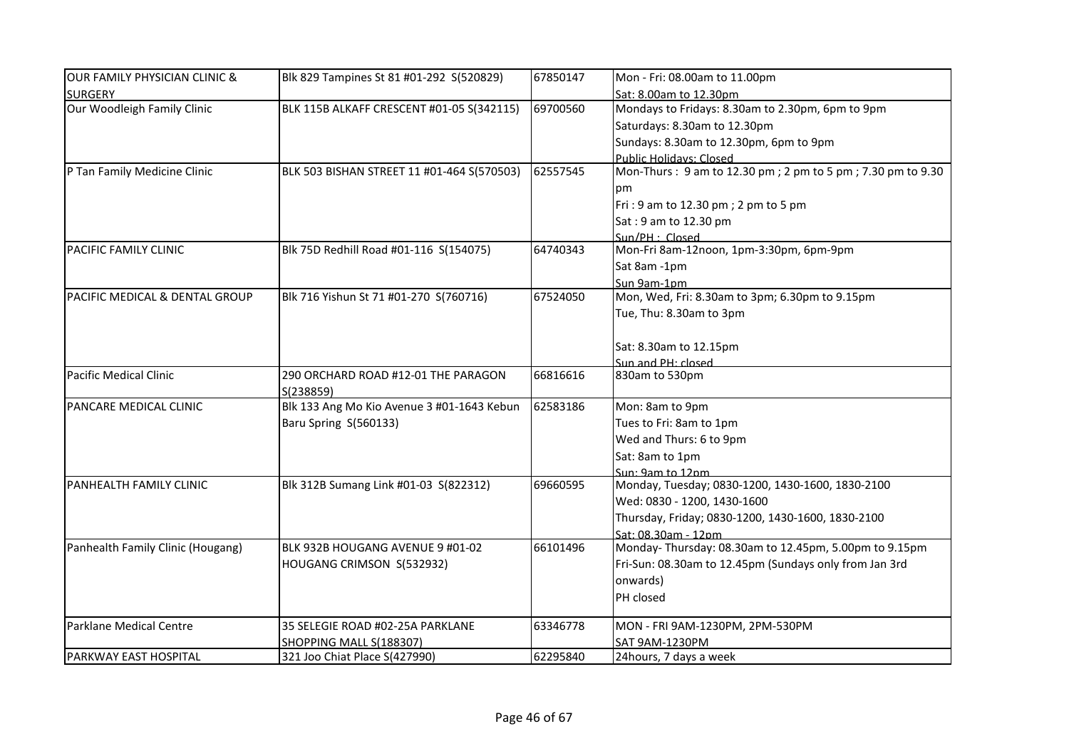| OUR FAMILY PHYSICIAN CLINIC &             | Blk 829 Tampines St 81 #01-292 S(520829)         | 67850147 | Mon - Fri: 08.00am to 11.00pm                              |
|-------------------------------------------|--------------------------------------------------|----------|------------------------------------------------------------|
| <b>SURGERY</b>                            |                                                  |          | Sat: 8.00am to 12.30pm                                     |
| Our Woodleigh Family Clinic               | BLK 115B ALKAFF CRESCENT #01-05 S(342115)        | 69700560 | Mondays to Fridays: 8.30am to 2.30pm, 6pm to 9pm           |
|                                           |                                                  |          | Saturdays: 8.30am to 12.30pm                               |
|                                           |                                                  |          | Sundays: 8.30am to 12.30pm, 6pm to 9pm                     |
|                                           |                                                  |          | Public Holidays: Closed                                    |
| P Tan Family Medicine Clinic              | BLK 503 BISHAN STREET 11 #01-464 S(570503)       | 62557545 | Mon-Thurs: 9 am to 12.30 pm; 2 pm to 5 pm; 7.30 pm to 9.30 |
|                                           |                                                  |          | pm                                                         |
|                                           |                                                  |          | Fri: 9 am to 12.30 pm; 2 pm to 5 pm                        |
|                                           |                                                  |          | Sat: 9 am to 12.30 pm                                      |
|                                           |                                                  |          | $Sun/PH \cdot Closed$                                      |
| <b>PACIFIC FAMILY CLINIC</b>              | Blk 75D Redhill Road #01-116 S(154075)           | 64740343 | Mon-Fri 8am-12noon, 1pm-3:30pm, 6pm-9pm                    |
|                                           |                                                  |          | Sat 8am -1pm                                               |
|                                           |                                                  |          | Sun 9am-1pm                                                |
| <b>PACIFIC MEDICAL &amp; DENTAL GROUP</b> | Blk 716 Yishun St 71 #01-270 S(760716)           | 67524050 | Mon, Wed, Fri: 8.30am to 3pm; 6.30pm to 9.15pm             |
|                                           |                                                  |          | Tue, Thu: 8.30am to 3pm                                    |
|                                           |                                                  |          |                                                            |
|                                           |                                                  |          | Sat: 8.30am to 12.15pm                                     |
|                                           |                                                  |          | Sun and PH: closed                                         |
| Pacific Medical Clinic                    | 290 ORCHARD ROAD #12-01 THE PARAGON<br>S(238859) | 66816616 | 830am to 530pm                                             |
| PANCARE MEDICAL CLINIC                    | Blk 133 Ang Mo Kio Avenue 3 #01-1643 Kebun       | 62583186 | Mon: 8am to 9pm                                            |
|                                           | Baru Spring S(560133)                            |          | Tues to Fri: 8am to 1pm                                    |
|                                           |                                                  |          | Wed and Thurs: 6 to 9pm                                    |
|                                           |                                                  |          | Sat: 8am to 1pm                                            |
|                                           |                                                  |          | Sun: 9am to 12nm                                           |
| <b>PANHEALTH FAMILY CLINIC</b>            | Blk 312B Sumang Link #01-03 S(822312)            | 69660595 | Monday, Tuesday; 0830-1200, 1430-1600, 1830-2100           |
|                                           |                                                  |          | Wed: 0830 - 1200, 1430-1600                                |
|                                           |                                                  |          | Thursday, Friday; 0830-1200, 1430-1600, 1830-2100          |
|                                           |                                                  |          | Sat: 08.30am - 12pm                                        |
| Panhealth Family Clinic (Hougang)         | BLK 932B HOUGANG AVENUE 9 #01-02                 | 66101496 | Monday-Thursday: 08.30am to 12.45pm, 5.00pm to 9.15pm      |
|                                           | HOUGANG CRIMSON S(532932)                        |          | Fri-Sun: 08.30am to 12.45pm (Sundays only from Jan 3rd     |
|                                           |                                                  |          | onwards)                                                   |
|                                           |                                                  |          | PH closed                                                  |
|                                           |                                                  |          |                                                            |
| Parklane Medical Centre                   | 35 SELEGIE ROAD #02-25A PARKLANE                 | 63346778 | MON - FRI 9AM-1230PM, 2PM-530PM                            |
|                                           | SHOPPING MALL S(188307)                          |          | SAT 9AM-1230PM                                             |
| <b>PARKWAY EAST HOSPITAL</b>              | 321 Joo Chiat Place S(427990)                    | 62295840 | 24hours, 7 days a week                                     |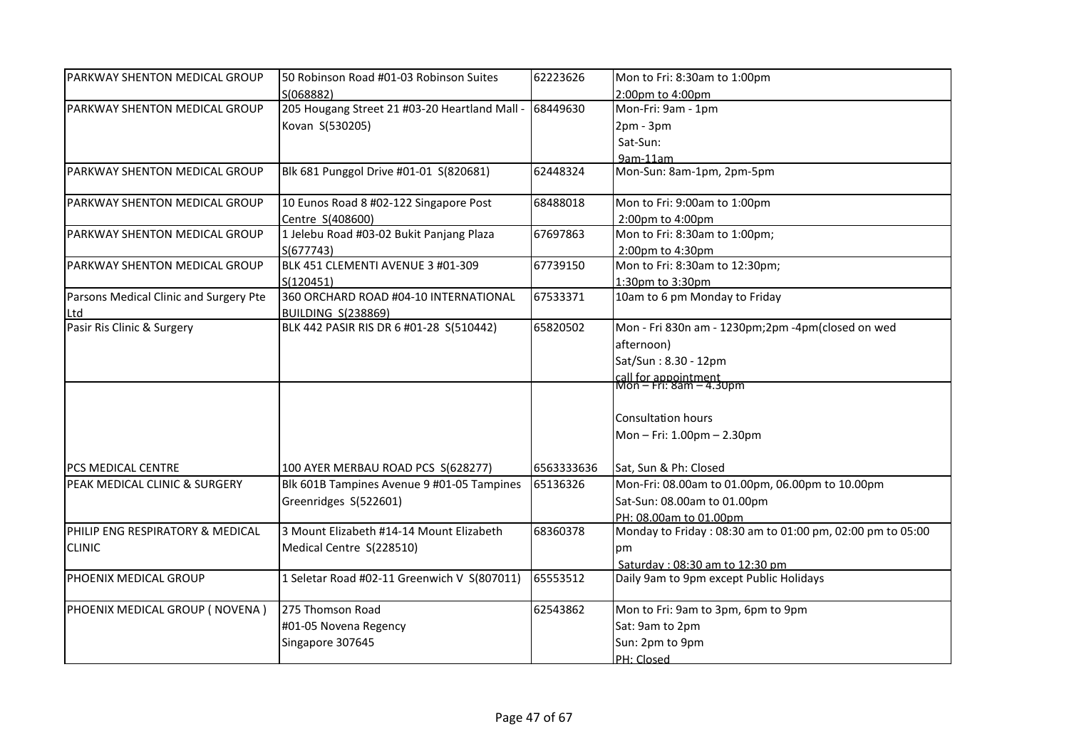| PARKWAY SHENTON MEDICAL GROUP          | 50 Robinson Road #01-03 Robinson Suites                | 62223626   | Mon to Fri: 8:30am to 1:00pm                              |
|----------------------------------------|--------------------------------------------------------|------------|-----------------------------------------------------------|
|                                        | S(068882)                                              |            | 2:00pm to 4:00pm                                          |
| PARKWAY SHENTON MEDICAL GROUP          | 205 Hougang Street 21 #03-20 Heartland Mall - 68449630 |            | Mon-Fri: 9am - 1pm                                        |
|                                        | Kovan S(530205)                                        |            | $2pm - 3pm$                                               |
|                                        |                                                        |            | Sat-Sun:                                                  |
|                                        |                                                        |            | 9am-11am                                                  |
| PARKWAY SHENTON MEDICAL GROUP          | Blk 681 Punggol Drive #01-01 S(820681)                 | 62448324   | Mon-Sun: 8am-1pm, 2pm-5pm                                 |
| PARKWAY SHENTON MEDICAL GROUP          | 10 Eunos Road 8 #02-122 Singapore Post                 | 68488018   | Mon to Fri: 9:00am to 1:00pm                              |
|                                        | Centre S(408600)                                       |            | 2:00pm to 4:00pm                                          |
| PARKWAY SHENTON MEDICAL GROUP          | 1 Jelebu Road #03-02 Bukit Panjang Plaza               | 67697863   | Mon to Fri: 8:30am to 1:00pm;                             |
|                                        | S(677743)                                              |            | 2:00pm to 4:30pm                                          |
| PARKWAY SHENTON MEDICAL GROUP          | BLK 451 CLEMENTI AVENUE 3 #01-309                      | 67739150   | Mon to Fri: 8:30am to 12:30pm;                            |
|                                        | S(120451)                                              |            | 1:30pm to 3:30pm                                          |
| Parsons Medical Clinic and Surgery Pte | 360 ORCHARD ROAD #04-10 INTERNATIONAL                  | 67533371   | 10am to 6 pm Monday to Friday                             |
| Ltd                                    | <b>BUILDING S(238869)</b>                              |            |                                                           |
| Pasir Ris Clinic & Surgery             | BLK 442 PASIR RIS DR 6 #01-28 S(510442)                | 65820502   | Mon - Fri 830n am - 1230pm;2pm -4pm(closed on wed         |
|                                        |                                                        |            | afternoon)                                                |
|                                        |                                                        |            | Sat/Sun: 8.30 - 12pm                                      |
|                                        |                                                        |            | call for appointment<br>Mon - Fri: 8am - 4.30pm           |
|                                        |                                                        |            |                                                           |
|                                        |                                                        |            |                                                           |
|                                        |                                                        |            | <b>Consultation hours</b>                                 |
|                                        |                                                        |            | Mon-Fri: 1.00pm-2.30pm                                    |
| PCS MEDICAL CENTRE                     | 100 AYER MERBAU ROAD PCS S(628277)                     | 6563333636 | Sat, Sun & Ph: Closed                                     |
| PEAK MEDICAL CLINIC & SURGERY          | Blk 601B Tampines Avenue 9 #01-05 Tampines             | 65136326   | Mon-Fri: 08.00am to 01.00pm, 06.00pm to 10.00pm           |
|                                        | Greenridges S(522601)                                  |            | Sat-Sun: 08.00am to 01.00pm                               |
|                                        |                                                        |            | PH: 08.00am to 01.00pm                                    |
| PHILIP ENG RESPIRATORY & MEDICAL       | 3 Mount Elizabeth #14-14 Mount Elizabeth               | 68360378   | Monday to Friday: 08:30 am to 01:00 pm, 02:00 pm to 05:00 |
| <b>CLINIC</b>                          | Medical Centre S(228510)                               |            | pm                                                        |
|                                        |                                                        |            | Saturday: 08:30 am to 12:30 pm                            |
| PHOENIX MEDICAL GROUP                  | 1 Seletar Road #02-11 Greenwich V S(807011)            | 65553512   | Daily 9am to 9pm except Public Holidays                   |
| PHOENIX MEDICAL GROUP (NOVENA)         | 275 Thomson Road                                       | 62543862   | Mon to Fri: 9am to 3pm, 6pm to 9pm                        |
|                                        | #01-05 Novena Regency                                  |            | Sat: 9am to 2pm                                           |
|                                        | Singapore 307645                                       |            | Sun: 2pm to 9pm                                           |
|                                        |                                                        |            | PH: Closed                                                |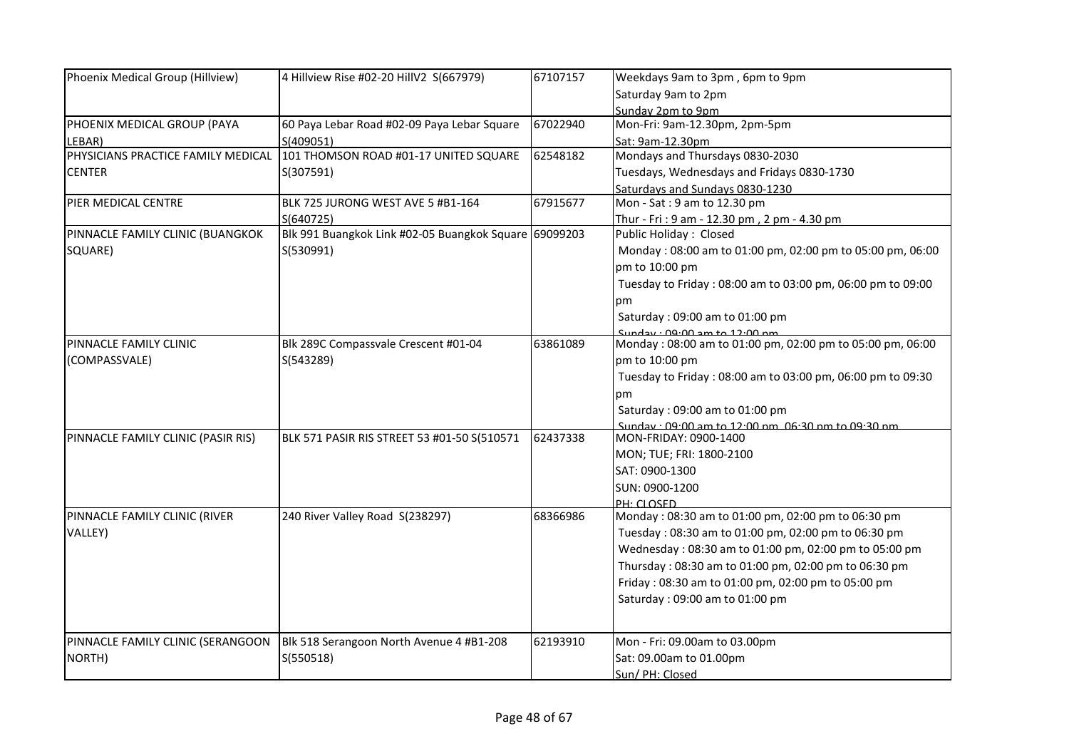| Phoenix Medical Group (Hillview)   | 4 Hillview Rise #02-20 HillV2 S(667979)               | 67107157 | Weekdays 9am to 3pm, 6pm to 9pm                            |
|------------------------------------|-------------------------------------------------------|----------|------------------------------------------------------------|
|                                    |                                                       |          | Saturday 9am to 2pm                                        |
|                                    |                                                       |          | Sunday 2pm to 9pm                                          |
| PHOENIX MEDICAL GROUP (PAYA        | 60 Paya Lebar Road #02-09 Paya Lebar Square           | 67022940 | Mon-Fri: 9am-12.30pm, 2pm-5pm                              |
| LEBAR)                             | S(409051)                                             |          | Sat: 9am-12.30pm                                           |
| PHYSICIANS PRACTICE FAMILY MEDICAL | 101 THOMSON ROAD #01-17 UNITED SQUARE                 | 62548182 | Mondays and Thursdays 0830-2030                            |
| <b>CENTER</b>                      | S(307591)                                             |          | Tuesdays, Wednesdays and Fridays 0830-1730                 |
|                                    |                                                       |          | Saturdays and Sundays 0830-1230                            |
| PIER MEDICAL CENTRE                | BLK 725 JURONG WEST AVE 5 #B1-164                     | 67915677 | Mon - Sat: 9 am to 12.30 pm                                |
|                                    | S(640725)                                             |          | Thur - Fri: 9 am - 12.30 pm, 2 pm - 4.30 pm                |
| PINNACLE FAMILY CLINIC (BUANGKOK   | Blk 991 Buangkok Link #02-05 Buangkok Square 69099203 |          | Public Holiday: Closed                                     |
| SQUARE)                            | S(530991)                                             |          | Monday: 08:00 am to 01:00 pm, 02:00 pm to 05:00 pm, 06:00  |
|                                    |                                                       |          | pm to 10:00 pm                                             |
|                                    |                                                       |          | Tuesday to Friday: 08:00 am to 03:00 pm, 06:00 pm to 09:00 |
|                                    |                                                       |          | pm                                                         |
|                                    |                                                       |          | Saturday: 09:00 am to 01:00 pm                             |
|                                    |                                                       |          | Sunday: 00:00 am to 12:00 nm                               |
| PINNACLE FAMILY CLINIC             | Blk 289C Compassvale Crescent #01-04                  | 63861089 | Monday: 08:00 am to 01:00 pm, 02:00 pm to 05:00 pm, 06:00  |
| (COMPASSVALE)                      | S(543289)                                             |          | pm to 10:00 pm                                             |
|                                    |                                                       |          | Tuesday to Friday: 08:00 am to 03:00 pm, 06:00 pm to 09:30 |
|                                    |                                                       |          | pm                                                         |
|                                    |                                                       |          | Saturday: 09:00 am to 01:00 pm                             |
|                                    |                                                       |          | Sunday: $09:00$ am to $12:00$ nm $06:30$ nm to $09:30$ nm  |
| PINNACLE FAMILY CLINIC (PASIR RIS) | BLK 571 PASIR RIS STREET 53 #01-50 S(510571           | 62437338 | MON-FRIDAY: 0900-1400                                      |
|                                    |                                                       |          | MON; TUE; FRI: 1800-2100                                   |
|                                    |                                                       |          | SAT: 0900-1300                                             |
|                                    |                                                       |          | SUN: 0900-1200                                             |
|                                    |                                                       |          | PH: CLOSED                                                 |
| PINNACLE FAMILY CLINIC (RIVER      | 240 River Valley Road S(238297)                       | 68366986 | Monday: 08:30 am to 01:00 pm, 02:00 pm to 06:30 pm         |
| VALLEY)                            |                                                       |          | Tuesday: 08:30 am to 01:00 pm, 02:00 pm to 06:30 pm        |
|                                    |                                                       |          | Wednesday: 08:30 am to 01:00 pm, 02:00 pm to 05:00 pm      |
|                                    |                                                       |          | Thursday: 08:30 am to 01:00 pm, 02:00 pm to 06:30 pm       |
|                                    |                                                       |          | Friday: 08:30 am to 01:00 pm, 02:00 pm to 05:00 pm         |
|                                    |                                                       |          | Saturday: 09:00 am to 01:00 pm                             |
|                                    |                                                       |          |                                                            |
| PINNACLE FAMILY CLINIC (SERANGOON  | Blk 518 Serangoon North Avenue 4 #B1-208              | 62193910 | Mon - Fri: 09.00am to 03.00pm                              |
| NORTH)                             | S(550518)                                             |          | Sat: 09.00am to 01.00pm                                    |
|                                    |                                                       |          | Sun/ PH: Closed                                            |
|                                    |                                                       |          |                                                            |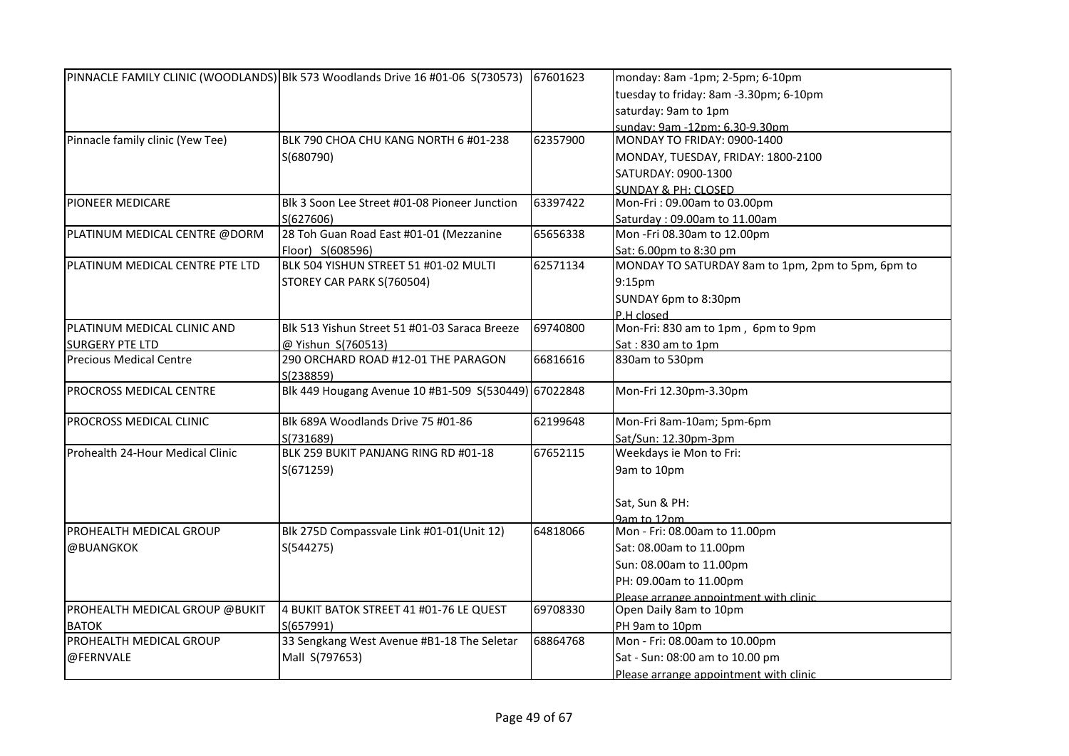|                                  | PINNACLE FAMILY CLINIC (WOODLANDS) Blk 573 Woodlands Drive 16 #01-06 S(730573) | 67601623 | monday: 8am -1pm; 2-5pm; 6-10pm                   |
|----------------------------------|--------------------------------------------------------------------------------|----------|---------------------------------------------------|
|                                  |                                                                                |          | tuesday to friday: 8am -3.30pm; 6-10pm            |
|                                  |                                                                                |          | saturday: 9am to 1pm                              |
|                                  |                                                                                |          | sunday: 9am -12pm: 6.30-9.30pm                    |
| Pinnacle family clinic (Yew Tee) | BLK 790 CHOA CHU KANG NORTH 6 #01-238                                          | 62357900 | MONDAY TO FRIDAY: 0900-1400                       |
|                                  | S(680790)                                                                      |          | MONDAY, TUESDAY, FRIDAY: 1800-2100                |
|                                  |                                                                                |          | SATURDAY: 0900-1300                               |
|                                  |                                                                                |          | <b>SUNDAY &amp; PH: CLOSED</b>                    |
| PIONEER MEDICARE                 | Blk 3 Soon Lee Street #01-08 Pioneer Junction                                  | 63397422 | Mon-Fri: 09.00am to 03.00pm                       |
|                                  | S(627606)                                                                      |          | Saturday: 09.00am to 11.00am                      |
| PLATINUM MEDICAL CENTRE @DORM    | 28 Toh Guan Road East #01-01 (Mezzanine                                        | 65656338 | Mon -Fri 08.30am to 12.00pm                       |
|                                  | Floor) S(608596)                                                               |          | Sat: 6.00pm to 8:30 pm                            |
| PLATINUM MEDICAL CENTRE PTE LTD  | BLK 504 YISHUN STREET 51 #01-02 MULTI                                          | 62571134 | MONDAY TO SATURDAY 8am to 1pm, 2pm to 5pm, 6pm to |
|                                  | STOREY CAR PARK S(760504)                                                      |          | 9:15 <sub>pm</sub>                                |
|                                  |                                                                                |          | SUNDAY 6pm to 8:30pm                              |
|                                  |                                                                                |          | P.H closed                                        |
| PLATINUM MEDICAL CLINIC AND      | Blk 513 Yishun Street 51 #01-03 Saraca Breeze                                  | 69740800 | Mon-Fri: 830 am to 1pm, 6pm to 9pm                |
| <b>SURGERY PTE LTD</b>           | @ Yishun S(760513)                                                             |          | Sat: 830 am to 1pm                                |
| <b>Precious Medical Centre</b>   | 290 ORCHARD ROAD #12-01 THE PARAGON                                            | 66816616 | 830am to 530pm                                    |
|                                  | S(238859)                                                                      |          |                                                   |
| PROCROSS MEDICAL CENTRE          | Blk 449 Hougang Avenue 10 #B1-509 S(530449) 67022848                           |          | Mon-Fri 12.30pm-3.30pm                            |
| PROCROSS MEDICAL CLINIC          | Blk 689A Woodlands Drive 75 #01-86                                             | 62199648 | Mon-Fri 8am-10am; 5pm-6pm                         |
|                                  | S(731689)                                                                      |          | Sat/Sun: 12.30pm-3pm                              |
| Prohealth 24-Hour Medical Clinic | BLK 259 BUKIT PANJANG RING RD #01-18                                           | 67652115 | Weekdays ie Mon to Fri:                           |
|                                  | S(671259)                                                                      |          | 9am to 10pm                                       |
|                                  |                                                                                |          | Sat, Sun & PH:                                    |
|                                  |                                                                                |          | 9am to 12nm                                       |
| PROHEALTH MEDICAL GROUP          | Blk 275D Compassvale Link #01-01(Unit 12)                                      | 64818066 | Mon - Fri: 08.00am to 11.00pm                     |
| @BUANGKOK                        | S(544275)                                                                      |          | Sat: 08.00am to 11.00pm                           |
|                                  |                                                                                |          | Sun: 08.00am to 11.00pm                           |
|                                  |                                                                                |          | PH: 09.00am to 11.00pm                            |
|                                  |                                                                                |          | Please arrange annointment with clinic            |
| PROHEALTH MEDICAL GROUP @BUKIT   | 4 BUKIT BATOK STREET 41 #01-76 LE QUEST                                        | 69708330 | Open Daily 8am to 10pm                            |
| <b>BATOK</b>                     | S(657991)                                                                      |          | PH 9am to 10pm                                    |
| PROHEALTH MEDICAL GROUP          | 33 Sengkang West Avenue #B1-18 The Seletar                                     | 68864768 | Mon - Fri: 08.00am to 10.00pm                     |
| @FERNVALE                        | Mall S(797653)                                                                 |          | Sat - Sun: 08:00 am to 10.00 pm                   |
|                                  |                                                                                |          | Please arrange appointment with clinic            |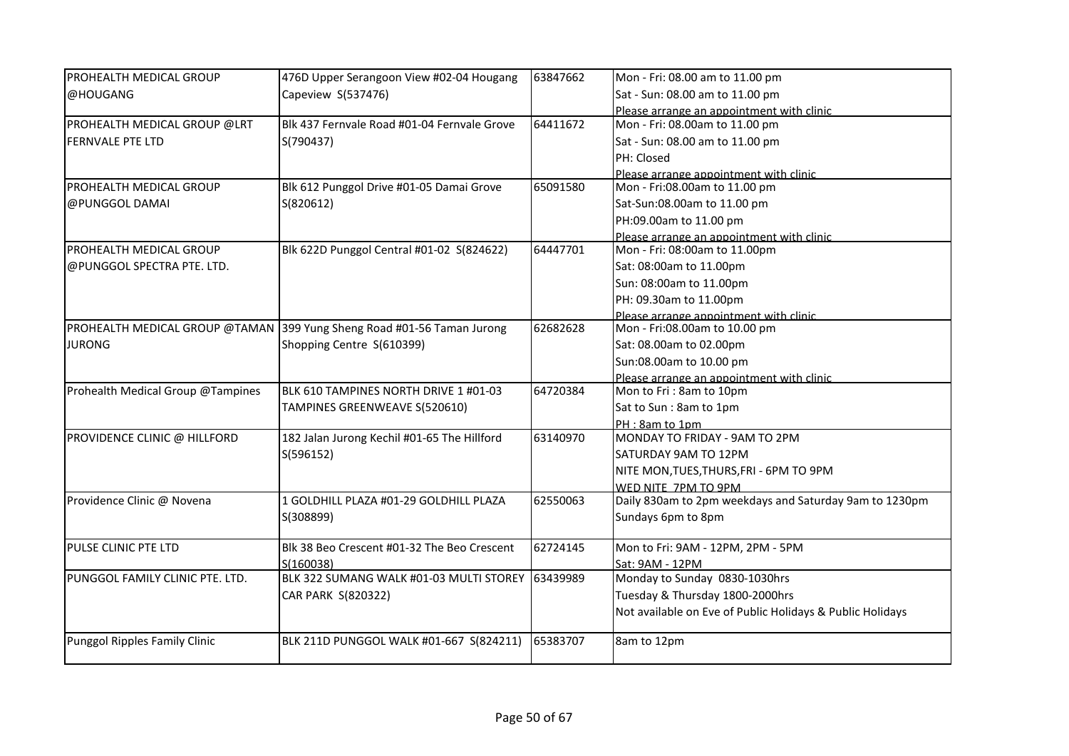| PROHEALTH MEDICAL GROUP           | 476D Upper Serangoon View #02-04 Hougang                               | 63847662 | Mon - Fri: 08.00 am to 11.00 pm                           |
|-----------------------------------|------------------------------------------------------------------------|----------|-----------------------------------------------------------|
| @HOUGANG                          | Capeview S(537476)                                                     |          | Sat - Sun: 08.00 am to 11.00 pm                           |
|                                   |                                                                        |          | Please arrange an appointment with clinic                 |
| PROHEALTH MEDICAL GROUP @LRT      | Blk 437 Fernvale Road #01-04 Fernvale Grove                            | 64411672 | Mon - Fri: 08.00am to 11.00 pm                            |
| <b>FERNVALE PTE LTD</b>           | S(790437)                                                              |          | Sat - Sun: 08.00 am to 11.00 pm                           |
|                                   |                                                                        |          | PH: Closed                                                |
|                                   |                                                                        |          | Please arrange appointment with clinic                    |
| <b>PROHEALTH MEDICAL GROUP</b>    | Blk 612 Punggol Drive #01-05 Damai Grove                               | 65091580 | Mon - Fri:08.00am to 11.00 pm                             |
| @PUNGGOL DAMAI                    | S(820612)                                                              |          | Sat-Sun:08.00am to 11.00 pm                               |
|                                   |                                                                        |          | PH:09.00am to 11.00 pm                                    |
|                                   |                                                                        |          | Please arrange an appointment with clinic                 |
| <b>PROHEALTH MEDICAL GROUP</b>    | Blk 622D Punggol Central #01-02 S(824622)                              | 64447701 | Mon - Fri: 08:00am to 11.00pm                             |
| @PUNGGOL SPECTRA PTE. LTD.        |                                                                        |          | Sat: 08:00am to 11.00pm                                   |
|                                   |                                                                        |          | Sun: 08:00am to 11.00pm                                   |
|                                   |                                                                        |          | PH: 09.30am to 11.00pm                                    |
|                                   |                                                                        |          | Please arrange annointment with clinic                    |
|                                   | PROHEALTH MEDICAL GROUP @TAMAN 399 Yung Sheng Road #01-56 Taman Jurong | 62682628 | Mon - Fri:08.00am to 10.00 pm                             |
| <b>JURONG</b>                     | Shopping Centre S(610399)                                              |          | Sat: 08.00am to 02.00pm                                   |
|                                   |                                                                        |          | Sun:08.00am to 10.00 pm                                   |
|                                   |                                                                        |          | Please arrange an appointment with clinic                 |
| Prohealth Medical Group @Tampines | BLK 610 TAMPINES NORTH DRIVE 1 #01-03                                  | 64720384 | Mon to Fri: 8am to 10pm                                   |
|                                   | TAMPINES GREENWEAVE S(520610)                                          |          | Sat to Sun: 8am to 1pm                                    |
|                                   |                                                                        |          | PH: 8am to 1pm                                            |
| PROVIDENCE CLINIC @ HILLFORD      | 182 Jalan Jurong Kechil #01-65 The Hillford                            | 63140970 | MONDAY TO FRIDAY - 9AM TO 2PM                             |
|                                   | S(596152)                                                              |          | SATURDAY 9AM TO 12PM                                      |
|                                   |                                                                        |          | NITE MON, TUES, THURS, FRI - 6PM TO 9PM                   |
|                                   |                                                                        |          | WED NITE 7PM TO 9PM                                       |
| Providence Clinic @ Novena        | 1 GOLDHILL PLAZA #01-29 GOLDHILL PLAZA                                 | 62550063 | Daily 830am to 2pm weekdays and Saturday 9am to 1230pm    |
|                                   | S(308899)                                                              |          | Sundays 6pm to 8pm                                        |
| PULSE CLINIC PTE LTD              | Blk 38 Beo Crescent #01-32 The Beo Crescent                            | 62724145 | Mon to Fri: 9AM - 12PM, 2PM - 5PM                         |
|                                   | S(160038)                                                              |          | Sat: 9AM - 12PM                                           |
| PUNGGOL FAMILY CLINIC PTE. LTD.   | BLK 322 SUMANG WALK #01-03 MULTI STOREY                                | 63439989 | Monday to Sunday 0830-1030hrs                             |
|                                   | CAR PARK S(820322)                                                     |          | Tuesday & Thursday 1800-2000hrs                           |
|                                   |                                                                        |          | Not available on Eve of Public Holidays & Public Holidays |
| Punggol Ripples Family Clinic     | BLK 211D PUNGGOL WALK #01-667 S(824211)                                | 65383707 | 8am to 12pm                                               |
|                                   |                                                                        |          |                                                           |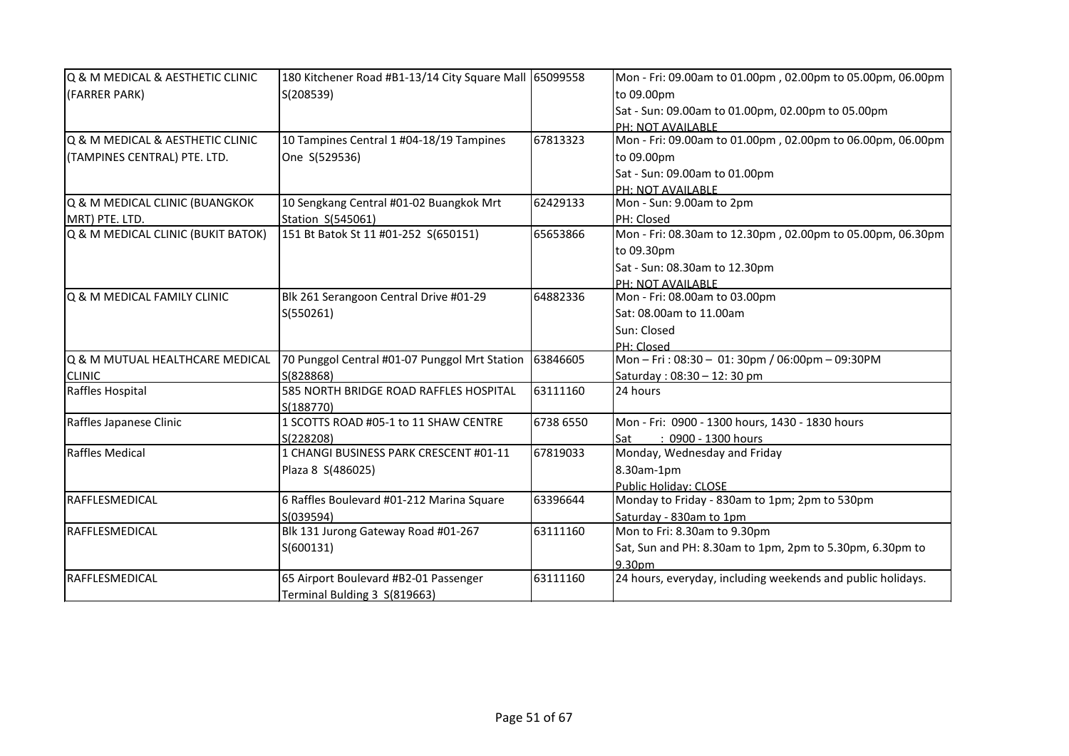| Q & M MEDICAL & AESTHETIC CLINIC   | 180 Kitchener Road #B1-13/14 City Square Mall 65099558 |           | Mon - Fri: 09.00am to 01.00pm, 02.00pm to 05.00pm, 06.00pm  |
|------------------------------------|--------------------------------------------------------|-----------|-------------------------------------------------------------|
| (FARRER PARK)                      | S(208539)                                              |           | to 09.00pm                                                  |
|                                    |                                                        |           | Sat - Sun: 09.00am to 01.00pm, 02.00pm to 05.00pm           |
|                                    |                                                        |           | PH: NOT AVAILABLE                                           |
| Q & M MEDICAL & AESTHETIC CLINIC   | 10 Tampines Central 1 #04-18/19 Tampines               | 67813323  | Mon - Fri: 09.00am to 01.00pm, 02.00pm to 06.00pm, 06.00pm  |
| (TAMPINES CENTRAL) PTE. LTD.       | One S(529536)                                          |           | to 09.00pm                                                  |
|                                    |                                                        |           | Sat - Sun: 09.00am to 01.00pm                               |
|                                    |                                                        |           | PH: NOT AVAILABLE                                           |
| Q & M MEDICAL CLINIC (BUANGKOK     | 10 Sengkang Central #01-02 Buangkok Mrt                | 62429133  | Mon - Sun: 9.00am to 2pm                                    |
| MRT) PTE. LTD.                     | Station S(545061)                                      |           | PH: Closed                                                  |
| Q & M MEDICAL CLINIC (BUKIT BATOK) | 151 Bt Batok St 11 #01-252 S(650151)                   | 65653866  | Mon - Fri: 08.30am to 12.30pm, 02.00pm to 05.00pm, 06.30pm  |
|                                    |                                                        |           | to 09.30pm                                                  |
|                                    |                                                        |           | Sat - Sun: 08.30am to 12.30pm                               |
|                                    |                                                        |           | PH: NOT AVAILABLE                                           |
| Q & M MEDICAL FAMILY CLINIC        | Blk 261 Serangoon Central Drive #01-29                 | 64882336  | Mon - Fri: 08.00am to 03.00pm                               |
|                                    | S(550261)                                              |           | Sat: 08.00am to 11.00am                                     |
|                                    |                                                        |           | Sun: Closed                                                 |
|                                    |                                                        |           | PH: Closed                                                  |
| Q & M MUTUAL HEALTHCARE MEDICAL    | 70 Punggol Central #01-07 Punggol Mrt Station          | 63846605  | Mon-Fri: 08:30 - 01: 30pm / 06:00pm - 09:30PM               |
| <b>CLINIC</b>                      | S(828868)                                              |           | Saturday: 08:30 - 12: 30 pm                                 |
| Raffles Hospital                   | 585 NORTH BRIDGE ROAD RAFFLES HOSPITAL                 | 63111160  | 24 hours                                                    |
|                                    | S(188770)                                              |           |                                                             |
| Raffles Japanese Clinic            | 1 SCOTTS ROAD #05-1 to 11 SHAW CENTRE                  | 6738 6550 | Mon - Fri: 0900 - 1300 hours, 1430 - 1830 hours             |
|                                    | S(228208)                                              |           | : 0900 - 1300 hours<br>Sat                                  |
| <b>Raffles Medical</b>             | 1 CHANGI BUSINESS PARK CRESCENT #01-11                 | 67819033  | Monday, Wednesday and Friday                                |
|                                    | Plaza 8 S(486025)                                      |           | 8.30am-1pm                                                  |
|                                    |                                                        |           | <b>Public Holiday: CLOSE</b>                                |
| RAFFLESMEDICAL                     | 6 Raffles Boulevard #01-212 Marina Square              | 63396644  | Monday to Friday - 830am to 1pm; 2pm to 530pm               |
|                                    | S(039594)                                              |           | Saturday - 830am to 1pm                                     |
| RAFFLESMEDICAL                     | Blk 131 Jurong Gateway Road #01-267                    | 63111160  | Mon to Fri: 8.30am to 9.30pm                                |
|                                    | S(600131)                                              |           | Sat, Sun and PH: 8.30am to 1pm, 2pm to 5.30pm, 6.30pm to    |
|                                    |                                                        |           | 9.30pm                                                      |
| <b>RAFFLESMEDICAL</b>              | 65 Airport Boulevard #B2-01 Passenger                  | 63111160  | 24 hours, everyday, including weekends and public holidays. |
|                                    | Terminal Bulding 3 S(819663)                           |           |                                                             |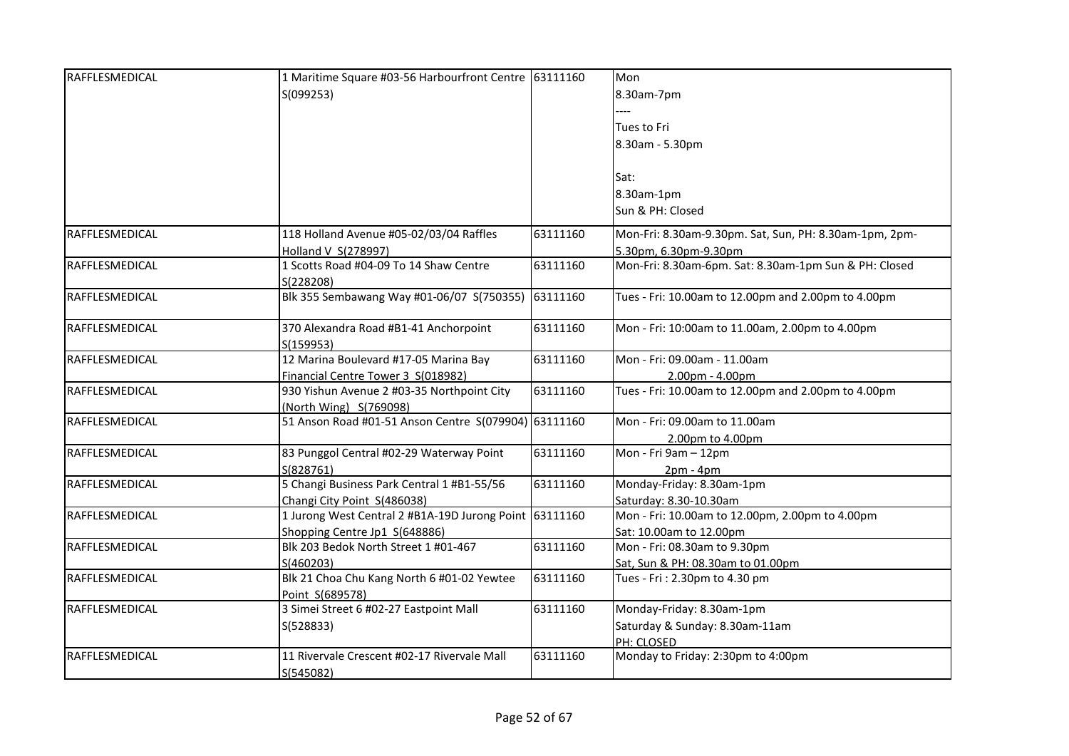| RAFFLESMEDICAL | 1 Maritime Square #03-56 Harbourfront Centre 63111160   |          | Mon                                                                |
|----------------|---------------------------------------------------------|----------|--------------------------------------------------------------------|
|                | S(099253)                                               |          | 8.30am-7pm                                                         |
|                |                                                         |          |                                                                    |
|                |                                                         |          | Tues to Fri                                                        |
|                |                                                         |          | 8.30am - 5.30pm                                                    |
|                |                                                         |          |                                                                    |
|                |                                                         |          | Sat:                                                               |
|                |                                                         |          | 8.30am-1pm                                                         |
|                |                                                         |          | Sun & PH: Closed                                                   |
|                |                                                         |          |                                                                    |
| RAFFLESMEDICAL | 118 Holland Avenue #05-02/03/04 Raffles                 | 63111160 | Mon-Fri: 8.30am-9.30pm. Sat, Sun, PH: 8.30am-1pm, 2pm-             |
|                | Holland V S(278997)                                     |          | 5.30pm, 6.30pm-9.30pm                                              |
| RAFFLESMEDICAL | 1 Scotts Road #04-09 To 14 Shaw Centre                  | 63111160 | Mon-Fri: 8.30am-6pm. Sat: 8.30am-1pm Sun & PH: Closed              |
|                | S(228208)                                               |          |                                                                    |
| RAFFLESMEDICAL | Blk 355 Sembawang Way #01-06/07 S(750355)               | 63111160 | Tues - Fri: 10.00am to 12.00pm and 2.00pm to 4.00pm                |
| RAFFLESMEDICAL | 370 Alexandra Road #B1-41 Anchorpoint                   | 63111160 | Mon - Fri: 10:00am to 11.00am, 2.00pm to 4.00pm                    |
|                | S(159953)                                               |          |                                                                    |
| RAFFLESMEDICAL | 12 Marina Boulevard #17-05 Marina Bay                   | 63111160 | Mon - Fri: 09.00am - 11.00am                                       |
|                | Financial Centre Tower 3 S(018982)                      |          | 2.00pm - 4.00pm                                                    |
| RAFFLESMEDICAL | 930 Yishun Avenue 2 #03-35 Northpoint City              | 63111160 | Tues - Fri: 10.00am to 12.00pm and 2.00pm to 4.00pm                |
|                | (North Wing) S(769098)                                  |          |                                                                    |
| RAFFLESMEDICAL | 51 Anson Road #01-51 Anson Centre S(079904) 63111160    |          | Mon - Fri: 09.00am to 11.00am                                      |
|                |                                                         |          | 2.00pm to 4.00pm                                                   |
| RAFFLESMEDICAL | 83 Punggol Central #02-29 Waterway Point                | 63111160 | Mon - Fri 9am - 12pm                                               |
|                | S(828761)                                               |          | $2pm - 4pm$                                                        |
| RAFFLESMEDICAL | 5 Changi Business Park Central 1 #B1-55/56              | 63111160 | Monday-Friday: 8.30am-1pm                                          |
|                | Changi City Point S(486038)                             |          | Saturday: 8.30-10.30am                                             |
| RAFFLESMEDICAL | 1 Jurong West Central 2 #B1A-19D Jurong Point 63111160  |          | Mon - Fri: 10.00am to 12.00pm, 2.00pm to 4.00pm                    |
| RAFFLESMEDICAL | Shopping Centre Jp1 S(648886)                           |          | Sat: 10.00am to 12.00pm                                            |
|                | Blk 203 Bedok North Street 1 #01-467                    | 63111160 | Mon - Fri: 08.30am to 9.30pm                                       |
| RAFFLESMEDICAL | S(460203)<br>Blk 21 Choa Chu Kang North 6 #01-02 Yewtee | 63111160 | Sat, Sun & PH: 08.30am to 01.00pm<br>Tues - Fri: 2.30pm to 4.30 pm |
|                | Point S(689578)                                         |          |                                                                    |
| RAFFLESMEDICAL | 3 Simei Street 6 #02-27 Eastpoint Mall                  | 63111160 | Monday-Friday: 8.30am-1pm                                          |
|                | S(528833)                                               |          | Saturday & Sunday: 8.30am-11am                                     |
|                |                                                         |          | PH: CLOSED                                                         |
| RAFFLESMEDICAL | 11 Rivervale Crescent #02-17 Rivervale Mall             | 63111160 | Monday to Friday: 2:30pm to 4:00pm                                 |
|                |                                                         |          |                                                                    |
|                | S(545082)                                               |          |                                                                    |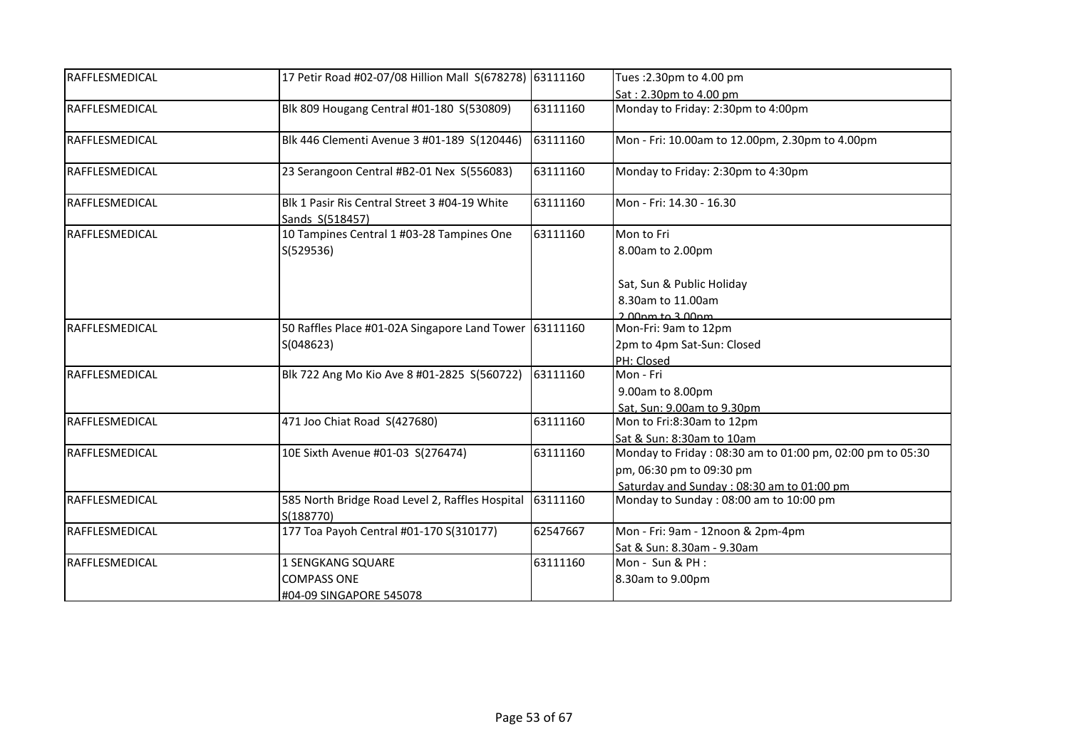| Sat: 2.30pm to 4.00 pm<br>Blk 809 Hougang Central #01-180 S(530809)<br>Monday to Friday: 2:30pm to 4:00pm<br>63111160<br>Blk 446 Clementi Avenue 3 #01-189 S(120446)<br>63111160<br>Mon - Fri: 10.00am to 12.00pm, 2.30pm to 4.00pm<br>23 Serangoon Central #B2-01 Nex S(556083)<br>63111160<br>Monday to Friday: 2:30pm to 4:30pm<br>Blk 1 Pasir Ris Central Street 3 #04-19 White<br>63111160<br>Mon - Fri: 14.30 - 16.30<br>Sands S(518457)<br>10 Tampines Central 1 #03-28 Tampines One<br>Mon to Fri<br>63111160<br>S(529536)<br>8.00am to 2.00pm<br>Sat, Sun & Public Holiday<br>8.30am to 11.00am<br>$2.00$ pm to $3.00$ pm<br>50 Raffles Place #01-02A Singapore Land Tower<br>63111160<br>Mon-Fri: 9am to 12pm<br>2pm to 4pm Sat-Sun: Closed<br>S(048623)<br>PH: Closed<br>63111160<br>Blk 722 Ang Mo Kio Ave 8 #01-2825 S(560722)<br>Mon - Fri<br>9.00am to 8.00pm<br>Sat, Sun: 9.00am to 9.30pm<br>471 Joo Chiat Road S(427680)<br>63111160<br>Mon to Fri:8:30am to 12pm<br>Sat & Sun: 8:30am to 10am<br>Monday to Friday: 08:30 am to 01:00 pm, 02:00 pm to 05:30<br>63111160<br>10E Sixth Avenue #01-03 S(276474)<br>pm, 06:30 pm to 09:30 pm<br>Saturday and Sunday: 08:30 am to 01:00 pm<br>585 North Bridge Road Level 2, Raffles Hospital<br>63111160<br>Monday to Sunday: 08:00 am to 10:00 pm<br>S(188770)<br>177 Toa Payoh Central #01-170 S(310177)<br>62547667<br>Mon - Fri: 9am - 12noon & 2pm-4pm<br>Sat & Sun: 8.30am - 9.30am<br>Mon - Sun & PH :<br><b>1 SENGKANG SQUARE</b><br>63111160<br><b>COMPASS ONE</b><br>8.30am to 9.00pm | RAFFLESMEDICAL | 17 Petir Road #02-07/08 Hillion Mall S(678278) 63111160 | Tues: 2.30pm to 4.00 pm |
|---------------------------------------------------------------------------------------------------------------------------------------------------------------------------------------------------------------------------------------------------------------------------------------------------------------------------------------------------------------------------------------------------------------------------------------------------------------------------------------------------------------------------------------------------------------------------------------------------------------------------------------------------------------------------------------------------------------------------------------------------------------------------------------------------------------------------------------------------------------------------------------------------------------------------------------------------------------------------------------------------------------------------------------------------------------------------------------------------------------------------------------------------------------------------------------------------------------------------------------------------------------------------------------------------------------------------------------------------------------------------------------------------------------------------------------------------------------------------------------------------------------------------------------------------------------|----------------|---------------------------------------------------------|-------------------------|
|                                                                                                                                                                                                                                                                                                                                                                                                                                                                                                                                                                                                                                                                                                                                                                                                                                                                                                                                                                                                                                                                                                                                                                                                                                                                                                                                                                                                                                                                                                                                                               |                |                                                         |                         |
|                                                                                                                                                                                                                                                                                                                                                                                                                                                                                                                                                                                                                                                                                                                                                                                                                                                                                                                                                                                                                                                                                                                                                                                                                                                                                                                                                                                                                                                                                                                                                               | RAFFLESMEDICAL |                                                         |                         |
|                                                                                                                                                                                                                                                                                                                                                                                                                                                                                                                                                                                                                                                                                                                                                                                                                                                                                                                                                                                                                                                                                                                                                                                                                                                                                                                                                                                                                                                                                                                                                               | RAFFLESMEDICAL |                                                         |                         |
|                                                                                                                                                                                                                                                                                                                                                                                                                                                                                                                                                                                                                                                                                                                                                                                                                                                                                                                                                                                                                                                                                                                                                                                                                                                                                                                                                                                                                                                                                                                                                               | RAFFLESMEDICAL |                                                         |                         |
|                                                                                                                                                                                                                                                                                                                                                                                                                                                                                                                                                                                                                                                                                                                                                                                                                                                                                                                                                                                                                                                                                                                                                                                                                                                                                                                                                                                                                                                                                                                                                               | RAFFLESMEDICAL |                                                         |                         |
|                                                                                                                                                                                                                                                                                                                                                                                                                                                                                                                                                                                                                                                                                                                                                                                                                                                                                                                                                                                                                                                                                                                                                                                                                                                                                                                                                                                                                                                                                                                                                               | RAFFLESMEDICAL |                                                         |                         |
|                                                                                                                                                                                                                                                                                                                                                                                                                                                                                                                                                                                                                                                                                                                                                                                                                                                                                                                                                                                                                                                                                                                                                                                                                                                                                                                                                                                                                                                                                                                                                               |                |                                                         |                         |
|                                                                                                                                                                                                                                                                                                                                                                                                                                                                                                                                                                                                                                                                                                                                                                                                                                                                                                                                                                                                                                                                                                                                                                                                                                                                                                                                                                                                                                                                                                                                                               |                |                                                         |                         |
|                                                                                                                                                                                                                                                                                                                                                                                                                                                                                                                                                                                                                                                                                                                                                                                                                                                                                                                                                                                                                                                                                                                                                                                                                                                                                                                                                                                                                                                                                                                                                               |                |                                                         |                         |
|                                                                                                                                                                                                                                                                                                                                                                                                                                                                                                                                                                                                                                                                                                                                                                                                                                                                                                                                                                                                                                                                                                                                                                                                                                                                                                                                                                                                                                                                                                                                                               |                |                                                         |                         |
|                                                                                                                                                                                                                                                                                                                                                                                                                                                                                                                                                                                                                                                                                                                                                                                                                                                                                                                                                                                                                                                                                                                                                                                                                                                                                                                                                                                                                                                                                                                                                               | RAFFLESMEDICAL |                                                         |                         |
|                                                                                                                                                                                                                                                                                                                                                                                                                                                                                                                                                                                                                                                                                                                                                                                                                                                                                                                                                                                                                                                                                                                                                                                                                                                                                                                                                                                                                                                                                                                                                               |                |                                                         |                         |
|                                                                                                                                                                                                                                                                                                                                                                                                                                                                                                                                                                                                                                                                                                                                                                                                                                                                                                                                                                                                                                                                                                                                                                                                                                                                                                                                                                                                                                                                                                                                                               |                |                                                         |                         |
|                                                                                                                                                                                                                                                                                                                                                                                                                                                                                                                                                                                                                                                                                                                                                                                                                                                                                                                                                                                                                                                                                                                                                                                                                                                                                                                                                                                                                                                                                                                                                               | RAFFLESMEDICAL |                                                         |                         |
|                                                                                                                                                                                                                                                                                                                                                                                                                                                                                                                                                                                                                                                                                                                                                                                                                                                                                                                                                                                                                                                                                                                                                                                                                                                                                                                                                                                                                                                                                                                                                               |                |                                                         |                         |
|                                                                                                                                                                                                                                                                                                                                                                                                                                                                                                                                                                                                                                                                                                                                                                                                                                                                                                                                                                                                                                                                                                                                                                                                                                                                                                                                                                                                                                                                                                                                                               |                |                                                         |                         |
|                                                                                                                                                                                                                                                                                                                                                                                                                                                                                                                                                                                                                                                                                                                                                                                                                                                                                                                                                                                                                                                                                                                                                                                                                                                                                                                                                                                                                                                                                                                                                               | RAFFLESMEDICAL |                                                         |                         |
|                                                                                                                                                                                                                                                                                                                                                                                                                                                                                                                                                                                                                                                                                                                                                                                                                                                                                                                                                                                                                                                                                                                                                                                                                                                                                                                                                                                                                                                                                                                                                               |                |                                                         |                         |
|                                                                                                                                                                                                                                                                                                                                                                                                                                                                                                                                                                                                                                                                                                                                                                                                                                                                                                                                                                                                                                                                                                                                                                                                                                                                                                                                                                                                                                                                                                                                                               | RAFFLESMEDICAL |                                                         |                         |
|                                                                                                                                                                                                                                                                                                                                                                                                                                                                                                                                                                                                                                                                                                                                                                                                                                                                                                                                                                                                                                                                                                                                                                                                                                                                                                                                                                                                                                                                                                                                                               |                |                                                         |                         |
|                                                                                                                                                                                                                                                                                                                                                                                                                                                                                                                                                                                                                                                                                                                                                                                                                                                                                                                                                                                                                                                                                                                                                                                                                                                                                                                                                                                                                                                                                                                                                               |                |                                                         |                         |
|                                                                                                                                                                                                                                                                                                                                                                                                                                                                                                                                                                                                                                                                                                                                                                                                                                                                                                                                                                                                                                                                                                                                                                                                                                                                                                                                                                                                                                                                                                                                                               | RAFFLESMEDICAL |                                                         |                         |
|                                                                                                                                                                                                                                                                                                                                                                                                                                                                                                                                                                                                                                                                                                                                                                                                                                                                                                                                                                                                                                                                                                                                                                                                                                                                                                                                                                                                                                                                                                                                                               |                |                                                         |                         |
|                                                                                                                                                                                                                                                                                                                                                                                                                                                                                                                                                                                                                                                                                                                                                                                                                                                                                                                                                                                                                                                                                                                                                                                                                                                                                                                                                                                                                                                                                                                                                               | RAFFLESMEDICAL |                                                         |                         |
|                                                                                                                                                                                                                                                                                                                                                                                                                                                                                                                                                                                                                                                                                                                                                                                                                                                                                                                                                                                                                                                                                                                                                                                                                                                                                                                                                                                                                                                                                                                                                               |                |                                                         |                         |
|                                                                                                                                                                                                                                                                                                                                                                                                                                                                                                                                                                                                                                                                                                                                                                                                                                                                                                                                                                                                                                                                                                                                                                                                                                                                                                                                                                                                                                                                                                                                                               | RAFFLESMEDICAL |                                                         |                         |
|                                                                                                                                                                                                                                                                                                                                                                                                                                                                                                                                                                                                                                                                                                                                                                                                                                                                                                                                                                                                                                                                                                                                                                                                                                                                                                                                                                                                                                                                                                                                                               |                |                                                         |                         |
| #04-09 SINGAPORE 545078                                                                                                                                                                                                                                                                                                                                                                                                                                                                                                                                                                                                                                                                                                                                                                                                                                                                                                                                                                                                                                                                                                                                                                                                                                                                                                                                                                                                                                                                                                                                       |                |                                                         |                         |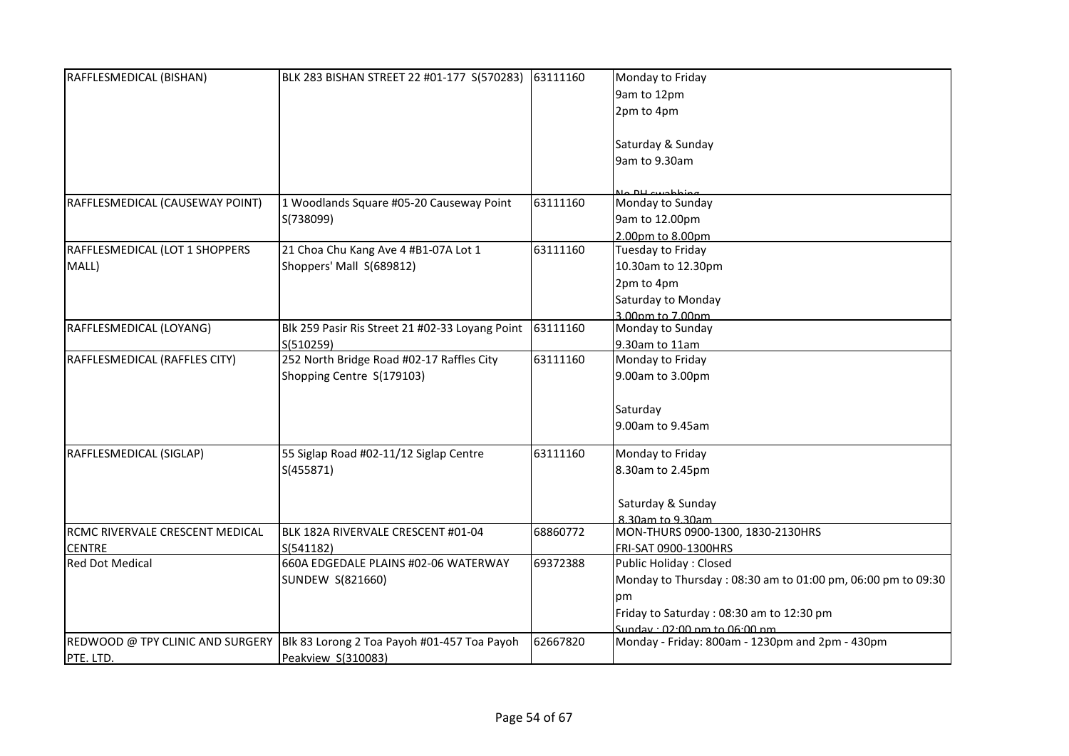| RAFFLESMEDICAL (BISHAN)         | BLK 283 BISHAN STREET 22 #01-177 S(570283)                                    | 63111160 | Monday to Friday                                            |
|---------------------------------|-------------------------------------------------------------------------------|----------|-------------------------------------------------------------|
|                                 |                                                                               |          | 9am to 12pm                                                 |
|                                 |                                                                               |          | 2pm to 4pm                                                  |
|                                 |                                                                               |          |                                                             |
|                                 |                                                                               |          | Saturday & Sunday                                           |
|                                 |                                                                               |          | 9am to 9.30am                                               |
|                                 |                                                                               |          |                                                             |
|                                 |                                                                               |          |                                                             |
| RAFFLESMEDICAL (CAUSEWAY POINT) | 1 Woodlands Square #05-20 Causeway Point                                      | 63111160 | Monday to Sunday                                            |
|                                 | S(738099)                                                                     |          | 9am to 12.00pm                                              |
|                                 |                                                                               |          | 2.00pm to 8.00pm                                            |
| RAFFLESMEDICAL (LOT 1 SHOPPERS  | 21 Choa Chu Kang Ave 4 #B1-07A Lot 1                                          | 63111160 | Tuesday to Friday                                           |
| MALL)                           | Shoppers' Mall S(689812)                                                      |          | 10.30am to 12.30pm                                          |
|                                 |                                                                               |          | 2pm to 4pm                                                  |
|                                 |                                                                               |          | Saturday to Monday                                          |
|                                 |                                                                               |          | 3.00pm to 7.00pm                                            |
| RAFFLESMEDICAL (LOYANG)         | Blk 259 Pasir Ris Street 21 #02-33 Loyang Point                               | 63111160 | Monday to Sunday                                            |
|                                 | S(510259)                                                                     |          | 9.30am to 11am                                              |
| RAFFLESMEDICAL (RAFFLES CITY)   | 252 North Bridge Road #02-17 Raffles City                                     | 63111160 | Monday to Friday                                            |
|                                 | Shopping Centre S(179103)                                                     |          | 9.00am to 3.00pm                                            |
|                                 |                                                                               |          |                                                             |
|                                 |                                                                               |          | Saturday                                                    |
|                                 |                                                                               |          | 9.00am to 9.45am                                            |
|                                 |                                                                               |          |                                                             |
| RAFFLESMEDICAL (SIGLAP)         | 55 Siglap Road #02-11/12 Siglap Centre                                        | 63111160 | Monday to Friday                                            |
|                                 | S(455871)                                                                     |          | 8.30am to 2.45pm                                            |
|                                 |                                                                               |          |                                                             |
|                                 |                                                                               |          | Saturday & Sunday                                           |
|                                 |                                                                               |          | 8.30am to 9.30am                                            |
| RCMC RIVERVALE CRESCENT MEDICAL | BLK 182A RIVERVALE CRESCENT #01-04                                            | 68860772 | MON-THURS 0900-1300, 1830-2130HRS                           |
| <b>CENTRE</b>                   | S(541182)                                                                     |          | FRI-SAT 0900-1300HRS                                        |
| <b>Red Dot Medical</b>          | 660A EDGEDALE PLAINS #02-06 WATERWAY                                          | 69372388 | Public Holiday: Closed                                      |
|                                 | SUNDEW S(821660)                                                              |          | Monday to Thursday: 08:30 am to 01:00 pm, 06:00 pm to 09:30 |
|                                 |                                                                               |          | рm                                                          |
|                                 |                                                                               |          | Friday to Saturday: 08:30 am to 12:30 pm                    |
|                                 |                                                                               |          | Sundav: 02:00 nm to 06:00 nm                                |
|                                 | REDWOOD @ TPY CLINIC AND SURGERY  Blk 83 Lorong 2 Toa Payoh #01-457 Toa Payoh | 62667820 | Monday - Friday: 800am - 1230pm and 2pm - 430pm             |
| PTE. LTD.                       | Peakview S(310083)                                                            |          |                                                             |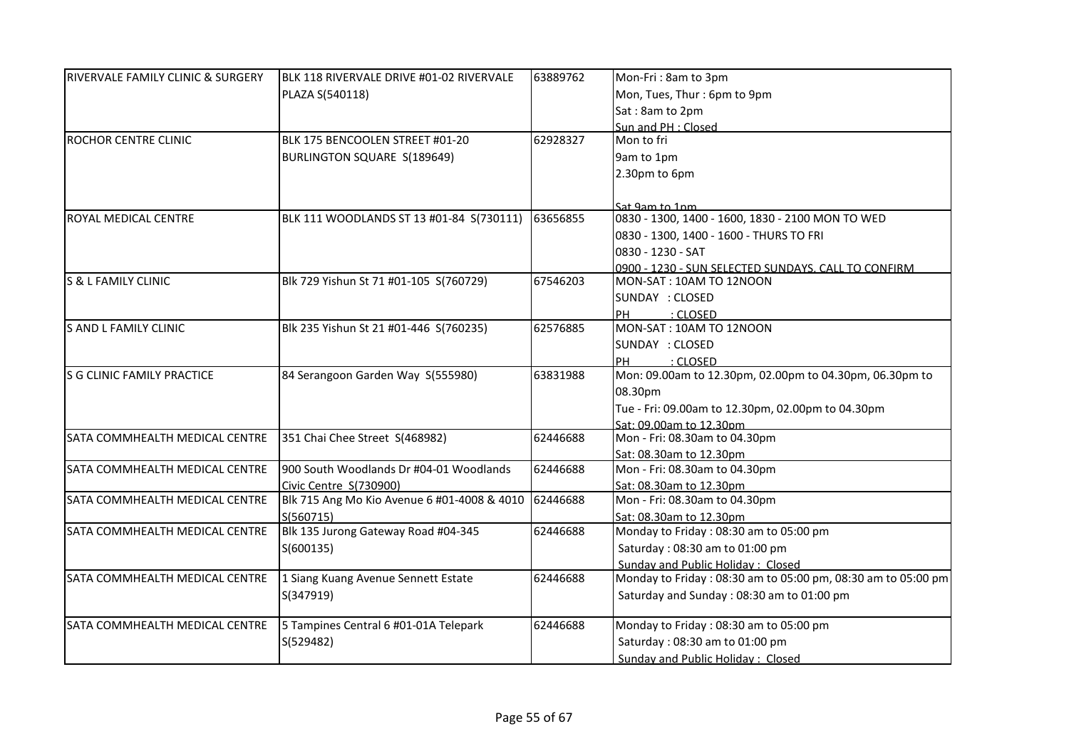| <b>RIVERVALE FAMILY CLINIC &amp; SURGERY</b> | BLK 118 RIVERVALE DRIVE #01-02 RIVERVALE    | 63889762 | Mon-Fri: 8am to 3pm                                          |
|----------------------------------------------|---------------------------------------------|----------|--------------------------------------------------------------|
|                                              | PLAZA S(540118)                             |          | Mon, Tues, Thur: 6pm to 9pm                                  |
|                                              |                                             |          | Sat: 8am to 2pm                                              |
|                                              |                                             |          | Sun and PH : Closed                                          |
| ROCHOR CENTRE CLINIC                         | BLK 175 BENCOOLEN STREET #01-20             | 62928327 | Mon to fri                                                   |
|                                              | BURLINGTON SQUARE S(189649)                 |          | 9am to 1pm                                                   |
|                                              |                                             |          | 2.30pm to 6pm                                                |
|                                              |                                             |          |                                                              |
|                                              |                                             |          | Sat 9am to 1pm                                               |
| ROYAL MEDICAL CENTRE                         | BLK 111 WOODLANDS ST 13 #01-84 S(730111)    | 63656855 | 0830 - 1300, 1400 - 1600, 1830 - 2100 MON TO WED             |
|                                              |                                             |          | 0830 - 1300, 1400 - 1600 - THURS TO FRI                      |
|                                              |                                             |          | 0830 - 1230 - SAT                                            |
|                                              |                                             |          | 0900 - 1230 - SUN SELECTED SUNDAYS. CALL TO CONFIRM          |
| <b>S &amp; L FAMILY CLINIC</b>               | Blk 729 Yishun St 71 #01-105 S(760729)      | 67546203 | MON-SAT: 10AM TO 12NOON                                      |
|                                              |                                             |          | SUNDAY : CLOSED                                              |
|                                              |                                             |          | PH<br>: CLOSED                                               |
| S AND L FAMILY CLINIC                        | Blk 235 Yishun St 21 #01-446 S(760235)      | 62576885 | MON-SAT: 10AM TO 12NOON                                      |
|                                              |                                             |          | SUNDAY : CLOSED                                              |
|                                              |                                             |          | PH<br>: CLOSED                                               |
| S G CLINIC FAMILY PRACTICE                   | 84 Serangoon Garden Way S(555980)           | 63831988 | Mon: 09.00am to 12.30pm, 02.00pm to 04.30pm, 06.30pm to      |
|                                              |                                             |          | 08.30pm                                                      |
|                                              |                                             |          | Tue - Fri: 09.00am to 12.30pm, 02.00pm to 04.30pm            |
|                                              |                                             |          | Sat: 09.00am to 12.30pm                                      |
| SATA COMMHEALTH MEDICAL CENTRE               | 351 Chai Chee Street S(468982)              | 62446688 | Mon - Fri: 08.30am to 04.30pm                                |
|                                              |                                             |          | Sat: 08.30am to 12.30pm                                      |
| SATA COMMHEALTH MEDICAL CENTRE               | 900 South Woodlands Dr #04-01 Woodlands     | 62446688 | Mon - Fri: 08.30am to 04.30pm                                |
|                                              | Civic Centre S(730900)                      |          | Sat: 08.30am to 12.30pm                                      |
| SATA COMMHEALTH MEDICAL CENTRE               | Blk 715 Ang Mo Kio Avenue 6 #01-4008 & 4010 | 62446688 | Mon - Fri: 08.30am to 04.30pm                                |
|                                              | S(560715)                                   |          | Sat: 08.30am to 12.30pm                                      |
| SATA COMMHEALTH MEDICAL CENTRE               | Blk 135 Jurong Gateway Road #04-345         | 62446688 | Monday to Friday: 08:30 am to 05:00 pm                       |
|                                              | S(600135)                                   |          | Saturday: 08:30 am to 01:00 pm                               |
|                                              |                                             |          | Sunday and Public Holiday: Closed                            |
| SATA COMMHEALTH MEDICAL CENTRE               | 1 Siang Kuang Avenue Sennett Estate         | 62446688 | Monday to Friday: 08:30 am to 05:00 pm, 08:30 am to 05:00 pm |
|                                              | S(347919)                                   |          | Saturday and Sunday: 08:30 am to 01:00 pm                    |
|                                              |                                             |          |                                                              |
| SATA COMMHEALTH MEDICAL CENTRE               | 5 Tampines Central 6 #01-01A Telepark       | 62446688 | Monday to Friday: 08:30 am to 05:00 pm                       |
|                                              | S(529482)                                   |          | Saturday: 08:30 am to 01:00 pm                               |
|                                              |                                             |          | Sundav and Public Holidav: Closed                            |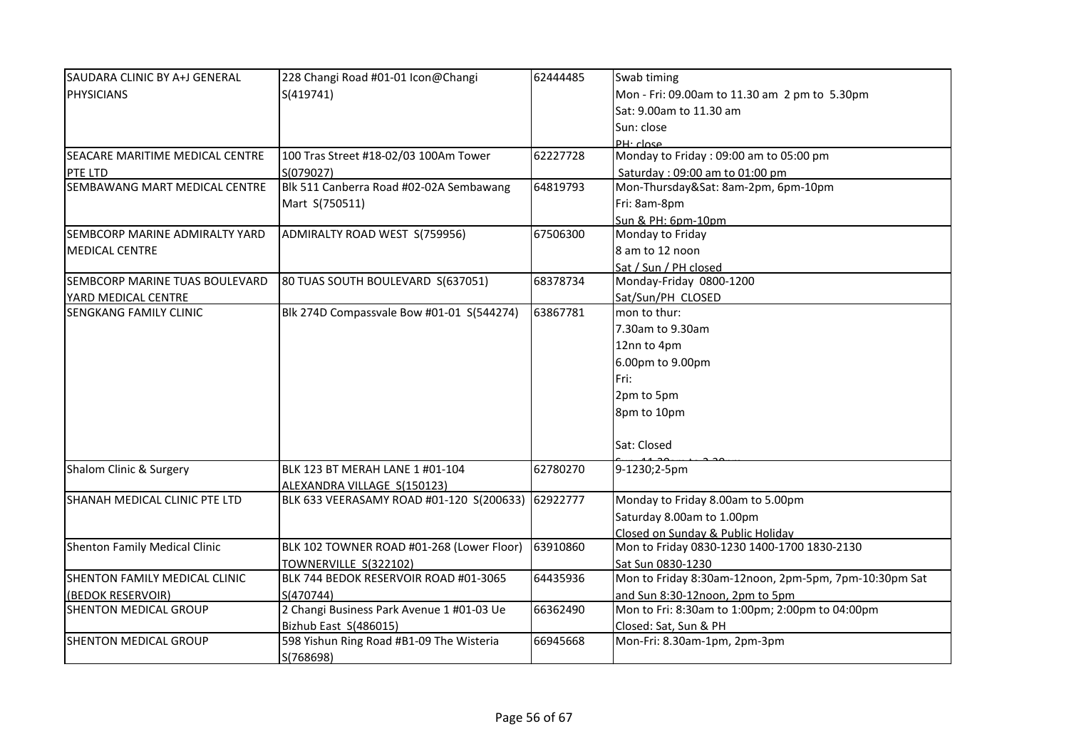| SAUDARA CLINIC BY A+J GENERAL        | 228 Changi Road #01-01 Icon@Changi        | 62444485 | Swab timing                                           |
|--------------------------------------|-------------------------------------------|----------|-------------------------------------------------------|
| <b>PHYSICIANS</b>                    | S(419741)                                 |          | Mon - Fri: 09.00am to 11.30 am 2 pm to 5.30pm         |
|                                      |                                           |          | Sat: 9.00am to 11.30 am                               |
|                                      |                                           |          | Sun: close                                            |
|                                      |                                           |          | PH:close                                              |
| SEACARE MARITIME MEDICAL CENTRE      | 100 Tras Street #18-02/03 100Am Tower     | 62227728 | Monday to Friday: 09:00 am to 05:00 pm                |
| PTE LTD                              | S(079027)                                 |          | Saturday: 09:00 am to 01:00 pm                        |
| SEMBAWANG MART MEDICAL CENTRE        | Blk 511 Canberra Road #02-02A Sembawang   | 64819793 | Mon-Thursday&Sat: 8am-2pm, 6pm-10pm                   |
|                                      | Mart S(750511)                            |          | Fri: 8am-8pm                                          |
|                                      |                                           |          | Sun & PH: 6pm-10pm                                    |
| SEMBCORP MARINE ADMIRALTY YARD       | ADMIRALTY ROAD WEST S(759956)             | 67506300 | Monday to Friday                                      |
| <b>MEDICAL CENTRE</b>                |                                           |          | 8 am to 12 noon                                       |
|                                      |                                           |          | Sat / Sun / PH closed                                 |
| SEMBCORP MARINE TUAS BOULEVARD       | 80 TUAS SOUTH BOULEVARD S(637051)         | 68378734 | Monday-Friday 0800-1200                               |
| YARD MEDICAL CENTRE                  |                                           |          | Sat/Sun/PH CLOSED                                     |
| SENGKANG FAMILY CLINIC               | Blk 274D Compassvale Bow #01-01 S(544274) | 63867781 | mon to thur:                                          |
|                                      |                                           |          | 7.30am to 9.30am                                      |
|                                      |                                           |          | 12nn to 4pm                                           |
|                                      |                                           |          | 6.00pm to 9.00pm                                      |
|                                      |                                           |          | Fri:                                                  |
|                                      |                                           |          |                                                       |
|                                      |                                           |          | 2pm to 5pm                                            |
|                                      |                                           |          | 8pm to 10pm                                           |
|                                      |                                           |          | Sat: Closed                                           |
| Shalom Clinic & Surgery              | BLK 123 BT MERAH LANE 1 #01-104           | 62780270 | 9-1230;2-5pm                                          |
|                                      | ALEXANDRA VILLAGE S(150123)               |          |                                                       |
| SHANAH MEDICAL CLINIC PTE LTD        | BLK 633 VEERASAMY ROAD #01-120 S(200633)  | 62922777 | Monday to Friday 8.00am to 5.00pm                     |
|                                      |                                           |          | Saturday 8.00am to 1.00pm                             |
|                                      |                                           |          | Closed on Sunday & Public Holiday                     |
| <b>Shenton Family Medical Clinic</b> | BLK 102 TOWNER ROAD #01-268 (Lower Floor) | 63910860 | Mon to Friday 0830-1230 1400-1700 1830-2130           |
|                                      | TOWNERVILLE S(322102)                     |          | Sat Sun 0830-1230                                     |
| SHENTON FAMILY MEDICAL CLINIC        | BLK 744 BEDOK RESERVOIR ROAD #01-3065     | 64435936 | Mon to Friday 8:30am-12noon, 2pm-5pm, 7pm-10:30pm Sat |
| (BEDOK RESERVOIR)                    | S(470744)                                 |          | and Sun 8:30-12noon, 2pm to 5pm                       |
| SHENTON MEDICAL GROUP                | 2 Changi Business Park Avenue 1 #01-03 Ue | 66362490 | Mon to Fri: 8:30am to 1:00pm; 2:00pm to 04:00pm       |
|                                      | Bizhub East S(486015)                     |          | Closed: Sat, Sun & PH                                 |
| SHENTON MEDICAL GROUP                | 598 Yishun Ring Road #B1-09 The Wisteria  | 66945668 | Mon-Fri: 8.30am-1pm, 2pm-3pm                          |
|                                      | S(768698)                                 |          |                                                       |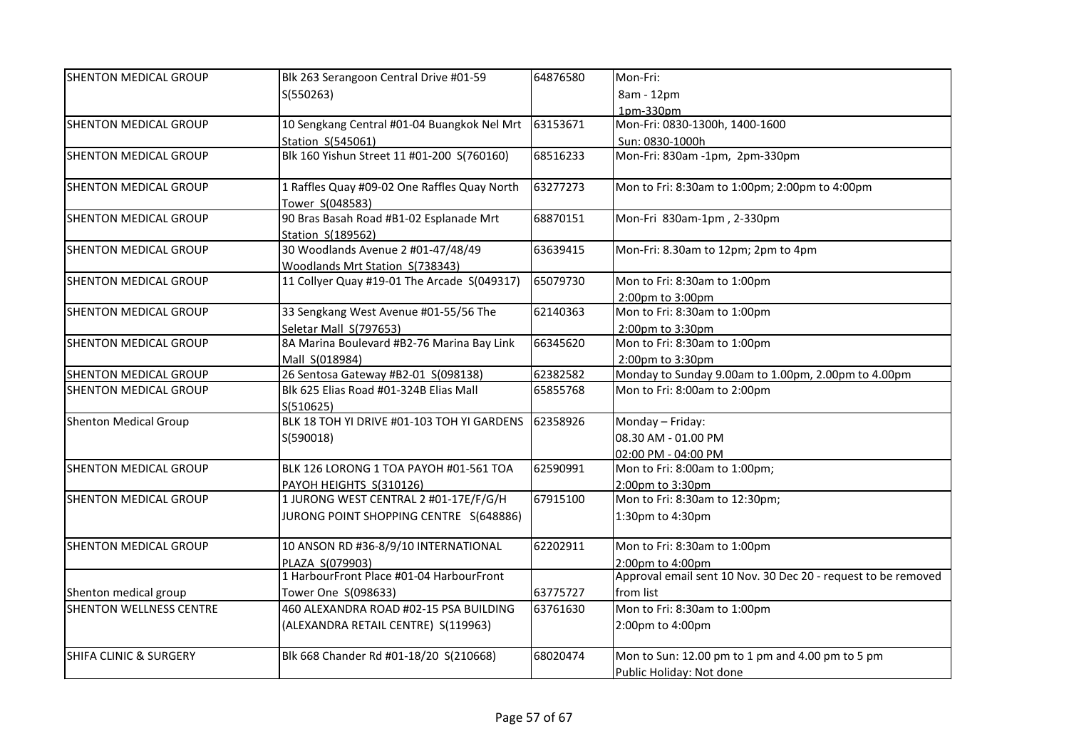| SHENTON MEDICAL GROUP             | Blk 263 Serangoon Central Drive #01-59                                | 64876580 | Mon-Fri:                                                      |
|-----------------------------------|-----------------------------------------------------------------------|----------|---------------------------------------------------------------|
|                                   | S(550263)                                                             |          | 8am - 12pm                                                    |
|                                   |                                                                       |          | 1pm-330pm                                                     |
| SHENTON MEDICAL GROUP             | 10 Sengkang Central #01-04 Buangkok Nel Mrt                           | 63153671 | Mon-Fri: 0830-1300h, 1400-1600                                |
|                                   | Station S(545061)                                                     |          | Sun: 0830-1000h                                               |
| <b>SHENTON MEDICAL GROUP</b>      | Blk 160 Yishun Street 11 #01-200 S(760160)                            | 68516233 | Mon-Fri: 830am -1pm, 2pm-330pm                                |
| SHENTON MEDICAL GROUP             | 1 Raffles Quay #09-02 One Raffles Quay North<br>Tower S(048583)       | 63277273 | Mon to Fri: 8:30am to 1:00pm; 2:00pm to 4:00pm                |
| <b>SHENTON MEDICAL GROUP</b>      | 90 Bras Basah Road #B1-02 Esplanade Mrt<br>Station S(189562)          | 68870151 | Mon-Fri 830am-1pm, 2-330pm                                    |
| <b>SHENTON MEDICAL GROUP</b>      | 30 Woodlands Avenue 2 #01-47/48/49<br>Woodlands Mrt Station S(738343) | 63639415 | Mon-Fri: 8.30am to 12pm; 2pm to 4pm                           |
| SHENTON MEDICAL GROUP             | 11 Collyer Quay #19-01 The Arcade S(049317)                           | 65079730 | Mon to Fri: 8:30am to 1:00pm<br>2:00pm to 3:00pm              |
| <b>SHENTON MEDICAL GROUP</b>      | 33 Sengkang West Avenue #01-55/56 The                                 | 62140363 | Mon to Fri: 8:30am to 1:00pm                                  |
|                                   | Seletar Mall S(797653)                                                |          | 2:00pm to 3:30pm                                              |
| SHENTON MEDICAL GROUP             | 8A Marina Boulevard #B2-76 Marina Bay Link                            | 66345620 | Mon to Fri: 8:30am to 1:00pm                                  |
|                                   | Mall S(018984)                                                        |          | 2:00pm to 3:30pm                                              |
| SHENTON MEDICAL GROUP             | 26 Sentosa Gateway #B2-01 S(098138)                                   | 62382582 | Monday to Sunday 9.00am to 1.00pm, 2.00pm to 4.00pm           |
| SHENTON MEDICAL GROUP             | Blk 625 Elias Road #01-324B Elias Mall<br>S(510625)                   | 65855768 | Mon to Fri: 8:00am to 2:00pm                                  |
| <b>Shenton Medical Group</b>      | BLK 18 TOH YI DRIVE #01-103 TOH YI GARDENS                            | 62358926 | Monday - Friday:                                              |
|                                   | S(590018)                                                             |          | 08.30 AM - 01.00 PM                                           |
|                                   |                                                                       |          | 02:00 PM - 04:00 PM                                           |
| SHENTON MEDICAL GROUP             | BLK 126 LORONG 1 TOA PAYOH #01-561 TOA                                | 62590991 | Mon to Fri: 8:00am to 1:00pm;                                 |
|                                   | PAYOH HEIGHTS S(310126)                                               |          | 2:00pm to 3:30pm                                              |
| SHENTON MEDICAL GROUP             | 1 JURONG WEST CENTRAL 2 #01-17E/F/G/H                                 | 67915100 | Mon to Fri: 8:30am to 12:30pm;                                |
|                                   | JURONG POINT SHOPPING CENTRE S(648886)                                |          | 1:30pm to 4:30pm                                              |
| SHENTON MEDICAL GROUP             | 10 ANSON RD #36-8/9/10 INTERNATIONAL                                  | 62202911 | Mon to Fri: 8:30am to 1:00pm                                  |
|                                   | PLAZA S(079903)                                                       |          | 2:00pm to 4:00pm                                              |
|                                   | 1 HarbourFront Place #01-04 HarbourFront                              |          | Approval email sent 10 Nov. 30 Dec 20 - request to be removed |
| Shenton medical group             | Tower One S(098633)                                                   | 63775727 | from list                                                     |
| <b>SHENTON WELLNESS CENTRE</b>    | 460 ALEXANDRA ROAD #02-15 PSA BUILDING                                | 63761630 | Mon to Fri: 8:30am to 1:00pm                                  |
|                                   | (ALEXANDRA RETAIL CENTRE) S(119963)                                   |          | 2:00pm to 4:00pm                                              |
| <b>SHIFA CLINIC &amp; SURGERY</b> | Blk 668 Chander Rd #01-18/20 S(210668)                                | 68020474 | Mon to Sun: 12.00 pm to 1 pm and 4.00 pm to 5 pm              |
|                                   |                                                                       |          | Public Holiday: Not done                                      |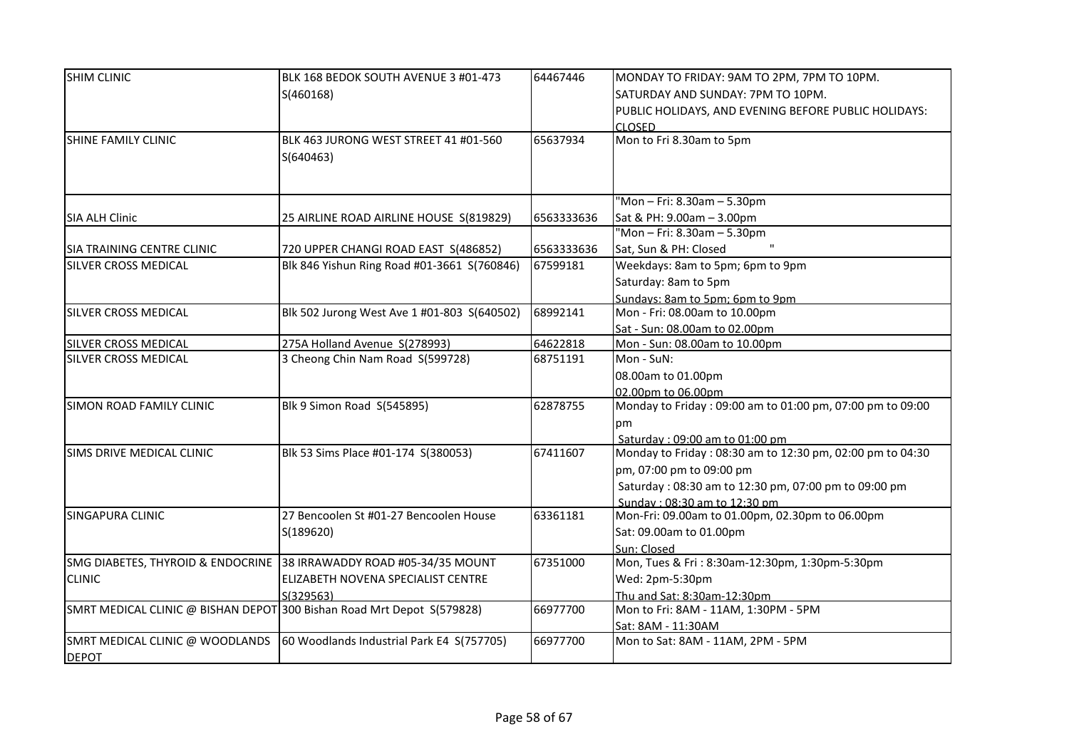| <b>SHIM CLINIC</b>                                                     | BLK 168 BEDOK SOUTH AVENUE 3 #01-473                                | 64467446   | MONDAY TO FRIDAY: 9AM TO 2PM, 7PM TO 10PM.                |
|------------------------------------------------------------------------|---------------------------------------------------------------------|------------|-----------------------------------------------------------|
|                                                                        | S(460168)                                                           |            | SATURDAY AND SUNDAY: 7PM TO 10PM.                         |
|                                                                        |                                                                     |            | PUBLIC HOLIDAYS, AND EVENING BEFORE PUBLIC HOLIDAYS:      |
|                                                                        |                                                                     |            | CLOSED.                                                   |
| SHINE FAMILY CLINIC                                                    | BLK 463 JURONG WEST STREET 41 #01-560                               | 65637934   | Mon to Fri 8.30am to 5pm                                  |
|                                                                        | S(640463)                                                           |            |                                                           |
|                                                                        |                                                                     |            |                                                           |
|                                                                        |                                                                     |            |                                                           |
|                                                                        |                                                                     |            | "Mon - Fri: 8.30am - 5.30pm                               |
| <b>SIA ALH Clinic</b>                                                  | 25 AIRLINE ROAD AIRLINE HOUSE S(819829)                             | 6563333636 | Sat & PH: 9.00am - 3.00pm                                 |
|                                                                        |                                                                     |            | "Mon - Fri: 8.30am - 5.30pm                               |
| ISIA TRAINING CENTRE CLINIC                                            | 720 UPPER CHANGI ROAD EAST S(486852)                                | 6563333636 | Sat, Sun & PH: Closed                                     |
| <b>SILVER CROSS MEDICAL</b>                                            | Blk 846 Yishun Ring Road #01-3661 S(760846)                         | 67599181   | Weekdays: 8am to 5pm; 6pm to 9pm                          |
|                                                                        |                                                                     |            | Saturday: 8am to 5pm                                      |
|                                                                        |                                                                     |            | Sundays: 8am to 5pm; 6pm to 9pm                           |
| <b>SILVER CROSS MEDICAL</b>                                            | Blk 502 Jurong West Ave 1 #01-803 S(640502)                         | 68992141   | Mon - Fri: 08.00am to 10.00pm                             |
|                                                                        |                                                                     |            | Sat - Sun: 08.00am to 02.00pm                             |
| <b>SILVER CROSS MEDICAL</b>                                            | 275A Holland Avenue S(278993)                                       | 64622818   | Mon - Sun: 08.00am to 10.00pm                             |
| <b>SILVER CROSS MEDICAL</b>                                            | 3 Cheong Chin Nam Road S(599728)                                    | 68751191   | Mon - SuN:                                                |
|                                                                        |                                                                     |            | 08.00am to 01.00pm                                        |
|                                                                        |                                                                     |            | 02.00pm to 06.00pm                                        |
| SIMON ROAD FAMILY CLINIC                                               | Blk 9 Simon Road S(545895)                                          | 62878755   | Monday to Friday: 09:00 am to 01:00 pm, 07:00 pm to 09:00 |
|                                                                        |                                                                     |            | pm                                                        |
|                                                                        |                                                                     |            | Saturday: 09:00 am to 01:00 pm                            |
| SIMS DRIVE MEDICAL CLINIC                                              | Blk 53 Sims Place #01-174 S(380053)                                 | 67411607   | Monday to Friday: 08:30 am to 12:30 pm, 02:00 pm to 04:30 |
|                                                                        |                                                                     |            | pm, 07:00 pm to 09:00 pm                                  |
|                                                                        |                                                                     |            | Saturday: 08:30 am to 12:30 pm, 07:00 pm to 09:00 pm      |
|                                                                        |                                                                     |            | Sunday: 08:30 am to 12:30 pm                              |
| <b>SINGAPURA CLINIC</b>                                                | 27 Bencoolen St #01-27 Bencoolen House                              | 63361181   | Mon-Fri: 09.00am to 01.00pm, 02.30pm to 06.00pm           |
|                                                                        | S(189620)                                                           |            | Sat: 09.00am to 01.00pm                                   |
|                                                                        |                                                                     |            | Sun: Closed                                               |
|                                                                        | SMG DIABETES, THYROID & ENDOCRINE 38 IRRAWADDY ROAD #05-34/35 MOUNT | 67351000   | Mon, Tues & Fri: 8:30am-12:30pm, 1:30pm-5:30pm            |
| <b>CLINIC</b>                                                          | <b>ELIZABETH NOVENA SPECIALIST CENTRE</b>                           |            | Wed: 2pm-5:30pm                                           |
|                                                                        | S(329563)                                                           |            | Thu and Sat: 8:30am-12:30pm                               |
| SMRT MEDICAL CLINIC @ BISHAN DEPOT 300 Bishan Road Mrt Depot S(579828) |                                                                     | 66977700   | Mon to Fri: 8AM - 11AM, 1:30PM - 5PM                      |
|                                                                        |                                                                     |            | Sat: 8AM - 11:30AM                                        |
| SMRT MEDICAL CLINIC @ WOODLANDS                                        | 60 Woodlands Industrial Park E4 S(757705)                           | 66977700   | Mon to Sat: 8AM - 11AM, 2PM - 5PM                         |
| <b>DEPOT</b>                                                           |                                                                     |            |                                                           |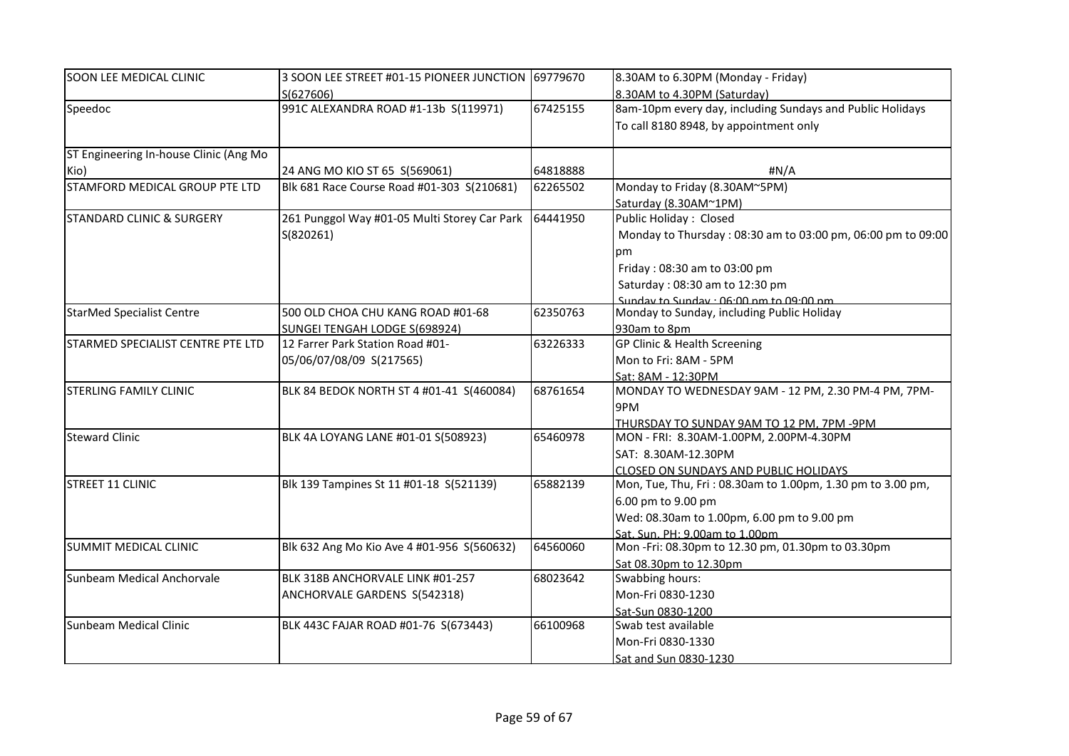| SOON LEE MEDICAL CLINIC                | 3 SOON LEE STREET #01-15 PIONEER JUNCTION 69779670 |          | 8.30AM to 6.30PM (Monday - Friday)                          |
|----------------------------------------|----------------------------------------------------|----------|-------------------------------------------------------------|
|                                        | S(627606)                                          |          | 8.30AM to 4.30PM (Saturday)                                 |
| Speedoc                                | 991C ALEXANDRA ROAD #1-13b S(119971)               | 67425155 | 8am-10pm every day, including Sundays and Public Holidays   |
|                                        |                                                    |          | To call 8180 8948, by appointment only                      |
| ST Engineering In-house Clinic (Ang Mo |                                                    |          |                                                             |
|                                        |                                                    |          |                                                             |
| Kio)                                   | 24 ANG MO KIO ST 65 S(569061)                      | 64818888 | #N/A                                                        |
| STAMFORD MEDICAL GROUP PTE LTD         | Blk 681 Race Course Road #01-303 S(210681)         | 62265502 | Monday to Friday (8.30AM~5PM)                               |
|                                        |                                                    |          | Saturday (8.30AM~1PM)                                       |
| <b>STANDARD CLINIC &amp; SURGERY</b>   | 261 Punggol Way #01-05 Multi Storey Car Park       | 64441950 | Public Holiday: Closed                                      |
|                                        | S(820261)                                          |          | Monday to Thursday: 08:30 am to 03:00 pm, 06:00 pm to 09:00 |
|                                        |                                                    |          | pm                                                          |
|                                        |                                                    |          | Friday: 08:30 am to 03:00 pm                                |
|                                        |                                                    |          | Saturday: 08:30 am to 12:30 pm                              |
|                                        |                                                    |          | Sunday to Sunday . 06:00 nm to 09:00 nm                     |
| <b>StarMed Specialist Centre</b>       | 500 OLD CHOA CHU KANG ROAD #01-68                  | 62350763 | Monday to Sunday, including Public Holiday                  |
|                                        | SUNGEI TENGAH LODGE S(698924)                      |          | 930am to 8pm                                                |
| STARMED SPECIALIST CENTRE PTE LTD      | 12 Farrer Park Station Road #01-                   | 63226333 | GP Clinic & Health Screening                                |
|                                        | 05/06/07/08/09 S(217565)                           |          | Mon to Fri: 8AM - 5PM                                       |
|                                        |                                                    |          | Sat: 8AM - 12:30PM                                          |
| <b>STERLING FAMILY CLINIC</b>          | BLK 84 BEDOK NORTH ST 4 #01-41 S(460084)           | 68761654 | MONDAY TO WEDNESDAY 9AM - 12 PM, 2.30 PM-4 PM, 7PM-         |
|                                        |                                                    |          | 9PM                                                         |
|                                        |                                                    |          | THURSDAY TO SUNDAY 9AM TO 12 PM, 7PM -9PM                   |
| <b>Steward Clinic</b>                  | BLK 4A LOYANG LANE #01-01 S(508923)                | 65460978 | MON - FRI: 8.30AM-1.00PM, 2.00PM-4.30PM                     |
|                                        |                                                    |          | SAT: 8.30AM-12.30PM                                         |
|                                        |                                                    |          | <b>CLOSED ON SUNDAYS AND PUBLIC HOLIDAYS</b>                |
| STREET 11 CLINIC                       | Blk 139 Tampines St 11 #01-18 S(521139)            | 65882139 | Mon, Tue, Thu, Fri: 08.30am to 1.00pm, 1.30 pm to 3.00 pm,  |
|                                        |                                                    |          | 6.00 pm to 9.00 pm                                          |
|                                        |                                                    |          | Wed: 08.30am to 1.00pm, 6.00 pm to 9.00 pm                  |
|                                        |                                                    |          | Sat. Sun. PH: 9.00am to 1.00pm                              |
| SUMMIT MEDICAL CLINIC                  | Blk 632 Ang Mo Kio Ave 4 #01-956 S(560632)         | 64560060 | Mon-Fri: 08.30pm to 12.30 pm, 01.30pm to 03.30pm            |
|                                        |                                                    |          | Sat 08.30pm to 12.30pm                                      |
| Sunbeam Medical Anchorvale             | BLK 318B ANCHORVALE LINK #01-257                   | 68023642 | Swabbing hours:                                             |
|                                        | ANCHORVALE GARDENS S(542318)                       |          | Mon-Fri 0830-1230                                           |
|                                        |                                                    |          | Sat-Sun 0830-1200                                           |
| Sunbeam Medical Clinic                 | BLK 443C FAJAR ROAD #01-76 S(673443)               | 66100968 | Swab test available                                         |
|                                        |                                                    |          | Mon-Fri 0830-1330                                           |
|                                        |                                                    |          | Sat and Sun 0830-1230                                       |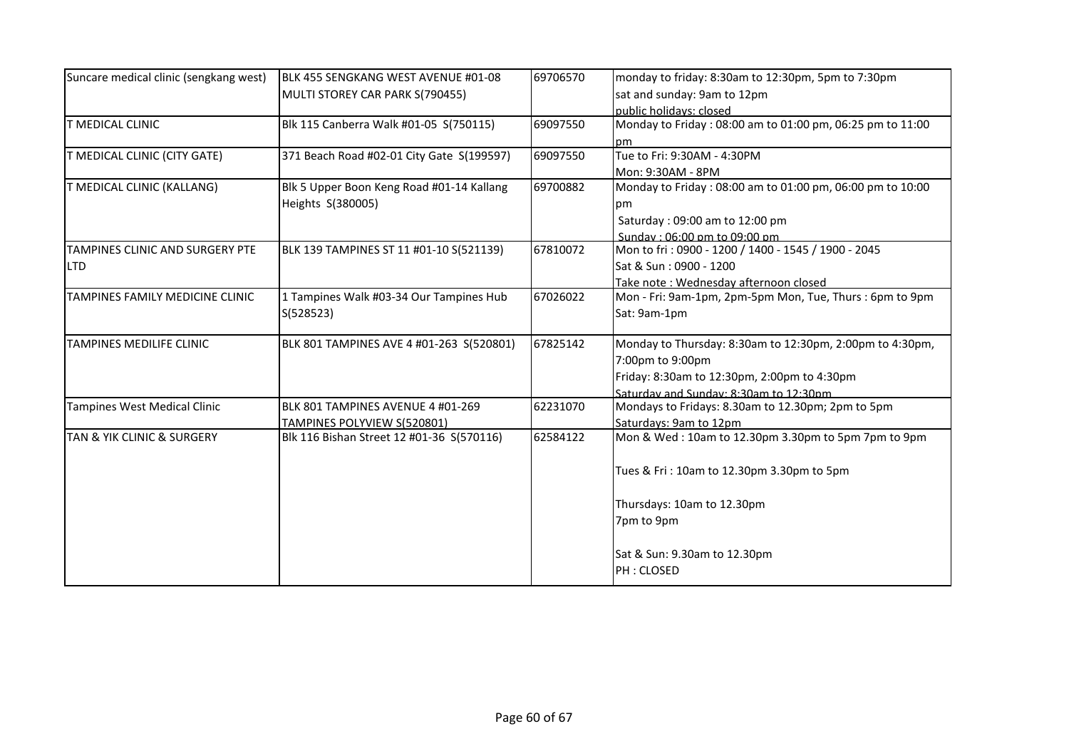| Suncare medical clinic (sengkang west)    | BLK 455 SENGKANG WEST AVENUE #01-08       | 69706570 | monday to friday: 8:30am to 12:30pm, 5pm to 7:30pm        |
|-------------------------------------------|-------------------------------------------|----------|-----------------------------------------------------------|
|                                           | MULTI STOREY CAR PARK S(790455)           |          | sat and sunday: 9am to 12pm                               |
|                                           |                                           |          | public holidays: closed                                   |
| <b>T MEDICAL CLINIC</b>                   | Blk 115 Canberra Walk #01-05 S(750115)    | 69097550 | Monday to Friday: 08:00 am to 01:00 pm, 06:25 pm to 11:00 |
|                                           |                                           |          | pm                                                        |
| T MEDICAL CLINIC (CITY GATE)              | 371 Beach Road #02-01 City Gate S(199597) | 69097550 | Tue to Fri: 9:30AM - 4:30PM                               |
|                                           |                                           |          | Mon: 9:30AM - 8PM                                         |
| T MEDICAL CLINIC (KALLANG)                | Blk 5 Upper Boon Keng Road #01-14 Kallang | 69700882 | Monday to Friday: 08:00 am to 01:00 pm, 06:00 pm to 10:00 |
|                                           | Heights S(380005)                         |          | рm                                                        |
|                                           |                                           |          | Saturday: 09:00 am to 12:00 pm                            |
|                                           |                                           |          | Sunday: 06:00 pm to 09:00 pm                              |
| TAMPINES CLINIC AND SURGERY PTE           | BLK 139 TAMPINES ST 11 #01-10 S(521139)   | 67810072 | Mon to fri: 0900 - 1200 / 1400 - 1545 / 1900 - 2045       |
| <b>LTD</b>                                |                                           |          | Sat & Sun: 0900 - 1200                                    |
|                                           |                                           |          | Take note: Wednesday afternoon closed                     |
| TAMPINES FAMILY MEDICINE CLINIC           | 1 Tampines Walk #03-34 Our Tampines Hub   | 67026022 | Mon - Fri: 9am-1pm, 2pm-5pm Mon, Tue, Thurs : 6pm to 9pm  |
|                                           | S(528523)                                 |          | Sat: 9am-1pm                                              |
|                                           |                                           |          |                                                           |
| TAMPINES MEDILIFE CLINIC                  | BLK 801 TAMPINES AVE 4 #01-263 S(520801)  | 67825142 | Monday to Thursday: 8:30am to 12:30pm, 2:00pm to 4:30pm,  |
|                                           |                                           |          | 7:00pm to 9:00pm                                          |
|                                           |                                           |          | Friday: 8:30am to 12:30pm, 2:00pm to 4:30pm               |
|                                           |                                           |          | Saturday and Sunday: 8:30am to 12:30pm                    |
| Tampines West Medical Clinic              | BLK 801 TAMPINES AVENUE 4 #01-269         | 62231070 | Mondays to Fridays: 8.30am to 12.30pm; 2pm to 5pm         |
|                                           | <b>TAMPINES POLYVIEW S(520801)</b>        |          | Saturdays: 9am to 12pm                                    |
| <b>TAN &amp; YIK CLINIC &amp; SURGERY</b> | Blk 116 Bishan Street 12 #01-36 S(570116) | 62584122 | Mon & Wed: 10am to 12.30pm 3.30pm to 5pm 7pm to 9pm       |
|                                           |                                           |          |                                                           |
|                                           |                                           |          | Tues & Fri: 10am to 12.30pm 3.30pm to 5pm                 |
|                                           |                                           |          |                                                           |
|                                           |                                           |          | Thursdays: 10am to 12.30pm                                |
|                                           |                                           |          | 7pm to 9pm                                                |
|                                           |                                           |          |                                                           |
|                                           |                                           |          | Sat & Sun: 9.30am to 12.30pm                              |
|                                           |                                           |          | PH: CLOSED                                                |
|                                           |                                           |          |                                                           |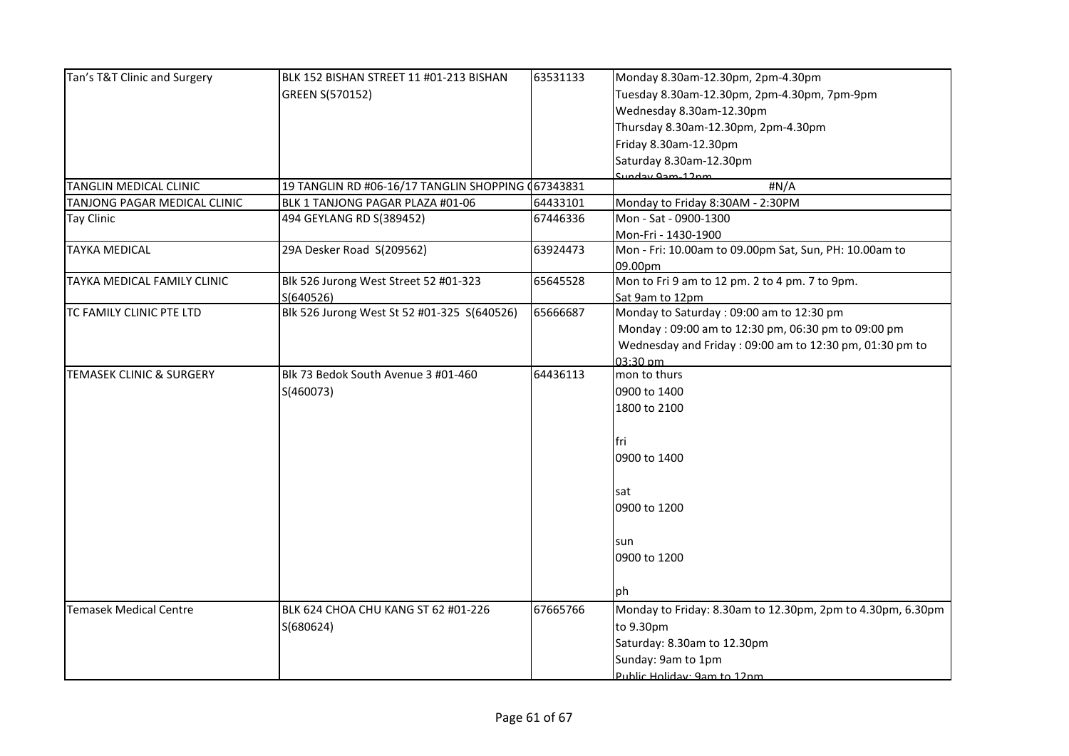| Tan's T&T Clinic and Surgery  | BLK 152 BISHAN STREET 11 #01-213 BISHAN            | 63531133 | Monday 8.30am-12.30pm, 2pm-4.30pm                          |
|-------------------------------|----------------------------------------------------|----------|------------------------------------------------------------|
|                               | GREEN S(570152)                                    |          | Tuesday 8.30am-12.30pm, 2pm-4.30pm, 7pm-9pm                |
|                               |                                                    |          | Wednesday 8.30am-12.30pm                                   |
|                               |                                                    |          | Thursday 8.30am-12.30pm, 2pm-4.30pm                        |
|                               |                                                    |          | Friday 8.30am-12.30pm                                      |
|                               |                                                    |          | Saturday 8.30am-12.30pm                                    |
|                               |                                                    |          | Sunday Qam-12nm                                            |
| TANGLIN MEDICAL CLINIC        | 19 TANGLIN RD #06-16/17 TANGLIN SHOPPING (67343831 |          | #N/A                                                       |
| TANJONG PAGAR MEDICAL CLINIC  | BLK 1 TANJONG PAGAR PLAZA #01-06                   | 64433101 | Monday to Friday 8:30AM - 2:30PM                           |
| <b>Tay Clinic</b>             | 494 GEYLANG RD S(389452)                           | 67446336 | Mon - Sat - 0900-1300                                      |
|                               |                                                    |          | Mon-Fri - 1430-1900                                        |
| <b>TAYKA MEDICAL</b>          | 29A Desker Road S(209562)                          | 63924473 | Mon - Fri: 10.00am to 09.00pm Sat, Sun, PH: 10.00am to     |
|                               |                                                    |          | 09.00pm                                                    |
| TAYKA MEDICAL FAMILY CLINIC   | Blk 526 Jurong West Street 52 #01-323              | 65645528 | Mon to Fri 9 am to 12 pm. 2 to 4 pm. 7 to 9pm.             |
|                               | S(640526)                                          |          | Sat 9am to 12pm                                            |
| TC FAMILY CLINIC PTE LTD      | Blk 526 Jurong West St 52 #01-325 S(640526)        | 65666687 | Monday to Saturday: 09:00 am to 12:30 pm                   |
|                               |                                                    |          | Monday: 09:00 am to 12:30 pm, 06:30 pm to 09:00 pm         |
|                               |                                                    |          | Wednesday and Friday: 09:00 am to 12:30 pm, 01:30 pm to    |
|                               |                                                    |          | 03:30 pm                                                   |
| TEMASEK CLINIC & SURGERY      | Blk 73 Bedok South Avenue 3 #01-460                | 64436113 | mon to thurs                                               |
|                               | S(460073)                                          |          | 0900 to 1400                                               |
|                               |                                                    |          | 1800 to 2100                                               |
|                               |                                                    |          |                                                            |
|                               |                                                    |          | fri                                                        |
|                               |                                                    |          | 0900 to 1400                                               |
|                               |                                                    |          |                                                            |
|                               |                                                    |          | sat                                                        |
|                               |                                                    |          | 0900 to 1200                                               |
|                               |                                                    |          |                                                            |
|                               |                                                    |          | sun                                                        |
|                               |                                                    |          | 0900 to 1200                                               |
|                               |                                                    |          | lph.                                                       |
| <b>Temasek Medical Centre</b> | BLK 624 CHOA CHU KANG ST 62 #01-226                | 67665766 | Monday to Friday: 8.30am to 12.30pm, 2pm to 4.30pm, 6.30pm |
|                               | S(680624)                                          |          | to 9.30pm                                                  |
|                               |                                                    |          | Saturday: 8.30am to 12.30pm                                |
|                               |                                                    |          | Sunday: 9am to 1pm                                         |
|                               |                                                    |          | Public Holiday: 9am to 12nm                                |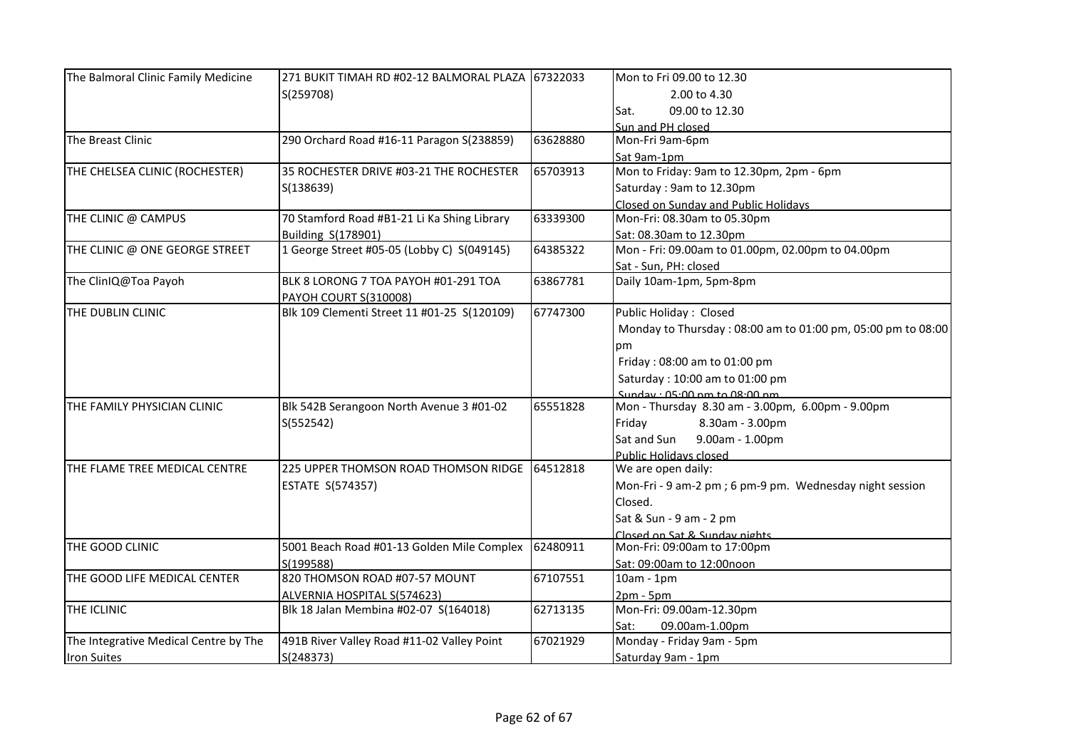| The Balmoral Clinic Family Medicine   | 271 BUKIT TIMAH RD #02-12 BALMORAL PLAZA 67322033 |          | Mon to Fri 09.00 to 12.30                                   |
|---------------------------------------|---------------------------------------------------|----------|-------------------------------------------------------------|
|                                       | S(259708)                                         |          | 2.00 to 4.30                                                |
|                                       |                                                   |          | 09.00 to 12.30<br>Sat.                                      |
|                                       |                                                   |          | Sun and PH closed                                           |
| The Breast Clinic                     | 290 Orchard Road #16-11 Paragon S(238859)         | 63628880 | Mon-Fri 9am-6pm                                             |
|                                       |                                                   |          | Sat 9am-1pm                                                 |
| THE CHELSEA CLINIC (ROCHESTER)        | 35 ROCHESTER DRIVE #03-21 THE ROCHESTER           | 65703913 | Mon to Friday: 9am to 12.30pm, 2pm - 6pm                    |
|                                       | S(138639)                                         |          | Saturday: 9am to 12.30pm                                    |
|                                       |                                                   |          | Closed on Sunday and Public Holidays                        |
| THE CLINIC @ CAMPUS                   | 70 Stamford Road #B1-21 Li Ka Shing Library       | 63339300 | Mon-Fri: 08.30am to 05.30pm                                 |
|                                       | Building S(178901)                                |          | Sat: 08.30am to 12.30pm                                     |
| THE CLINIC @ ONE GEORGE STREET        | 1 George Street #05-05 (Lobby C) S(049145)        | 64385322 | Mon - Fri: 09.00am to 01.00pm, 02.00pm to 04.00pm           |
|                                       |                                                   |          | Sat - Sun, PH: closed                                       |
| The ClinIQ@Toa Payoh                  | BLK 8 LORONG 7 TOA PAYOH #01-291 TOA              | 63867781 | Daily 10am-1pm, 5pm-8pm                                     |
|                                       | PAYOH COURT S(310008)                             |          |                                                             |
| THE DUBLIN CLINIC                     | Blk 109 Clementi Street 11 #01-25 S(120109)       | 67747300 | Public Holiday: Closed                                      |
|                                       |                                                   |          | Monday to Thursday: 08:00 am to 01:00 pm, 05:00 pm to 08:00 |
|                                       |                                                   |          | рm                                                          |
|                                       |                                                   |          | Friday: 08:00 am to 01:00 pm                                |
|                                       |                                                   |          | Saturday: 10:00 am to 01:00 pm                              |
|                                       |                                                   |          | Sunday: 05:00 nm to 08:00 nm                                |
| THE FAMILY PHYSICIAN CLINIC           | Blk 542B Serangoon North Avenue 3 #01-02          | 65551828 | Mon - Thursday 8.30 am - 3.00pm, 6.00pm - 9.00pm            |
|                                       | S(552542)                                         |          | 8.30am - 3.00pm<br>Friday                                   |
|                                       |                                                   |          | 9.00am - 1.00pm<br>Sat and Sun                              |
|                                       |                                                   |          | Public Holidavs closed                                      |
| THE FLAME TREE MEDICAL CENTRE         | 225 UPPER THOMSON ROAD THOMSON RIDGE              | 64512818 | We are open daily:                                          |
|                                       | <b>ESTATE S(574357)</b>                           |          | Mon-Fri - 9 am-2 pm; 6 pm-9 pm. Wednesday night session     |
|                                       |                                                   |          | Closed.                                                     |
|                                       |                                                   |          | Sat & Sun - 9 am - 2 pm                                     |
|                                       |                                                   |          | Closed on Sat & Sunday nights                               |
| THE GOOD CLINIC                       | 5001 Beach Road #01-13 Golden Mile Complex        | 62480911 | Mon-Fri: 09:00am to 17:00pm                                 |
|                                       | S(199588)                                         |          | Sat: 09:00am to 12:00noon                                   |
| THE GOOD LIFE MEDICAL CENTER          | 820 THOMSON ROAD #07-57 MOUNT                     | 67107551 | $10am - 1pm$                                                |
|                                       | ALVERNIA HOSPITAL S(574623)                       |          | $2pm - 5pm$                                                 |
| THE ICLINIC                           | Blk 18 Jalan Membina #02-07 S(164018)             | 62713135 | Mon-Fri: 09.00am-12.30pm                                    |
|                                       |                                                   |          | 09.00am-1.00pm<br>Sat:                                      |
| The Integrative Medical Centre by The | 491B River Valley Road #11-02 Valley Point        | 67021929 | Monday - Friday 9am - 5pm                                   |
| <b>Iron Suites</b>                    | S(248373)                                         |          | Saturday 9am - 1pm                                          |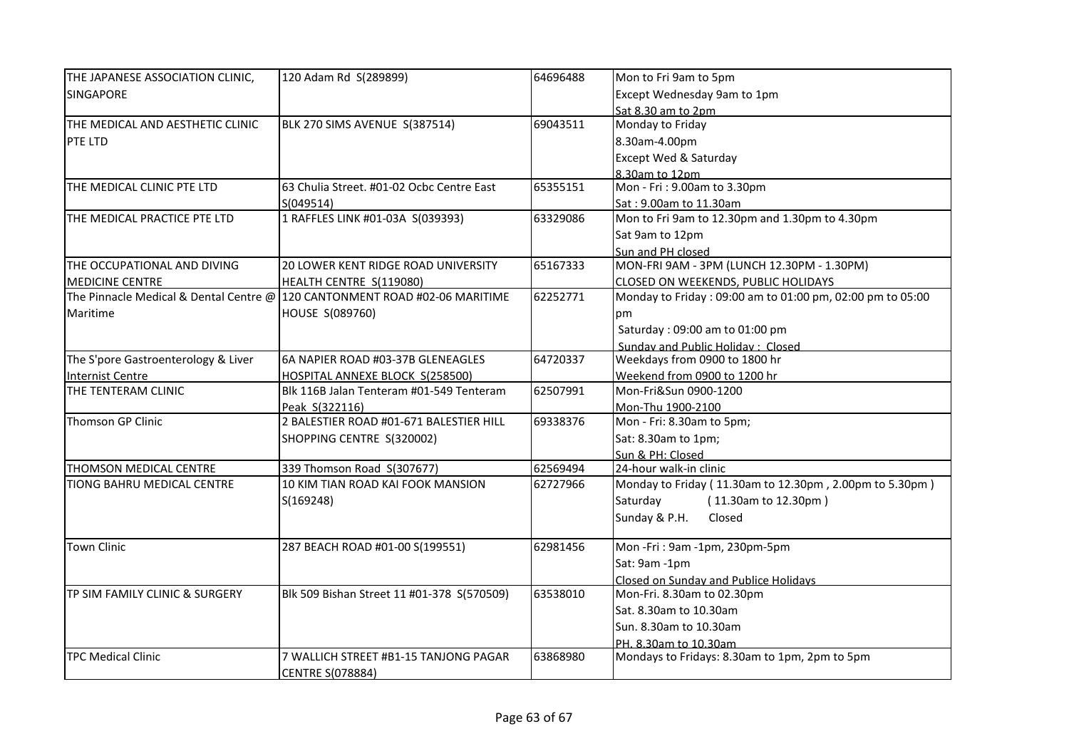| Except Wednesday 9am to 1pm<br>Sat 8.30 am to 2pm<br>69043511<br>Monday to Friday<br>THE MEDICAL AND AESTHETIC CLINIC<br>BLK 270 SIMS AVENUE S(387514)<br>8.30am-4.00pm<br><b>Except Wed &amp; Saturday</b><br>8.30am to 12pm<br>Mon - Fri: 9.00am to 3.30pm<br>THE MEDICAL CLINIC PTE LTD<br>63 Chulia Street. #01-02 Ocbc Centre East<br>65355151<br>S(049514)<br>Sat: 9.00am to 11.30am<br>1 RAFFLES LINK #01-03A S(039393)<br>Mon to Fri 9am to 12.30pm and 1.30pm to 4.30pm<br>63329086<br>Sat 9am to 12pm<br>Sun and PH closed<br>MON-FRI 9AM - 3PM (LUNCH 12.30PM - 1.30PM)<br>THE OCCUPATIONAL AND DIVING<br>20 LOWER KENT RIDGE ROAD UNIVERSITY<br>65167333<br>MEDICINE CENTRE<br>HEALTH CENTRE S(119080)<br>CLOSED ON WEEKENDS, PUBLIC HOLIDAYS<br>62252771<br>The Pinnacle Medical & Dental Centre @ 120 CANTONMENT ROAD #02-06 MARITIME<br>Monday to Friday: 09:00 am to 01:00 pm, 02:00 pm to 05:00<br>Maritime<br>HOUSE S(089760)<br>pm<br>Saturday: 09:00 am to 01:00 pm<br>Sunday and Public Holiday: Closed<br>Weekdays from 0900 to 1800 hr<br>The S'pore Gastroenterology & Liver<br>6A NAPIER ROAD #03-37B GLENEAGLES<br>64720337<br>Weekend from 0900 to 1200 hr<br><b>Internist Centre</b><br>HOSPITAL ANNEXE BLOCK S(258500)<br>Mon-Fri&Sun 0900-1200<br>62507991<br>Blk 116B Jalan Tenteram #01-549 Tenteram<br>Peak S(322116)<br>Mon-Thu 1900-2100<br>Thomson GP Clinic<br>2 BALESTIER ROAD #01-671 BALESTIER HILL<br>69338376<br>Mon - Fri: 8.30am to 5pm;<br>Sat: 8.30am to 1pm;<br>SHOPPING CENTRE S(320002)<br>Sun & PH: Closed<br>339 Thomson Road S(307677)<br>62569494<br>24-hour walk-in clinic<br>THOMSON MEDICAL CENTRE<br>Monday to Friday (11.30am to 12.30pm, 2.00pm to 5.30pm)<br><b>TIONG BAHRU MEDICAL CENTRE</b><br>10 KIM TIAN ROAD KAI FOOK MANSION<br>62727966<br>Saturday<br>S(169248)<br>(11.30am to 12.30pm)<br>Sunday & P.H.<br>Closed<br><b>Town Clinic</b><br>287 BEACH ROAD #01-00 S(199551)<br>62981456<br>Mon-Fri: 9am-1pm, 230pm-5pm<br>Sat: 9am -1pm<br>Closed on Sunday and Publice Holidays<br>TP SIM FAMILY CLINIC & SURGERY<br>Blk 509 Bishan Street 11 #01-378 S(570509)<br>63538010<br>Mon-Fri. 8.30am to 02.30pm<br>Sat. 8.30am to 10.30am<br>Sun. 8.30am to 10.30am<br>PH. 8.30am to 10.30am | THE JAPANESE ASSOCIATION CLINIC, | 120 Adam Rd S(289899) | 64696488 | Mon to Fri 9am to 5pm |
|--------------------------------------------------------------------------------------------------------------------------------------------------------------------------------------------------------------------------------------------------------------------------------------------------------------------------------------------------------------------------------------------------------------------------------------------------------------------------------------------------------------------------------------------------------------------------------------------------------------------------------------------------------------------------------------------------------------------------------------------------------------------------------------------------------------------------------------------------------------------------------------------------------------------------------------------------------------------------------------------------------------------------------------------------------------------------------------------------------------------------------------------------------------------------------------------------------------------------------------------------------------------------------------------------------------------------------------------------------------------------------------------------------------------------------------------------------------------------------------------------------------------------------------------------------------------------------------------------------------------------------------------------------------------------------------------------------------------------------------------------------------------------------------------------------------------------------------------------------------------------------------------------------------------------------------------------------------------------------------------------------------------------------------------------------------------------------------------------------------------------------------------------------------------------------------------------------------------------------------------------------------|----------------------------------|-----------------------|----------|-----------------------|
|                                                                                                                                                                                                                                                                                                                                                                                                                                                                                                                                                                                                                                                                                                                                                                                                                                                                                                                                                                                                                                                                                                                                                                                                                                                                                                                                                                                                                                                                                                                                                                                                                                                                                                                                                                                                                                                                                                                                                                                                                                                                                                                                                                                                                                                              | <b>SINGAPORE</b>                 |                       |          |                       |
|                                                                                                                                                                                                                                                                                                                                                                                                                                                                                                                                                                                                                                                                                                                                                                                                                                                                                                                                                                                                                                                                                                                                                                                                                                                                                                                                                                                                                                                                                                                                                                                                                                                                                                                                                                                                                                                                                                                                                                                                                                                                                                                                                                                                                                                              |                                  |                       |          |                       |
|                                                                                                                                                                                                                                                                                                                                                                                                                                                                                                                                                                                                                                                                                                                                                                                                                                                                                                                                                                                                                                                                                                                                                                                                                                                                                                                                                                                                                                                                                                                                                                                                                                                                                                                                                                                                                                                                                                                                                                                                                                                                                                                                                                                                                                                              |                                  |                       |          |                       |
|                                                                                                                                                                                                                                                                                                                                                                                                                                                                                                                                                                                                                                                                                                                                                                                                                                                                                                                                                                                                                                                                                                                                                                                                                                                                                                                                                                                                                                                                                                                                                                                                                                                                                                                                                                                                                                                                                                                                                                                                                                                                                                                                                                                                                                                              | <b>PTE LTD</b>                   |                       |          |                       |
|                                                                                                                                                                                                                                                                                                                                                                                                                                                                                                                                                                                                                                                                                                                                                                                                                                                                                                                                                                                                                                                                                                                                                                                                                                                                                                                                                                                                                                                                                                                                                                                                                                                                                                                                                                                                                                                                                                                                                                                                                                                                                                                                                                                                                                                              |                                  |                       |          |                       |
|                                                                                                                                                                                                                                                                                                                                                                                                                                                                                                                                                                                                                                                                                                                                                                                                                                                                                                                                                                                                                                                                                                                                                                                                                                                                                                                                                                                                                                                                                                                                                                                                                                                                                                                                                                                                                                                                                                                                                                                                                                                                                                                                                                                                                                                              |                                  |                       |          |                       |
|                                                                                                                                                                                                                                                                                                                                                                                                                                                                                                                                                                                                                                                                                                                                                                                                                                                                                                                                                                                                                                                                                                                                                                                                                                                                                                                                                                                                                                                                                                                                                                                                                                                                                                                                                                                                                                                                                                                                                                                                                                                                                                                                                                                                                                                              |                                  |                       |          |                       |
|                                                                                                                                                                                                                                                                                                                                                                                                                                                                                                                                                                                                                                                                                                                                                                                                                                                                                                                                                                                                                                                                                                                                                                                                                                                                                                                                                                                                                                                                                                                                                                                                                                                                                                                                                                                                                                                                                                                                                                                                                                                                                                                                                                                                                                                              |                                  |                       |          |                       |
|                                                                                                                                                                                                                                                                                                                                                                                                                                                                                                                                                                                                                                                                                                                                                                                                                                                                                                                                                                                                                                                                                                                                                                                                                                                                                                                                                                                                                                                                                                                                                                                                                                                                                                                                                                                                                                                                                                                                                                                                                                                                                                                                                                                                                                                              | THE MEDICAL PRACTICE PTE LTD     |                       |          |                       |
|                                                                                                                                                                                                                                                                                                                                                                                                                                                                                                                                                                                                                                                                                                                                                                                                                                                                                                                                                                                                                                                                                                                                                                                                                                                                                                                                                                                                                                                                                                                                                                                                                                                                                                                                                                                                                                                                                                                                                                                                                                                                                                                                                                                                                                                              |                                  |                       |          |                       |
|                                                                                                                                                                                                                                                                                                                                                                                                                                                                                                                                                                                                                                                                                                                                                                                                                                                                                                                                                                                                                                                                                                                                                                                                                                                                                                                                                                                                                                                                                                                                                                                                                                                                                                                                                                                                                                                                                                                                                                                                                                                                                                                                                                                                                                                              |                                  |                       |          |                       |
|                                                                                                                                                                                                                                                                                                                                                                                                                                                                                                                                                                                                                                                                                                                                                                                                                                                                                                                                                                                                                                                                                                                                                                                                                                                                                                                                                                                                                                                                                                                                                                                                                                                                                                                                                                                                                                                                                                                                                                                                                                                                                                                                                                                                                                                              |                                  |                       |          |                       |
|                                                                                                                                                                                                                                                                                                                                                                                                                                                                                                                                                                                                                                                                                                                                                                                                                                                                                                                                                                                                                                                                                                                                                                                                                                                                                                                                                                                                                                                                                                                                                                                                                                                                                                                                                                                                                                                                                                                                                                                                                                                                                                                                                                                                                                                              |                                  |                       |          |                       |
|                                                                                                                                                                                                                                                                                                                                                                                                                                                                                                                                                                                                                                                                                                                                                                                                                                                                                                                                                                                                                                                                                                                                                                                                                                                                                                                                                                                                                                                                                                                                                                                                                                                                                                                                                                                                                                                                                                                                                                                                                                                                                                                                                                                                                                                              |                                  |                       |          |                       |
|                                                                                                                                                                                                                                                                                                                                                                                                                                                                                                                                                                                                                                                                                                                                                                                                                                                                                                                                                                                                                                                                                                                                                                                                                                                                                                                                                                                                                                                                                                                                                                                                                                                                                                                                                                                                                                                                                                                                                                                                                                                                                                                                                                                                                                                              |                                  |                       |          |                       |
|                                                                                                                                                                                                                                                                                                                                                                                                                                                                                                                                                                                                                                                                                                                                                                                                                                                                                                                                                                                                                                                                                                                                                                                                                                                                                                                                                                                                                                                                                                                                                                                                                                                                                                                                                                                                                                                                                                                                                                                                                                                                                                                                                                                                                                                              |                                  |                       |          |                       |
|                                                                                                                                                                                                                                                                                                                                                                                                                                                                                                                                                                                                                                                                                                                                                                                                                                                                                                                                                                                                                                                                                                                                                                                                                                                                                                                                                                                                                                                                                                                                                                                                                                                                                                                                                                                                                                                                                                                                                                                                                                                                                                                                                                                                                                                              |                                  |                       |          |                       |
|                                                                                                                                                                                                                                                                                                                                                                                                                                                                                                                                                                                                                                                                                                                                                                                                                                                                                                                                                                                                                                                                                                                                                                                                                                                                                                                                                                                                                                                                                                                                                                                                                                                                                                                                                                                                                                                                                                                                                                                                                                                                                                                                                                                                                                                              |                                  |                       |          |                       |
|                                                                                                                                                                                                                                                                                                                                                                                                                                                                                                                                                                                                                                                                                                                                                                                                                                                                                                                                                                                                                                                                                                                                                                                                                                                                                                                                                                                                                                                                                                                                                                                                                                                                                                                                                                                                                                                                                                                                                                                                                                                                                                                                                                                                                                                              |                                  |                       |          |                       |
|                                                                                                                                                                                                                                                                                                                                                                                                                                                                                                                                                                                                                                                                                                                                                                                                                                                                                                                                                                                                                                                                                                                                                                                                                                                                                                                                                                                                                                                                                                                                                                                                                                                                                                                                                                                                                                                                                                                                                                                                                                                                                                                                                                                                                                                              | THE TENTERAM CLINIC              |                       |          |                       |
|                                                                                                                                                                                                                                                                                                                                                                                                                                                                                                                                                                                                                                                                                                                                                                                                                                                                                                                                                                                                                                                                                                                                                                                                                                                                                                                                                                                                                                                                                                                                                                                                                                                                                                                                                                                                                                                                                                                                                                                                                                                                                                                                                                                                                                                              |                                  |                       |          |                       |
|                                                                                                                                                                                                                                                                                                                                                                                                                                                                                                                                                                                                                                                                                                                                                                                                                                                                                                                                                                                                                                                                                                                                                                                                                                                                                                                                                                                                                                                                                                                                                                                                                                                                                                                                                                                                                                                                                                                                                                                                                                                                                                                                                                                                                                                              |                                  |                       |          |                       |
|                                                                                                                                                                                                                                                                                                                                                                                                                                                                                                                                                                                                                                                                                                                                                                                                                                                                                                                                                                                                                                                                                                                                                                                                                                                                                                                                                                                                                                                                                                                                                                                                                                                                                                                                                                                                                                                                                                                                                                                                                                                                                                                                                                                                                                                              |                                  |                       |          |                       |
|                                                                                                                                                                                                                                                                                                                                                                                                                                                                                                                                                                                                                                                                                                                                                                                                                                                                                                                                                                                                                                                                                                                                                                                                                                                                                                                                                                                                                                                                                                                                                                                                                                                                                                                                                                                                                                                                                                                                                                                                                                                                                                                                                                                                                                                              |                                  |                       |          |                       |
|                                                                                                                                                                                                                                                                                                                                                                                                                                                                                                                                                                                                                                                                                                                                                                                                                                                                                                                                                                                                                                                                                                                                                                                                                                                                                                                                                                                                                                                                                                                                                                                                                                                                                                                                                                                                                                                                                                                                                                                                                                                                                                                                                                                                                                                              |                                  |                       |          |                       |
|                                                                                                                                                                                                                                                                                                                                                                                                                                                                                                                                                                                                                                                                                                                                                                                                                                                                                                                                                                                                                                                                                                                                                                                                                                                                                                                                                                                                                                                                                                                                                                                                                                                                                                                                                                                                                                                                                                                                                                                                                                                                                                                                                                                                                                                              |                                  |                       |          |                       |
|                                                                                                                                                                                                                                                                                                                                                                                                                                                                                                                                                                                                                                                                                                                                                                                                                                                                                                                                                                                                                                                                                                                                                                                                                                                                                                                                                                                                                                                                                                                                                                                                                                                                                                                                                                                                                                                                                                                                                                                                                                                                                                                                                                                                                                                              |                                  |                       |          |                       |
|                                                                                                                                                                                                                                                                                                                                                                                                                                                                                                                                                                                                                                                                                                                                                                                                                                                                                                                                                                                                                                                                                                                                                                                                                                                                                                                                                                                                                                                                                                                                                                                                                                                                                                                                                                                                                                                                                                                                                                                                                                                                                                                                                                                                                                                              |                                  |                       |          |                       |
|                                                                                                                                                                                                                                                                                                                                                                                                                                                                                                                                                                                                                                                                                                                                                                                                                                                                                                                                                                                                                                                                                                                                                                                                                                                                                                                                                                                                                                                                                                                                                                                                                                                                                                                                                                                                                                                                                                                                                                                                                                                                                                                                                                                                                                                              |                                  |                       |          |                       |
|                                                                                                                                                                                                                                                                                                                                                                                                                                                                                                                                                                                                                                                                                                                                                                                                                                                                                                                                                                                                                                                                                                                                                                                                                                                                                                                                                                                                                                                                                                                                                                                                                                                                                                                                                                                                                                                                                                                                                                                                                                                                                                                                                                                                                                                              |                                  |                       |          |                       |
|                                                                                                                                                                                                                                                                                                                                                                                                                                                                                                                                                                                                                                                                                                                                                                                                                                                                                                                                                                                                                                                                                                                                                                                                                                                                                                                                                                                                                                                                                                                                                                                                                                                                                                                                                                                                                                                                                                                                                                                                                                                                                                                                                                                                                                                              |                                  |                       |          |                       |
|                                                                                                                                                                                                                                                                                                                                                                                                                                                                                                                                                                                                                                                                                                                                                                                                                                                                                                                                                                                                                                                                                                                                                                                                                                                                                                                                                                                                                                                                                                                                                                                                                                                                                                                                                                                                                                                                                                                                                                                                                                                                                                                                                                                                                                                              |                                  |                       |          |                       |
|                                                                                                                                                                                                                                                                                                                                                                                                                                                                                                                                                                                                                                                                                                                                                                                                                                                                                                                                                                                                                                                                                                                                                                                                                                                                                                                                                                                                                                                                                                                                                                                                                                                                                                                                                                                                                                                                                                                                                                                                                                                                                                                                                                                                                                                              |                                  |                       |          |                       |
|                                                                                                                                                                                                                                                                                                                                                                                                                                                                                                                                                                                                                                                                                                                                                                                                                                                                                                                                                                                                                                                                                                                                                                                                                                                                                                                                                                                                                                                                                                                                                                                                                                                                                                                                                                                                                                                                                                                                                                                                                                                                                                                                                                                                                                                              |                                  |                       |          |                       |
|                                                                                                                                                                                                                                                                                                                                                                                                                                                                                                                                                                                                                                                                                                                                                                                                                                                                                                                                                                                                                                                                                                                                                                                                                                                                                                                                                                                                                                                                                                                                                                                                                                                                                                                                                                                                                                                                                                                                                                                                                                                                                                                                                                                                                                                              |                                  |                       |          |                       |
|                                                                                                                                                                                                                                                                                                                                                                                                                                                                                                                                                                                                                                                                                                                                                                                                                                                                                                                                                                                                                                                                                                                                                                                                                                                                                                                                                                                                                                                                                                                                                                                                                                                                                                                                                                                                                                                                                                                                                                                                                                                                                                                                                                                                                                                              |                                  |                       |          |                       |
| Mondays to Fridays: 8.30am to 1pm, 2pm to 5pm<br>7 WALLICH STREET #B1-15 TANJONG PAGAR<br>63868980                                                                                                                                                                                                                                                                                                                                                                                                                                                                                                                                                                                                                                                                                                                                                                                                                                                                                                                                                                                                                                                                                                                                                                                                                                                                                                                                                                                                                                                                                                                                                                                                                                                                                                                                                                                                                                                                                                                                                                                                                                                                                                                                                           | <b>TPC Medical Clinic</b>        |                       |          |                       |
| <b>CENTRE S(078884)</b>                                                                                                                                                                                                                                                                                                                                                                                                                                                                                                                                                                                                                                                                                                                                                                                                                                                                                                                                                                                                                                                                                                                                                                                                                                                                                                                                                                                                                                                                                                                                                                                                                                                                                                                                                                                                                                                                                                                                                                                                                                                                                                                                                                                                                                      |                                  |                       |          |                       |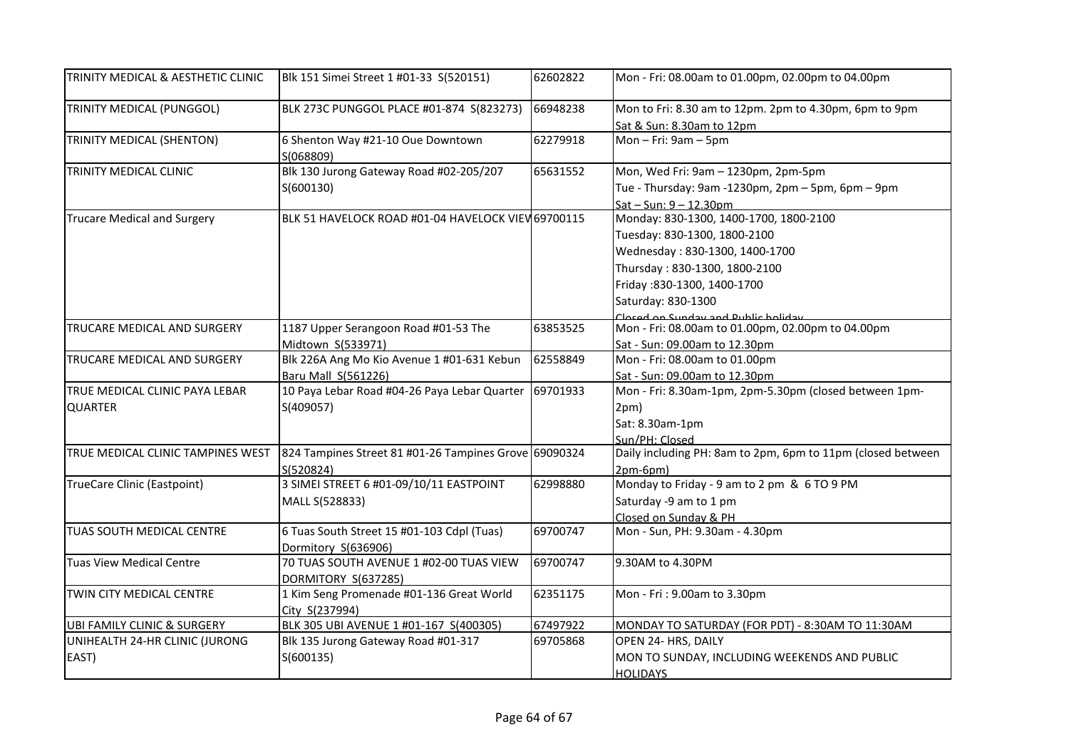| TRINITY MEDICAL & AESTHETIC CLINIC               | Blk 151 Simei Street 1 #01-33 S(520151)                            | 62602822 | Mon - Fri: 08.00am to 01.00pm, 02.00pm to 04.00pm                                                                                                                                                                                     |
|--------------------------------------------------|--------------------------------------------------------------------|----------|---------------------------------------------------------------------------------------------------------------------------------------------------------------------------------------------------------------------------------------|
| TRINITY MEDICAL (PUNGGOL)                        | BLK 273C PUNGGOL PLACE #01-874 S(823273)                           | 66948238 | Mon to Fri: 8.30 am to 12pm. 2pm to 4.30pm, 6pm to 9pm<br>Sat & Sun: 8.30am to 12pm                                                                                                                                                   |
| TRINITY MEDICAL (SHENTON)                        | 6 Shenton Way #21-10 Oue Downtown<br>S(068809)                     | 62279918 | Mon $-$ Fri: 9am $-$ 5pm                                                                                                                                                                                                              |
| TRINITY MEDICAL CLINIC                           | Blk 130 Jurong Gateway Road #02-205/207<br>S(600130)               | 65631552 | Mon, Wed Fri: 9am - 1230pm, 2pm-5pm<br>Tue - Thursday: 9am -1230pm, 2pm - 5pm, 6pm - 9pm<br>$Sat - Sun: 9 - 12.30$ pm                                                                                                                 |
| <b>Trucare Medical and Surgery</b>               | BLK 51 HAVELOCK ROAD #01-04 HAVELOCK VIEW 69700115                 |          | Monday: 830-1300, 1400-1700, 1800-2100<br>Tuesday: 830-1300, 1800-2100<br>Wednesday: 830-1300, 1400-1700<br>Thursday: 830-1300, 1800-2100<br>Friday: 830-1300, 1400-1700<br>Saturday: 830-1300<br>Closed on Sunday and Dublic holiday |
| TRUCARE MEDICAL AND SURGERY                      | 1187 Upper Serangoon Road #01-53 The<br>Midtown S(533971)          | 63853525 | Mon - Fri: 08.00am to 01.00pm, 02.00pm to 04.00pm<br>Sat - Sun: 09.00am to 12.30pm                                                                                                                                                    |
| TRUCARE MEDICAL AND SURGERY                      | Blk 226A Ang Mo Kio Avenue 1 #01-631 Kebun<br>Baru Mall S(561226)  | 62558849 | Mon - Fri: 08.00am to 01.00pm<br>Sat - Sun: 09.00am to 12.30pm                                                                                                                                                                        |
| TRUE MEDICAL CLINIC PAYA LEBAR<br><b>QUARTER</b> | 10 Paya Lebar Road #04-26 Paya Lebar Quarter<br>S(409057)          | 69701933 | Mon - Fri: 8.30am-1pm, 2pm-5.30pm (closed between 1pm-<br>2pm)<br>Sat: 8.30am-1pm<br>Sun/PH: Closed                                                                                                                                   |
| TRUE MEDICAL CLINIC TAMPINES WEST                | 824 Tampines Street 81 #01-26 Tampines Grove 69090324<br>S(520824) |          | Daily including PH: 8am to 2pm, 6pm to 11pm (closed between<br>$2pm-6pm)$                                                                                                                                                             |
| <b>TrueCare Clinic (Eastpoint)</b>               | 3 SIMEI STREET 6 #01-09/10/11 EASTPOINT<br>MALL S(528833)          | 62998880 | Monday to Friday - 9 am to 2 pm & 6 TO 9 PM<br>Saturday -9 am to 1 pm<br>Closed on Sunday & PH                                                                                                                                        |
| TUAS SOUTH MEDICAL CENTRE                        | 6 Tuas South Street 15 #01-103 Cdpl (Tuas)<br>Dormitory S(636906)  | 69700747 | Mon - Sun, PH: 9.30am - 4.30pm                                                                                                                                                                                                        |
| <b>Tuas View Medical Centre</b>                  | 70 TUAS SOUTH AVENUE 1 #02-00 TUAS VIEW<br>DORMITORY S(637285)     | 69700747 | 9.30AM to 4.30PM                                                                                                                                                                                                                      |
| TWIN CITY MEDICAL CENTRE                         | 1 Kim Seng Promenade #01-136 Great World<br>City S(237994)         | 62351175 | Mon - Fri: 9.00am to 3.30pm                                                                                                                                                                                                           |
| UBI FAMILY CLINIC & SURGERY                      | BLK 305 UBI AVENUE 1 #01-167 S(400305)                             | 67497922 | MONDAY TO SATURDAY (FOR PDT) - 8:30AM TO 11:30AM                                                                                                                                                                                      |
| UNIHEALTH 24-HR CLINIC (JURONG<br>EAST)          | Blk 135 Jurong Gateway Road #01-317<br>S(600135)                   | 69705868 | OPEN 24- HRS, DAILY<br>MON TO SUNDAY, INCLUDING WEEKENDS AND PUBLIC<br><b>HOLIDAYS</b>                                                                                                                                                |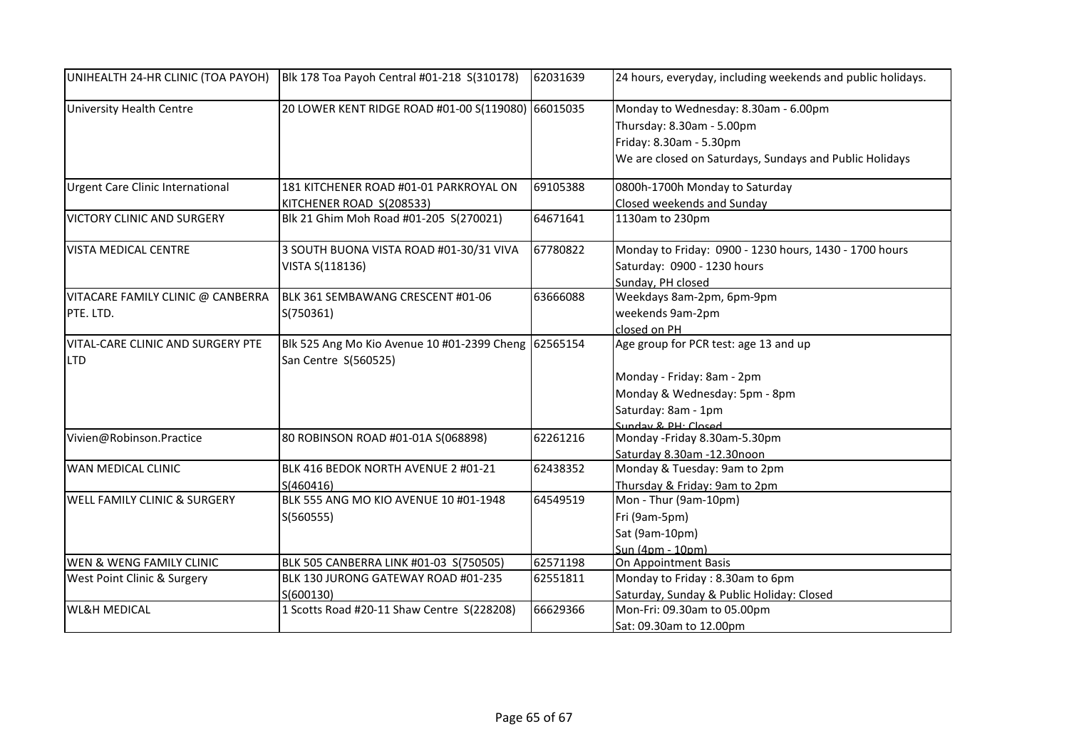| UNIHEALTH 24-HR CLINIC (TOA PAYOH)              | Blk 178 Toa Payoh Central #01-218 S(310178)                                  | 62031639 | 24 hours, everyday, including weekends and public holidays. |
|-------------------------------------------------|------------------------------------------------------------------------------|----------|-------------------------------------------------------------|
| University Health Centre                        | 20 LOWER KENT RIDGE ROAD #01-00 S(119080) 66015035                           |          | Monday to Wednesday: 8.30am - 6.00pm                        |
|                                                 |                                                                              |          | Thursday: 8.30am - 5.00pm                                   |
|                                                 |                                                                              |          | Friday: 8.30am - 5.30pm                                     |
|                                                 |                                                                              |          | We are closed on Saturdays, Sundays and Public Holidays     |
| Urgent Care Clinic International                | 181 KITCHENER ROAD #01-01 PARKROYAL ON                                       | 69105388 | 0800h-1700h Monday to Saturday                              |
|                                                 | KITCHENER ROAD S(208533)                                                     |          | Closed weekends and Sunday                                  |
| <b>VICTORY CLINIC AND SURGERY</b>               | Blk 21 Ghim Moh Road #01-205 S(270021)                                       | 64671641 | 1130am to 230pm                                             |
| <b>VISTA MEDICAL CENTRE</b>                     | 3 SOUTH BUONA VISTA ROAD #01-30/31 VIVA                                      | 67780822 | Monday to Friday: 0900 - 1230 hours, 1430 - 1700 hours      |
|                                                 | VISTA S(118136)                                                              |          | Saturday: 0900 - 1230 hours                                 |
|                                                 |                                                                              |          | Sunday, PH closed                                           |
| VITACARE FAMILY CLINIC @ CANBERRA               | BLK 361 SEMBAWANG CRESCENT #01-06                                            | 63666088 | Weekdays 8am-2pm, 6pm-9pm                                   |
| PTE. LTD.                                       | S(750361)                                                                    |          | weekends 9am-2pm                                            |
|                                                 |                                                                              |          | closed on PH                                                |
| VITAL-CARE CLINIC AND SURGERY PTE<br><b>LTD</b> | Blk 525 Ang Mo Kio Avenue 10 #01-2399 Cheng 62565154<br>San Centre S(560525) |          | Age group for PCR test: age 13 and up                       |
|                                                 |                                                                              |          | Monday - Friday: 8am - 2pm                                  |
|                                                 |                                                                              |          | Monday & Wednesday: 5pm - 8pm                               |
|                                                 |                                                                              |          | Saturday: 8am - 1pm                                         |
|                                                 |                                                                              |          | Sunday & PH: Closed                                         |
| Vivien@Robinson.Practice                        | 80 ROBINSON ROAD #01-01A S(068898)                                           | 62261216 | Monday -Friday 8.30am-5.30pm                                |
|                                                 |                                                                              |          | Saturday 8.30am -12.30noon                                  |
| WAN MEDICAL CLINIC                              | BLK 416 BEDOK NORTH AVENUE 2 #01-21                                          | 62438352 | Monday & Tuesday: 9am to 2pm                                |
|                                                 | S(460416)                                                                    |          | Thursday & Friday: 9am to 2pm                               |
| WELL FAMILY CLINIC & SURGERY                    | BLK 555 ANG MO KIO AVENUE 10 #01-1948                                        | 64549519 | Mon - Thur (9am-10pm)                                       |
|                                                 | S(560555)                                                                    |          | Fri (9am-5pm)                                               |
|                                                 |                                                                              |          | Sat (9am-10pm)                                              |
|                                                 |                                                                              |          | Sun (4pm - 10pm)                                            |
| WEN & WENG FAMILY CLINIC                        | BLK 505 CANBERRA LINK #01-03 S(750505)                                       | 62571198 | On Appointment Basis                                        |
| West Point Clinic & Surgery                     | BLK 130 JURONG GATEWAY ROAD #01-235                                          | 62551811 | Monday to Friday: 8.30am to 6pm                             |
|                                                 | S(600130)                                                                    |          | Saturday, Sunday & Public Holiday: Closed                   |
| <b>WL&amp;H MEDICAL</b>                         | 1 Scotts Road #20-11 Shaw Centre S(228208)                                   | 66629366 | Mon-Fri: 09.30am to 05.00pm                                 |
|                                                 |                                                                              |          | Sat: 09.30am to 12.00pm                                     |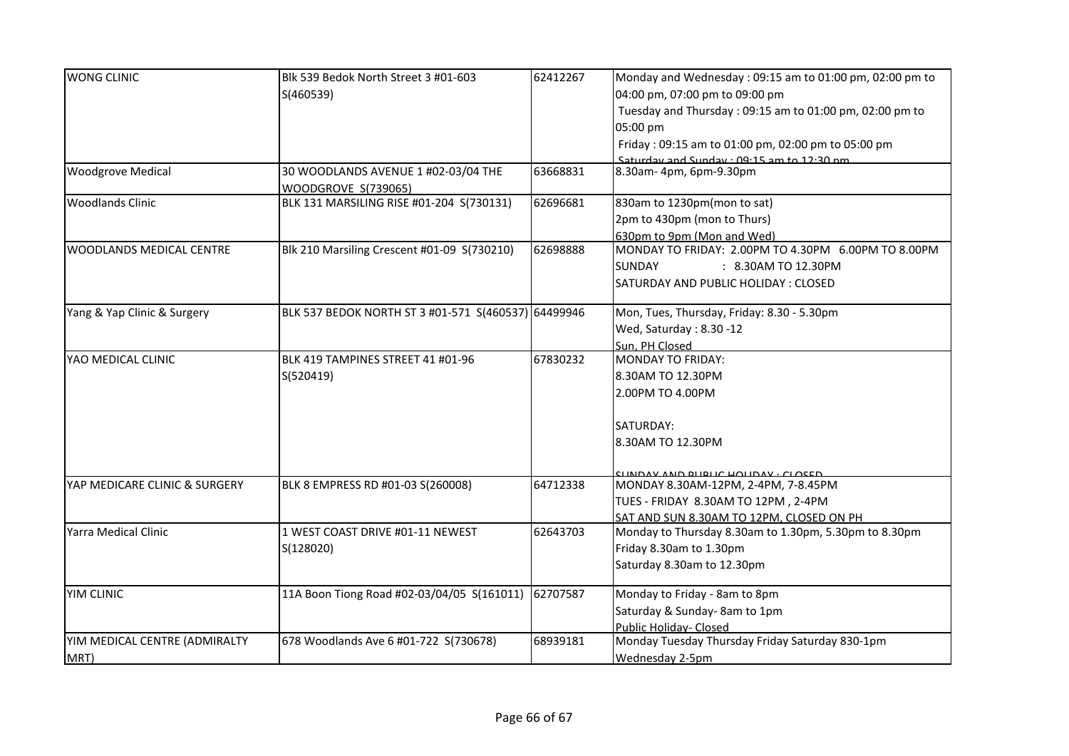| <b>WONG CLINIC</b>            | Blk 539 Bedok North Street 3 #01-603                | 62412267 | Monday and Wednesday: 09:15 am to 01:00 pm, 02:00 pm to |
|-------------------------------|-----------------------------------------------------|----------|---------------------------------------------------------|
|                               | S(460539)                                           |          | 04:00 pm, 07:00 pm to 09:00 pm                          |
|                               |                                                     |          | Tuesday and Thursday: 09:15 am to 01:00 pm, 02:00 pm to |
|                               |                                                     |          | 05:00 pm                                                |
|                               |                                                     |          | Friday: 09:15 am to 01:00 pm, 02:00 pm to 05:00 pm      |
|                               |                                                     |          | Saturday and Sunday . 09.15 am to 12.30 nm              |
| <b>Woodgrove Medical</b>      | 30 WOODLANDS AVENUE 1 #02-03/04 THE                 | 63668831 | 8.30am-4pm, 6pm-9.30pm                                  |
|                               | WOODGROVE S(739065)                                 |          |                                                         |
| <b>Woodlands Clinic</b>       | BLK 131 MARSILING RISE #01-204 S(730131)            | 62696681 | 830am to 1230pm(mon to sat)                             |
|                               |                                                     |          | 2pm to 430pm (mon to Thurs)                             |
|                               |                                                     |          | 630pm to 9pm (Mon and Wed)                              |
| WOODLANDS MEDICAL CENTRE      | Blk 210 Marsiling Crescent #01-09 S(730210)         | 62698888 | MONDAY TO FRIDAY: 2.00PM TO 4.30PM 6.00PM TO 8.00PM     |
|                               |                                                     |          | <b>SUNDAY</b><br>: 8.30AM TO 12.30PM                    |
|                               |                                                     |          | SATURDAY AND PUBLIC HOLIDAY : CLOSED                    |
| Yang & Yap Clinic & Surgery   | BLK 537 BEDOK NORTH ST 3 #01-571 S(460537) 64499946 |          | Mon, Tues, Thursday, Friday: 8.30 - 5.30pm              |
|                               |                                                     |          | Wed, Saturday: 8.30 -12                                 |
|                               |                                                     |          | Sun, PH Closed                                          |
| YAO MEDICAL CLINIC            | BLK 419 TAMPINES STREET 41 #01-96                   | 67830232 | <b>MONDAY TO FRIDAY:</b>                                |
|                               | S(520419)                                           |          | 8.30AM TO 12.30PM                                       |
|                               |                                                     |          | 2.00PM TO 4.00PM                                        |
|                               |                                                     |          |                                                         |
|                               |                                                     |          | SATURDAY:                                               |
|                               |                                                     |          | 8.30AM TO 12.30PM                                       |
|                               |                                                     |          |                                                         |
|                               |                                                     |          | <b>UNDAY AND BUBLIC HOUDAY · CLOCED</b>                 |
| YAP MEDICARE CLINIC & SURGERY | BLK 8 EMPRESS RD #01-03 S(260008)                   | 64712338 | MONDAY 8.30AM-12PM, 2-4PM, 7-8.45PM                     |
|                               |                                                     |          | TUES - FRIDAY 8.30AM TO 12PM, 2-4PM                     |
|                               |                                                     |          | SAT AND SUN 8.30AM TO 12PM, CLOSED ON PH                |
| Yarra Medical Clinic          | 1 WEST COAST DRIVE #01-11 NEWEST                    | 62643703 | Monday to Thursday 8.30am to 1.30pm, 5.30pm to 8.30pm   |
|                               | S(128020)                                           |          | Friday 8.30am to 1.30pm                                 |
|                               |                                                     |          | Saturday 8.30am to 12.30pm                              |
| YIM CLINIC                    | 11A Boon Tiong Road #02-03/04/05 S(161011)          | 62707587 | Monday to Friday - 8am to 8pm                           |
|                               |                                                     |          | Saturday & Sunday- 8am to 1pm                           |
|                               |                                                     |          | <b>Public Holiday- Closed</b>                           |
| YIM MEDICAL CENTRE (ADMIRALTY | 678 Woodlands Ave 6 #01-722 S(730678)               | 68939181 | Monday Tuesday Thursday Friday Saturday 830-1pm         |
| MRT)                          |                                                     |          | Wednesday 2-5pm                                         |